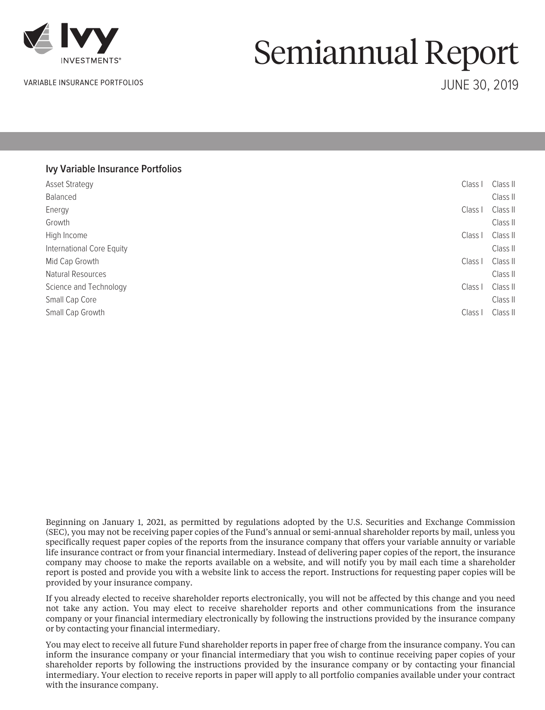

VARIABLE INSURANCE PORTFOLIOS

# Semiannual Report

JUNE 30, 2019

| <b>Ivy Variable Insurance Portfolios</b> |         |          |
|------------------------------------------|---------|----------|
| <b>Asset Strategy</b>                    | Class I | Class II |
| <b>Balanced</b>                          |         | Class II |
| Energy                                   | Class I | Class II |
| Growth                                   |         | Class II |
| High Income                              | Class I | Class II |
| International Core Equity                |         | Class II |
| Mid Cap Growth                           | Class I | Class II |
| Natural Resources                        |         | Class II |
| Science and Technology                   | Class I | Class II |
| Small Cap Core                           |         | Class II |
| Small Cap Growth                         | Class I | Class II |
|                                          |         |          |

Beginning on January 1, 2021, as permitted by regulations adopted by the U.S. Securities and Exchange Commission (SEC), you may not be receiving paper copies of the Fund's annual or semi-annual shareholder reports by mail, unless you specifically request paper copies of the reports from the insurance company that offers your variable annuity or variable life insurance contract or from your financial intermediary. Instead of delivering paper copies of the report, the insurance company may choose to make the reports available on a website, and will notify you by mail each time a shareholder report is posted and provide you with a website link to access the report. Instructions for requesting paper copies will be provided by your insurance company.

If you already elected to receive shareholder reports electronically, you will not be affected by this change and you need not take any action. You may elect to receive shareholder reports and other communications from the insurance company or your financial intermediary electronically by following the instructions provided by the insurance company or by contacting your financial intermediary.

You may elect to receive all future Fund shareholder reports in paper free of charge from the insurance company. You can inform the insurance company or your financial intermediary that you wish to continue receiving paper copies of your shareholder reports by following the instructions provided by the insurance company or by contacting your financial intermediary. Your election to receive reports in paper will apply to all portfolio companies available under your contract with the insurance company.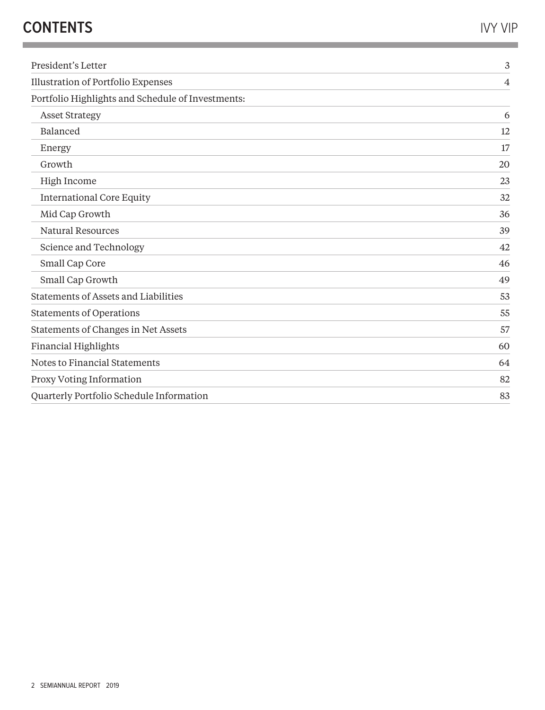# **CONTENTS** IVY VIP

an an Aon

**College** 

| President's Letter                                | 3              |
|---------------------------------------------------|----------------|
| Illustration of Portfolio Expenses                | $\overline{4}$ |
| Portfolio Highlights and Schedule of Investments: |                |
| <b>Asset Strategy</b>                             | 6              |
| Balanced                                          | 12             |
| Energy                                            | 17             |
| Growth                                            | 20             |
| High Income                                       | 23             |
| <b>International Core Equity</b>                  | 32             |
| Mid Cap Growth                                    | 36             |
| <b>Natural Resources</b>                          | 39             |
| Science and Technology                            | 42             |
| Small Cap Core                                    | 46             |
| Small Cap Growth                                  | 49             |
| <b>Statements of Assets and Liabilities</b>       | 53             |
| <b>Statements of Operations</b>                   | 55             |
| Statements of Changes in Net Assets               | 57             |
| <b>Financial Highlights</b>                       | 60             |
| Notes to Financial Statements                     | 64             |
| Proxy Voting Information                          | 82             |
| Quarterly Portfolio Schedule Information          | 83             |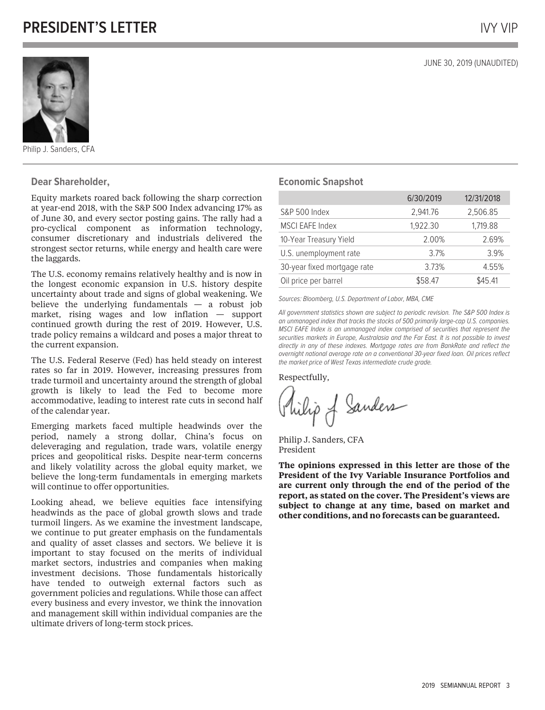

Philip J. Sanders, CFA

#### **Dear Shareholder,**

Equity markets roared back following the sharp correction at year-end 2018, with the S&P 500 Index advancing 17% as of June 30, and every sector posting gains. The rally had a pro-cyclical component as information technology, consumer discretionary and industrials delivered the strongest sector returns, while energy and health care were the laggards.

The U.S. economy remains relatively healthy and is now in the longest economic expansion in U.S. history despite uncertainty about trade and signs of global weakening. We believe the underlying fundamentals  $-$  a robust job market, rising wages and low inflation — support continued growth during the rest of 2019. However, U.S. trade policy remains a wildcard and poses a major threat to the current expansion.

The U.S. Federal Reserve (Fed) has held steady on interest rates so far in 2019. However, increasing pressures from trade turmoil and uncertainty around the strength of global growth is likely to lead the Fed to become more accommodative, leading to interest rate cuts in second half of the calendar year.

Emerging markets faced multiple headwinds over the period, namely a strong dollar, China's focus on deleveraging and regulation, trade wars, volatile energy prices and geopolitical risks. Despite near-term concerns and likely volatility across the global equity market, we believe the long-term fundamentals in emerging markets will continue to offer opportunities.

Looking ahead, we believe equities face intensifying headwinds as the pace of global growth slows and trade turmoil lingers. As we examine the investment landscape, we continue to put greater emphasis on the fundamentals and quality of asset classes and sectors. We believe it is important to stay focused on the merits of individual market sectors, industries and companies when making investment decisions. Those fundamentals historically have tended to outweigh external factors such as government policies and regulations. While those can affect every business and every investor, we think the innovation and management skill within individual companies are the ultimate drivers of long-term stock prices.

#### **Economic Snapshot**

|                             | 6/30/2019 | 12/31/2018 |
|-----------------------------|-----------|------------|
| S&P 500 Index               | 2.941.76  | 2,506.85   |
| MSCI EAFE Index             | 1,922.30  | 1,719.88   |
| 10-Year Treasury Yield      | 2.00%     | 2.69%      |
| U.S. unemployment rate      | 37%       | 3.9%       |
| 30-year fixed mortgage rate | 3.73%     | 4.55%      |
| Oil price per barrel        | \$58.47   | \$45.41    |

Sources: Bloomberg, U.S. Department of Labor, MBA, CME

All government statistics shown are subject to periodic revision. The S&P 500 Index is an unmanaged index that tracks the stocks of 500 primarily large-cap U.S. companies. MSCI EAFE Index is an unmanaged index comprised of securities that represent the securities markets in Europe, Australasia and the Far East. It is not possible to invest directly in any of these indexes. Mortgage rates are from BankRate and reflect the overnight national average rate on a conventional 30-year fixed loan. Oil prices reflect the market price of West Texas intermediate crude grade.

Respectfully,

Philip of Sanders

Philip J. Sanders, CFA President

**The opinions expressed in this letter are those of the President of the Ivy Variable Insurance Portfolios and are current only through the end of the period of the report, as stated on the cover. The President's views are subject to change at any time, based on market and other conditions, and no forecasts can be guaranteed.**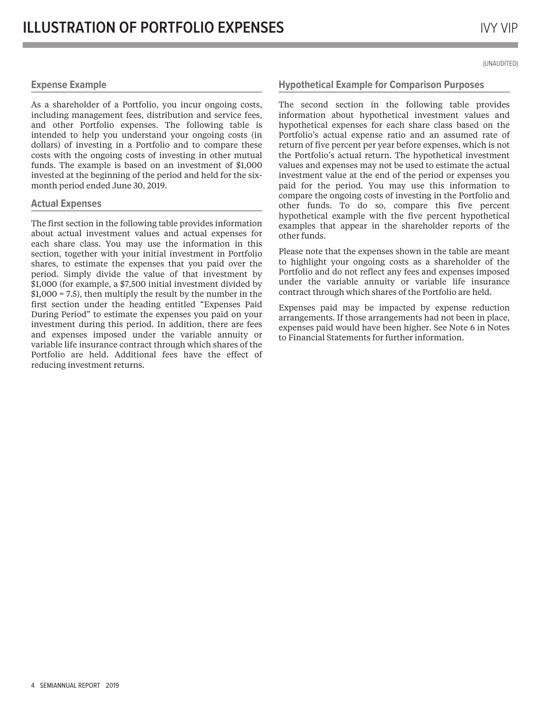#### **Expense Example**

As a shareholder of a Portfolio, you incur ongoing costs, including management fees, distribution and service fees, and other Portfolio expenses. The following table is intended to help you understand your ongoing costs (in dollars) of investing in a Portfolio and to compare these costs with the ongoing costs of investing in other mutual funds. The example is based on an investment of \$1,000 invested at the beginning of the period and held for the sixmonth period ended June 30, 2019.

#### **Actual Expenses**

The first section in the following table provides information about actual investment values and actual expenses for each share class. You may use the information in this section, together with your initial investment in Portfolio shares, to estimate the expenses that you paid over the period. Simply divide the value of that investment by \$1,000 (for example, a \$7,500 initial investment divided by  $$1,000 = 7.5$ , then multiply the result by the number in the first section under the heading entitled "Expenses Paid During Period" to estimate the expenses you paid on your investment during this period. In addition, there are fees and expenses imposed under the variable annuity or variable life insurance contract through which shares of the Portfolio are held. Additional fees have the effect of reducing investment returns.

#### **Hypothetical Example for Comparison Purposes**

The second section in the following table provides information about hypothetical investment values and hypothetical expenses for each share class based on the Portfolio's actual expense ratio and an assumed rate of return of five percent per year before expenses, which is not the Portfolio's actual return. The hypothetical investment values and expenses may not be used to estimate the actual investment value at the end of the period or expenses you paid for the period. You may use this information to compare the ongoing costs of investing in the Portfolio and other funds. To do so, compare this five percent hypothetical example with the five percent hypothetical examples that appear in the shareholder reports of the other funds.

Please note that the expenses shown in the table are meant to highlight your ongoing costs as a shareholder of the Portfolio and do not reflect any fees and expenses imposed under the variable annuity or variable life insurance contract through which shares of the Portfolio are held.

Expenses paid may be impacted by expense reduction arrangements. If those arrangements had not been in place, expenses paid would have been higher. See Note 6 in Notes to Financial Statements for further information.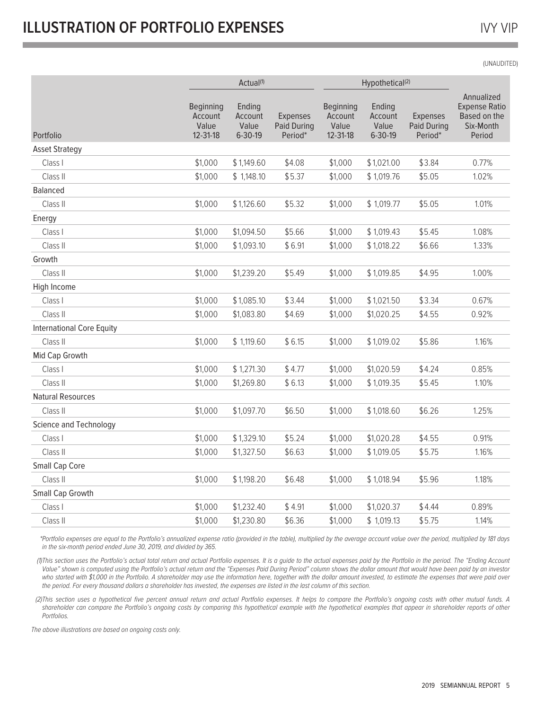|                                  |                                                 | Actual <sup>(1)</sup>                       |                                           |                                           | Hypothetical <sup>(2)</sup>                 |                                    |                                                                           |
|----------------------------------|-------------------------------------------------|---------------------------------------------|-------------------------------------------|-------------------------------------------|---------------------------------------------|------------------------------------|---------------------------------------------------------------------------|
| Portfolio                        | Beginning<br>Account<br>Value<br>$12 - 31 - 18$ | Ending<br>Account<br>Value<br>$6 - 30 - 19$ | Expenses<br><b>Paid During</b><br>Period* | Beginning<br>Account<br>Value<br>12-31-18 | Ending<br>Account<br>Value<br>$6 - 30 - 19$ | Expenses<br>Paid During<br>Period* | Annualized<br><b>Expense Ratio</b><br>Based on the<br>Six-Month<br>Period |
| <b>Asset Strategy</b>            |                                                 |                                             |                                           |                                           |                                             |                                    |                                                                           |
| Class I                          | \$1,000                                         | \$1,149.60                                  | \$4.08                                    | \$1,000                                   | \$1,021.00                                  | \$3.84                             | 0.77%                                                                     |
| Class II                         | \$1,000                                         | \$1,148.10                                  | \$5.37                                    | \$1,000                                   | \$1,019.76                                  | \$5.05                             | 1.02%                                                                     |
| Balanced                         |                                                 |                                             |                                           |                                           |                                             |                                    |                                                                           |
| Class II                         | \$1,000                                         | \$1,126.60                                  | \$5.32                                    | \$1,000                                   | \$1,019.77                                  | \$5.05                             | 1.01%                                                                     |
| Energy                           |                                                 |                                             |                                           |                                           |                                             |                                    |                                                                           |
| Class I                          | \$1,000                                         | \$1,094.50                                  | \$5.66                                    | \$1,000                                   | \$1,019.43                                  | \$5.45                             | 1.08%                                                                     |
| Class II                         | \$1,000                                         | \$1,093.10                                  | \$6.91                                    | \$1,000                                   | \$1,018.22                                  | \$6.66                             | 1.33%                                                                     |
| Growth                           |                                                 |                                             |                                           |                                           |                                             |                                    |                                                                           |
| Class II                         | \$1,000                                         | \$1,239.20                                  | \$5.49                                    | \$1,000                                   | \$1,019.85                                  | \$4.95                             | 1.00%                                                                     |
| High Income                      |                                                 |                                             |                                           |                                           |                                             |                                    |                                                                           |
| Class I                          | \$1,000                                         | \$1,085.10                                  | \$3.44                                    | \$1,000                                   | \$1,021.50                                  | \$3.34                             | 0.67%                                                                     |
| Class II                         | \$1,000                                         | \$1,083.80                                  | \$4.69                                    | \$1,000                                   | \$1,020.25                                  | \$4.55                             | 0.92%                                                                     |
| <b>International Core Equity</b> |                                                 |                                             |                                           |                                           |                                             |                                    |                                                                           |
| Class II                         | \$1,000                                         | \$1,119.60                                  | \$6.15                                    | \$1,000                                   | \$1,019.02                                  | \$5.86                             | 1.16%                                                                     |
| Mid Cap Growth                   |                                                 |                                             |                                           |                                           |                                             |                                    |                                                                           |
| Class I                          | \$1,000                                         | \$1,271.30                                  | \$4.77                                    | \$1,000                                   | \$1,020.59                                  | \$4.24                             | 0.85%                                                                     |
| Class II                         | \$1.000                                         | \$1,269.80                                  | \$6.13                                    | \$1,000                                   | \$1,019.35                                  | \$5.45                             | 1.10%                                                                     |
| <b>Natural Resources</b>         |                                                 |                                             |                                           |                                           |                                             |                                    |                                                                           |
| Class II                         | \$1,000                                         | \$1,097.70                                  | \$6.50                                    | \$1,000                                   | \$1,018.60                                  | \$6.26                             | 1.25%                                                                     |
| Science and Technology           |                                                 |                                             |                                           |                                           |                                             |                                    |                                                                           |
| Class I                          | \$1,000                                         | \$1,329.10                                  | \$5.24                                    | \$1,000                                   | \$1,020.28                                  | \$4.55                             | 0.91%                                                                     |
| Class II                         | \$1,000                                         | \$1,327.50                                  | \$6.63                                    | \$1,000                                   | \$1,019.05                                  | \$5.75                             | 1.16%                                                                     |
| Small Cap Core                   |                                                 |                                             |                                           |                                           |                                             |                                    |                                                                           |
| Class II                         | \$1,000                                         | \$1,198.20                                  | \$6.48                                    | \$1,000                                   | \$1,018.94                                  | \$5.96                             | 1.18%                                                                     |
| Small Cap Growth                 |                                                 |                                             |                                           |                                           |                                             |                                    |                                                                           |
| Class I                          | \$1,000                                         | \$1,232.40                                  | \$4.91                                    | \$1,000                                   | \$1,020.37                                  | \$4.44                             | 0.89%                                                                     |
| Class II                         | \$1,000                                         | \$1,230.80                                  | \$6.36                                    | \$1,000                                   | \$1,019.13                                  | \$5.75                             | 1.14%                                                                     |

\*Portfolio expenses are equal to the Portfolio's annualized expense ratio (provided in the table), multiplied by the average account value over the period, multiplied by 181 days in the six-month period ended June 30, 2019, and divided by 365.

(1)This section uses the Portfolio's actual total return and actual Portfolio expenses. It is a guide to the actual expenses paid by the Portfolio in the period. The "Ending Account Value" shown is computed using the Portfolio's actual return and the "Expenses Paid During Period" column shows the dollar amount that would have been paid by an investor who started with \$1,000 in the Portfolio. A shareholder may use the information here, together with the dollar amount invested, to estimate the expenses that were paid over the period. For every thousand dollars a shareholder has invested, the expenses are listed in the last column of this section.

(2)This section uses a hypothetical five percent annual return and actual Portfolio expenses. It helps to compare the Portfolio's ongoing costs with other mutual funds. A shareholder can compare the Portfolio's ongoing costs by comparing this hypothetical example with the hypothetical examples that appear in shareholder reports of other Portfolios.

The above illustrations are based on ongoing costs only.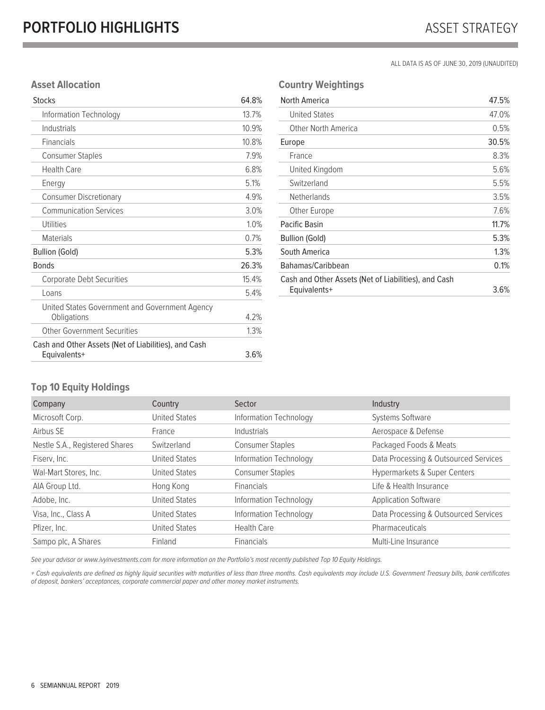#### **Asset Allocation**

| <b>Stocks</b>                                                        | 64.8% |
|----------------------------------------------------------------------|-------|
| Information Technology                                               | 13.7% |
| Industrials                                                          | 10.9% |
| <b>Financials</b>                                                    | 10.8% |
| <b>Consumer Staples</b>                                              | 7.9%  |
| <b>Health Care</b>                                                   | 6.8%  |
| Energy                                                               | 5.1%  |
| <b>Consumer Discretionary</b>                                        | 4.9%  |
| <b>Communication Services</b>                                        | 3.0%  |
| Utilities                                                            | 1.0%  |
| <b>Materials</b>                                                     | 0.7%  |
| <b>Bullion (Gold)</b>                                                | 5.3%  |
| <b>Bonds</b>                                                         | 26.3% |
| <b>Corporate Debt Securities</b>                                     | 15.4% |
| Loans                                                                | 5.4%  |
| United States Government and Government Agency<br>Obligations        | 4.2%  |
| Other Government Securities                                          | 1.3%  |
| Cash and Other Assets (Net of Liabilities), and Cash<br>Equivalents+ | 3.6%  |

#### **Country Weightings**

| North America                                        | 47.5% |
|------------------------------------------------------|-------|
| <b>United States</b>                                 | 47.0% |
| Other North America                                  | 0.5%  |
| Europe                                               | 30.5% |
| France                                               | 8.3%  |
| United Kingdom                                       | 5.6%  |
| Switzerland                                          | 5.5%  |
| Netherlands                                          | 3.5%  |
| Other Europe                                         | 7.6%  |
| Pacific Basin                                        | 11.7% |
| Bullion (Gold)                                       | 5.3%  |
| South America                                        | 1.3%  |
| Bahamas/Caribbean                                    | 0.1%  |
| Cash and Other Assets (Net of Liabilities), and Cash |       |
| Equivalents+                                         | 3.6%  |

### **Top 10 Equity Holdings**

| Company                        | Country              | Sector                  | Industry                              |
|--------------------------------|----------------------|-------------------------|---------------------------------------|
| Microsoft Corp.                | <b>United States</b> | Information Technology  | Systems Software                      |
| Airbus SE                      | France               | <b>Industrials</b>      | Aerospace & Defense                   |
| Nestle S.A., Registered Shares | Switzerland          | <b>Consumer Staples</b> | Packaged Foods & Meats                |
| Fiserv, Inc.                   | <b>United States</b> | Information Technology  | Data Processing & Outsourced Services |
| Wal-Mart Stores, Inc.          | <b>United States</b> | <b>Consumer Staples</b> | Hypermarkets & Super Centers          |
| AIA Group Ltd.                 | Hong Kong            | <b>Financials</b>       | Life & Health Insurance               |
| Adobe, Inc.                    | <b>United States</b> | Information Technology  | <b>Application Software</b>           |
| Visa, Inc., Class A            | <b>United States</b> | Information Technology  | Data Processing & Outsourced Services |
| Pfizer, Inc.                   | <b>United States</b> | Health Care             | Pharmaceuticals                       |
| Sampo plc, A Shares            | Finland              | <b>Financials</b>       | Multi-Line Insurance                  |

See your advisor or www.ivyinvestments.com for more information on the Portfolio's most recently published Top 10 Equity Holdings.

+ Cash equivalents are defined as highly liquid securities with maturities of less than three months. Cash equivalents may include U.S. Government Treasury bills, bank certificates of deposit, bankers' acceptances, corporate commercial paper and other money market instruments.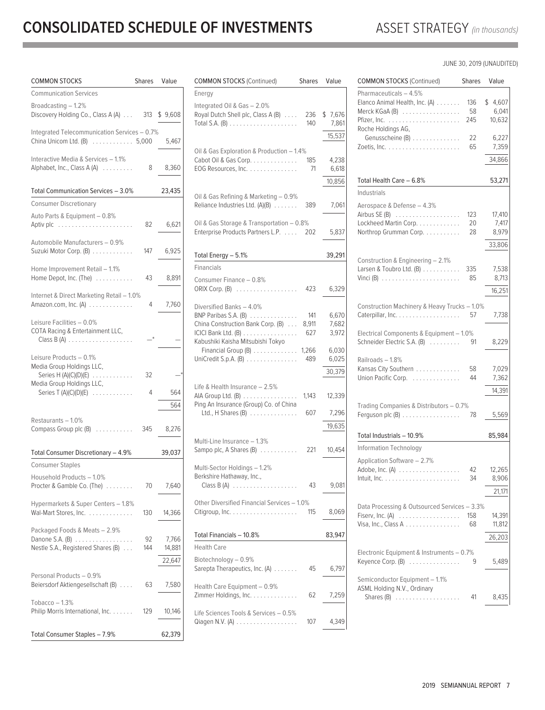۰

| <b>COMMON STOCKS</b>                                                                                                                     | <b>Shares</b> | Value                     |
|------------------------------------------------------------------------------------------------------------------------------------------|---------------|---------------------------|
| <b>Communication Services</b>                                                                                                            |               |                           |
| Broadcasting - 1.2%<br>Discovery Holding Co., Class A (A)                                                                                | 313           | \$9,608                   |
| Integrated Telecommunication Services - 0.7%<br>China Unicom Ltd. (B)  5,000                                                             |               | 5,467                     |
| Interactive Media & Services - 1.1%<br>Alphabet, Inc., Class A $(A)$                                                                     | 8             | 8,360                     |
| Total Communication Services - 3.0%                                                                                                      |               | 23,435                    |
| <b>Consumer Discretionary</b>                                                                                                            |               |                           |
| Auto Parts & Equipment - 0.8%                                                                                                            | 82            | 6,621                     |
| Automobile Manufacturers - 0.9%<br>Suzuki Motor Corp. (B)                                                                                | 147           | 6,925                     |
| Home Improvement Retail - 1.1%<br>Home Depot, Inc. (The) $\ldots \ldots \ldots$                                                          | 43            | 8,891                     |
| Internet & Direct Marketing Retail - 1.0%<br>Amazon.com, Inc. (A)                                                                        | 4             | 7,760                     |
| Leisure Facilities - 0.0%<br>COTA Racing & Entertainment LLC,<br>Class B $(A)$                                                           |               |                           |
| Leisure Products - 0.1%<br>Media Group Holdings LLC,<br>Series H (A)(C)(D)(E) $\ldots \ldots \ldots \ldots$<br>Media Group Holdings LLC, | 32            |                           |
| Series T $(A)(C)(D)(E)$                                                                                                                  | 4             | 564<br>564                |
| Restaurants - 1.0%<br>Compass Group plc (B)                                                                                              | 345           | 8,276                     |
| Total Consumer Discretionary - 4.9%                                                                                                      |               | 39,037                    |
| <b>Consumer Staples</b>                                                                                                                  |               |                           |
| Household Products - 1.0%<br>Procter & Gamble Co. (The)                                                                                  | 70            | 7,640                     |
| Hypermarkets & Super Centers - 1.8%<br>Wal-Mart Stores, Inc.                                                                             | 130           | 14,366                    |
| Packaged Foods & Meats - 2.9%<br>Danone S.A. $(B)$<br>Nestle S.A., Registered Shares (B)                                                 | 92<br>144     | 7,766<br>14,881<br>22,647 |
| Personal Products - 0.9%<br>Beiersdorf Aktiengesellschaft (B)                                                                            | 63            | 7,580                     |
| Tobacco $-1.3%$<br>Philip Morris International, Inc.                                                                                     | 129           | 10,146                    |
| Total Consumer Staples - 7.9%                                                                                                            |               | 62,379                    |

| <b>COMMON STOCKS (Continued)</b>                                                                                                                  | <b>Shares</b><br>Value |                          |
|---------------------------------------------------------------------------------------------------------------------------------------------------|------------------------|--------------------------|
| Energy                                                                                                                                            |                        |                          |
| Integrated Oil & Gas - 2.0%<br>Royal Dutch Shell plc, Class A (B)<br>Total S.A. $(B)$                                                             | 236<br>140             | \$7,676<br>7,861         |
|                                                                                                                                                   |                        | 15,537                   |
| Oil & Gas Exploration & Production - 1.4%<br>Cabot Oil & Gas Corp.<br>EOG Resources, Inc.                                                         | 185<br>71              | 4,238<br>6,618<br>10,856 |
|                                                                                                                                                   |                        |                          |
| Oil & Gas Refining & Marketing - 0.9%<br>Reliance Industries Ltd. (A)(B)                                                                          | 389                    | 7,061                    |
| Oil & Gas Storage & Transportation - 0.8%<br>Enterprise Products Partners L.P.                                                                    | 202                    | 5,837                    |
| Total Energy - 5.1%                                                                                                                               |                        | 39,291                   |
| Financials                                                                                                                                        |                        |                          |
| Consumer Finance - 0.8%<br>ORIX Corp. $(B)$                                                                                                       | 423                    | 6,329                    |
| Diversified Banks - 4.0%<br>BNP Paribas S.A. (B)<br>China Construction Bank Corp. (B)<br>ICICI Bank Ltd. (B)<br>Kabushiki Kaisha Mitsubishi Tokyo | 141<br>8,911<br>627    | 6,670<br>7,682<br>3,972  |
| Financial Group (B)<br>UniCredit S.p.A. (B)                                                                                                       | 1,266<br>489           | 6,030<br>6,025<br>30,379 |
| Life & Health Insurance - 2.5%<br>AIA Group Ltd. (B)<br>Ping An Insurance (Group) Co. of China                                                    | 1,143                  | 12,339                   |
| Ltd., H Shares $(B)$                                                                                                                              | 607                    | 7,296<br>19,635          |
| Multi-Line Insurance - 1.3%<br>Sampo plc, A Shares (B)                                                                                            | 221                    | 10,454                   |
| Multi-Sector Holdings - 1.2%<br>Berkshire Hathaway, Inc.,<br>$Class B (A) \ldots \ldots \ldots \ldots \ldots$                                     | 43                     | 9,081                    |
| Other Diversified Financial Services - 1.0%<br>Citigroup, Inc. $\dots \dots \dots \dots \dots \dots$                                              | 115                    | 8,069                    |
| Total Financials - 10.8%                                                                                                                          |                        | 83,947                   |
| <b>Health Care</b>                                                                                                                                |                        |                          |
| Biotechnology - 0.9%<br>Sarepta Therapeutics, Inc. (A)                                                                                            | 45                     | 6,797                    |
| Health Care Equipment - 0.9%<br>Zimmer Holdings, Inc.                                                                                             | 62                     | 7,259                    |
| Life Sciences Tools & Services - 0.5%<br>Qiagen N.V. (A)                                                                                          | 107                    | 4,349                    |

| <b>COMMON STOCKS (Continued)</b>                                                                                                                          | <b>Shares</b>                | Value                                                  |
|-----------------------------------------------------------------------------------------------------------------------------------------------------------|------------------------------|--------------------------------------------------------|
| Pharmaceuticals - 4.5%<br>Elanco Animal Health, Inc. (A)<br>Merck $KGaA (B) \ldots \ldots \ldots \ldots \ldots$<br>Roche Holdings AG,<br>Genusscheine (B) | 136<br>58<br>245<br>22<br>65 | \$4,607<br>6,041<br>10,632<br>6,227<br>7,359<br>34,866 |
| Total Health Care - 6.8%                                                                                                                                  |                              | 53,271                                                 |
| Industrials                                                                                                                                               |                              |                                                        |
| Aerospace & Defense - 4.3%<br>Airbus SE $(B)$<br>Lockheed Martin Corp.<br>Northrop Grumman Corp.                                                          | 123<br>20<br>28              | 17,410<br>7,417<br>8,979<br>33,806                     |
| Construction & Engineering - 2.1%<br>Larsen & Toubro Ltd. $(B)$                                                                                           | 335<br>85                    | 7,538<br>8,713<br>16,251                               |
| Construction Machinery & Heavy Trucks - 1.0%<br>Caterpillar, Inc.                                                                                         | 57                           | 7,738                                                  |
| Electrical Components & Equipment - 1.0%<br>Schneider Electric S.A. (B)                                                                                   | 91                           | 8,229                                                  |
| Railroads-1.8%<br>Kansas City Southern<br>Union Pacific Corp.                                                                                             | 58<br>44                     | 7,029<br>7,362<br>14,391                               |
| Trading Companies & Distributors - 0.7%<br>Ferguson plc $(B)$                                                                                             | 78                           | 5,569                                                  |
| Total Industrials - 10.9%                                                                                                                                 |                              | 85,984                                                 |
| <b>Information Technology</b>                                                                                                                             |                              |                                                        |
| Application Software - 2.7%<br>Adobe, Inc. $(A)$                                                                                                          | 42<br>34                     | 12,265<br>8,906<br>21,171                              |
| Data Processing & Outsourced Services - 3.3%<br>Fiserv, Inc. $(A)$<br>Visa, Inc., Class A                                                                 | 158<br>68                    | 14,391<br>11,812<br>26,203                             |
| Electronic Equipment & Instruments - 0.7%<br>Keyence Corp. $(B)$                                                                                          | 9                            | 5,489                                                  |
| Semiconductor Equipment - 1.1%<br>ASML Holding N.V., Ordinary<br>Shares $(B)$<br>1.1.1.1                                                                  | 41                           | 8,43                                                   |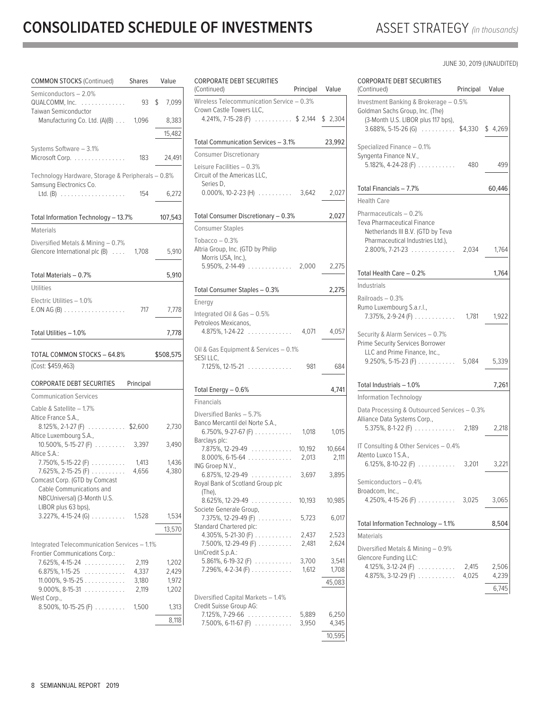### **CONSOLIDATED SCHEDULE OF INVESTMENTS** ASSET STRATEGY (in thousands)

|  |  | JUNE 30, 2019 (UNAUDITED) |
|--|--|---------------------------|
|--|--|---------------------------|

| <b>COMMON STOCKS (Continued)</b>                                                                                                           | <b>Shares</b>  | Value          |
|--------------------------------------------------------------------------------------------------------------------------------------------|----------------|----------------|
| Semiconductors - 2.0%<br>QUALCOMM, Inc.                                                                                                    | 93             | \$<br>7,099    |
| Taiwan Semiconductor<br>Manufacturing Co. Ltd. (A)(B)                                                                                      | 1,096          | 8,383          |
|                                                                                                                                            |                | 15,482         |
| Systems Software - 3.1%<br>Microsoft Corp.                                                                                                 | 183            | 24,491         |
| Technology Hardware, Storage & Peripherals - 0.8%                                                                                          |                |                |
| Samsung Electronics Co.                                                                                                                    | 154            | 6,272          |
| Total Information Technology - 13.7%                                                                                                       |                | 107,543        |
| <b>Materials</b>                                                                                                                           |                |                |
| Diversified Metals & Mining - 0.7%<br>Glencore International plc (B)                                                                       | 1,708          | 5,910          |
| Total Materials - 0.7%                                                                                                                     |                | 5,910          |
| Utilities                                                                                                                                  |                |                |
| Electric Utilities - 1.0%<br>$E.ONAG(B) \ldots \ldots \ldots \ldots \ldots \ldots$                                                         | 717            | 7,778          |
| Total Utilities - 1.0%                                                                                                                     |                | 7,778          |
| TOTAL COMMON STOCKS - 64.8%                                                                                                                |                | \$508,575      |
| (Cost: \$459,463)                                                                                                                          |                |                |
| <b>CORPORATE DEBT SECURITIES</b>                                                                                                           | Principal      |                |
| <b>Communication Services</b>                                                                                                              |                |                |
| Cable & Satellite - 1.7%                                                                                                                   |                |                |
| Altice France S.A.,<br>8.125%, 2-1-27 (F) $\ldots \ldots \ldots$ \$2,600<br>Altice Luxembourg S.A.,                                        |                | 2,730          |
| 10.500%, 5-15-27 (F) $\ldots \ldots$<br>Altice S.A.:                                                                                       | 3,397          | 3,490          |
| $7.750\%$ , 5-15-22 (F)                                                                                                                    | 1,413          | 1,436          |
| $7.625\%$ , 2-15-25 (F) $\ldots \ldots \ldots$<br>Comcast Corp. (GTD by Comcast<br>Cable Communications and<br>NBCUniversal) (3-Month U.S. | 4,656          | 4,380          |
| LIBOR plus 63 bps),<br>$3.227\%$ , 4-15-24 (G) $\ldots \ldots \ldots$ 1,528                                                                |                | 1,534          |
|                                                                                                                                            |                | 13,570         |
| Integrated Telecommunication Services - 1.1%                                                                                               |                |                |
| Frontier Communications Corp.:                                                                                                             |                |                |
| $7.625\%$ , 4-15-24<br>$6.875\%$ , 1-15-25 $\dots\dots\dots\dots$                                                                          | 2,119<br>4,337 | 1,202<br>2,429 |
| $11.000\%$ , 9-15-25                                                                                                                       | 3,180          | 1,972          |
| $9.000\%$ , 8-15-31<br>West Corp.,                                                                                                         | 2,119          | 1,202          |
| $8.500\%$ , 10-15-25 (F) $\ldots \ldots$                                                                                                   | 1,500          | 1,313          |
|                                                                                                                                            |                | 8,118          |

| <b>CORPORATE DEBT SECURITIES</b><br>(Continued)                                                                     | Principal       | Value           |
|---------------------------------------------------------------------------------------------------------------------|-----------------|-----------------|
| Wireless Telecommunication Service - 0.3%<br>Crown Castle Towers LLC,                                               |                 |                 |
| 4.241%, 7-15-28 (F) $\ldots$ $\ldots$ $\frac{1}{2}$ 2,144 \$ 2,304                                                  |                 |                 |
| Total Communication Services - 3.1%                                                                                 |                 | 23,992          |
| <b>Consumer Discretionary</b>                                                                                       |                 |                 |
| Leisure Facilities - 0.3%<br>Circuit of the Americas LLC,<br>Series D,<br>$0.000\%$ , 10-2-23 (H) $\dots\dots\dots$ | 3,642           | 2,027           |
|                                                                                                                     |                 |                 |
| Total Consumer Discretionary - 0.3%                                                                                 |                 | 2,027           |
| <b>Consumer Staples</b>                                                                                             |                 |                 |
| Tobacco $-0.3%$<br>Altria Group, Inc. (GTD by Philip<br>Morris USA, Inc.),<br>$5.950\%$ , 2-14-49                   | 2,000           | 2,275           |
|                                                                                                                     |                 |                 |
| Total Consumer Staples - 0.3%                                                                                       |                 | 2,275           |
| Energy<br>Integrated Oil & Gas - 0.5%                                                                               |                 |                 |
| Petroleos Mexicanos,<br>$4.875\%$ , 1-24-22                                                                         | 4,071           | 4.057           |
| Oil & Gas Equipment & Services - 0.1%                                                                               |                 |                 |
| SESI LLC,<br>$7.125\%$ , 12-15-21                                                                                   | 981             | 684             |
| Total Energy - 0.6%                                                                                                 |                 | 4,741           |
| Financials                                                                                                          |                 |                 |
| Diversified Banks - 5.7%<br>Banco Mercantil del Norte S.A.,                                                         |                 |                 |
| 6.750%, 9-27-67 (F) $\ldots \ldots \ldots$                                                                          | 1,018           | 1,015           |
| Barclays plc:                                                                                                       |                 |                 |
| $7.875\%$ , 12-29-49 $\dots\dots\dots\dots$<br>$8.000\%$ , 6-15-64                                                  | 10,192<br>2,013 | 10,664<br>2,111 |
| ING Groep N.V.,<br>6.875%, 12-29-49<br>.<br>Royal Bank of Scotland Group plc                                        | 3,697           | 3,895           |
| (The),<br>8.625%, 12-29-49                                                                                          | 10,193          | 10,985          |
| Societe Generale Group,<br>7.375%, 12-29-49 (F)<br>.                                                                | 5,723           | 6,017           |
| Standard Chartered plc:<br>4.305%, 5-21-30 (F) $\ldots \ldots \ldots$                                               | 2,437           | 2,523           |
| $7.500\%$ , 12-29-49 (F)<br>UniCredit S.p.A.:                                                                       | 2,481           | 2,624           |
| $5.861\%, 6-19-32 (F) \dots \dots \dots$<br>7.296%, 4-2-34 (F)                                                      | 3,700<br>1,612  | 3,541<br>1,708  |
|                                                                                                                     |                 | 45,083          |
| Diversified Capital Markets - 1.4%                                                                                  |                 |                 |
| Credit Suisse Group AG:<br>7.125%, 7-29-66<br>.                                                                     | 5,889           | 6,250           |
| $7.500\%$ , 6-11-67 (F) $\ldots \ldots \ldots$                                                                      | 3,950           | 4,345           |
|                                                                                                                     |                 | 10,595          |

| <b>CORPORATE DEBT SECURITIES</b><br>(Continued)                                                                                       | Principal      | Value          |
|---------------------------------------------------------------------------------------------------------------------------------------|----------------|----------------|
| Investment Banking & Brokerage - 0.5%<br>Goldman Sachs Group, Inc. (The)<br>(3-Month U.S. LIBOR plus 117 bps),                        |                |                |
| $3.688\%$ , 5-15-26 (G)                                                                                                               | \$4.330        | \$4,269        |
| Specialized Finance - 0.1%<br>Syngenta Finance N.V.,<br>$5.182\%$ , 4-24-28 (F)                                                       | 480            | 499            |
| Total Financials - 7.7%                                                                                                               |                | 60,446         |
| <b>Health Care</b>                                                                                                                    |                |                |
| Pharmaceuticals - 0.2%<br><b>Teva Pharmaceutical Finance</b><br>Netherlands III B.V. (GTD by Teva<br>Pharmaceutical Industries Ltd.), |                |                |
| $2.800\%$ , 7-21-23                                                                                                                   | 2,034          | 1,764          |
| Total Health Care - 0.2%                                                                                                              |                | 1,764          |
| Industrials                                                                                                                           |                |                |
| Railroads $-0.3%$<br>Rumo Luxembourg S.a.r.l.,<br>$7.375\%$ , 2-9-24 (F) $\ldots$ .                                                   | 1,781          | 1.922          |
| Security & Alarm Services - 0.7%<br>Prime Security Services Borrower<br>LLC and Prime Finance, Inc.,<br>$9.250\%$ , 5-15-23 (F)       | 5,084          | 5,339          |
| Total Industrials - 1.0%                                                                                                              |                | 7,261          |
| Information Technology                                                                                                                |                |                |
| Data Processing & Outsourced Services - 0.3%<br>Alliance Data Systems Corp.,                                                          |                |                |
| 5.375%, 8-1-22 (F) $\ldots$                                                                                                           | 2,189          | 2,218          |
| IT Consulting & Other Services - 0.4%                                                                                                 |                |                |
| Atento Luxco 1 S.A.,<br>6.125%, 8-10-22 (F) $\dots \dots \dots$                                                                       | 3,201          | 3,221          |
| Semiconductors - 0.4%<br>Broadcom, Inc.,                                                                                              |                |                |
| 4.250%, 4-15-26 (F) $\ldots$                                                                                                          | 3,025          | 3.065          |
| Total Information Technology - 1.1%                                                                                                   |                | 8,504          |
| <b>Materials</b>                                                                                                                      |                |                |
| Diversified Metals & Mining - 0.9%<br>Glencore Funding LLC:                                                                           |                |                |
| 4.125%, $3-12-24$ (F) $\ldots \ldots \ldots$<br>$4.875\%$ , $3-12-29$ (F)                                                             | 2,415<br>4,025 | 2,506<br>4,239 |
|                                                                                                                                       |                | 6,745          |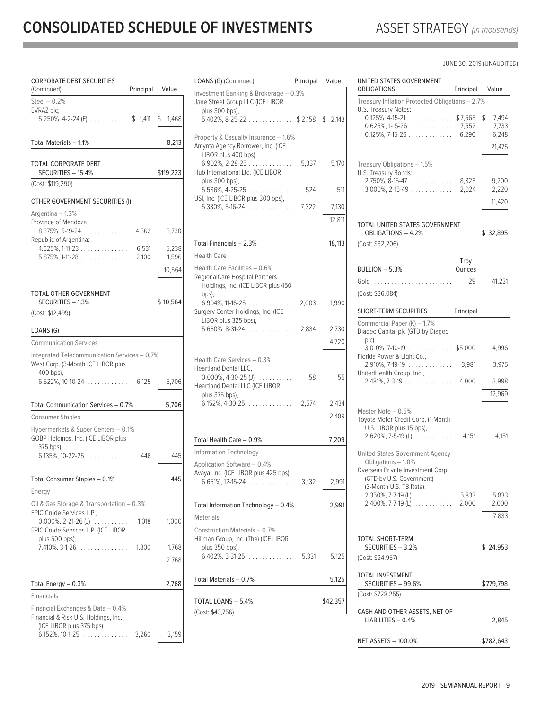٠

| CORPORATE DEBT SECURITIES                                                                       |           |             |
|-------------------------------------------------------------------------------------------------|-----------|-------------|
| (Continued)                                                                                     | Principal | Value       |
| Steel $-0.2%$                                                                                   |           |             |
| EVRAZ plc,<br>$5.250\%$ , 4-2-24 (F) $\ldots \ldots \ldots$ \$ 1,411                            |           | \$<br>1,468 |
|                                                                                                 |           |             |
| Total Materials - 1.1%                                                                          |           | 8,213       |
|                                                                                                 |           |             |
| TOTAL CORPORATE DEBT<br>SECURITIES - 15.4%                                                      |           | \$119,223   |
| (Cost: \$119,290)                                                                               |           |             |
| OTHER GOVERNMENT SECURITIES (I)                                                                 |           |             |
| Argentina - 1.3%                                                                                |           |             |
| Province of Mendoza,                                                                            |           |             |
| $8.375\%$ , 5-19-24<br>Republic of Argentina:                                                   | 4,362     | 3,730       |
| $4.625\%$ , 1-11-23                                                                             | 6,531     | 5,238       |
| $5.875\%$ , 1-11-28                                                                             | 2,100     | 1,596       |
|                                                                                                 |           | 10,564      |
|                                                                                                 |           |             |
| TOTAL OTHER GOVERNMENT                                                                          |           |             |
| SECURITIES - 1.3%                                                                               |           | \$10,564    |
| (Cost: \$12,499)                                                                                |           |             |
| LOANS (G)                                                                                       |           |             |
| <b>Communication Services</b>                                                                   |           |             |
| Integrated Telecommunication Services - 0.7%<br>West Corp. (3-Month ICE LIBOR plus<br>400 bps). |           |             |
| $6.522\%$ , 10-10-24                                                                            | 6,125     | 5,706       |
| Total Communication Services - 0.7%                                                             |           | 5,706       |
| <b>Consumer Staples</b>                                                                         |           |             |
| Hypermarkets & Super Centers - 0.1%                                                             |           |             |
| GOBP Holdings, Inc. (ICE LIBOR plus                                                             |           |             |
| 375 bps),                                                                                       |           |             |
| 6.135%, 10-22-25                                                                                | 446       | 445         |
| Total Consumer Staples - 0.1%                                                                   |           | 445         |
| Energy                                                                                          |           |             |
| Oil & Gas Storage & Transportation - 0.3%<br>EPIC Crude Services L.P.,                          |           |             |
| $0.000\%$ , 2-21-26 (J)                                                                         | 1,018     | 1,000       |
| EPIC Crude Services L.P. (ICE LIBOR                                                             |           |             |
| plus 500 bps),                                                                                  |           |             |
| $7.410\%$ , $3-1-26$                                                                            | 1,800     | 1,768       |
|                                                                                                 |           | 2,768       |
| Total Energy - 0.3%                                                                             |           | 2,768       |
| Financials                                                                                      |           |             |
| Financial Exchanges & Data - 0.4%                                                               |           |             |
| Financial & Risk U.S. Holdings, Inc.                                                            |           |             |
| (ICE LIBOR plus 375 bps),                                                                       |           |             |
| $6.152\%$ , 10-1-25                                                                             | 3,260     | 3,159       |

| LOANS (G) (Continued)                                                                                          | Principal | Value    |
|----------------------------------------------------------------------------------------------------------------|-----------|----------|
| Investment Banking & Brokerage - 0.3%<br>Jane Street Group LLC (ICE LIBOR                                      |           |          |
| plus 300 bps),<br>$5.402\%$ , 8-25-22                                                                          | \$2,158   | \$2,143  |
| Property & Casualty Insurance - 1.6%<br>Amynta Agency Borrower, Inc. (ICE<br>LIBOR plus 400 bps),              |           |          |
| $6.902\%$ , 2-28-25<br>Hub International Ltd. (ICE LIBOR<br>plus 300 bps),                                     | 5,337     | 5,170    |
| $5.586\%$ , 4-25-25<br>USI, Inc. (ICE LIBOR plus 300 bps),                                                     | 524       | 511      |
| $5.330\%$ , 5-16-24                                                                                            | 7,322     | 7,130    |
|                                                                                                                |           | 12,811   |
| Total Financials - 2.3%                                                                                        |           | 18,113   |
| <b>Health Care</b>                                                                                             |           |          |
| Health Care Facilities - 0.6%<br>RegionalCare Hospital Partners<br>Holdings, Inc. (ICE LIBOR plus 450<br>bps). |           |          |
| $6.904\%$ , 11-16-25<br>Surgery Center Holdings, Inc. (ICE<br>LIBOR plus 325 bps),                             | 2,003     | 1,990    |
| 5.660%, 8-31-24                                                                                                | 2,834     | 2,730    |
|                                                                                                                |           | 4,720    |
| Health Care Services - 0.3%                                                                                    |           |          |
| <b>Heartland Dental LLC,</b>                                                                                   |           |          |
| $0.000\%$ , 4-30-25 (J)<br>.<br>Heartland Dental LLC (ICE LIBOR                                                | 58        | 55       |
| plus 375 bps),<br>6.152%, 4-30-25<br>1.1.1.1.1                                                                 | 2,574     | 2,434    |
|                                                                                                                |           | 2,489    |
| Total Health Care - 0.9%                                                                                       |           | 7,209    |
| Information Technology                                                                                         |           |          |
| Application Software - 0.4%                                                                                    |           |          |
|                                                                                                                |           |          |
| $6.651\%$ , 12-15-24                                                                                           | 3,132     | 2,991    |
| Total Information Technology - 0.4%                                                                            |           | 2,991    |
|                                                                                                                |           |          |
| <b>Materials</b><br>Construction Materials - 0.7%<br>Hillman Group, Inc. (The) (ICE LIBOR<br>plus 350 bps),    |           |          |
| 6.402%, 5-31-25<br>.                                                                                           | 5,331     | 5,125    |
| Avaya, Inc. (ICE LIBOR plus 425 bps),<br>Total Materials - 0.7%                                                |           | 5,125    |
| TOTAL LOANS - 5.4%                                                                                             |           | \$42,357 |

| UNITED STATES GOVERNMENT<br><b>OBLIGATIONS</b>                            | Principal      | Value          |
|---------------------------------------------------------------------------|----------------|----------------|
| Treasury Inflation Protected Obligations - 2.7%<br>U.S. Treasury Notes:   |                |                |
| $0.125\%$ , 4-15-21                                                       | \$7,565        | \$<br>7,494    |
| $0.625\%$ , 1-15-26 $\dots\dots\dots\dots$<br>$0.125\%$ , 7-15-26         | 7,552<br>6,290 | 7,733<br>6,248 |
|                                                                           |                | 21,475         |
|                                                                           |                |                |
| Treasury Obligations - 1.5%                                               |                |                |
| U.S. Treasury Bonds:<br>2.750%, 8-15-47<br>.                              | 8,828          | 9,200          |
| $3.000\%$ , 2-15-49                                                       | 2,024          | 2,220          |
|                                                                           |                | 11,420         |
|                                                                           |                |                |
| TOTAL UNITED STATES GOVERNMENT<br>OBLIGATIONS - 4.2%                      |                | \$32,895       |
| (Cost: \$32,206)                                                          |                |                |
|                                                                           | Troy           |                |
| BULLION - 5.3%                                                            | Ounces         |                |
| Gold                                                                      | 29             | 41,231         |
| (Cost: \$36,084)                                                          |                |                |
| SHORT-TERM SECURITIES                                                     | Principal      |                |
| Commercial Paper (K) - 1.7%<br>Diageo Capital plc (GTD by Diageo<br>plc), |                |                |
| $3.010\%$ , $7-10-19$<br>Florida Power & Light Co.,                       | \$5,000        | 4,996          |
| $2.910\%$ , 7-19-19<br>UnitedHealth Group, Inc.,                          | 3,981          | 3,975          |
| $2.481\%, 7-3-19 \dots $                                                  | 4,000          | 3,998          |
|                                                                           |                | 12,969         |
| Master Note - 0.5%                                                        |                |                |
| Toyota Motor Credit Corp. (1-Month                                        |                |                |
| U.S. LIBOR plus 15 bps),<br>$2.620\%$ , 7-5-19 (L) $\ldots \ldots \ldots$ | 4,151          | 4,151          |
|                                                                           |                |                |
| <b>United States Government Agency</b>                                    |                |                |
| Obligations - 1.0%<br>Overseas Private Investment Corp.                   |                |                |
| (GTD by U.S. Government)                                                  |                |                |
| (3-Month U.S. TB Rate):<br>$2.350\%$ , 7-7-19 (L) $\ldots \ldots \ldots$  | 5,833          | 5,833          |
| 2.400%, 7-7-19 (L)<br>.                                                   | 2,000          | 2,000          |
|                                                                           |                | 7,833          |
|                                                                           |                |                |
| <b>TOTAL SHORT-TERM</b><br>SECURITIES - 3.2%                              |                | \$24,953       |
| (Cost: \$24,957)                                                          |                |                |
| TOTAL INVESTMENT                                                          |                |                |
| SECURITIES - 99.6%                                                        |                | \$779,798      |
| (Cost: \$728,255)                                                         |                |                |
| CASH AND OTHER ASSETS, NET OF<br>LIABILITIES – 0.4%                       |                | 2,845          |
|                                                                           |                |                |
| <b>NET ASSETS - 100.0%</b>                                                |                | \$782,643      |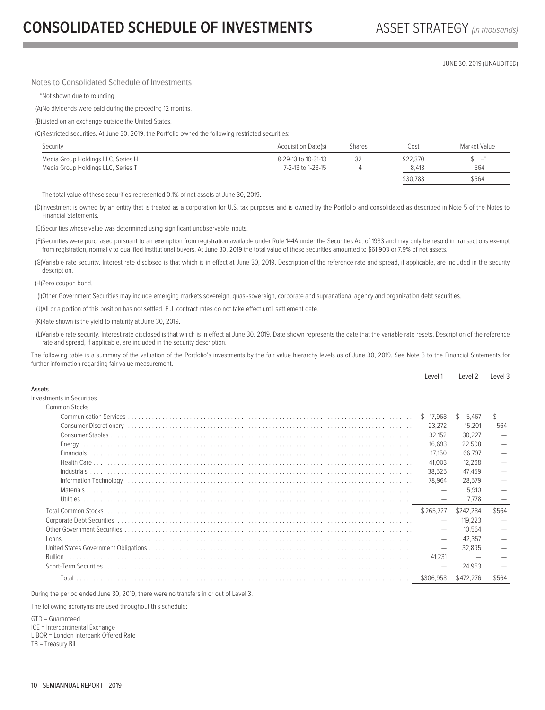Level 1 Level 2 Level 3

Notes to Consolidated Schedule of Investments

\*Not shown due to rounding.

(A)No dividends were paid during the preceding 12 months.

(B)Listed on an exchange outside the United States.

(C)Restricted securities. At June 30, 2019, the Portfolio owned the following restricted securities:

| Security                           | <b>Acquisition Date(s)</b> | <b>Shares</b> | Cost     | Market Value       |
|------------------------------------|----------------------------|---------------|----------|--------------------|
| Media Group Holdings LLC, Series H | 8-29-13 to 10-31-13        |               | \$22,370 | . – – <sup>*</sup> |
| Media Group Holdings LLC, Series T | 7-2-13 to 1-23-15          |               | 8,413    | 564                |
|                                    |                            |               | \$30.783 | \$564              |

The total value of these securities represented 0.1% of net assets at June 30, 2019.

(D)Investment is owned by an entity that is treated as a corporation for U.S. tax purposes and is owned by the Portfolio and consolidated as described in Note 5 of the Notes to Financial Statements.

(E)Securities whose value was determined using significant unobservable inputs.

(F)Securities were purchased pursuant to an exemption from registration available under Rule 144A under the Securities Act of 1933 and may only be resold in transactions exempt from registration, normally to qualified institutional buyers. At June 30, 2019 the total value of these securities amounted to \$61,903 or 7.9% of net assets.

(G)Variable rate security. Interest rate disclosed is that which is in effect at June 30, 2019. Description of the reference rate and spread, if applicable, are included in the security description.

(H)Zero coupon bond.

(I)Other Government Securities may include emerging markets sovereign, quasi-sovereign, corporate and supranational agency and organization debt securities.

(J)All or a portion of this position has not settled. Full contract rates do not take effect until settlement date.

(K)Rate shown is the yield to maturity at June 30, 2019.

(L)Variable rate security. Interest rate disclosed is that which is in effect at June 30, 2019. Date shown represents the date that the variable rate resets. Description of the reference rate and spread, if applicable, are included in the security description.

The following table is a summary of the valuation of the Portfolio's investments by the fair value hierarchy levels as of June 30, 2019. See Note 3 to the Financial Statements for further information regarding fair value measurement.

| Assets                                                                                                                                                                                                                         |                                 |           |       |
|--------------------------------------------------------------------------------------------------------------------------------------------------------------------------------------------------------------------------------|---------------------------------|-----------|-------|
| Investments in Securities                                                                                                                                                                                                      |                                 |           |       |
| <b>Common Stocks</b>                                                                                                                                                                                                           |                                 |           |       |
|                                                                                                                                                                                                                                | \$17,968                        | 5,467     |       |
|                                                                                                                                                                                                                                | 23,272                          | 15,201    | 564   |
|                                                                                                                                                                                                                                | 32,152                          | 30,227    |       |
|                                                                                                                                                                                                                                | 16.693                          | 22.598    |       |
|                                                                                                                                                                                                                                | 17.150                          | 66.797    |       |
|                                                                                                                                                                                                                                | 41,003                          | 12,268    |       |
|                                                                                                                                                                                                                                | 38,525                          | 47.459    |       |
| Information Technology (and according to the control of the control of the control of the control of the control of the control of the control of the control of the control of the control of the control of the control of t | 78,964                          | 28.579    |       |
|                                                                                                                                                                                                                                | $\hspace{0.1mm}-\hspace{0.1mm}$ | 5,910     |       |
|                                                                                                                                                                                                                                |                                 | 7,778     |       |
|                                                                                                                                                                                                                                | \$265,727                       | \$242.284 | \$564 |
|                                                                                                                                                                                                                                | $\overline{\phantom{m}}$        | 119,223   |       |
|                                                                                                                                                                                                                                |                                 | 10.564    |       |
| Loans                                                                                                                                                                                                                          |                                 | 42,357    |       |
|                                                                                                                                                                                                                                |                                 | 32.895    |       |
|                                                                                                                                                                                                                                | 41.231                          |           |       |
|                                                                                                                                                                                                                                |                                 | 24,953    |       |
| Total                                                                                                                                                                                                                          | \$306.958                       | \$472.276 | \$564 |
|                                                                                                                                                                                                                                |                                 |           |       |

During the period ended June 30, 2019, there were no transfers in or out of Level 3.

The following acronyms are used throughout this schedule:

GTD = Guaranteed

ICE = Intercontinental Exchange

LIBOR = London Interbank Offered Rate

TB = Treasury Bill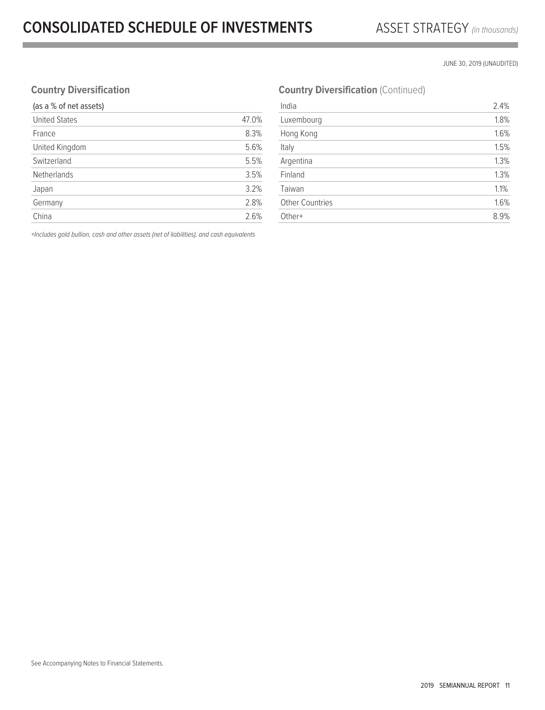### **Country Diversification**

| (as a % of net assets) |       |
|------------------------|-------|
| <b>United States</b>   | 47.0% |
| France                 | 8.3%  |
| United Kingdom         | 5.6%  |
| Switzerland            | 5.5%  |
| <b>Netherlands</b>     | 3.5%  |
| Japan                  | 3.2%  |
| Germany                | 2.8%  |
| China                  | 2.6%  |
|                        |       |

+Includes gold bullion, cash and other assets (net of liabilities), and cash equivalents

| India                  | 2.4% |
|------------------------|------|
| Luxembourg             | 1.8% |
| Hong Kong              | 1.6% |
| Italy                  | 1.5% |
| Argentina              | 1.3% |
| Finland                | 1.3% |
| Taiwan                 | 1.1% |
| <b>Other Countries</b> | 1.6% |
| Other+                 | 8.9% |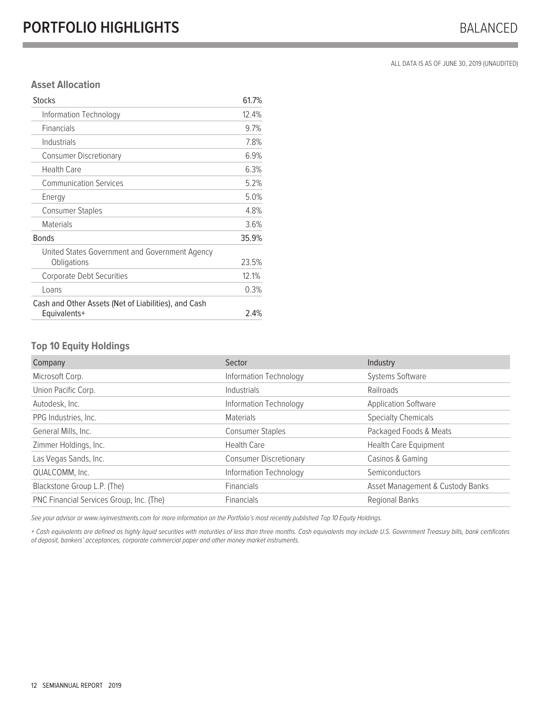#### **Asset Allocation**

| <b>Stocks</b>                                        | 61.7% |
|------------------------------------------------------|-------|
| Information Technology                               | 12.4% |
| <b>Financials</b>                                    | 9.7%  |
| Industrials                                          | 7.8%  |
| <b>Consumer Discretionary</b>                        | 6.9%  |
| <b>Health Care</b>                                   | 6.3%  |
| <b>Communication Services</b>                        | 5.2%  |
| Energy                                               | 5.0%  |
| <b>Consumer Staples</b>                              | 4.8%  |
| <b>Materials</b>                                     | 3.6%  |
| <b>Bonds</b>                                         | 35.9% |
| United States Government and Government Agency       |       |
| Obligations                                          | 23.5% |
| <b>Corporate Debt Securities</b>                     | 12.1% |
| Loans                                                | 0.3%  |
| Cash and Other Assets (Net of Liabilities), and Cash |       |
| Equivalents+                                         | 2.4%  |

#### **Top 10 Equity Holdings**

| Company                                  | Sector                        | Industry                         |
|------------------------------------------|-------------------------------|----------------------------------|
| Microsoft Corp.                          | Information Technology        | Systems Software                 |
| Union Pacific Corp.                      | Industrials                   | <b>Railroads</b>                 |
| Autodesk, Inc.                           | Information Technology        | <b>Application Software</b>      |
| PPG Industries, Inc.                     | <b>Materials</b>              | <b>Specialty Chemicals</b>       |
| General Mills, Inc.                      | <b>Consumer Staples</b>       | Packaged Foods & Meats           |
| Zimmer Holdings, Inc.                    | <b>Health Care</b>            | Health Care Equipment            |
| Las Vegas Sands, Inc.                    | <b>Consumer Discretionary</b> | Casinos & Gaming                 |
| QUALCOMM, Inc.                           | Information Technology        | Semiconductors                   |
| Blackstone Group L.P. (The)              | <b>Financials</b>             | Asset Management & Custody Banks |
| PNC Financial Services Group, Inc. (The) | <b>Financials</b>             | Regional Banks                   |

See your advisor or www.ivyinvestments.com for more information on the Portfolio's most recently published Top 10 Equity Holdings.

+ Cash equivalents are defined as highly liquid securities with maturities of less than three months. Cash equivalents may include U.S. Government Treasury bills, bank certificates of deposit, bankers' acceptances, corporate commercial paper and other money market instruments.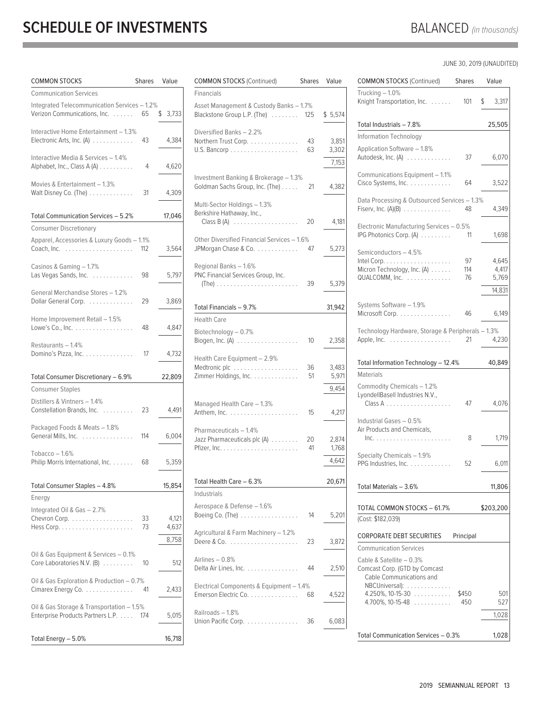# **SCHEDULE OF INVESTMENTS** BALANCED (in thousands)

#### JUNE 30, 2019 (UNAUDITED)

e e

| <b>COMMON STOCKS</b>                                                           | <b>Shares</b> | Value          |
|--------------------------------------------------------------------------------|---------------|----------------|
| <b>Communication Services</b>                                                  |               |                |
| Integrated Telecommunication Services - 1.2%<br>Verizon Communications, Inc.   | 65            | \$<br>3,733    |
| Interactive Home Entertainment - 1.3%<br>Electronic Arts, Inc. (A)             | 43            | 4.384          |
| Interactive Media & Services - 1.4%<br>Alphabet, Inc., Class A (A)             | 4             | 4,620          |
| Movies & Entertainment - 1.3%<br>Walt Disney Co. (The)                         | 31            | 4,309          |
| Total Communication Services - 5.2%                                            |               | 17,046         |
| <b>Consumer Discretionary</b>                                                  |               |                |
| Apparel, Accessories & Luxury Goods - 1.1%                                     | 112           | 3,564          |
| Casinos & Gaming - 1.7%<br>Las Vegas Sands, Inc.                               | 98            | 5,797          |
| General Merchandise Stores - 1.2%<br>Dollar General Corp.                      | 29            | 3,869          |
| Home Improvement Retail - 1.5%<br>Lowe's Co., Inc.                             | 48            | 4,847          |
| Restaurants - 1.4%<br>Domino's Pizza, Inc.                                     | 17            | 4,732          |
| Total Consumer Discretionary - 6.9%                                            |               | 22,809         |
| <b>Consumer Staples</b>                                                        |               |                |
| Distillers & Vintners - 1.4%<br>Constellation Brands, Inc.                     | 23            | 4,491          |
| Packaged Foods & Meats - 1.8%<br>General Mills, Inc.                           | 114           | 6,004          |
| Tobacco $-1.6%$<br>Philip Morris International, Inc.                           | 68            | 5,359          |
| Total Consumer Staples – 4.8%                                                  |               | 15,854         |
| Energy                                                                         |               |                |
| Integrated Oil & Gas - 2.7%<br>Chevron Corp.                                   | 33<br>73      | 4,121<br>4,637 |
|                                                                                |               | 8,758          |
| Oil & Gas Equipment & Services - 0.1%<br>Core Laboratories N.V. (B)            | 10            | 512            |
| Oil & Gas Exploration & Production - 0.7%<br>Cimarex Energy Co.                | 41            | 2,433          |
| Oil & Gas Storage & Transportation - 1.5%<br>Enterprise Products Partners L.P. | 174           | 5,015          |
| Total Energy - 5.0%                                                            |               | 16,718         |

| <b>COMMON STOCKS (Continued)</b>                                           | <b>Shares</b> | Value                   |
|----------------------------------------------------------------------------|---------------|-------------------------|
| Financials                                                                 |               |                         |
| Asset Management & Custody Banks - 1.7%<br>Blackstone Group L.P. (The)     | 125           | \$5,574                 |
| Diversified Banks - 2.2%<br>Northern Trust Corp.                           | 43<br>63      | 3,851<br>3,302<br>7,153 |
| Investment Banking & Brokerage - 1.3%<br>Goldman Sachs Group, Inc. (The)   | 21            | 4,382                   |
| Multi-Sector Holdings - 1.3%<br>Berkshire Hathaway, Inc.,<br>Class $B(A)$  | 20            | 4,181                   |
| Other Diversified Financial Services - 1.6%<br>JPMorgan Chase & Co.        | 47            | 5,273                   |
| Regional Banks - 1.6%<br>PNC Financial Services Group, Inc.                | 39            | 5,379                   |
| Total Financials - 9.7%                                                    |               | 31,942                  |
| <b>Health Care</b>                                                         |               |                         |
| Biotechnology - 0.7%<br>Biogen, Inc. $(A)$                                 | 10            | 2,358                   |
| Health Care Equipment - 2.9%<br>Zimmer Holdings, Inc.                      | 36<br>51      | 3,483<br>5,971          |
| Managed Health Care - 1.3%                                                 | 15            | 9,454<br>4,217          |
| Pharmaceuticals - 1.4%<br>Jazz Pharmaceuticals plc (A)                     | 20<br>41      | 2,874<br>1,768<br>4,642 |
| Total Health Care - 6.3%                                                   |               | 20,671                  |
| Industrials                                                                |               |                         |
| Aerospace & Defense - 1.6%<br>Boeing Co. (The) $\dots\dots\dots\dots\dots$ | 14            | 5,201                   |
| Agricultural & Farm Machinery - 1.2%<br>Deere & Co.                        | 23            | 3,872                   |
| Airlines - 0.8%<br>Delta Air Lines, Inc.                                   | 44            | 2,510                   |
| Electrical Components & Equipment - 1.4%<br>Emerson Electric Co.           | 68            | 4,522                   |
| Railroads - 1.8%<br>Union Pacific Corp.                                    | 36            | 6,083                   |

| <b>COMMON STOCKS (Continued)</b>                                                                        | <b>Shares</b>   | Value                             |
|---------------------------------------------------------------------------------------------------------|-----------------|-----------------------------------|
| Trucking $-1.0\%$<br>Knight Transportation, Inc.                                                        | 101             | \$<br>3,317                       |
| Total Industrials - 7.8%                                                                                |                 | 25,505                            |
| Information Technology                                                                                  |                 |                                   |
| Application Software - 1.8%<br>Autodesk, $Inc. (A) \ldots \ldots \ldots$                                | 37              | 6,070                             |
| Communications Equipment - 1.1%<br>Cisco Systems, Inc.                                                  | 64              | 3,522                             |
| Data Processing & Outsourced Services - 1.3%<br>Fiserv, Inc. $(A)(B)$                                   | 48              | 4,349                             |
| Electronic Manufacturing Services - 0.5%<br>IPG Photonics Corp. (A)                                     | 11              | 1,698                             |
| Semiconductors - 4.5%<br>Intel Corp.<br>Micron Technology, Inc. (A)<br>QUALCOMM, Inc.                   | 97<br>114<br>76 | 4,645<br>4,417<br>5,769<br>14,831 |
| Systems Software - 1.9%<br>Microsoft Corp.                                                              | 46              | 6,149                             |
| Technology Hardware, Storage & Peripherals - 1.3%<br>Apple, Inc.<br>.                                   | 21              | 4,230                             |
| Total Information Technology - 12.4%<br><b>Materials</b>                                                |                 | 40,849                            |
| Commodity Chemicals - 1.2%<br>LyondellBasell Industries N.V.,<br>Class A                                | 47              | 4,076                             |
| Industrial Gases - 0.5%                                                                                 |                 |                                   |
| Air Products and Chemicals,<br>Inc.                                                                     | 8               | 1,719                             |
| Specialty Chemicals - 1.9%<br>PPG Industries, Inc.                                                      | 52              | 6,011                             |
| Total Materials - 3.6%                                                                                  |                 | 11.806                            |
| TOTAL COMMON STOCKS - 61.7%<br>(Cost: \$182.039)                                                        |                 | \$203,200                         |
| <b>CORPORATE DEBT SECURITIES</b>                                                                        | Principal       |                                   |
| <b>Communication Services</b>                                                                           |                 |                                   |
| Cable & Satellite - 0.3%<br>Comcast Corp. (GTD by Comcast<br>Cable Communications and<br>NBCUniversal): |                 |                                   |
| $4.250\%$ , 10-15-30 $\dots$                                                                            | \$450           | 501                               |
| 4.700%, 10-15-48<br>.                                                                                   | 450             | 527                               |
|                                                                                                         |                 | 1,028                             |
| Total Communication Services - 0.3%                                                                     |                 | 1,028                             |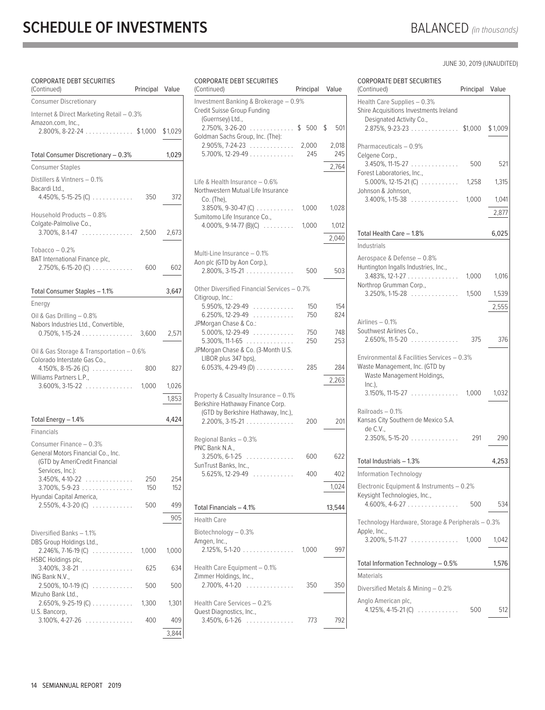٠

| <b>CORPORATE DEBT SECURITIES</b><br>(Continued)                                                      | Principal Value |            |
|------------------------------------------------------------------------------------------------------|-----------------|------------|
| <b>Consumer Discretionary</b>                                                                        |                 |            |
| Internet & Direct Marketing Retail - 0.3%<br>Amazon.com, Inc.,<br>$2.800\%$ , $8-22-24$<br>. \$1,000 |                 | \$1,029    |
| Total Consumer Discretionary - 0.3%                                                                  |                 | 1,029      |
| <b>Consumer Staples</b>                                                                              |                 |            |
| Distillers & Vintners - 0.1%                                                                         |                 |            |
| Bacardi Ltd.,<br>4.450%, 5-15-25 (C) $\ldots \ldots \ldots$                                          | 350             | 372        |
| Household Products - 0.8%<br>Colgate-Palmolive Co.,                                                  |                 |            |
| $3.700\%$ , $8-1-47$                                                                                 | 2,500           | 2,673      |
| Tobacco $-0.2%$<br>BAT International Finance plc,<br>$2.750\%$ , 6-15-20 (C) $\ldots \ldots \ldots$  | 600             | 602        |
|                                                                                                      |                 |            |
| Total Consumer Staples - 1.1%                                                                        |                 | 3,647      |
| Energy                                                                                               |                 |            |
| Oil & Gas Drilling $-0.8\%$<br>Nabors Industries Ltd., Convertible,                                  |                 |            |
| $0.750\%$ , 1-15-24                                                                                  | 3,600           | 2,571      |
| Oil & Gas Storage & Transportation - 0.6%                                                            |                 |            |
| Colorado Interstate Gas Co.,<br>4.150%, $8-15-26$ (C)<br>Williams Partners L.P.,                     | 800             | 827        |
| $3.600\%$ , $3-15-22$                                                                                | 1,000           | 1,026      |
|                                                                                                      |                 | 1,853      |
|                                                                                                      |                 |            |
| Total Energy - 1.4%                                                                                  |                 | 4,424      |
| Financials<br>Consumer Finance - 0.3%                                                                |                 |            |
| General Motors Financial Co., Inc.<br>(GTD by AmeriCredit Financial                                  |                 |            |
| Services, Inc.):<br>$3.450\%$ , 4-10-22<br>$3.700\%$ , 5-9-23                                        | 250<br>150      | 254<br>152 |
| Hyundai Capital America,<br>$2.550\%$ , 4-3-20 (C) $\ldots \ldots \ldots$                            | 500             | 499        |
|                                                                                                      |                 | 905        |
| Diversified Banks - 1.1%                                                                             |                 |            |
| DBS Group Holdings Ltd.,                                                                             |                 |            |
| $2.246\%$ , 7-16-19 (C)<br>HSBC Holdings plc,                                                        | 1,000           | 1,000      |
| 3.400%, 3-8-21<br>.                                                                                  | 625             | 634        |
| ING Bank N.V.,<br>$2.500\%$ , 10-1-19 (C) $\ldots \ldots \ldots$<br>Mizuho Bank Ltd.,                | 500             | 500        |
| $2.650\%$ , 9-25-19 (C)<br>U.S. Bancorp,                                                             | 1,300           | 1,301      |
| $3.100\%$ , 4-27-26                                                                                  | 400             | 409        |
|                                                                                                      |                 | 3,844      |

| <b>CORPORATE DEBT SECURITIES</b><br>(Continued)                                                                | Principal | Value        |
|----------------------------------------------------------------------------------------------------------------|-----------|--------------|
| Investment Banking & Brokerage - 0.9%<br>Credit Suisse Group Funding<br>(Guernsey) Ltd.,                       |           |              |
| $2.750\%$ , 3-26-20 \$<br>Goldman Sachs Group, Inc. (The):                                                     | 500       | 501<br>\$    |
| $2.905\%, 7-24-23 \dots \dots \dots$                                                                           | 2,000     | 2,018        |
| $5.700\%$ , 12-29-49                                                                                           | 245       | 245<br>2,764 |
|                                                                                                                |           |              |
| Life & Health Insurance $-0.6\%$<br>Northwestern Mutual Life Insurance<br>Co. (The),                           |           |              |
| $3.850\%$ , 9-30-47 (C)<br>Sumitomo Life Insurance Co.,                                                        | 1,000     | 1,028        |
| $4.000\%$ , 9-14-77 (B)(C)                                                                                     | 1,000     | 1,012        |
|                                                                                                                |           | 2,040        |
| Multi-Line Insurance - 0.1%                                                                                    |           |              |
| Aon plc (GTD by Aon Corp.),<br>$2.800\%$ , 3-15-21                                                             | 500       | 503          |
|                                                                                                                |           |              |
| Other Diversified Financial Services - 0.7%                                                                    |           |              |
| Citigroup, Inc.:<br>$5.950\%$ , 12-29-49 $\dots\dots\dots\dots$                                                | 150       | 154          |
| 6.250%, 12-29-49<br>.                                                                                          | 750       | 824          |
| JPMorgan Chase & Co.:<br>$5.000\%$ , 12-29-49                                                                  | 750       | 748          |
| $5.300\%$ , 11-1-65                                                                                            | 250       | 253          |
| JPMorgan Chase & Co. (3-Month U.S.<br>LIBOR plus 347 bps),                                                     |           |              |
| 6.053%, 4-29-49 (D) $\ldots \ldots \ldots$                                                                     | 285       | 284          |
|                                                                                                                |           | 2,263        |
| Property & Casualty Insurance - 0.1%<br>Berkshire Hathaway Finance Corp.<br>(GTD by Berkshire Hathaway, Inc.), |           |              |
| $2.200\%$ , $3-15-21$                                                                                          | 200       | 201          |
| Regional Banks - 0.3%<br>PNC Bank N.A.,                                                                        |           |              |
| 3.250%, 6-1-25<br>.<br>SunTrust Banks, Inc.,                                                                   | 600       | 622          |
| 5.625%, 12-29-49<br>.                                                                                          | 400       | 402          |
|                                                                                                                |           | 1,024        |
| Total Financials - 4.1%                                                                                        |           | 13,544       |
| <b>Health Care</b>                                                                                             |           |              |
| Biotechnology - 0.3%                                                                                           |           |              |
| Amgen, Inc.,<br>$2.125\%$ , 5-1-20<br>.                                                                        | 1,000     | 997          |
| Health Care Equipment - 0.1%                                                                                   |           |              |
| Zimmer Holdings, Inc.,<br>2.700%, 4-1-20<br>1.1.1.1.1.1.                                                       | 350       | 350          |
| Health Care Services - 0.2%                                                                                    |           |              |
| Quest Diagnostics, Inc.,                                                                                       |           |              |
| 3.450%, 6-1-26<br>.                                                                                            | 773       | 792          |

| <b>CORPORATE DEBT SECURITIES</b><br>(Continued)                                                                                                 | Principal | Value          |  |
|-------------------------------------------------------------------------------------------------------------------------------------------------|-----------|----------------|--|
| Health Care Supplies - 0.3%<br>Shire Acquisitions Investments Ireland<br>Designated Activity Co.,<br>$2.875\%$ , 9-23-23                        | \$1,000   | \$1,009        |  |
| Pharmaceuticals - 0.9%<br>Celgene Corp.,<br>$3.450\%$ , 11-15-27                                                                                | 500       | 521            |  |
| Forest Laboratories, Inc.,<br>5.000%, 12-15-21 (C) $\ldots \ldots \ldots$                                                                       | 1,258     | 1,315          |  |
| Johnson & Johnson,<br>$3.400\%$ , 1-15-38                                                                                                       | 1,000     | 1,041          |  |
|                                                                                                                                                 |           | 2,877          |  |
| Total Health Care - 1.8%                                                                                                                        |           | 6,025          |  |
| Industrials                                                                                                                                     |           |                |  |
| Aerospace & Defense - 0.8%<br>Huntington Ingalls Industries, Inc.,<br>$3.483\%$ , 12-1-27<br>Northrop Grumman Corp.,                            | 1,000     | 1,016          |  |
| $3.250\%$ , 1-15-28                                                                                                                             | 1,500     | 1,539<br>2,555 |  |
| Airlines - 0.1%<br>Southwest Airlines Co.,<br>$2.650\%$ , 11-5-20 $\dots\dots\dots\dots\dots$                                                   | 375       | 376            |  |
| Environmental & Facilities Services - 0.3%<br>Waste Management, Inc. (GTD by<br>Waste Management Holdings,<br>$Inc.$ ),<br>$3.150\%$ , 11-15-27 | 1,000     | 1,032          |  |
| Railroads - 0.1%<br>Kansas City Southern de Mexico S.A.<br>de C.V                                                                               |           |                |  |
| $2.350\%$ , 5-15-20                                                                                                                             | 291       | 290            |  |
| Total Industrials - 1.3%                                                                                                                        |           | 4,253          |  |
| Information Technology                                                                                                                          |           |                |  |
| Electronic Equipment & Instruments - 0.2%<br>Keysight Technologies, Inc.,                                                                       |           |                |  |
| $4.600\%$ , $4-6-27$                                                                                                                            | 500       | 534            |  |
| Technology Hardware, Storage & Peripherals - 0.3%                                                                                               |           |                |  |
| Apple, Inc.,<br>$3.200\%$ , 5-11-27 $\dots$<br>.                                                                                                | 1,000     | 1,042          |  |
| Total Information Technology - 0.5%                                                                                                             |           | 1,576          |  |
| <b>Materials</b>                                                                                                                                |           |                |  |
| Diversified Metals & Mining - 0.2%                                                                                                              |           |                |  |
| Anglo American plc,<br>4.125%, 4-15-21 (C)                                                                                                      | 500       | 512            |  |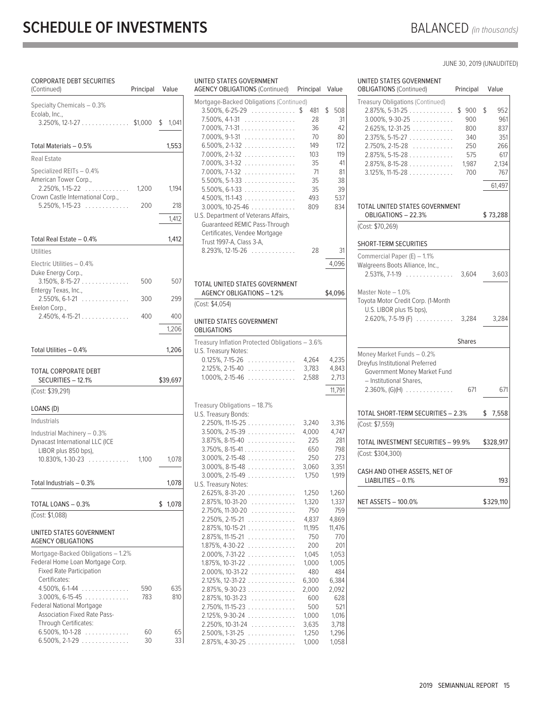a sa salawan na kata

| <b>CORPORATE DEBT SECURITIES</b><br>(Continued)                                                                          | Principal  | Value        |
|--------------------------------------------------------------------------------------------------------------------------|------------|--------------|
| Specialty Chemicals - 0.3%<br>Ecolab, Inc.,                                                                              |            |              |
| $3.250\%$ , 12-1-27                                                                                                      | \$1,000    | \$<br>1,041  |
| Total Materials - 0.5%                                                                                                   |            | 1,553        |
| <b>Real Estate</b>                                                                                                       |            |              |
| Specialized REITs - 0.4%<br>American Tower Corp.,                                                                        |            |              |
| $2.250\%$ , 1-15-22 $\dots$<br>Crown Castle International Corp.,                                                         | 1,200      | 1,194        |
| $5.250\%$ , 1-15-23 $\dots$<br>$\ldots$ .                                                                                | 200        | 218<br>1,412 |
| Total Real Estate - 0.4%                                                                                                 |            | 1,412        |
| Utilities                                                                                                                |            |              |
| Electric Utilities - 0.4%<br>Duke Energy Corp.,<br>$3.150\%$ , $8-15-27$                                                 | 500        | 507          |
| Entergy Texas, Inc.,<br>$2.550\%$ , 6-1-21                                                                               | 300        | 299          |
| Exelon Corp.,<br>$2.450\%$ , 4-15-21                                                                                     | 400        | 400          |
|                                                                                                                          |            | 1,206        |
| Total Utilities - 0.4%                                                                                                   |            | 1,206        |
| TOTAL CORPORATE DEBT<br>SECURITIES - 12.1%                                                                               |            | \$39,697     |
| (Cost: \$39,291)                                                                                                         |            |              |
| LOANS (D)                                                                                                                |            |              |
| Industrials                                                                                                              |            |              |
| Industrial Machinery - 0.3%<br>Dynacast International LLC (ICE<br>LIBOR plus 850 bps),                                   |            |              |
| 10.830%, 1-30-23                                                                                                         | 1,100      | 1,078        |
| Total Industrials - 0.3%                                                                                                 |            | 1,078        |
| TOTAL LOANS - 0.3%                                                                                                       |            | \$<br>1,078  |
| (Cost: \$1,088)                                                                                                          |            |              |
| UNITED STATES GOVERNMENT<br><b>AGENCY OBLIGATIONS</b>                                                                    |            |              |
| Mortgage-Backed Obligations-1.2%<br>Federal Home Loan Mortgage Corp.<br><b>Fixed Rate Participation</b><br>Certificates: |            |              |
| 4.500%, 6-1-44<br>.<br>3.000%, 6-15-45<br>.                                                                              | 590<br>783 | 635<br>810   |
| Federal National Mortgage<br><b>Association Fixed Rate Pass-</b>                                                         |            |              |
| Through Certificates:<br>$6.500\%$ , 10-1-28<br>$6.500\%$ , 2-1-29                                                       | 60<br>30   | 65<br>33     |

| UNITED STATES GOVERNMENT<br><b>AGENCY OBLIGATIONS (Continued)</b>                                                                                                                                                                                                                                                                                                                                                                                                           | Principal                                                                                                                                           | Value                                                                                                                                               |
|-----------------------------------------------------------------------------------------------------------------------------------------------------------------------------------------------------------------------------------------------------------------------------------------------------------------------------------------------------------------------------------------------------------------------------------------------------------------------------|-----------------------------------------------------------------------------------------------------------------------------------------------------|-----------------------------------------------------------------------------------------------------------------------------------------------------|
| Mortgage-Backed Obligations (Continued)<br>$3.500\%$ , 6-25-29<br>7.500%, 4-1-31<br>.<br>7.000%, 7-1-31<br>7.000%, 9-1-31<br>.<br>6.500%, 2-1-32<br>.<br>7.000%, 2-1-32<br>.<br>7.000%, 3-1-32<br>.<br>7.000%, 7-1-32<br>.<br>$5.500\%$ , 5-1-33<br>5.500%, 6-1-33<br>.<br>$4.500\%$ , 11-1-43<br>$3.000\%$ , 10-25-46<br>U.S. Department of Veterans Affairs,<br>Guaranteed REMIC Pass-Through<br>Certificates, Vendee Mortgage<br>Trust 1997-A, Class 3-A,                | \$<br>481<br>28<br>36<br>70<br>149<br>103<br>35<br>71<br>35<br>35<br>493<br>809                                                                     | \$<br>508<br>31<br>42<br>80<br>172<br>119<br>41<br>81<br>38<br>39<br>537<br>834                                                                     |
| 8.293%, 12-15-26<br>.                                                                                                                                                                                                                                                                                                                                                                                                                                                       | 28                                                                                                                                                  | 31<br>4,096                                                                                                                                         |
| TOTAL UNITED STATES GOVERNMENT<br><b>AGENCY OBLIGATIONS - 1.2%</b>                                                                                                                                                                                                                                                                                                                                                                                                          |                                                                                                                                                     | \$4,096                                                                                                                                             |
| (Cost: \$4,054)<br>UNITED STATES GOVERNMENT<br><b>OBLIGATIONS</b>                                                                                                                                                                                                                                                                                                                                                                                                           |                                                                                                                                                     |                                                                                                                                                     |
| Treasury Inflation Protected Obligations - 3.6%                                                                                                                                                                                                                                                                                                                                                                                                                             |                                                                                                                                                     |                                                                                                                                                     |
| U.S. Treasury Notes:<br>$0.125\%$ , 7-15-26 $\dots\dots\dots\dots\dots$<br>2.125%, 2-15-40<br>.<br>1.000%, 2-15-46<br>.                                                                                                                                                                                                                                                                                                                                                     | 4,264<br>3,783<br>2,588                                                                                                                             | 4,235<br>4,843<br>2,713<br>11,791                                                                                                                   |
| Treasury Obligations - 18.7%<br>U.S. Treasury Bonds:<br>$2.250\%$ , 11-15-25<br>$3.500\%$ , 2-15-39<br>$3.875\%$ , $8-15-40$<br>$3.750\%$ , $8-15-41$<br>$3.000\%$ , 2-15-48<br>$3.000\%$ , 8-15-48<br>$3.000\%$ , 2-15-49<br>U.S. Treasury Notes:                                                                                                                                                                                                                          | 3,240<br>4,000<br>225<br>650<br>250<br>3,060<br>1,750                                                                                               | 3,316<br>4,747<br>281<br>798<br>273<br>3,351<br>1,919                                                                                               |
| 2.625%, 8-31-20<br>2.875%, 10-31-20<br>2.750%, 11-30-20<br>2.250%, 2-15-21<br>a su su su su su su<br>2.875%, 10-15-21<br>.<br>2.875%, 11-15-21<br>1.875%, 4-30-22<br>.<br>$\ldots$<br>2.000%, 7-31-22<br>.<br>1.875%, 10-31-22<br>.<br>2.000%, 10-31-22<br>.<br>2.125%, 12-31-22<br>2.875%, 9-30-23<br>.<br>2.875%, 10-31-23<br>.<br>2.750%, 11-15-23<br>.<br>2.125%, 9-30-24<br>.<br>2.250%, 10-31-24<br>.<br>2.500%, 1-31-25<br>.<br>2.875%, 4-30-25<br>$\mathbb{R}$<br>. | 1,250<br>1,320<br>750<br>4,837<br>11,195<br>750<br>200<br>1,045<br>1,000<br>480<br>6,300<br>2,000<br>600<br>500<br>1,000<br>3,635<br>1,250<br>1,000 | 1,260<br>1,337<br>759<br>4,869<br>11,476<br>770<br>201<br>1,053<br>1,005<br>484<br>6,384<br>2,092<br>628<br>521<br>1,016<br>3,718<br>1,296<br>1,058 |

| <b>OBLIGATIONS (Continued)</b>                                                                                                                                                                                                | Principal                                                    | Value                                                                  |
|-------------------------------------------------------------------------------------------------------------------------------------------------------------------------------------------------------------------------------|--------------------------------------------------------------|------------------------------------------------------------------------|
| Treasury Obligations (Continued)<br>$2.875\%$ , 5-31-25<br>$3.000\%$ , 9-30-25<br>$2.625\%$ , 12-31-25<br>$2.375\%$ , 5-15-27<br>2.750%, 2-15-28<br>.<br>$2.875\%$ , 5-15-28<br>$2.875\%$ , $8-15-28$<br>$3.125\%$ , 11-15-28 | \$<br>900<br>900<br>800<br>340<br>250<br>575<br>1,987<br>700 | \$<br>952<br>961<br>837<br>351<br>266<br>617<br>2,134<br>767<br>61,497 |
| TOTAL UNITED STATES GOVERNMENT<br>OBLIGATIONS - 22.3%                                                                                                                                                                         |                                                              | \$73,288                                                               |
| (Cost: \$70,269)                                                                                                                                                                                                              |                                                              |                                                                        |
| <b>SHORT-TERM SECURITIES</b>                                                                                                                                                                                                  |                                                              |                                                                        |
| Commercial Paper (E) - 1.1%<br>Walgreens Boots Alliance, Inc.,<br>$2.531\%$ , 7-1-19<br>Master Note - 1.0%<br>Toyota Motor Credit Corp. (1-Month                                                                              | 3,604                                                        | 3,603                                                                  |
| U.S. LIBOR plus 15 bps),<br>$2.620\%$ , 7-5-19 (F) $\ldots \ldots \ldots$                                                                                                                                                     | 3,284                                                        | 3,284                                                                  |
|                                                                                                                                                                                                                               | <b>Shares</b>                                                |                                                                        |
| Money Market Funds - 0.2%<br>Dreyfus Institutional Preferred<br>Government Money Market Fund<br>- Institutional Shares,                                                                                                       |                                                              |                                                                        |
| $2.360\%$ , (G)(H)                                                                                                                                                                                                            | 671                                                          | 671                                                                    |
|                                                                                                                                                                                                                               |                                                              | 7,558                                                                  |
| TOTAL SHORT-TERM SECURITIES - 2.3%                                                                                                                                                                                            |                                                              | \$                                                                     |
| (Cost: \$7,559)                                                                                                                                                                                                               |                                                              |                                                                        |
| TOTAL INVESTMENT SECURITIES - 99.9%                                                                                                                                                                                           |                                                              |                                                                        |
| (Cost: \$304,300)                                                                                                                                                                                                             |                                                              |                                                                        |
| CASH AND OTHER ASSETS, NET OF<br>LIABILITIES - 0.1%                                                                                                                                                                           |                                                              | \$328,917<br>193                                                       |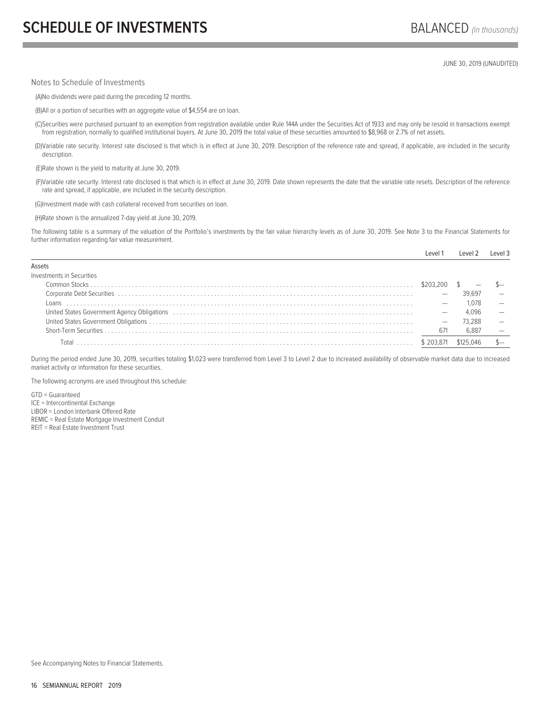Notes to Schedule of Investments

(A)No dividends were paid during the preceding 12 months.

(B)All or a portion of securities with an aggregate value of \$4,554 are on loan.

(C)Securities were purchased pursuant to an exemption from registration available under Rule 144A under the Securities Act of 1933 and may only be resold in transactions exempt from registration, normally to qualified institutional buyers. At June 30, 2019 the total value of these securities amounted to \$8,968 or 2.7% of net assets.

(D)Variable rate security. Interest rate disclosed is that which is in effect at June 30, 2019. Description of the reference rate and spread, if applicable, are included in the security description.

(E)Rate shown is the yield to maturity at June 30, 2019.

(F)Variable rate security. Interest rate disclosed is that which is in effect at June 30, 2019. Date shown represents the date that the variable rate resets. Description of the reference rate and spread, if applicable, are included in the security description.

(G)Investment made with cash collateral received from securities on loan.

(H)Rate shown is the annualized 7-day yield at June 30, 2019.

The following table is a summary of the valuation of the Portfolio's investments by the fair value hierarchy levels as of June 30, 2019. See Note 3 to the Financial Statements for further information regarding fair value measurement.

|                                                                                                                                                                                                                                |     | avel 2 | ? امµم ا |
|--------------------------------------------------------------------------------------------------------------------------------------------------------------------------------------------------------------------------------|-----|--------|----------|
| Assets                                                                                                                                                                                                                         |     |        |          |
| Investments in Securities                                                                                                                                                                                                      |     |        |          |
|                                                                                                                                                                                                                                |     |        |          |
|                                                                                                                                                                                                                                |     |        |          |
| Loans                                                                                                                                                                                                                          |     | .078   |          |
| United States Government Agency Obligations (all accordinations) and the control of the Control of Agency Obligations (all according to the control of the Control of the Control of the Control of the Control of the Control |     |        |          |
|                                                                                                                                                                                                                                |     | 3 288  |          |
|                                                                                                                                                                                                                                | 671 |        |          |
|                                                                                                                                                                                                                                |     |        |          |

During the period ended June 30, 2019, securities totaling \$1,023 were transferred from Level 3 to Level 2 due to increased availability of observable market data due to increased market activity or information for these securities.

The following acronyms are used throughout this schedule:

GTD = Guaranteed ICE = Intercontinental Exchange LIBOR = London Interbank Offered Rate REMIC = Real Estate Mortgage Investment Conduit REIT = Real Estate Investment Trust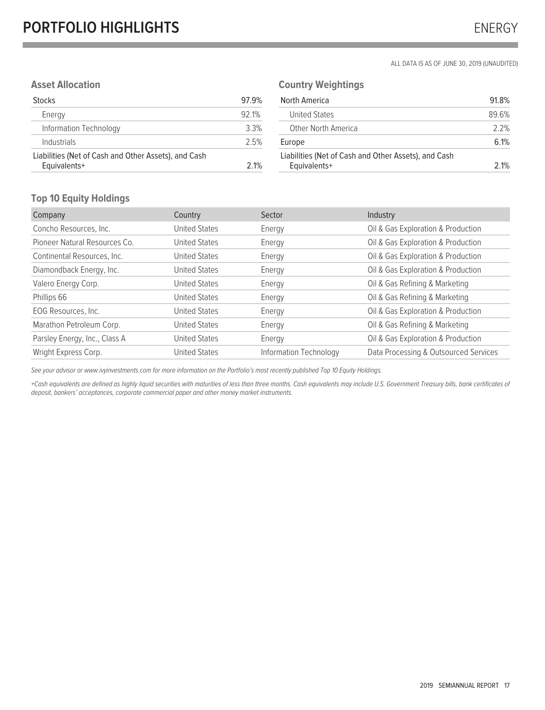#### **Asset Allocation**

| <b>Stocks</b>                                                        | 97.9%   |  |
|----------------------------------------------------------------------|---------|--|
| Energy                                                               | 921%    |  |
| Information Technology                                               | 3.3%    |  |
| Industrials                                                          | 2.5%    |  |
| Liabilities (Net of Cash and Other Assets), and Cash<br>Equivalents+ | $2.1\%$ |  |

#### **Country Weightings**

| North America                                        | 91.8%   |
|------------------------------------------------------|---------|
| <b>United States</b>                                 | 89.6%   |
| Other North America                                  | $2.2\%$ |
| Europe                                               | 6.1%    |
| Liabilities (Net of Cash and Other Assets), and Cash |         |
| Equivalents+                                         | $2.1\%$ |

### **Top 10 Equity Holdings**

| Company                       | Country              | Sector                 | Industry                              |
|-------------------------------|----------------------|------------------------|---------------------------------------|
| Concho Resources, Inc.        | United States        | Energy                 | Oil & Gas Exploration & Production    |
| Pioneer Natural Resources Co. | <b>United States</b> | Energy                 | Oil & Gas Exploration & Production    |
| Continental Resources, Inc.   | United States        | Energy                 | Oil & Gas Exploration & Production    |
| Diamondback Energy, Inc.      | United States        | Energy                 | Oil & Gas Exploration & Production    |
| Valero Energy Corp.           | <b>United States</b> | Energy                 | Oil & Gas Refining & Marketing        |
| Phillips 66                   | <b>United States</b> | Energy                 | Oil & Gas Refining & Marketing        |
| EOG Resources, Inc.           | <b>United States</b> | Energy                 | Oil & Gas Exploration & Production    |
| Marathon Petroleum Corp.      | United States        | Energy                 | Oil & Gas Refining & Marketing        |
| Parsley Energy, Inc., Class A | <b>United States</b> | Energy                 | Oil & Gas Exploration & Production    |
| Wright Express Corp.          | <b>United States</b> | Information Technology | Data Processing & Outsourced Services |

See your advisor or www.ivyinvestments.com for more information on the Portfolio's most recently published Top 10 Equity Holdings.

+Cash equivalents are defined as highly liquid securities with maturities of less than three months. Cash equivalents may include U.S. Government Treasury bills, bank certificates of deposit, bankers' acceptances, corporate commercial paper and other money market instruments.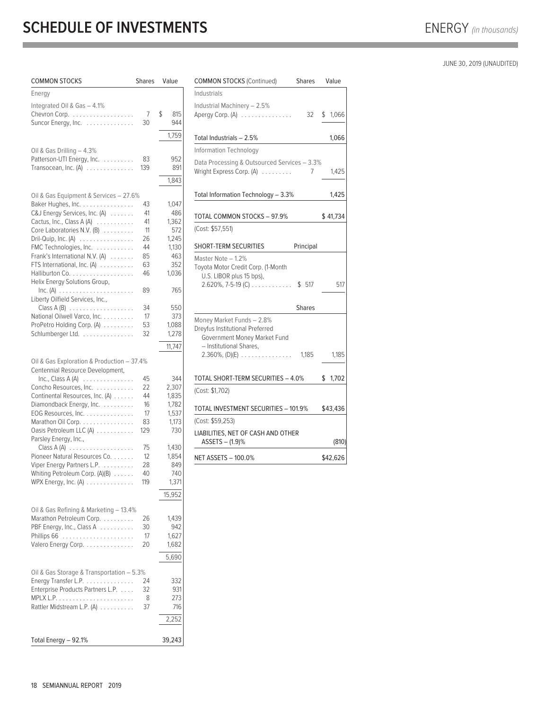### **SCHEDULE OF INVESTMENTS** ENERGY (in thousands)

JUNE 30, 2019 (UNAUDITED)

| <b>COMMON STOCKS</b>                                                              | <b>Shares</b> | Value            |
|-----------------------------------------------------------------------------------|---------------|------------------|
| Energy                                                                            |               |                  |
| Integrated Oil & Gas - 4.1%<br>Chevron Corp.<br>Suncor Energy, Inc.               | 7<br>30       | \$<br>815<br>944 |
|                                                                                   |               | 1,759            |
| Oil & Gas Drilling - 4.3%<br>Patterson-UTI Energy, Inc.<br>Transocean, Inc. $(A)$ | 83<br>139     | 952<br>891       |
|                                                                                   |               | 1,843            |
|                                                                                   |               |                  |
| Oil & Gas Equipment & Services - 27.6%                                            |               |                  |
| Baker Hughes, Inc.<br>C&J Energy Services, Inc. (A)                               | 43<br>41      | 1,047<br>486     |
| Cactus, Inc., Class A (A)                                                         | 41            | 1,362            |
| Core Laboratories N.V. (B)                                                        | 11            | 572              |
| Dril-Quip, Inc. $(A)$                                                             | 26            | 1,245            |
| FMC Technologies, Inc.                                                            | 44            | 1,130            |
| Frank's International N.V. (A)                                                    | 85            | 463              |
| FTS International, Inc. (A)                                                       | 63            | 352              |
|                                                                                   | 46            | 1,036            |
| Helix Energy Solutions Group,                                                     | 89            | 765              |
| Liberty Oilfield Services, Inc.,                                                  |               |                  |
| Class A $(B)$<br>National Oilwell Varco, Inc.                                     | 34<br>17      | 550<br>373       |
| ProPetro Holding Corp. (A)                                                        | 53            | 1,088            |
| Schlumberger Ltd.                                                                 | 32            | 1,278            |
|                                                                                   |               | 11,747           |
|                                                                                   |               |                  |
| Oil & Gas Exploration & Production - 37.4%                                        |               |                  |
| Centennial Resource Development,                                                  |               |                  |
| Inc., Class A $(A)$<br>Concho Resources, Inc.                                     | 45<br>22      | 344<br>2,307     |
| Continental Resources, Inc. (A)                                                   | 44            | 1,835            |
| Diamondback Energy, Inc.                                                          | 16            | 1,782            |
| EOG Resources, Inc.                                                               | 17            | 1,537            |
| Marathon Oil Corp.                                                                | 83            | 1,173            |
| Oasis Petroleum LLC (A)                                                           | 129           | 730              |
| Parsley Energy, Inc.,                                                             |               |                  |
| Class A $(A)$                                                                     | 75            | 1,430            |
| Pioneer Natural Resources Co.<br>Viper Energy Partners L.P.                       | 12<br>28      | 1,854<br>849     |
| Whiting Petroleum Corp. (A)(B)                                                    | 40            | 740              |
| WPX Energy, Inc. $(A)$                                                            | 119           | 1,371            |
|                                                                                   |               |                  |
|                                                                                   |               | 15,952           |
| Oil & Gas Refining & Marketing - 13.4%                                            |               |                  |
| Marathon Petroleum Corp.                                                          | 26            | 1.439            |
| PBF Energy, Inc., Class A                                                         | 30            | 942              |
|                                                                                   | 17            | 1,627            |
| Valero Energy Corp.                                                               | 20            | 1,682            |
|                                                                                   |               | 5,690            |
| Oil & Gas Storage & Transportation - 5.3%                                         |               |                  |
| Energy Transfer L.P.                                                              | 24            | 332              |
| Enterprise Products Partners L.P.                                                 | 32            | 931              |
|                                                                                   | 8             | 273              |
| Rattler Midstream L.P. (A)                                                        | 37            | 716              |
|                                                                                   |               | 2,252            |
|                                                                                   |               |                  |
| Total Energy - 92.1%                                                              |               | 39,243           |

| <b>COMMON STOCKS (Continued)</b>                                                                                                              | <b>Shares</b> | Value       |
|-----------------------------------------------------------------------------------------------------------------------------------------------|---------------|-------------|
| Industrials                                                                                                                                   |               |             |
| Industrial Machinery - 2.5%<br>Apergy Corp. (A)                                                                                               | 32            | \$1,066     |
| Total Industrials - 2.5%                                                                                                                      |               | 1,066       |
| Information Technology                                                                                                                        |               |             |
| Data Processing & Outsourced Services - 3.3%<br>Wright Express Corp. (A)                                                                      | 7             | 1,425       |
| Total Information Technology - 3.3%                                                                                                           |               | 1,425       |
| TOTAL COMMON STOCKS - 97.9%                                                                                                                   |               | \$41,734    |
| (Cost: \$57,551)                                                                                                                              |               |             |
| SHORT-TERM SECURITIES                                                                                                                         | Principal     |             |
| Master Note - 1.2%<br>Toyota Motor Credit Corp. (1-Month<br>U.S. LIBOR plus 15 bps),<br>$2.620\%$ , 7-5-19 (C)                                | \$517         | 517         |
|                                                                                                                                               | <b>Shares</b> |             |
| Money Market Funds - 2.8%<br>Dreyfus Institutional Preferred<br>Government Money Market Fund<br>- Institutional Shares,<br>$2.360\%$ , (D)(E) | 1,185         | 1,185       |
| TOTAL SHORT-TERM SECURITIES - 4.0%                                                                                                            |               | \$<br>1,702 |
| (Cost: \$1,702)                                                                                                                               |               |             |
| TOTAL INVESTMENT SECURITIES - 101.9%                                                                                                          |               | \$43,436    |
| (Cost: \$59,253)                                                                                                                              |               |             |
| LIABILITIES, NET OF CASH AND OTHER<br>$ASSETS - (1.9)$ %                                                                                      |               | (810)       |
| <b>NET ASSETS - 100.0%</b>                                                                                                                    |               | \$42,626    |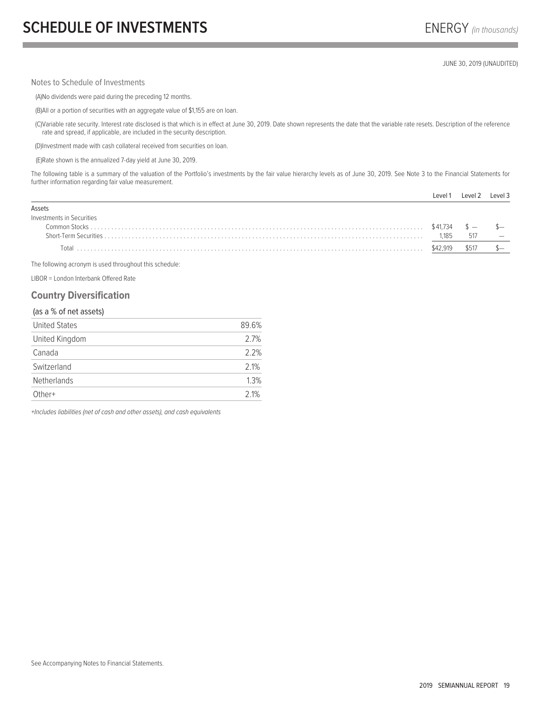#### Notes to Schedule of Investments

(A)No dividends were paid during the preceding 12 months.

(B)All or a portion of securities with an aggregate value of \$1,155 are on loan.

(C)Variable rate security. Interest rate disclosed is that which is in effect at June 30, 2019. Date shown represents the date that the variable rate resets. Description of the reference rate and spread, if applicable, are included in the security description.

(D)Investment made with cash collateral received from securities on loan.

(E)Rate shown is the annualized 7-day yield at June 30, 2019.

The following table is a summary of the valuation of the Portfolio's investments by the fair value hierarchy levels as of June 30, 2019. See Note 3 to the Financial Statements for further information regarding fair value measurement.

|                                  | Level 1  | level 2 | Level 3 |
|----------------------------------|----------|---------|---------|
| Assets                           |          |         |         |
| <b>Investments in Securities</b> |          |         |         |
|                                  | \$41,734 |         |         |
|                                  | .185     | 517     |         |
| Total                            | \$42,919 | \$517   |         |
|                                  |          |         |         |

The following acronym is used throughout this schedule:

LIBOR = London Interbank Offered Rate

#### **Country Diversification**

#### (as a % of net assets)

| <b>United States</b> | 89.6% |
|----------------------|-------|
| United Kingdom       | 27%   |
| Canada               | 22%   |
| Switzerland          | 21%   |
| <b>Netherlands</b>   | 1.3%  |
| Other+               | 21%   |

+Includes liabilities (net of cash and other assets), and cash equivalents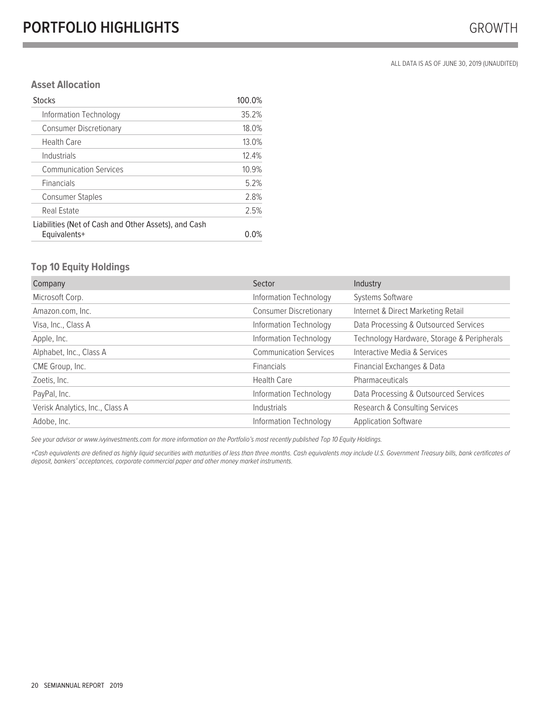#### **Asset Allocation**

| <b>Stocks</b>                                        | 100.0% |
|------------------------------------------------------|--------|
| Information Technology                               | 35.2%  |
| <b>Consumer Discretionary</b>                        | 18.0%  |
| <b>Health Care</b>                                   | 13.0%  |
| Industrials                                          | 124%   |
| <b>Communication Services</b>                        | 10.9%  |
| <b>Financials</b>                                    | 5.2%   |
| <b>Consumer Staples</b>                              | 2.8%   |
| Real Estate                                          | 2.5%   |
| Liabilities (Net of Cash and Other Assets), and Cash |        |
| Equivalents+                                         | 0.0%   |

#### **Top 10 Equity Holdings**

| Company                         | Sector                        | Industry                                   |
|---------------------------------|-------------------------------|--------------------------------------------|
| Microsoft Corp.                 | Information Technology        | Systems Software                           |
| Amazon.com, Inc.                | <b>Consumer Discretionary</b> | Internet & Direct Marketing Retail         |
| Visa, Inc., Class A             | Information Technology        | Data Processing & Outsourced Services      |
| Apple, Inc.                     | Information Technology        | Technology Hardware, Storage & Peripherals |
| Alphabet, Inc., Class A         | <b>Communication Services</b> | Interactive Media & Services               |
| CME Group, Inc.                 | <b>Financials</b>             | Financial Exchanges & Data                 |
| Zoetis, Inc.                    | <b>Health Care</b>            | <b>Pharmaceuticals</b>                     |
| PayPal, Inc.                    | Information Technology        | Data Processing & Outsourced Services      |
| Verisk Analytics, Inc., Class A | <b>Industrials</b>            | Research & Consulting Services             |
| Adobe, Inc.                     | Information Technology        | <b>Application Software</b>                |

See your advisor or www.ivyinvestments.com for more information on the Portfolio's most recently published Top 10 Equity Holdings.

+Cash equivalents are defined as highly liquid securities with maturities of less than three months. Cash equivalents may include U.S. Government Treasury bills, bank certificates of deposit, bankers' acceptances, corporate commercial paper and other money market instruments.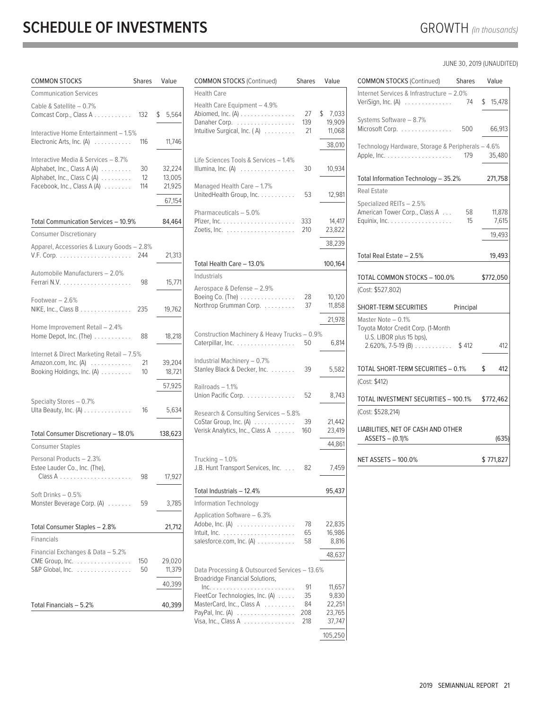# **SCHEDULE OF INVESTMENTS** GROWTH (in thousands)

#### JUNE 30, 2019 (UNAUDITED)

۰

| <b>COMMON STOCKS</b><br><b>Shares</b>                                                                                            | Value                                                   |
|----------------------------------------------------------------------------------------------------------------------------------|---------------------------------------------------------|
| <b>Communication Services</b>                                                                                                    |                                                         |
| Cable & Satellite - 0.7%<br>132<br>Comcast Corp., Class A                                                                        | \$<br>5,564                                             |
| Interactive Home Entertainment - 1.5%<br>Electronic Arts, Inc. $(A)$                                                             | 116<br>11,746                                           |
| Interactive Media & Services - 8.7%<br>Alphabet, Inc., Class A (A)<br>Alphabet, Inc., Class C (A)<br>Facebook, Inc., Class A (A) | 30<br>32,224<br>12<br>13,005<br>114<br>21,925<br>67,154 |
| Total Communication Services - 10.9%                                                                                             | 84,464                                                  |
| <b>Consumer Discretionary</b>                                                                                                    |                                                         |
| Apparel, Accessories & Luxury Goods - 2.8%<br>244                                                                                | 21,313                                                  |
| Automobile Manufacturers - 2.0%                                                                                                  | 98<br>15,771                                            |
| Footwear - 2.6%<br>$NIKE, Inc., Class B$<br>235                                                                                  | 19,762                                                  |
| Home Improvement Retail - 2.4%<br>Home Depot, Inc. (The)                                                                         | 88<br>18,218                                            |
| Internet & Direct Marketing Retail - 7.5%<br>Amazon.com, Inc. $(A)$<br>Booking Holdings, Inc. (A)                                | 21<br>39,204<br>10<br>18,721                            |
| Specialty Stores - 0.7%<br>Ulta Beauty, Inc. (A) $\dots\dots\dots\dots$                                                          | 57,925<br>16<br>5,634                                   |
| Total Consumer Discretionary - 18.0%                                                                                             | 138,623                                                 |
| <b>Consumer Staples</b>                                                                                                          |                                                         |
| Personal Products - 2.3%<br>Estee Lauder Co., Inc. (The),<br>Class A                                                             | 98<br>17,927                                            |
| Soft Drinks - 0.5%<br>Monster Beverage Corp. (A)                                                                                 | 59<br>3,785                                             |
| Total Consumer Staples – 2.8%                                                                                                    | 21,712                                                  |
| Financials                                                                                                                       |                                                         |
| Financial Exchanges & Data - 5.2%<br>$CME$ Group, Inc. $\ldots \ldots \ldots \ldots \ldots$<br>150<br>S&P Global, Inc.<br>.      | 29,020<br>50<br>11,379                                  |
|                                                                                                                                  | 40,399                                                  |
| Total Financials - 5.2%                                                                                                          | 40,399                                                  |

| <b>COMMON STOCKS (Continued)</b>                  | <b>Shares</b> | Value       |
|---------------------------------------------------|---------------|-------------|
| <b>Health Care</b>                                |               |             |
| Health Care Equipment - 4.9%                      |               |             |
| Abiomed, Inc. $(A)$                               | 27            | 7,033<br>\$ |
| Danaher Corp.                                     | 139           | 19,909      |
| Intuitive Surgical, Inc. (A)                      | 21            | 11,068      |
|                                                   |               |             |
|                                                   |               | 38,010      |
| Life Sciences Tools & Services - 1.4%             |               |             |
| Illumina, Inc. $(A)$                              | 30            | 10,934      |
|                                                   |               |             |
| Managed Health Care - 1.7%                        |               |             |
| UnitedHealth Group, Inc.                          | 53            | 12,981      |
| Pharmaceuticals - 5.0%                            |               |             |
|                                                   |               |             |
|                                                   | 333           | 14,417      |
|                                                   | 210           | 23,822      |
|                                                   |               | 38,239      |
|                                                   |               |             |
| Total Health Care - 13.0%                         |               | 100,164     |
| Industrials                                       |               |             |
| Aerospace & Defense - 2.9%                        |               |             |
| Boeing Co. (The) $\ldots \ldots \ldots \ldots$    | 28            | 10,120      |
| Northrop Grumman Corp.                            | 37            | 11,858      |
|                                                   |               | 21,978      |
|                                                   |               |             |
| Construction Machinery & Heavy Trucks - 0.9%      |               |             |
| Caterpillar, Inc.                                 | 50            | 6,814       |
|                                                   |               |             |
| Industrial Machinery - 0.7%                       |               |             |
| Stanley Black & Decker, Inc.                      | 39            | 5,582       |
|                                                   |               |             |
| Railroads-1.1%                                    |               |             |
| Union Pacific Corp.                               | 52            | 8,743       |
| Research & Consulting Services - 5.8%             |               |             |
| CoStar Group, Inc. $(A)$                          | 39            | 21,442      |
| Verisk Analytics, Inc., Class A                   | 160           | 23,419      |
|                                                   |               |             |
|                                                   |               | 44,861      |
| Trucking $-1.0\%$                                 |               |             |
| J.B. Hunt Transport Services, Inc.                | 82            | 7,459       |
|                                                   |               |             |
| Total Industrials - 12.4%                         |               | 95,437      |
|                                                   |               |             |
| Information Technology                            |               |             |
| Application Software - 6.3%                       |               |             |
| Adobe, Inc. (A)                                   | 78            | 22,835      |
|                                                   | 65            | 16,986      |
| salesforce.com, Inc. $(A)$                        | 58            | 8,816       |
|                                                   |               | 48,637      |
|                                                   |               |             |
| Data Processing & Outsourced Services - 13.6%     |               |             |
| Broadridge Financial Solutions,                   |               |             |
| $Inc.  \ldots$                                    | 91            | 11,657      |
| FleetCor Technologies, Inc. (A)                   | 35            | 9,830       |
| MasterCard, Inc., Class A                         | 84            | 22,251      |
| PayPal, Inc. (A)                                  | 208           | 23,765      |
| Visa, Inc., Class A $\ldots \ldots \ldots \ldots$ | 218           | 37,747      |
|                                                   |               | 105,250     |
|                                                   |               |             |

| <b>COMMON STOCKS (Continued)</b>                                                                                | Shares    | Value           |
|-----------------------------------------------------------------------------------------------------------------|-----------|-----------------|
| Internet Services & Infrastructure - 2.0%<br>VeriSign, Inc. $(A)$                                               | 74        | \$<br>15,478    |
| Systems Software - 8.7%<br>Microsoft Corp.                                                                      | 500       | 66,913          |
| Technology Hardware, Storage & Peripherals - 4.6%                                                               | 179       | 35,480          |
| Total Information Technology - 35.2%                                                                            |           | 271,758         |
| Real Estate                                                                                                     |           |                 |
| Specialized REITs - 2.5%<br>American Tower Corp., Class A<br>Equinix, Inc. $\ldots \ldots \ldots \ldots \ldots$ | 58<br>15  | 11,878<br>7,615 |
|                                                                                                                 |           | 19,493          |
| Total Real Estate - 2.5%                                                                                        |           | 19,493          |
| TOTAL COMMON STOCKS - 100.0%                                                                                    |           | \$772,050       |
| (Cost: \$527,802)                                                                                               |           |                 |
| <b>SHORT-TERM SECURITIES</b>                                                                                    | Principal |                 |
| Master Note - 0.1%<br>Toyota Motor Credit Corp. (1-Month<br>U.S. LIBOR plus 15 bps),                            |           |                 |
| $2.620\%$ , 7-5-19 (B) $\ldots \ldots \ldots$ \$412                                                             |           | 412             |
| TOTAL SHORT-TERM SECURITIES - 0.1%                                                                              |           | \$<br>412       |
| (Cost: \$412)                                                                                                   |           |                 |
| TOTAL INVESTMENT SECURITIES - 100.1%                                                                            |           | \$772,462       |
| (Cost: \$528,214)                                                                                               |           |                 |
| LIABILITIES, NET OF CASH AND OTHER<br>$ASSETS - (0.1)\%$                                                        |           | (635)           |
| <b>NET ASSETS - 100.0%</b>                                                                                      |           | \$771,827       |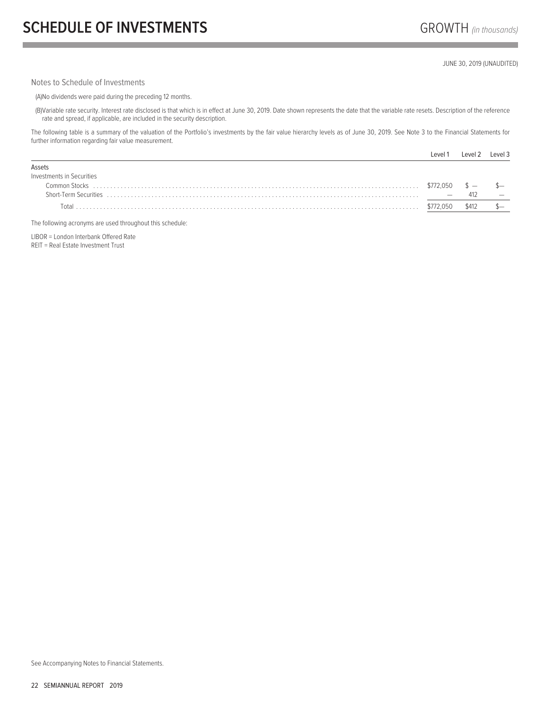Notes to Schedule of Investments

(A)No dividends were paid during the preceding 12 months.

(B)Variable rate security. Interest rate disclosed is that which is in effect at June 30, 2019. Date shown represents the date that the variable rate resets. Description of the reference rate and spread, if applicable, are included in the security description.

The following table is a summary of the valuation of the Portfolio's investments by the fair value hierarchy levels as of June 30, 2019. See Note 3 to the Financial Statements for further information regarding fair value measurement.

|                           | Level     | evel 2 | Level 3 |
|---------------------------|-----------|--------|---------|
| Assets                    |           |        |         |
| Investments in Securities |           |        |         |
| Common Stocks             | \$772.050 |        |         |
|                           |           |        |         |
|                           | \$772.050 | \$412  |         |

The following acronyms are used throughout this schedule:

LIBOR = London Interbank Offered Rate REIT = Real Estate Investment Trust

See Accompanying Notes to Financial Statements.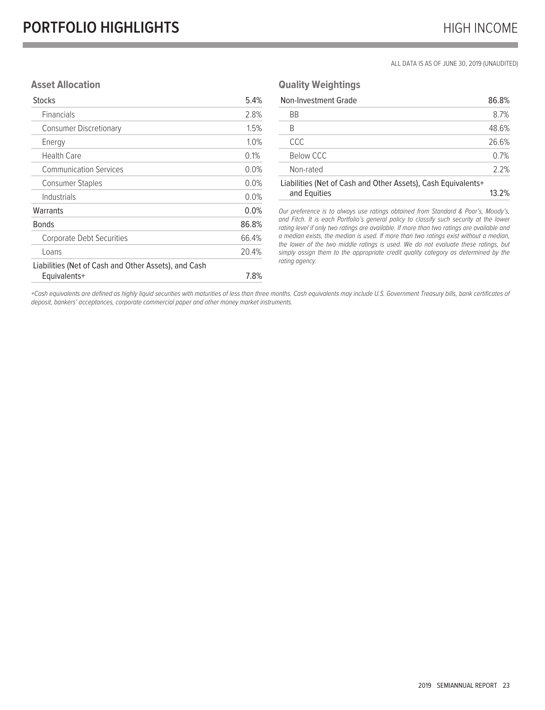#### **Asset Allocation**

| <b>Stocks</b>                                                        | 5.4%    |
|----------------------------------------------------------------------|---------|
| <b>Financials</b>                                                    | 2.8%    |
| <b>Consumer Discretionary</b>                                        | 1.5%    |
| Energy                                                               | 1.0%    |
| Health Care                                                          | 0.1%    |
| <b>Communication Services</b>                                        | 0.0%    |
| Consumer Staples                                                     | $0.0\%$ |
| Industrials                                                          | 0.0%    |
| Warrants                                                             | 0.0%    |
| <b>Bonds</b>                                                         | 86.8%   |
| <b>Corporate Debt Securities</b>                                     | 66.4%   |
| Loans                                                                | 20.4%   |
| Liabilities (Net of Cash and Other Assets), and Cash<br>Equivalents+ | 7.8%    |

### **Quality Weightings**

| Non-Investment Grade                                          | 86.8% |
|---------------------------------------------------------------|-------|
| <b>BB</b>                                                     | 8.7%  |
| В                                                             | 48.6% |
| CCC                                                           | 26.6% |
| Below CCC                                                     | 0.7%  |
| Non-rated                                                     | 22%   |
| Liabilities (Net of Cash and Other Assets), Cash Equivalents+ |       |
| and Equities                                                  | 13.2% |

Our preference is to always use ratings obtained from Standard & Poor's, Moody's, and Fitch. It is each Portfolio's general policy to classify such security at the lower rating level if only two ratings are available. If more than two ratings are available and a median exists, the median is used. If more than two ratings exist without a median, the lower of the two middle ratings is used. We do not evaluate these ratings, but simply assign them to the appropriate credit quality category as determined by the rating agency.

+Cash equivalents are defined as highly liquid securities with maturities of less than three months. Cash equivalents may include U.S. Government Treasury bills, bank certificates of deposit, bankers' acceptances, corporate commercial paper and other money market instruments.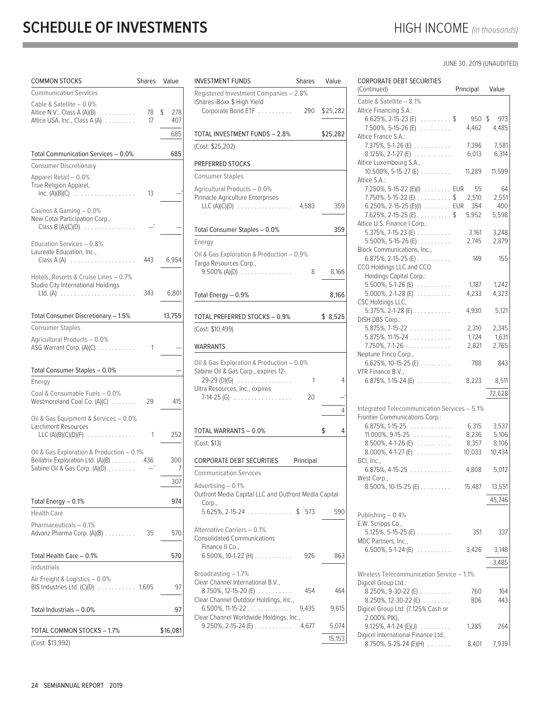# **SCHEDULE OF INVESTMENTS** HIGH INCOME (in thousands)

| <b>COMMON STOCKS</b>                                                                                            | Shares         | Value            |
|-----------------------------------------------------------------------------------------------------------------|----------------|------------------|
| <b>Communication Services</b>                                                                                   |                |                  |
| Cable & Satellite - 0.0%<br>Altice N.V., Class A (A)(B)<br>Altice USA, Inc., Class A (A)                        | 78<br>17       | \$<br>278<br>407 |
|                                                                                                                 |                | 685              |
| Total Communication Services - 0.0%                                                                             |                | 685              |
| <b>Consumer Discretionary</b>                                                                                   |                |                  |
| Apparel Retail - 0.0%<br>True Religion Apparel,<br>Inc. $(A)(B)(C)$                                             | 13             |                  |
| Casinos & Gaming - 0.0%<br>New Cotai Participation Corp.,<br>Class B $(A)(C)(D)$                                |                |                  |
| Education Services - 0.8%<br>Laureate Education, Inc.,<br>$Class A(A) \dots \dots$                              | 443            | 6,954            |
| Hotels, Resorts & Cruise Lines - 0.7%<br>Studio City International Holdings<br>Ltd. (A)                         | 343            | 6,801            |
| Total Consumer Discretionary - 1.5%                                                                             |                | 13,755           |
| <b>Consumer Staples</b>                                                                                         |                |                  |
| Agricultural Products - 0.0%<br>ASG Warrant Corp. $(A)(C)$                                                      | 1              |                  |
| Total Consumer Staples - 0.0%                                                                                   |                |                  |
| Energy                                                                                                          |                |                  |
| Coal & Consumable Fuels - 0.0%<br>Westmoreland Coal Co. (A)(C)                                                  | 29             | 415              |
| Oil & Gas Equipment & Services - 0.0%<br>Larchmont Resources<br>LLC (A)(B)(C)(D)(F)                             | 1              | 252              |
| Oil & Gas Exploration & Production - 0.1%<br>Bellatrix Exploration Ltd. (A)(B)<br>Sabine Oil & Gas Corp. (A)(D) | 436            | 300<br>7         |
|                                                                                                                 |                | 307              |
| Total Energy — 0.1%                                                                                             |                | 974              |
| <b>Health Care</b>                                                                                              |                |                  |
| Pharmaceuticals - 0.1%<br>Advanz Pharma Corp. (A)(B)                                                            | 35             | 570              |
| Total Health Care — 0.1%                                                                                        |                | 570              |
| Industrials                                                                                                     |                |                  |
| Air Freight & Logistics — 0.0%<br>BIS Industries Ltd. (C)(D)                                                    | $\ldots$ 1,605 | 97               |
| Total Industrials - 0.0%                                                                                        |                | 97               |
| TOTAL COMMON STOCKS – 1.7%                                                                                      |                | \$16,081         |

(Cost: \$13,992)

| <b>INVESTMENT FUNDS</b>                                                                  | Shares    | Value    |
|------------------------------------------------------------------------------------------|-----------|----------|
| Registered Investment Companies - 2.8%                                                   |           |          |
| iShares iBoxx \$ High Yield<br>Corporate Bond ETF                                        | 290       | \$25,282 |
| TOTAL INVESTMENT FUNDS - 2.8%                                                            |           | \$25,282 |
| (Cost: \$25,202)                                                                         |           |          |
| PREFERRED STOCKS                                                                         |           |          |
| <b>Consumer Staples</b>                                                                  |           |          |
| Agricultural Products - 0.0%<br>Pinnacle Agriculture Enterprises<br>$LLC (A)(C)(D)$      | 4,583     | 359      |
| Total Consumer Staples - 0.0%                                                            |           | 359      |
| Energy                                                                                   |           |          |
| Oil & Gas Exploration & Production - 0.9%<br>Targa Resources Corp.,<br>$9.500\%$ (A)(D)  | 8         | 8,166    |
|                                                                                          |           |          |
| Total Energy - 0.9%                                                                      |           | 8,166    |
| TOTAL PREFERRED STOCKS - 0.9%                                                            |           | \$8,525  |
| (Cost: \$10,499)                                                                         |           |          |
| <b>WARRANTS</b>                                                                          |           |          |
| Oil & Gas Exploration & Production - 0.0%                                                |           |          |
| Sabine Oil & Gas Corp., expires 12-<br>29-29 (D)(G)                                      | 1         | 4        |
| Ultra Resources, Inc., expires<br>$7 - 14 - 25$ (G) $\ldots \ldots \ldots \ldots \ldots$ | 20        |          |
|                                                                                          |           | 4        |
|                                                                                          |           |          |
| TOTAL WARRANTS - 0.0%                                                                    |           | \$<br>4  |
| (Cost: \$13)                                                                             |           |          |
| <b>CORPORATE DEBT SECURITIES</b>                                                         | Principal |          |
| <b>Communication Services</b>                                                            |           |          |
| Advertising — 0.1%<br>Outfront Media Capital LLC and Outfront Media Capital<br>Corp.,    |           |          |
| $5.625\%$ , 2-15-24 \$                                                                   | 573       | 590      |
| Alternative Carriers - 0.1%<br><b>Consolidated Communications</b><br>Finance II Co.,     |           |          |
| 6.500%, 10-1-22 (H) $\dots\dots\dots\dots$                                               | 926       | 863      |
| Broadcasting - 1.7%<br>Clear Channel International B.V.,                                 |           |          |
| $8.750\%$ , 12-15-20 (E) $\ldots \ldots \ldots$<br>Clear Channel Outdoor Holdings, Inc., | 454       | 464      |
| $6.500\%$ , 11-15-22<br>Clear Channel Worldwide Holdings, Inc.,                          | 9,435     | 9,615    |
| $9.250\%$ , 2-15-24 (E)                                                                  | 4,677     | 5,074    |
|                                                                                          |           | 15,153   |

#### JUNE 30, 2019 (UNAUDITED)

m.

| <b>CORPORATE DEBT SECURITIES</b><br>(Continued) | Principal | Value     |
|-------------------------------------------------|-----------|-----------|
| Cable & Satellite - 8.1%                        |           |           |
|                                                 |           |           |
| Altice Financing S.A.:                          |           |           |
| 6.625%, 2-15-23 (E) $\ldots \ldots$ \$          | 950       | \$<br>973 |
| 7.500%, 5-15-26 (E) $\ldots$                    | 4,462     | 4,485     |
| Altice France S.A.:                             |           |           |
| $7.375\%$ , 5-1-26 (E)                          | 7,396     | 7,581     |
| 8.125%, 2-1-27 (E) $\ldots$                     | 6,013     | 6,314     |
| Altice Luxembourg S.A.,                         |           |           |
| 10.500%, 5-15-27 (E) $\ldots$                   | 11,289    | 11,599    |
| Altice S.A.:                                    |           |           |
| 7.250%, 5-15-22 (E)(I) EUR                      | 55        | 64        |
| 7.750%, 5-15-22 (E) $\ldots \ldots \ldots$ \$   | 2,510     | 2,551     |
| 6.250%, 2-15-25 (E)(I) $\ldots \ldots$ EUR      | 354       |           |
|                                                 |           | 400       |
| 7.625%, 2-15-25 (E) $\ldots \ldots$ \$          | 5,952     | 5,598     |
| Altice U.S. Finance I Corp.:                    |           |           |
| 5.375%, 7-15-23 (E) $\ldots$                    | 3,161     | 3,248     |
| 5.500%, 5-15-26 (E) $\ldots$                    | 2,745     | 2,879     |
| Block Communications, Inc.,                     |           |           |
| 6.875%, 2-15-25 (E)                             | 149       | 155       |
| CCO Holdings LLC and CCO                        |           |           |
| Holdings Capital Corp.:                         |           |           |
| $5.500\%$ , 5-1-26 (E) $\ldots \ldots \ldots$   | 1,187     | 1,242     |
|                                                 |           |           |
| $5.000\%$ , 2-1-28 (E) $\ldots \ldots \ldots$   | 4,233     | 4,323     |
| CSC Holdings LLC,                               |           |           |
| 5.375%, 2-1-28 (E) $\ldots$                     | 4,930     | 5,121     |
| DISH DBS Corp.:                                 |           |           |
| $5.875\%, 7-15-22 \dots \dots \dots$            | 2,310     | 2,345     |
| $5.875\%$ , 11-15-24                            | 1.724     | 1,631     |
| $7.750\%$ , $7-1-26$                            | 2,821     | 2,765     |
| Neptune Finco Corp.,                            |           |           |
| 6.625%, 10-15-25 (E) $\ldots$                   | 788       | 843       |
|                                                 |           |           |
| VTR Finance B.V.,                               |           |           |
| 6.875%, 1-15-24 (E) $\ldots$                    | 8,223     | 8,511     |
|                                                 |           | 72,628    |
|                                                 |           |           |
| Integrated Telecommunication Services - 5.1%    |           |           |
| Frontier Communications Corp.:                  |           |           |
| $6.875\%$ , 1-15-25                             | 6,315     | 3,537     |
| $11.000\%$ , 9-15-25                            | 8,236     | 5,106     |
| $8.500\%$ , 4-1-26 (E) $\ldots \ldots \ldots$   | 8,357     | 8,106     |
|                                                 |           |           |
| $8.000\%$ , 4-1-27 (E) $\ldots \ldots \ldots$   | 10,033    | 10,434    |
| GCI, Inc.,                                      |           |           |
| $6.875\%$ , 4-15-25                             | 4,808     | 5,012     |
| West Corp.,                                     |           |           |
| $8.500\%$ , 10-15-25 (E)                        | 15,487    | 13,551    |
|                                                 |           |           |
|                                                 |           | 45,746    |
|                                                 |           |           |
| Publishing $-0.4%$                              |           |           |
| E.W. Scripps Co.,                               |           |           |
| 5.125%, 5-15-25 (E) $\ldots \ldots$             | 351       | 337       |
| MDC Partners, Inc.,                             |           |           |
| $6.500\%$ , 5-1-24 (E) $\ldots \ldots \ldots$   | 3,426     | 3,148     |
|                                                 |           |           |
|                                                 |           | 3,485     |
| Wireless Telecommunication Service - 1.1%       |           |           |
| Digicel Group Ltd.:                             |           |           |
| 8.250%, $9-30-22$ (E) $\ldots$                  | 760       | 164       |
| 8.250%, 12-30-22 (E) $\ldots \ldots$            |           |           |
|                                                 | 806       | 443       |
| Digicel Group Ltd. (7.125% Cash or              |           |           |
| 2.000% PIK),                                    |           |           |
| $9.125\%$ , 4-1-24 (E)(J)                       | 1,285     | 264       |
| Digicel International Finance Ltd.,             |           |           |
| 8.750%, 5-25-24 (E)(H) $\ldots \ldots$          | 8,401     | 7,939     |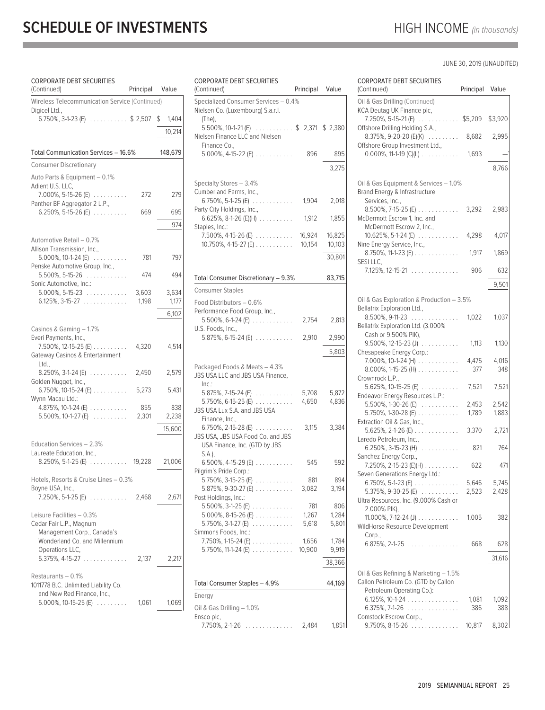### **SCHEDULE OF INVESTMENTS** HIGH INCOME (in thousands)

#### JUNE 30, 2019 (UNAUDITED)

e e

| <b>CORPORATE DEBT SECURITIES</b><br>(Continued)                                                 | Principal Value |                |
|-------------------------------------------------------------------------------------------------|-----------------|----------------|
| Wireless Telecommunication Service (Continued)                                                  |                 |                |
| Digicel Ltd.,<br>6.750%, 3-1-23 (E) $\ldots \ldots \ldots$ \$ 2,507                             |                 | \$<br>1,404    |
|                                                                                                 |                 | 10,214         |
|                                                                                                 |                 |                |
| Total Communication Services - 16.6%                                                            |                 | 148,679        |
| <b>Consumer Discretionary</b>                                                                   |                 |                |
| Auto Parts & Equipment - 0.1%                                                                   |                 |                |
| Adient U.S. LLC,<br>7.000%, 5-15-26 (E) $\ldots \ldots \ldots$<br>Panther BF Aggregator 2 L.P., | 272             | 279            |
| 6.250%, 5-15-26 (E) $\ldots \ldots \ldots$                                                      | 669             | 695            |
|                                                                                                 |                 | 974            |
| Automotive Retail - 0.7%                                                                        |                 |                |
| Allison Transmission, Inc.,                                                                     |                 |                |
| $5.000\%$ , 10-1-24 (E) $\ldots \ldots \ldots$<br>Penske Automotive Group, Inc.,                | 781             | 797            |
| $5.500\%$ , 5-15-26                                                                             | 474             | 494            |
| Sonic Automotive, Inc.:<br>$5.000\%$ , 5-15-23                                                  | 3,603           |                |
| $6.125\%$ , $3-15-27$                                                                           | 1,198           | 3,634<br>1,177 |
|                                                                                                 |                 | 6,102          |
| Casinos & Gaming - 1.7%                                                                         |                 |                |
| Everi Payments, Inc.,                                                                           |                 |                |
| $7.500\%$ , 12-15-25 (E)<br>Gateway Casinos & Entertainment                                     | 4,320           | 4,514          |
| Ltd.,                                                                                           |                 |                |
| $8.250\%$ , 3-1-24 (E) $\ldots \ldots \ldots$                                                   | 2,450           | 2,579          |
| Golden Nugget, Inc.,<br>$6.750\%$ , 10-15-24 (E) $\ldots \ldots \ldots$                         | 5,273           | 5,431          |
| Wynn Macau Ltd.:                                                                                |                 |                |
| 4.875%, 10-1-24 (E) $\ldots$<br>5.500%, 10-1-27 (E) $\ldots \ldots$                             | 855<br>2,301    | 838<br>2,238   |
|                                                                                                 |                 | 15,600         |
| Education Services - 2.3%                                                                       |                 |                |
| Laureate Education, Inc.,                                                                       |                 |                |
| $8.250\%$ , 5-1-25 (E) $\ldots$                                                                 | 19,228          | 21,006         |
| Hotels, Resorts & Cruise Lines - 0.3%                                                           |                 |                |
| Boyne USA, Inc.,                                                                                |                 |                |
| 7.250%, 5-1-25 (E)                                                                              | 2,468           | 2,671          |
| Leisure Facilities - 0.3%                                                                       |                 |                |
| Cedar Fair L.P., Magnum<br>Management Corp., Canada's                                           |                 |                |
| Wonderland Co. and Millennium                                                                   |                 |                |
| Operations LLC,<br>$5.375\%$ , 4-15-27                                                          | 2,137           | 2,217          |
|                                                                                                 |                 |                |
| Restaurants - 0.1%<br>1011778 B.C. Unlimited Liability Co.                                      |                 |                |
| and New Red Finance, Inc.,                                                                      |                 |                |
| $5.000\%$ , 10-15-25 (E) $\ldots \ldots$                                                        | 1,061           | 1,069          |

| <b>CORPORATE DEBT SECURITIES</b><br>(Continued)                                                                                 | Principal             | Value                 |
|---------------------------------------------------------------------------------------------------------------------------------|-----------------------|-----------------------|
| Specialized Consumer Services - 0.4%<br>Nielsen Co. (Luxembourg) S.a.r.l.<br>(The),                                             |                       |                       |
| $5.500\%$ , 10-1-21 (E) $\ldots$ $\ldots$ $\frac{1}{5}$ 2.371 \$ 2.380<br>Nielsen Finance LLC and Nielsen<br>Finance Co.,       |                       |                       |
| 5.000%, 4-15-22 (E) $\ldots$                                                                                                    | 896                   | 895                   |
|                                                                                                                                 |                       | 3,275                 |
| Specialty Stores - 3.4%<br>Cumberland Farms, Inc.,<br>6.750%, 5-1-25 (E) $\ldots \ldots \ldots$                                 | 1,904                 | 2,018                 |
| Party City Holdings, Inc.,<br>6.625%, 8-1-26 (E)(H) $\ldots \ldots \ldots$                                                      | 1,912                 | 1,855                 |
| Staples, Inc.:<br>$7.500\%$ , 4-15-26 (E)                                                                                       | 16,924                | 16,825                |
| $10.750\%$ , 4-15-27 (E)                                                                                                        | 10,154                | 10,103<br>30,801      |
| Total Consumer Discretionary - 9.3%                                                                                             |                       | 83,715                |
| <b>Consumer Staples</b>                                                                                                         |                       |                       |
| Food Distributors - 0.6%<br>Performance Food Group, Inc.,<br>5.500%, 6-1-24 (E) $\ldots \ldots \ldots$                          | 2,754                 | 2,813                 |
| U.S. Foods, Inc.,<br>5.875%, 6-15-24 (E) $\ldots \ldots \ldots$                                                                 | 2,910                 | 2,990                 |
|                                                                                                                                 |                       | 5,803                 |
| Packaged Foods & Meats - 4.3%<br>JBS USA LLC and JBS USA Finance,                                                               |                       |                       |
| Inc.<br>5.875%, 7-15-24 (E) $\ldots \ldots \ldots$<br>$5.750\%$ , 6-15-25 (E)<br>JBS USA Lux S.A. and JBS USA<br>Finance, Inc., | 5,708<br>4,650        | 5,872<br>4,836        |
| 6.750%, 2-15-28 (E) $\ldots \ldots \ldots$<br>JBS USA, JBS USA Food Co. and JBS<br>USA Finance, Inc. (GTD by JBS                | 3,115                 | 3,384                 |
| S.A.).<br>6.500%, 4-15-29 (E) $\ldots \ldots \ldots$<br>Pilgrim's Pride Corp.:                                                  | 545                   | 592                   |
| $5.750\%$ , $3-15-25$ (E)<br>5.875%, 9-30-27 (E) $\ldots \ldots \ldots$<br>Post Holdings, Inc.:                                 | 881<br>3,082          | 894<br>3,194          |
| $5.500\%$ , $3-1-25$ (E)<br>$5.000\%$ , 8-15-26 (E)<br>5.750%, 3-1-27 (E)<br>.                                                  | 781<br>1,267<br>5,618 | 806<br>1,284<br>5,801 |
| Simmons Foods, Inc.:                                                                                                            |                       |                       |
| $7.750\%$ , 1-15-24 (E)<br>$5.750\%$ , 11-1-24 (E)                                                                              | 1,656<br>10,900       | 1,784<br>9,919        |
|                                                                                                                                 |                       | 38,366                |
| Total Consumer Staples - 4.9%                                                                                                   |                       | 44,169                |
| Energy                                                                                                                          |                       |                       |
| Oil & Gas Drilling - 1.0%<br>Ensco plc,<br>7.750%, 2-1-26<br>.                                                                  | 2,484                 | 1,851                 |

| <b>CORPORATE DEBT SECURITIES</b><br>(Continued)                      | Principal | Value   |
|----------------------------------------------------------------------|-----------|---------|
| Oil & Gas Drilling (Continued)                                       |           |         |
| KCA Deutag UK Finance plc,                                           |           |         |
| $7.250\%$ , 5-15-21 (E)                                              | \$5,209   | \$3,920 |
| Offshore Drilling Holding S.A.,<br>8.375%, $9-20-20$ (E)(K)          | 8,682     | 2,995   |
| Offshore Group Investment Ltd.,                                      |           |         |
| $0.000\%$ , 11-1-19 (C)(L)                                           | 1,693     |         |
|                                                                      |           |         |
|                                                                      |           | 8,766   |
| Oil & Gas Equipment & Services - 1.0%                                |           |         |
| Brand Energy & Infrastructure                                        |           |         |
| Services, Inc.,<br>8.500%, 7-15-25 (E) $\ldots \ldots \ldots$        | 3,292     | 2,983   |
| McDermott Escrow 1, Inc. and                                         |           |         |
| McDermott Escrow 2, Inc.,                                            |           |         |
| 10.625%, 5-1-24 (E) $\ldots \ldots \ldots$                           | 4,298     | 4,017   |
| Nine Energy Service, Inc.,                                           |           |         |
| $8.750\%$ , 11-1-23 (E)<br>SESI LLC,                                 | 1,917     | 1,869   |
| 7.125%, 12-15-21                                                     | 906       | 632     |
|                                                                      |           |         |
|                                                                      |           | 9,501   |
| Oil & Gas Exploration & Production - 3.5%                            |           |         |
| Bellatrix Exploration Ltd.,                                          |           |         |
| $8.500\%$ , 9-11-23<br>Bellatrix Exploration Ltd. (3.000%            | 1,022     | 1,037   |
| Cash or 9.500% PIK),                                                 |           |         |
| $9.500\%$ , 12-15-23 (J)                                             | 1,113     | 1,130   |
| Chesapeake Energy Corp.:                                             |           |         |
| 7.000%, 10-1-24 (H)                                                  | 4,475     | 4,016   |
| $8.000\%$ , 1-15-25 (H) $\ldots \ldots \ldots$                       | 377       | 348     |
| Crownrock L.P.,<br>$5.625\%$ , 10-15-25 (E)                          | 7,521     | 7,521   |
| Endeavor Energy Resources L.P.:                                      |           |         |
| 5.500%, 1-30-26 (E) $\ldots \ldots \ldots$                           | 2,453     | 2,542   |
| 5.750%, 1-30-28 (E) $\ldots$                                         | 1,789     | 1,883   |
| Extraction Oil & Gas, Inc.,                                          |           |         |
| 5.625%, 2-1-26 (E) $\ldots$<br>Laredo Petroleum, Inc.,               | 3,370     | 2,721   |
| 6.250%, 3-15-23 (H) $\ldots \ldots \ldots$                           | 821       | 764     |
| Sanchez Energy Corp.,                                                |           |         |
| 7.250%, 2-15-23 (E)(H) $\ldots \ldots \ldots$                        | 622       | 471     |
| Seven Generations Energy Ltd.:                                       |           |         |
| 6.750%, 5-1-23 (E) $\ldots \ldots \ldots$<br>$5.375\%$ , 9-30-25 (E) | 5,646     | 5,745   |
| Ultra Resources, Inc. (9.000% Cash or                                | 2,523     | 2,428   |
| 2.000% PIK),                                                         |           |         |
| 11.000%, 7-12-24 (J) $\ldots \ldots \ldots$                          | 1,005     | 382     |
| WildHorse Resource Development                                       |           |         |
| Corp.,                                                               |           |         |
| 6.875%, 2-1-25<br>.                                                  | 668       | 628     |
|                                                                      |           | 31,616  |
| Oil & Gas Refining & Marketing - 1.5%                                |           |         |
| Callon Petroleum Co. (GTD by Callon                                  |           |         |
| Petroleum Operating Co.):                                            |           |         |
| $6.125\%$ , 10-1-24                                                  | 1,081     | 1,092   |
| $6.375\%$ , 7-1-26 $\dots\dots\dots\dots\dots\dots$                  | 386       | 388     |
| Comstock Escrow Corp.,                                               |           |         |
| $9.750\%$ , $8-15-26$                                                | 10,817    | 8,302   |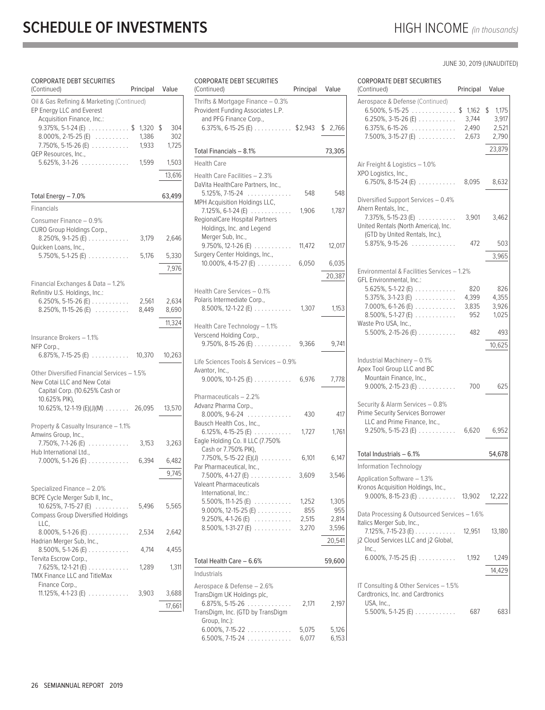٠

| <b>CORPORATE DEBT SECURITIES</b><br>(Continued)                                                                                                                                                                       | Principal               | Value                     |
|-----------------------------------------------------------------------------------------------------------------------------------------------------------------------------------------------------------------------|-------------------------|---------------------------|
| Oil & Gas Refining & Marketing (Continued)<br>EP Energy LLC and Everest<br>Acquisition Finance, Inc.:<br>$9.375\%$ , 5-1-24 (E) \$<br>8.000%, 2-15-25 (E) $\ldots$<br>$7.750\%$ , 5-15-26 (E)<br>QEP Resources, Inc., | 1,320<br>1.386<br>1,933 | \$<br>304<br>302<br>1,725 |
| $5.625\%$ , $3-1-26$                                                                                                                                                                                                  | 1,599                   | 1,503<br>13,616           |
| Total Energy - 7.0%                                                                                                                                                                                                   |                         | 63,499                    |
| Financials                                                                                                                                                                                                            |                         |                           |
| Consumer Finance - 0.9%<br>CURO Group Holdings Corp.,                                                                                                                                                                 |                         |                           |
| $8.250\%$ , 9-1-25 (E)<br>Quicken Loans, Inc.,                                                                                                                                                                        | 3,179                   | 2,646                     |
| 5.750%, 5-1-25 (E) $\ldots$                                                                                                                                                                                           | 5,176                   | 5,330                     |
|                                                                                                                                                                                                                       |                         | 7,976                     |
| Financial Exchanges & Data - 1.2%<br>Refinitiv U.S. Holdings, Inc.:                                                                                                                                                   |                         |                           |
| 6.250%, 5-15-26 (E)                                                                                                                                                                                                   | 2,561                   | 2,634                     |
| $8.250\%$ , 11-15-26 (E) $\ldots \ldots \ldots$                                                                                                                                                                       | 8,449                   | 8,690                     |
|                                                                                                                                                                                                                       |                         | 11,324                    |
| Insurance Brokers - 1.1%<br>NFP Corp.,<br>6.875%, 7-15-25 (E) $\ldots \ldots \ldots$                                                                                                                                  | 10,370                  | 10,263                    |
|                                                                                                                                                                                                                       |                         |                           |
| Other Diversified Financial Services - 1.5%<br>New Cotai LLC and New Cotai<br>Capital Corp. (10.625% Cash or<br>10.625% PIK),                                                                                         |                         |                           |
| $10.625\%$ , 12-1-19 (E)(J)(M) $\ldots \ldots$                                                                                                                                                                        | 26,095                  | 13,570                    |
| Property & Casualty Insurance - 1.1%<br>Amwins Group, Inc.,                                                                                                                                                           |                         |                           |
| 7.750%, 7-1-26 (E)<br>Hub International Ltd.,                                                                                                                                                                         | 3,153                   | 3,263                     |
| 7.000%, 5-1-26 (E)                                                                                                                                                                                                    | 6,394                   | 6,482                     |
|                                                                                                                                                                                                                       |                         | 9,745                     |
| Specialized Finance - 2.0%                                                                                                                                                                                            |                         |                           |
| BCPE Cycle Merger Sub II, Inc.,<br>$10.625\%$ , 7-15-27 (E) $\ldots \ldots$<br><b>Compass Group Diversified Holdings</b><br>LLC,                                                                                      | 5,496                   | 5,565                     |
| $8.000\%$ , 5-1-26 (E)                                                                                                                                                                                                | 2,534                   | 2,642                     |
| Hadrian Merger Sub, Inc.,<br>$8.500\%$ , 5-1-26 (E)<br>Tervita Escrow Corp.,                                                                                                                                          | 4,714                   | 4,455                     |
| $7.625\%$ , 12-1-21 (E)<br>TMX Finance LLC and TitleMax                                                                                                                                                               | 1,289                   | 1,311                     |
| Finance Corp.,<br>11.125%, 4-1-23 (E) $\ldots \ldots \ldots$                                                                                                                                                          | 3,903                   | 3,688                     |
|                                                                                                                                                                                                                       |                         | 17,661                    |
|                                                                                                                                                                                                                       |                         |                           |

| <b>CORPORATE DEBT SECURITIES</b><br>(Continued)                                                                                                   | Principal      | Value          |
|---------------------------------------------------------------------------------------------------------------------------------------------------|----------------|----------------|
| Thrifts & Mortgage Finance - 0.3%<br>Provident Funding Associates L.P.<br>and PFG Finance Corp.,<br>6.375%, 6-15-25 (E) $\ldots$ \$2,943 \$ 2,766 |                |                |
|                                                                                                                                                   |                |                |
| Total Financials - 8.1%                                                                                                                           |                | 73,305         |
| <b>Health Care</b>                                                                                                                                |                |                |
| Health Care Facilities - 2.3%<br>DaVita HealthCare Partners, Inc.,<br>$5.125\%$ , 7-15-24                                                         | 548            | 548            |
| MPH Acquisition Holdings LLC,<br>$7.125\%$ , 6-1-24 (E)                                                                                           | 1,906          | 1,787          |
| RegionalCare Hospital Partners<br>Holdings, Inc. and Legend<br>Merger Sub, Inc.,                                                                  |                |                |
| $9.750\%$ , 12-1-26 (E) $\ldots \ldots \ldots$<br>Surgery Center Holdings, Inc.,                                                                  | 11,472         | 12,017         |
| $10.000\%$ , 4-15-27 (E)                                                                                                                          | 6,050          | 6,035          |
|                                                                                                                                                   |                | 20,387         |
| Health Care Services - 0.1%<br>Polaris Intermediate Corp.,                                                                                        |                |                |
| 8.500%, 12-1-22 (E) $\ldots \ldots \ldots$                                                                                                        | 1,307          | 1,153          |
| Health Care Technology - 1.1%<br>Verscend Holding Corp.,                                                                                          |                |                |
| $9.750\%$ , 8-15-26 (E)                                                                                                                           | 9,366          | 9,741          |
| Life Sciences Tools & Services - 0.9%                                                                                                             |                |                |
| Avantor, Inc.,<br>$9.000\%$ , 10-1-25 (E) $\ldots \ldots \ldots$                                                                                  | 6,976          | 7,778          |
| Pharmaceuticals - 2.2%                                                                                                                            |                |                |
| Advanz Pharma Corp.,<br>$8.000\%$ , 9-6-24<br>Bausch Health Cos., Inc.,                                                                           | 430            | 417            |
| 6.125%, 4-15-25 (E) $\ldots$<br>Eagle Holding Co. II LLC (7.750%<br>Cash or 7.750% PIK),                                                          | 1,727          | 1,761          |
| $7.750\%$ , 5-15-22 (E)(J)<br>Par Pharmaceutical, Inc.,                                                                                           | 6,101          | 6,147          |
| $7.500\%$ , 4-1-27 (E)<br><b>Valeant Pharmaceuticals</b>                                                                                          | 3.609          | 3,546          |
| International, Inc.:<br>5.500%, 11-1-25 (E)<br>.                                                                                                  | 1,252          | 1,305          |
| $9.000\%$ , 12-15-25 (E)                                                                                                                          | 855            | 955            |
| $9.250\%$ , 4-1-26 (E)<br>$8.500\%$ , 1-31-27 (E)                                                                                                 | 2,515<br>3,270 | 2,814<br>3,596 |
|                                                                                                                                                   |                | 20,541         |
| Total Health Care - 6.6%                                                                                                                          |                | 59,600         |
| Industrials                                                                                                                                       |                |                |
| Aerospace & Defense - 2.6%<br>TransDigm UK Holdings plc,<br>$6.875\%$ , 5-15-26 $\dots\dots\dots\dots\dots$<br>TransDigm, Inc. (GTD by TransDigm  | 2,171          | 2,197          |
| Group, Inc.):<br>$6.000\%$ , 7-15-22<br>$6.500\%$ , 7-15-24                                                                                       | 5,075<br>6,077 | 5,126<br>6,153 |

| <b>CORPORATE DEBT SECURITIES</b><br>(Continued)                                                                                                                                                                              | Principal                          | Value                                            |
|------------------------------------------------------------------------------------------------------------------------------------------------------------------------------------------------------------------------------|------------------------------------|--------------------------------------------------|
| Aerospace & Defense (Continued)<br>$6.500\%$ , 5-15-25<br>6.250%, $3-15-26$ (E)<br>$6.375\%$ , $6-15-26$<br>$7.500\%$ , 3-15-27 (E) $\ldots \ldots \ldots$                                                                   | \$1,162<br>3,744<br>2,490<br>2,673 | \$<br>1,175<br>3,917<br>2,521<br>2,790<br>23,879 |
| Air Freight & Logistics - 1.0%<br>XPO Logistics, Inc.,<br>6.750%, 8-15-24 (E) $\ldots \ldots \ldots$                                                                                                                         | 8,095                              | 8,632                                            |
| Diversified Support Services - 0.4%<br>Ahern Rentals, Inc.,<br>$7.375\%$ , 5-15-23 (E)<br>United Rentals (North America), Inc.                                                                                               | 3,901                              | 3,462                                            |
| (GTD by United Rentals, Inc.),<br>$5.875\%$ , 9-15-26                                                                                                                                                                        | 472                                | 503<br>3,965                                     |
| Environmental & Facilities Services - 1.2%                                                                                                                                                                                   |                                    |                                                  |
| <b>GFL Environmental, Inc.:</b><br>5.625%, 5-1-22 (E) $\ldots$<br>5.375%, 3-1-23 (E) $\ldots$<br>$7.000\%$ , 6-1-26 (E)<br>8.500%, 5-1-27 (E) $\ldots \ldots \ldots$<br>Waste Pro USA, Inc.,<br>5.500%, 2-15-26 (E) $\ldots$ | 820<br>4,399<br>3,835<br>952       | 826<br>4,355<br>3,926<br>1,025<br>493            |
|                                                                                                                                                                                                                              | 482                                | 10,625                                           |
| Industrial Machinery - 0.1%<br>Apex Tool Group LLC and BC<br>Mountain Finance, Inc.,<br>$9.000\%$ , 2-15-23 (E)<br>Security & Alarm Services - 0.8%<br>Prime Security Services Borrower<br>LLC and Prime Finance, Inc.,      | 700                                | 625                                              |
| $9.250\%$ , 5-15-23 (E)                                                                                                                                                                                                      | 6,620                              | 6,952                                            |
| Total Industrials - 6.1%                                                                                                                                                                                                     |                                    | 54,678                                           |
| <b>Information Technology</b>                                                                                                                                                                                                |                                    |                                                  |
| Application Software - 1.3%<br>Kronos Acquisition Holdings, Inc.,<br>$9.000\%$ , $8-15-23$ (E) $\ldots \ldots \ldots 13,902$                                                                                                 |                                    | 12,222                                           |
| Data Processing & Outsourced Services - 1.6%<br>Italics Merger Sub, Inc.,<br>$7.125\%$ , $7-15-23$ (E)<br>j2 Cloud Services LLC and j2 Global,                                                                               | 12,951                             | 13,180                                           |
| Inc.,<br>6.000%, 7-15-25 (E) $\ldots \ldots \ldots$                                                                                                                                                                          | 1,192                              | 1,249<br>14,429                                  |
| IT Consulting & Other Services - 1.5%<br>Cardtronics, Inc. and Cardtronics                                                                                                                                                   |                                    |                                                  |
| USA, Inc.,<br>5.500%, 5-1-25 (E) $\ldots \ldots \ldots$                                                                                                                                                                      | 687                                | 683                                              |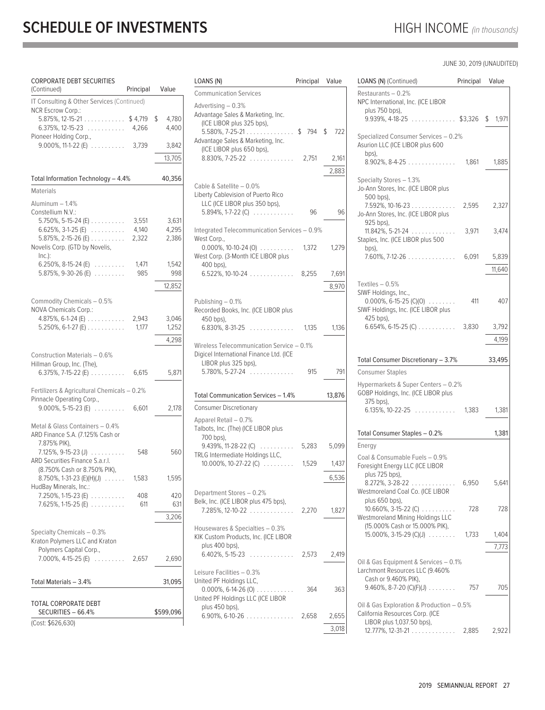### **SCHEDULE OF INVESTMENTS** HIGH INCOME (in thousands)

#### JUNE 30, 2019 (UNAUDITED)

| <b>CORPORATE DEBT SECURITIES</b><br>(Continued)                                                                        | Principal        | Value                |
|------------------------------------------------------------------------------------------------------------------------|------------------|----------------------|
| IT Consulting & Other Services (Continued)<br><b>NCR Escrow Corp.:</b><br>$5.875\%$ , 12-15-21<br>$6.375\%$ , 12-15-23 | \$4,719<br>4.266 | \$<br>4,780<br>4,400 |
| Pioneer Holding Corp.,<br>$9.000\%$ , 11-1-22 (E)                                                                      | 3,739            | 3,842                |
|                                                                                                                        |                  | 13,705               |
| Total Information Technology - 4.4%                                                                                    |                  | 40,356               |
| <b>Materials</b>                                                                                                       |                  |                      |
| Aluminum - 1.4%                                                                                                        |                  |                      |
| Constellium N.V.:<br>$5.750\%$ , 5-15-24 (E)<br>6.625%, 3-1-25 (E) $\ldots$                                            | 3,551<br>4,140   | 3,631<br>4,295       |
| 5.875%, 2-15-26 (E) $\ldots$<br>Novelis Corp. (GTD by Novelis,                                                         | 2,322            | 2,386                |
| $Inc.$ ):<br>$6.250\%$ , $8-15-24$ (E) $\ldots \ldots$<br>$5.875\%$ , 9-30-26 (E) $\ldots \ldots$                      | 1,471<br>985     | 1,542<br>998         |
|                                                                                                                        |                  | 12,852               |
| Commodity Chemicals - 0.5%<br>NOVA Chemicals Corp.:                                                                    |                  |                      |
| 4.875%, 6-1-24 (E) $\ldots \ldots \ldots$                                                                              | 2,943            | 3,046                |
| 5.250%, 6-1-27 (E) $\ldots$                                                                                            | 1,177            | 1,252                |
|                                                                                                                        |                  | 4,298                |
| Construction Materials - 0.6%                                                                                          |                  |                      |
| Hillman Group, Inc. (The),                                                                                             |                  |                      |
| 6.375%, 7-15-22 (E) $\ldots \ldots \ldots$                                                                             | 6,615            | 5,871                |
| Fertilizers & Agricultural Chemicals - 0.2%                                                                            |                  |                      |
| Pinnacle Operating Corp.,                                                                                              |                  |                      |
| $9.000\%$ , 5-15-23 (E)                                                                                                | 6,601            | 2,178                |
| Metal & Glass Containers - 0.4%<br>ARD Finance S.A. (7.125% Cash or                                                    |                  |                      |
| 7.875% PIK),<br>$7.125\%$ , 9-15-23 (J)<br>ARD Securities Finance S.a.r.l.                                             | 548              | 560                  |
| (8.750% Cash or 8.750% PIK),<br>8.750%, 1-31-23 (E)(H)(J) $\ldots \ldots$                                              | 1,583            | 1,595                |
| HudBay Minerals, Inc.:<br>$7.250\%$ , 1-15-23 (E)                                                                      | 408              | 420                  |
| $7.625\%$ , 1-15-25 (E)                                                                                                | 611              | 631                  |
|                                                                                                                        |                  | 3,206                |
|                                                                                                                        |                  |                      |
| Specialty Chemicals - 0.3%<br>Kraton Polymers LLC and Kraton                                                           |                  |                      |
| Polymers Capital Corp.,                                                                                                |                  |                      |
| $7.000\%$ , 4-15-25 (E) $\ldots \ldots \ldots 2,657$                                                                   |                  | 2,690                |
| Total Materials – 3.4%                                                                                                 |                  | 31,095               |
|                                                                                                                        |                  |                      |
| TOTAL CORPORATE DEBT<br>SECURITIES - 66.4%                                                                             |                  | \$599,096            |
| (Cost: \$626,630)                                                                                                      |                  |                      |

| LOANS (N)                                                                                                                                                                           | Principal | Value     |
|-------------------------------------------------------------------------------------------------------------------------------------------------------------------------------------|-----------|-----------|
| <b>Communication Services</b>                                                                                                                                                       |           |           |
| Advertising $-0.3%$<br>Advantage Sales & Marketing, Inc.<br>(ICE LIBOR plus 325 bps),<br>$5.580\%$ , 7-25-21\$794<br>Advantage Sales & Marketing, Inc.<br>(ICE LIBOR plus 650 bps), |           | \$<br>722 |
| $8.830\%$ , 7-25-22                                                                                                                                                                 | 2,751     | 2,161     |
|                                                                                                                                                                                     |           | 2,883     |
| Cable & Satellite - 0.0%<br>Liberty Cablevision of Puerto Rico<br>LLC (ICE LIBOR plus 350 bps),<br>$5.894\%$ , 1-7-22 (C) $\ldots \ldots \ldots$                                    | 96        | 96        |
| Integrated Telecommunication Services - 0.9%                                                                                                                                        |           |           |
| West Corp.,<br>$0.000\%$ , 10-10-24 (O) $\ldots \ldots \ldots$<br>West Corp. (3-Month ICE LIBOR plus<br>400 bps),                                                                   | 1,372     | 1,279     |
| $6.522\%$ , 10-10-24                                                                                                                                                                | 8,255     | 7,691     |
|                                                                                                                                                                                     |           | 8,970     |
| Publishing - 0.1%<br>Recorded Books, Inc. (ICE LIBOR plus<br>450 bps),                                                                                                              |           |           |
| 6.830%, 8-31-25                                                                                                                                                                     | 1,135     | 1,136     |
| Wireless Telecommunication Service - 0.1%<br>Digicel International Finance Ltd. (ICE<br>LIBOR plus 325 bps),                                                                        |           |           |
| 5.780%, 5-27-24<br>.                                                                                                                                                                | 915       | 791       |
| Total Communication Services - 1.4%                                                                                                                                                 |           | 13,876    |
| <b>Consumer Discretionary</b>                                                                                                                                                       |           |           |
| Apparel Retail - 0.7%<br>Talbots, Inc. (The) (ICE LIBOR plus<br>700 bps),                                                                                                           |           | 5,099     |
| $9.439\%$ , 11-28-22 (C) $\ldots \ldots$<br>TRLG Intermediate Holdings LLC,                                                                                                         | 5,283     |           |
| $10.000\%$ , $10-27-22$ (C)                                                                                                                                                         | 1,529     | 1,437     |
|                                                                                                                                                                                     |           | 6,536     |
| Department Stores - 0.2%<br>Belk, Inc. (ICE LIBOR plus 475 bps),<br>$7.285\%$ , 12-10-22                                                                                            | 2,270     | 1,827     |
| Housewares & Specialties - 0.3%<br>KIK Custom Products, Inc. (ICE LIBOR<br>plus 400 bps),<br>6.402%, 5-15-23                                                                        | 2,573     | 2,419     |
|                                                                                                                                                                                     |           |           |
| Leisure Facilities - 0.3%<br>United PF Holdings LLC,<br>$0.000\%$ , 6-14-26 (0) $\dots\dots\dots$<br>United PF Holdings LLC (ICE LIBOR<br>plus 450 bps),                            | 364       | 363       |
| $6.901\%$ , $6-10-26$                                                                                                                                                               | 2,658     | 2,655     |
|                                                                                                                                                                                     |           | 3,018     |

| LOANS (N) (Continued)                                                                                                         | Principal | Value           |
|-------------------------------------------------------------------------------------------------------------------------------|-----------|-----------------|
| Restaurants - 0.2%<br>NPC International, Inc. (ICE LIBOR<br>plus 750 bps),<br>9.939%, 4-18-25<br>1.1.1.1.1.1                  | \$3,326   | \$<br>1,971     |
| Specialized Consumer Services - 0.2%<br>Asurion LLC (ICE LIBOR plus 600                                                       |           |                 |
| bps).<br>$8.902\%$ , $8-4-25$ .<br>.                                                                                          | 1,861     | 1,885           |
| Specialty Stores - 1.3%<br>Jo-Ann Stores, Inc. (ICE LIBOR plus<br>500 bps),<br>$7.592\%$ , 10-16-23                           | 2,595     | 2,327           |
| Jo-Ann Stores, Inc. (ICE LIBOR plus<br>925 bps),                                                                              |           |                 |
| $11.842\%$ , 5-21-24<br>Staples, Inc. (ICE LIBOR plus 500<br>bps).                                                            | 3,971     | 3,474           |
| $7.601\%, 7-12-26 \dots $                                                                                                     | 6,091     | 5,839<br>11,640 |
| Textiles $-0.5%$<br>SIWF Holdings, Inc.,<br>$0.000\%$ , 6-15-25 (C)(O) $\ldots \ldots$<br>SIWF Holdings, Inc. (ICE LIBOR plus | 411       | 407             |
| 425 bps),<br>$6.654\%$ , 6-15-25 (C)                                                                                          | 3,830     | 3,792<br>4,199  |
| Total Consumer Discretionary - 3.7%                                                                                           |           | 33,495          |
| <b>Consumer Staples</b>                                                                                                       |           |                 |
| Hypermarkets & Super Centers - 0.2%<br>GOBP Holdings, Inc. (ICE LIBOR plus                                                    |           |                 |
| 375 bps),<br>6.135%, 10-22-25                                                                                                 | 1,383     | 1,381           |
| Total Consumer Staples - 0.2%                                                                                                 |           | 1,381           |
| Energy<br>Coal & Consumable Fuels - 0.9%<br>Foresight Energy LLC (ICE LIBOR                                                   |           |                 |
| plus 725 bps),<br>8.2/2%, 3-28-22<br>Westmoreland Coal Co. (ICE LIBOR                                                         | 6,950     | 5,641           |
| plus 650 bps),<br>$10.660\%$ , 3-15-22 (C) $\ldots \ldots \ldots$<br>Westmoreland Mining Holdings LLC                         | 728       | 728             |
|                                                                                                                               |           |                 |
| (15.000% Cash or 15.000% PIK),<br>15.000%, 3-15-29 (C)(J) $\ldots \ldots$                                                     | 1,733     | 1,404<br>7,773  |
| Oil & Gas Equipment & Services - 0.1%<br>Larchmont Resources LLC (9.460%                                                      |           |                 |
| Cash or 9.460% PIK),<br>$9.460\%$ , 8-7-20 (C)(F)(J)                                                                          | 757       | 705             |
| Oil & Gas Exploration & Production - 0.5%<br>California Resources Corp. (ICE<br>LIBOR plus 1,037.50 bps),                     |           |                 |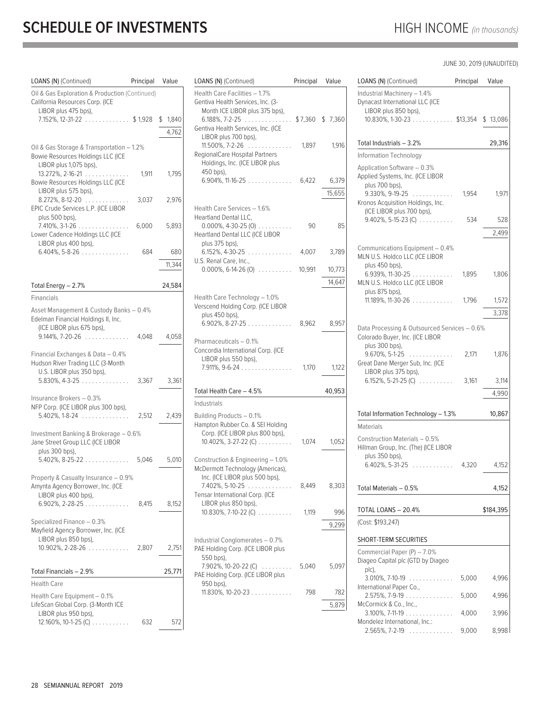### **SCHEDULE OF INVESTMENTS**

| HIGH INCOME (in thousands) |  |  |
|----------------------------|--|--|
|----------------------------|--|--|

#### JUNE 30, 2019 (UNAUDITED)

| LOANS (N) (Continued)                                                                                     | Principal | Value   |
|-----------------------------------------------------------------------------------------------------------|-----------|---------|
| Oil & Gas Exploration & Production (Continued)<br>California Resources Corp. (ICE<br>LIBOR plus 475 bps), |           |         |
| $7.152\%$ , 12-31-22 \$1,928                                                                              |           | \$1,840 |
|                                                                                                           |           | 4,762   |
| Oil & Gas Storage & Transportation - 1.2%<br>Bowie Resources Holdings LLC (ICE<br>LIBOR plus 1,075 bps),  |           |         |
| $13.272\%$ , 2-16-21<br>Bowie Resources Holdings LLC (ICE<br>LIBOR plus 575 bps),                         | 1,911     | 1,795   |
| $8.272\%$ , $8-12-20$<br>EPIC Crude Services L.P. (ICE LIBOR<br>plus 500 bps),                            | 3,037     | 2,976   |
| $7.410\%$ , $3-1-26$<br>Lower Cadence Holdings LLC (ICE                                                   | 6,000     | 5,893   |
| LIBOR plus 400 bps),<br>$6.404\%$ , 5-8-26                                                                | 684       | 680     |
|                                                                                                           |           | 11,344  |
| Total Energy - 2.7%                                                                                       |           | 24,584  |
| Financials                                                                                                |           |         |
| Asset Management & Custody Banks - 0.4%<br>Edelman Financial Holdings II, Inc.                            |           |         |
| (ICE LIBOR plus 675 bps),<br>$9.144\%, 7-20-26 \dots \dots \dots \dots$                                   | 4,048     | 4,058   |
| Financial Exchanges & Data - 0.4%<br>Hudson River Trading LLC (3-Month<br>U.S. LIBOR plus 350 bps),       |           |         |
| $5.830\%$ , 4-3-25                                                                                        | 3,367     | 3,361   |
| Insurance Brokers - 0.3%<br>NFP Corp. (ICE LIBOR plus 300 bps),<br>$5.402\%$ , 1-8-24                     | 2,512     | 2,439   |
| Investment Banking & Brokerage - 0.6%<br>Jane Street Group LLC (ICE LIBOR                                 |           |         |
| plus 300 bps),<br>$5.402\%$ , $8-25-22$                                                                   | 5,046     | 5,010   |
| Property & Casualty Insurance - 0.9%<br>Amynta Agency Borrower, Inc. (ICE<br>LIBOR plus 400 bps),         |           |         |
| 6.902%, 2-28-25.                                                                                          | 8,415     | 8,152   |
| Specialized Finance - 0.3%<br>Mayfield Agency Borrower, Inc. (ICE<br>LIBOR plus 850 bps),                 |           |         |
| 10.902%, 2-28-26                                                                                          | 2,807     | 2,751   |
| Total Financials - 2.9%                                                                                   |           | 25,771  |
| <b>Health Care</b>                                                                                        |           |         |
| Health Care Equipment - 0.1%<br>LifeScan Global Corp. (3-Month ICE<br>LIBOR plus 950 bps),                |           |         |
| $12.160\%$ , 10-1-25 (C)                                                                                  | 632       | 572     |

| LOANS (N) (Continued)                                                                                                                              | Principal | Value           |
|----------------------------------------------------------------------------------------------------------------------------------------------------|-----------|-----------------|
| Health Care Facilities - 1.7%<br>Gentiva Health Services, Inc. (3-<br>Month ICE LIBOR plus 375 bps),                                               |           |                 |
| $6.188\%, 7-2-25 \ldots \ldots \ldots$<br>Gentiva Health Services, Inc. (ICE<br>LIBOR plus 700 bps).                                               |           | \$7,360 \$7,360 |
| $11.500\%$ , 7-2-26<br>RegionalCare Hospital Partners<br>Holdings, Inc. (ICE LIBOR plus<br>450 bps).                                               | 1,897     | 1,916           |
| $6.904\%$ , 11-16-25                                                                                                                               | 6,422     | 6,379           |
|                                                                                                                                                    |           | 15,655          |
| Health Care Services - 1.6%<br><b>Heartland Dental LLC,</b><br>$0.000\%$ , 4-30-25 $(0)$<br>Heartland Dental LLC (ICE LIBOR                        | 90        | 85              |
| plus 375 bps),<br>$6.152\%$ , 4-30-25<br>U.S. Renal Care, Inc.,                                                                                    | 4,007     | 3,789           |
| $0.000\%$ , 6-14-26 (0) $\dots$                                                                                                                    | 10,991    | 10,773          |
|                                                                                                                                                    |           | 14,647          |
| Health Care Technology - 1.0%<br>Verscend Holding Corp. (ICE LIBOR<br>plus 450 bps),                                                               |           |                 |
| $6.902\%$ , $8-27-25$                                                                                                                              | 8,962     | 8,957           |
| Pharmaceuticals - 0.1%<br>Concordia International Corp. (ICE<br>LIBOR plus 550 bps),<br>$7.911\%, 9-6-24$                                          | 1,170     | 1,122           |
| Total Health Care - 4.5%                                                                                                                           |           | 40,953          |
| Industrials                                                                                                                                        |           |                 |
| Building Products - 0.1%<br>Hampton Rubber Co. & SEI Holding<br>Corp. (ICE LIBOR plus 800 bps),<br>$10.402\%$ , 3-27-22 (C) $\ldots \ldots \ldots$ | 1,074     | 1,052           |
| Construction & Engineering - 1.0%<br>McDermott Technology (Americas),<br>Inc. (ICE LIBOR plus 500 bps),                                            |           |                 |
| 7.402%, 5-10-25<br>.<br>Tensar International Corp. (ICE                                                                                            | 8,449     | 8,303           |
| LIBOR plus 850 bps).<br>10.830%, 7-10-22 (C) $\ldots$                                                                                              | 1,119     | 996             |
|                                                                                                                                                    |           | 9,299           |
| Industrial Conglomerates - 0.7%<br>PAE Holding Corp. (ICE LIBOR plus<br>550 bps),                                                                  |           |                 |
| $7.902\%$ , 10-20-22 (C) $\ldots$<br>PAE Holding Corp. (ICE LIBOR plus<br>950 bps),                                                                | 5,040     | 5,097           |
| $11.830\%$ , 10-20-23                                                                                                                              | 798       | 782             |
|                                                                                                                                                    |           | 5,879           |

| LOANS (N) (Continued)                                                                             | Principal | Value              |
|---------------------------------------------------------------------------------------------------|-----------|--------------------|
| Industrial Machinery - 1.4%<br>Dynacast International LLC (ICE<br>LIBOR plus 850 bps),            |           |                    |
| $10.830\%$ , 1-30-23                                                                              |           | \$13,354 \$ 13,086 |
| Total Industrials - 3.2%                                                                          |           | 29,316             |
| Information Technology                                                                            |           |                    |
| Application Software - 0.3%<br>Applied Systems, Inc. (ICE LIBOR<br>plus 700 bps).                 |           |                    |
| $9.330\%$ , $9-19-25$<br>Kronos Acquisition Holdings, Inc.<br>(ICE LIBOR plus 700 bps),           | 1,954     | 1,971              |
| $9.402\%$ , 5-15-23 (C)                                                                           | 534       | 528                |
|                                                                                                   |           | 2,499              |
| Communications Equipment - 0.4%<br>MLN U.S. Holdco LLC (ICE LIBOR<br>plus 450 bps).               |           |                    |
| $6.939\%$ , 11-30-25<br>MLN U.S. Holdco LLC (ICE LIBOR<br>plus 875 bps),                          | 1,895     | 1,806              |
| $11.189\%$ , 11-30-26                                                                             | 1,796     | 1,572              |
|                                                                                                   |           | 3,378              |
| Data Processing & Outsourced Services - 0.6%<br>Colorado Buyer, Inc. (ICE LIBOR<br>plus 300 bps), |           |                    |
| $9.670\%$ , 5-1-25 $\dots$<br>.<br>Great Dane Merger Sub, Inc. (ICE<br>LIBOR plus 375 bps),       | 2,171     | 1,876              |
| 6.152%, 5-21-25 (C) $\ldots \ldots \ldots$                                                        | 3,161     | 3,114              |
|                                                                                                   |           | 4,990              |
|                                                                                                   |           |                    |
| Total Information Technology - 1.3%<br><b>Materials</b>                                           |           | 10,867             |
| Construction Materials - 0.5%<br>Hillman Group, Inc. (The) (ICE LIBOR<br>plus 350 bps),           |           |                    |
| 6.402%, 5-31-25                                                                                   | 4,320     | 4,152              |
| Total Materials - 0.5%                                                                            |           | 4,152              |
| TOTAL LOANS - 20.4%                                                                               |           | \$184,395          |
| (Cost: \$193,247)                                                                                 |           |                    |
| SHORT-TERM SECURITIES                                                                             |           |                    |
| Commercial Paper (P) - 7.0%<br>Diageo Capital plc (GTD by Diageo<br>plc),                         |           |                    |
| $3.010\%$ , 7-10-19 $\dots$<br>International Paper Co.,                                           | 5,000     | 4,996              |
| $2.575\%$ , 7-9-19 $\dots\dots\dots\dots\dots$                                                    | 5,000     | 4,996              |
| McCormick & Co., Inc.,<br>$3.100\%$ , 7-11-19                                                     | 4,000     | 3,996              |

Mondelez International, Inc.:

2.565%, 7-2-19 ............. 9,000 8,998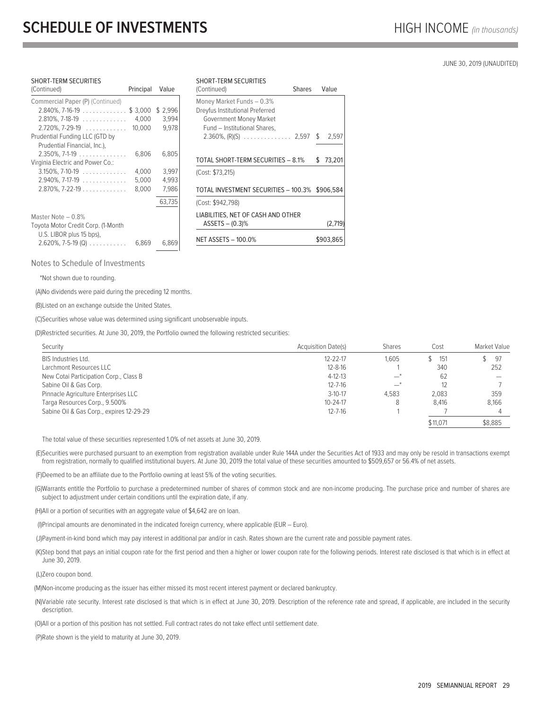| SHORT-TERM SECURITIES<br>(Continued)                           | Principal | Value   |
|----------------------------------------------------------------|-----------|---------|
| Commercial Paper (P) (Continued)                               |           |         |
| $2.840\%$ , 7-16-19                                            | \$3,000   | \$2,996 |
| $2.810\%$ , 7-18-19                                            | 4,000     | 3,994   |
| $2.720\%$ , 7-29-19 $\dots\dots\dots\dots$                     | 10,000    | 9.978   |
| Prudential Funding LLC (GTD by                                 |           |         |
| Prudential Financial, Inc.),                                   |           |         |
| $2.350\%$ , 7-1-19                                             | 6.806     | 6,805   |
| Virginia Electric and Power Co.:                               |           |         |
| $3.150\%$ , $7-10-19$                                          | 4,000     | 3,997   |
| $2.940\%$ , 7-17-19                                            | 5,000     | 4,993   |
| $2.870\%$ , 7-22-19                                            | 8,000     | 7,986   |
|                                                                |           | 63,735  |
|                                                                |           |         |
| Master Note - 0.8%                                             |           |         |
| Toyota Motor Credit Corp. (1-Month<br>U.S. LIBOR plus 15 bps), |           |         |
| $2.620\%$ , 7-5-19 (Q)                                         | 6,869     | 6,869   |

| SHURT-TERM SECURITIES<br>(Continued)                                                                                                            | <b>Shares</b> | Value        |
|-------------------------------------------------------------------------------------------------------------------------------------------------|---------------|--------------|
| Money Market Funds - 0.3%<br>Dreyfus Institutional Preferred<br>Government Money Market<br>Fund - Institutional Shares,<br>$2.360\%$ , $(R)(S)$ | $2,597$ \$    | 2,597        |
| TOTAL SHORT-TERM SECURITIES - 8.1%                                                                                                              |               | \$<br>73,201 |
| (Cost: \$73,215)                                                                                                                                |               |              |
| TOTAL INVESTMENT SECURITIES - 100.3%                                                                                                            |               | \$906,584    |
| (Cost: \$942,798)                                                                                                                               |               |              |
| LIABILITIES, NET OF CASH AND OTHER<br>$ASSETS - (0.3)\%$                                                                                        |               | (2,719)      |
| <b>NET ASSETS - 100.0%</b>                                                                                                                      |               | \$903,865    |

SHORT-TERM SECURITIES

Notes to Schedule of Investments

\*Not shown due to rounding.

(A)No dividends were paid during the preceding 12 months.

(B)Listed on an exchange outside the United States.

(C)Securities whose value was determined using significant unobservable inputs.

(D)Restricted securities. At June 30, 2019, the Portfolio owned the following restricted securities:

| Security                                 | <b>Acquisition Date(s)</b> | <b>Shares</b> | Cost     | Market Value |  |
|------------------------------------------|----------------------------|---------------|----------|--------------|--|
| <b>BIS Industries Ltd.</b>               | $12 - 22 - 17$             | 1.605         | 151      | 97           |  |
| Larchmont Resources LLC                  | $12 - 8 - 16$              |               | 340      | 252          |  |
| New Cotai Participation Corp., Class B   | $4 - 12 - 13$              | $-$ *         | 62       |              |  |
| Sabine Oil & Gas Corp.                   | $12 - 7 - 16$              |               | 12       |              |  |
| Pinnacle Agriculture Enterprises LLC     | $3-10-17$                  | 4.583         | 2,083    | 359          |  |
| Targa Resources Corp., 9.500%            | $10 - 24 - 17$             |               | 8.416    | 8.166        |  |
| Sabine Oil & Gas Corp., expires 12-29-29 | $12 - 7 - 16$              |               |          |              |  |
|                                          |                            |               | \$11,071 | \$8,885      |  |

The total value of these securities represented 1.0% of net assets at June 30, 2019.

(E)Securities were purchased pursuant to an exemption from registration available under Rule 144A under the Securities Act of 1933 and may only be resold in transactions exempt from registration, normally to qualified institutional buyers. At June 30, 2019 the total value of these securities amounted to \$509,657 or 56.4% of net assets.

(F)Deemed to be an affiliate due to the Portfolio owning at least 5% of the voting securities.

(G)Warrants entitle the Portfolio to purchase a predetermined number of shares of common stock and are non-income producing. The purchase price and number of shares are subject to adjustment under certain conditions until the expiration date, if any.

(H)All or a portion of securities with an aggregate value of \$4,642 are on loan.

(I)Principal amounts are denominated in the indicated foreign currency, where applicable (EUR – Euro).

(J)Payment-in-kind bond which may pay interest in additional par and/or in cash. Rates shown are the current rate and possible payment rates.

(K)Step bond that pays an initial coupon rate for the first period and then a higher or lower coupon rate for the following periods. Interest rate disclosed is that which is in effect at June 30, 2019.

(L)Zero coupon bond.

(M)Non-income producing as the issuer has either missed its most recent interest payment or declared bankruptcy.

(N)Variable rate security. Interest rate disclosed is that which is in effect at June 30, 2019. Description of the reference rate and spread, if applicable, are included in the security description.

(O)All or a portion of this position has not settled. Full contract rates do not take effect until settlement date.

(P)Rate shown is the yield to maturity at June 30, 2019.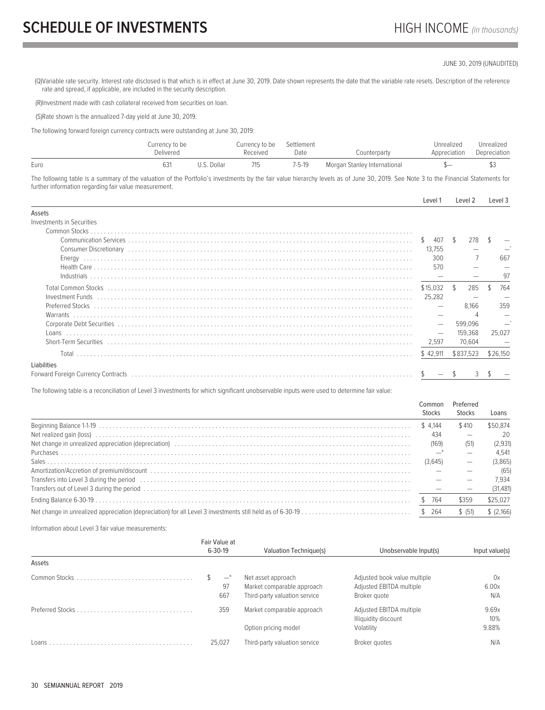### **SCHEDULE OF INVESTMENTS** HIGH INCOME (in thousands)

JUNE 30, 2019 (UNAUDITED)

(Q)Variable rate security. Interest rate disclosed is that which is in effect at June 30, 2019. Date shown represents the date that the variable rate resets. Description of the reference rate and spread, if applicable, are included in the security description.

(R)Investment made with cash collateral received from securities on loan.

(S)Rate shown is the annualized 7-day yield at June 30, 2019.

The following forward foreign currency contracts were outstanding at June 30, 2019:

|      | Currency to be<br>Delivered |             | Currency to be Settlement<br>Received | Date   | Counterparty                 | Unrealized<br>Appreciation | Unrealized<br>Depreciation |
|------|-----------------------------|-------------|---------------------------------------|--------|------------------------------|----------------------------|----------------------------|
| Euro | 631                         | U.S. Dollar | 715                                   | 7-5-19 | Morgan Stanley International |                            |                            |

The following table is a summary of the valuation of the Portfolio's investments by the fair value hierarchy levels as of June 30, 2019. See Note 3 to the Financial Statements for further information regarding fair value measurement.

|                                                                                                                | Level 1                  | Level 2   | Level 3  |
|----------------------------------------------------------------------------------------------------------------|--------------------------|-----------|----------|
| Assets                                                                                                         |                          |           |          |
| Investments in Securities                                                                                      |                          |           |          |
| Common Stocks                                                                                                  |                          |           |          |
|                                                                                                                | 407                      | 278       |          |
| Consumer Discretionary (1999) (1999) (1999) (1999) (1999) (1999) (1999) (1999) (1999) (1999) (1999) (1999) (19 | 13.755                   |           |          |
|                                                                                                                | 300                      |           | 667      |
|                                                                                                                | 570                      |           |          |
| Industrials                                                                                                    |                          |           | 97       |
|                                                                                                                | \$15,032                 | 285       | 764      |
| Investment Funds                                                                                               | 25,282                   |           |          |
| Preferred Stocks                                                                                               |                          | 8.166     | 359      |
| Warrants                                                                                                       |                          |           |          |
|                                                                                                                |                          | 599,096   |          |
|                                                                                                                | $\overline{\phantom{m}}$ | 159.368   | 25.027   |
|                                                                                                                | 2,597                    | 70,604    |          |
| Total                                                                                                          | \$42.911                 | \$837.523 | \$26,150 |
| Liabilities                                                                                                    |                          |           |          |
|                                                                                                                |                          | 3         |          |

The following table is a reconciliation of Level 3 investments for which significant unobservable inputs were used to determine fair value:

|                                                                                                                                                                                                                                | Common<br><b>Stocks</b> | Preferred<br>Stocks | Loans      |
|--------------------------------------------------------------------------------------------------------------------------------------------------------------------------------------------------------------------------------|-------------------------|---------------------|------------|
|                                                                                                                                                                                                                                | \$4.144                 | \$410               | \$50.874   |
|                                                                                                                                                                                                                                | 434                     |                     |            |
| Net change in unrealized appreciation (depreciation) (and according to the control of the change in unrealized appreciation) (control of the control of the change of the change of the change of the change of the change of  | (169)                   | (51)                | (2,931)    |
|                                                                                                                                                                                                                                |                         |                     | 4.541      |
|                                                                                                                                                                                                                                | (3,645)                 |                     | (3,865)    |
|                                                                                                                                                                                                                                |                         |                     | (65)       |
| Transfers into Level 3 during the period (and the context of the context of the context of the context of the period (and the context of the context of the context of the context of the context of the context of the contex |                         |                     | 7.934      |
|                                                                                                                                                                                                                                |                         |                     | (31, 481)  |
|                                                                                                                                                                                                                                | 764                     | \$359               | \$25,027   |
|                                                                                                                                                                                                                                | \$264                   | \$ (51)             | \$ (2,166) |

Information about Level 3 fair value measurements:

|        | Fair Value at<br>6-30-19 | <b>Valuation Technique(s)</b>                                                     | Unobservable Input(s)                                                    | Input value(s)        |
|--------|--------------------------|-----------------------------------------------------------------------------------|--------------------------------------------------------------------------|-----------------------|
| Assets |                          |                                                                                   |                                                                          |                       |
|        | $-^*$<br>97<br>667       | Net asset approach<br>Market comparable approach<br>Third-party valuation service | Adjusted book value multiple<br>Adjusted EBITDA multiple<br>Broker quote | 0x<br>6.00x<br>N/A    |
|        | 359                      | Market comparable approach<br>Option pricing model                                | Adjusted EBITDA multiple<br>Illiquidity discount<br>Volatility           | 9.69x<br>10%<br>9.88% |
| Loans  | 25.027                   | Third-party valuation service                                                     | Broker quotes                                                            | N/A                   |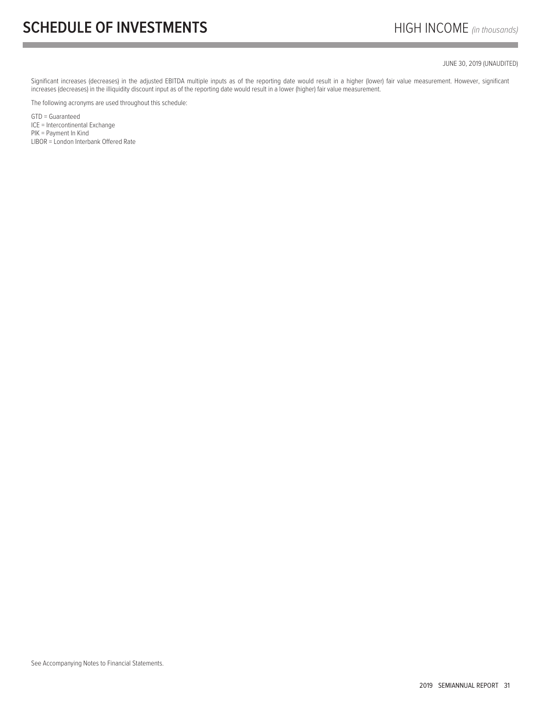Significant increases (decreases) in the adjusted EBITDA multiple inputs as of the reporting date would result in a higher (lower) fair value measurement. However, significant increases (decreases) in the illiquidity discount input as of the reporting date would result in a lower (higher) fair value measurement.

The following acronyms are used throughout this schedule:

GTD = Guaranteed ICE = Intercontinental Exchange PIK = Payment In Kind LIBOR = London Interbank Offered Rate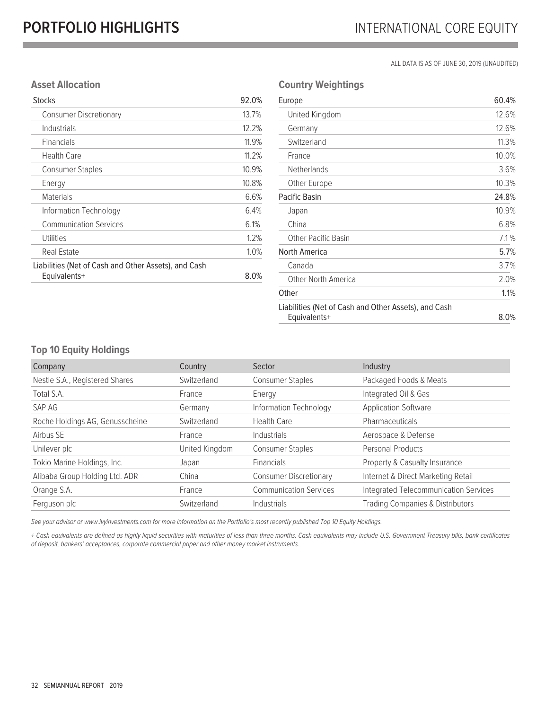#### **Asset Allocation**

| <b>Stocks</b>                                                        | 92.0%   |
|----------------------------------------------------------------------|---------|
| <b>Consumer Discretionary</b>                                        | 13.7%   |
| Industrials                                                          | 12.2%   |
| <b>Financials</b>                                                    | 11.9%   |
| Health Care                                                          | 11.2%   |
| <b>Consumer Staples</b>                                              | 10.9%   |
| Energy                                                               | 10.8%   |
| <b>Materials</b>                                                     | 6.6%    |
| Information Technology                                               | 6.4%    |
| <b>Communication Services</b>                                        | 6.1%    |
| Utilities                                                            | 1.2%    |
| Real Estate                                                          | 1.0%    |
| Liabilities (Net of Cash and Other Assets), and Cash<br>Equivalents+ | $8.0\%$ |
|                                                                      |         |

#### **Country Weightings**

| Europe                                               | 60.4% |
|------------------------------------------------------|-------|
| United Kingdom                                       | 12.6% |
| Germany                                              | 12.6% |
| Switzerland                                          | 11.3% |
| France                                               | 10.0% |
| <b>Netherlands</b>                                   | 3.6%  |
| Other Europe                                         | 10.3% |
| Pacific Basin                                        | 24.8% |
| Japan                                                | 10.9% |
| China                                                | 6.8%  |
| <b>Other Pacific Basin</b>                           | 7.1%  |
| North America                                        | 5.7%  |
| Canada                                               | 3.7%  |
| Other North America                                  | 2.0%  |
| Other                                                | 1.1%  |
| Liabilities (Net of Cash and Other Assets), and Cash |       |
| Equivalents+                                         | 8.0%  |

### **Top 10 Equity Holdings**

| Company                         | Country        | Sector                        | Industry                              |
|---------------------------------|----------------|-------------------------------|---------------------------------------|
| Nestle S.A., Registered Shares  | Switzerland    | <b>Consumer Staples</b>       | Packaged Foods & Meats                |
| Total S.A.                      | France         | Energy                        | Integrated Oil & Gas                  |
| SAP AG                          | Germany        | Information Technology        | <b>Application Software</b>           |
| Roche Holdings AG, Genusscheine | Switzerland    | <b>Health Care</b>            | Pharmaceuticals                       |
| Airbus SE                       | France         | Industrials                   | Aerospace & Defense                   |
| Unilever plc                    | United Kingdom | <b>Consumer Staples</b>       | Personal Products                     |
| Tokio Marine Holdings, Inc.     | Japan          | <b>Financials</b>             | Property & Casualty Insurance         |
| Alibaba Group Holding Ltd. ADR  | China          | <b>Consumer Discretionary</b> | Internet & Direct Marketing Retail    |
| Orange S.A.                     | France         | <b>Communication Services</b> | Integrated Telecommunication Services |
| Ferguson plc                    | Switzerland    | Industrials                   | Trading Companies & Distributors      |

See your advisor or www.ivyinvestments.com for more information on the Portfolio's most recently published Top 10 Equity Holdings.

+ Cash equivalents are defined as highly liquid securities with maturities of less than three months. Cash equivalents may include U.S. Government Treasury bills, bank certificates of deposit, bankers' acceptances, corporate commercial paper and other money market instruments.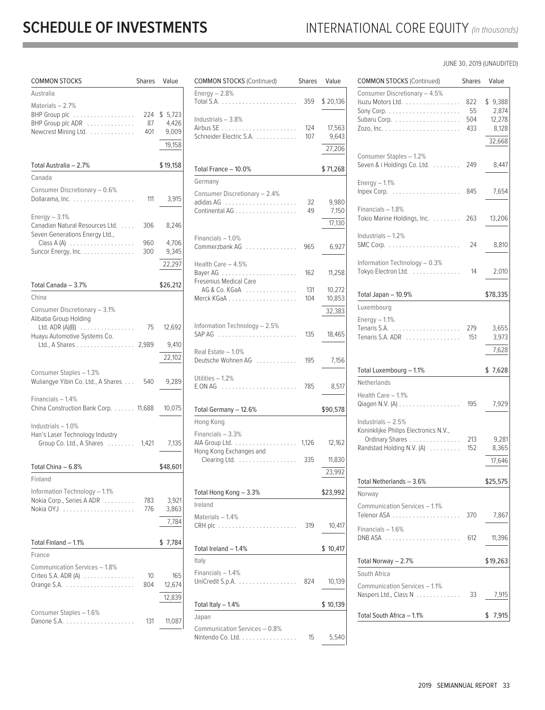|  |  | JUNE 30, 2019 (UNAUDITED) |
|--|--|---------------------------|
|--|--|---------------------------|

| <b>COMMON STOCKS</b>                                                                | Shares           | Value                               |
|-------------------------------------------------------------------------------------|------------------|-------------------------------------|
| Australia                                                                           |                  |                                     |
| Materials - 2.7%<br>BHP Group plc<br>BHP Group plc ADR<br>Newcrest Mining Ltd.      | 224<br>87<br>401 | \$5,723<br>4,426<br>9,009<br>19,158 |
| Total Australia - 2.7%                                                              |                  | \$19,158                            |
| Canada                                                                              |                  |                                     |
| Consumer Discretionary - 0.6%<br>Dollarama, Inc.                                    | 111              | 3,915                               |
| Energy $-3.1%$<br>Canadian Natural Resources Ltd.<br>Seven Generations Energy Ltd., | 306              | 8,246                               |
| $Class A (A) \dots \dots \dots \dots \dots \dots \dots$<br>Suncor Energy, Inc.      | 960<br>300       | 4,706<br>9,345                      |
|                                                                                     |                  | 22,297                              |
| Total Canada - 3.7%                                                                 |                  | \$26,212                            |
| China<br>Consumer Discretionary - 3.1%<br>Alibaba Group Holding                     |                  |                                     |
| Ltd. ADR $(A)(B)$                                                                   | 75               | 12,692                              |
| Huayu Automotive Systems Co.<br>Ltd., A Shares                                      | 2,989            | 9,410                               |
|                                                                                     |                  | 22,102                              |
| Consumer Staples - 1.3%<br>Wuliangye Yibin Co. Ltd., A Shares                       | 540              | 9,289                               |
| Financials - 1.4%<br>China Construction Bank Corp.  11,688                          |                  | 10,075                              |
| Industrials - 1.0%<br>Han's Laser Technology Industry<br>Group Co. Ltd., A Shares   | 1,421            | 7,135                               |
| Total China - 6.8%                                                                  |                  | \$48,601                            |
| Finland                                                                             |                  |                                     |
| Information Technology - 1.1%<br>Nokia Corp., Series A ADR                          | 783<br>776       | 3,921<br>3,863<br>7,784             |
|                                                                                     |                  |                                     |
| Total Finland - 1.1%<br>France                                                      |                  | \$<br>7,784                         |
| Communication Services - 1.8%<br>Criteo S.A. ADR (A)                                | 10<br>804        | 165<br>12,674                       |
| Consumer Staples - 1.6%<br>Danone S.A.                                              | 131              | 12,839<br>11,087                    |

| <b>COMMON STOCKS (Continued)</b>                               | <b>Shares</b> | Value           |
|----------------------------------------------------------------|---------------|-----------------|
| Energy $-2.8%$                                                 | 359           | \$20,136        |
| Industrials - 3.8%                                             |               |                 |
| Schneider Electric S.A.                                        | 124<br>107    | 17,563<br>9.643 |
|                                                                |               | 27,206          |
| Total France - 10.0%                                           |               | \$71,268        |
| Germany                                                        |               |                 |
| Consumer Discretionary - 2.4%                                  | 32            | 9,980           |
| Continental AG                                                 | 49            | 7,150           |
|                                                                |               | 17,130          |
| Financials - 1.0%<br>Commerzbank AG<br>.                       | 965           | 6,927           |
| Health Care - 4.5%                                             | 162           | 11,258          |
| Fresenius Medical Care<br>AG & Co. KGaA                        | 131           | 10,272          |
|                                                                | 104           | 10,853          |
|                                                                |               | 32,383          |
| Information Technology - 2.5%<br>SAP AG<br>$\mathbb{R}^2$<br>. | 135           | 18,465          |
| Real Estate - 1.0%<br>Deutsche Wohnen AG                       | 195           | 7,156           |
| Utilities - 1.2%<br>E.ON AG                                    | 785           | 8,517           |
| Total Germany - 12.6%                                          |               | \$90,578        |
| Hong Kong                                                      |               |                 |
| Financials - 3.3%<br>AIA Group Ltd.                            | 1,126         | 12,162          |
| Hong Kong Exchanges and                                        |               |                 |
| Clearing Ltd.                                                  | 335           | 11,830          |
|                                                                |               | 23,992          |
| Total Hong Kong — 3.3%                                         |               | \$23,992        |
| Ireland                                                        |               |                 |
| Materials - 1.4%                                               | 319           | 10,417          |
|                                                                |               |                 |
| Total Ireland - 1.4%                                           |               | \$10,417        |
| Italy                                                          |               |                 |
| Financials-1.4%<br>UniCredit S.p.A.                            | 824           | 10,139          |
| Total Italy - 1.4%                                             |               | \$10,139        |
| Japan                                                          |               |                 |
| Communication Services - 0.8%<br>Nintendo Co. Ltd.             | 15            | 5,540           |

| <b>COMMON STOCKS (Continued)</b>                                                                             | <b>Shares</b>           | Value                                         |
|--------------------------------------------------------------------------------------------------------------|-------------------------|-----------------------------------------------|
| Consumer Discretionary - 4.5%<br>Isuzu Motors Ltd.<br>Zozo, Inc.                                             | 822<br>55<br>504<br>433 | \$9,388<br>2,874<br>12,278<br>8,128<br>32,668 |
| Consumer Staples - 1.2%<br>Seven & i Holdings Co. Ltd.<br>.                                                  | 249                     | 8,447                                         |
| Energy $-1.1%$<br>Inpex Corp.<br><u>.</u>                                                                    | 845                     | 7,654                                         |
| Financials - 1.8%<br>Tokio Marine Holdings, Inc.                                                             | 263                     | 13,206                                        |
| Industrials - 1.2%<br>$SMC$ Corp. $\ldots \ldots$<br>.                                                       | 24                      | 8,810                                         |
| Information Technology - 0.3%<br>Tokyo Electron Ltd.                                                         | 14                      | 2,010                                         |
| Total Japan - 10.9%                                                                                          |                         | \$78,335                                      |
| Luxembourg                                                                                                   |                         |                                               |
| Energy $-1.1%$<br>Tenaris S.A. ADR                                                                           | 279<br>151              | 3,655<br>3,973<br>7,628                       |
| Total Luxembourg - 1.1%                                                                                      |                         | \$7,628                                       |
| Netherlands                                                                                                  |                         |                                               |
| Health Care - 1.1%<br>Qiagen N.V. (A)                                                                        | 195                     | 7,929                                         |
| Industrials $-2.5%$<br>Koninklijke Philips Electronics N.V.,<br>Ordinary Shares<br>Randstad Holding N.V. (A) | 213<br>152              | 9,281<br>8,365<br>17,646                      |
| Total Netherlands - 3.6%                                                                                     |                         | \$25,575                                      |
| Norway                                                                                                       |                         |                                               |
| Communication Services - 1.1%<br>Telenor ASA<br>.                                                            | 370                     | 7,867                                         |
| Financials - 1.6%<br>$DNB$ ASA $\ldots \ldots \ldots \ldots$                                                 | 612                     | 11,396                                        |
| Total Norway - 2.7%                                                                                          |                         | \$19,263                                      |
| South Africa                                                                                                 |                         |                                               |
| Communication Services - 1.1%<br>Naspers Ltd., Class N                                                       | 33                      | 7,915                                         |
| Total South Africa - 1.1%                                                                                    |                         | \$<br>7,915                                   |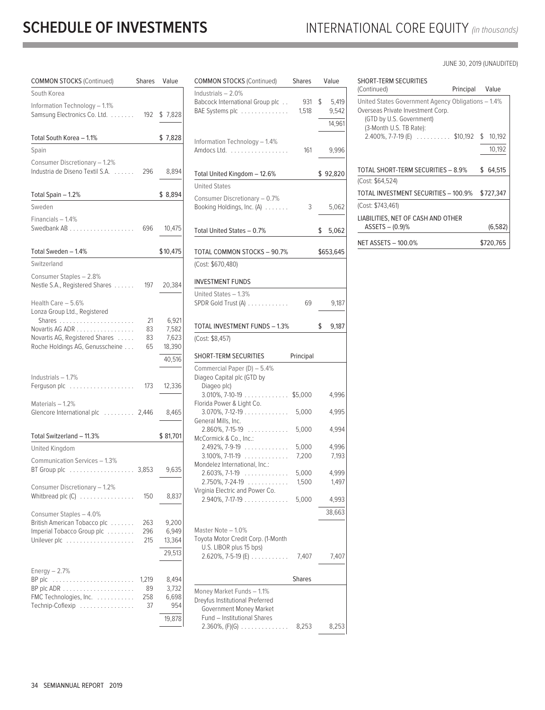### **SCHEDULE OF INVESTMENTS INTERNATIONAL CORE EQUITY** (in thousands)

| <b>COMMON STOCKS (Continued)</b>                                                                                                                     | <b>Shares</b>            | Value                                       |
|------------------------------------------------------------------------------------------------------------------------------------------------------|--------------------------|---------------------------------------------|
| South Korea                                                                                                                                          |                          |                                             |
| Information Technology - 1.1%<br>Samsung Electronics Co. Ltd.                                                                                        | 192                      | \$7,828                                     |
| Total South Korea - 1.1%                                                                                                                             |                          | \$7,828                                     |
| Spain                                                                                                                                                |                          |                                             |
| Consumer Discretionary - 1.2%<br>Industria de Diseno Textil S.A.                                                                                     | 296                      | 8,894                                       |
| Total Spain – 1.2%                                                                                                                                   |                          | \$ 8,894                                    |
| Sweden                                                                                                                                               |                          |                                             |
| Financials - 1.4%<br>Swedbank AB                                                                                                                     | 696                      | 10,475                                      |
| Total Sweden - 1.4%                                                                                                                                  |                          | \$10,475                                    |
| Switzerland                                                                                                                                          |                          |                                             |
| Consumer Staples - 2.8%<br>Nestle S.A., Registered Shares                                                                                            | 197                      | 20,384                                      |
| Health Care - 5.6%<br>Lonza Group Ltd., Registered<br>Shares<br>Novartis AG ADR<br>Novartis AG, Registered Shares<br>Roche Holdings AG, Genusscheine | 21<br>83<br>83<br>65     | 6,921<br>7,582<br>7,623<br>18,390<br>40,516 |
| Industrials - 1.7%<br>Ferguson plc $\dots\dots\dots\dots\dots\dots$                                                                                  | 173                      | 12,336                                      |
| Materials - 1.2%<br>Glencore International plc                                                                                                       | 2,446                    | 8,465                                       |
| Total Switzerland - 11.3%                                                                                                                            |                          | \$81,701                                    |
| United Kingdom                                                                                                                                       |                          |                                             |
| Communication Services - 1.3%<br>BT Group plc<br>1.1.1.1.1                                                                                           | 3,853                    | 9,635                                       |
| Consumer Discretionary - 1.2%<br>Whitbread plc (C)                                                                                                   | 150                      | 8,837                                       |
| Consumer Staples - 4.0%<br>British American Tobacco plc<br>Imperial Tobacco Group plc                                                                | 263<br>296<br>215        | 9,200<br>6,949<br>13,364<br>29,513          |
| Energy $-2.7%$<br>BP plc<br>BP plc ADR $\dots\dots\dots\dots\dots\dots\dots\dots\dots$<br>FMC Technologies, Inc.<br>Technip-Coflexip                 | 1,219<br>89<br>258<br>37 | 8,494<br>3,732<br>6,698<br>954<br>19,878    |

| <b>COMMON STOCKS (Continued)</b>                                  | <b>Shares</b> | Value       |
|-------------------------------------------------------------------|---------------|-------------|
| Industrials $-2.0%$                                               |               |             |
| Babcock International Group plc                                   | 931           | 5,419<br>\$ |
| BAE Systems plc                                                   | 1,518         | 9,542       |
|                                                                   |               | 14,961      |
|                                                                   |               |             |
| Information Technology - 1.4%                                     |               |             |
| Amdocs Ltd.                                                       | 161           | 9,996       |
|                                                                   |               |             |
| Total United Kingdom - 12.6%                                      |               | \$92,820    |
| <b>United States</b>                                              |               |             |
| Consumer Discretionary - 0.7%                                     |               |             |
| Booking Holdings, Inc. (A)                                        | 3             | 5,062       |
|                                                                   |               |             |
| Total United States - 0.7%                                        |               | \$<br>5,062 |
|                                                                   |               |             |
| TOTAL COMMON STOCKS - 90.7%                                       |               | \$653,645   |
| (Cost: \$670,480)                                                 |               |             |
|                                                                   |               |             |
| <b>INVESTMENT FUNDS</b>                                           |               |             |
| United States - 1.3%                                              |               |             |
| $SPDR$ Gold Trust $(A)$                                           | 69            | 9,187       |
|                                                                   |               |             |
| TOTAL INVESTMENT FUNDS - 1.3%                                     |               | \$<br>9,187 |
| (Cost: \$8,457)                                                   |               |             |
|                                                                   |               |             |
| SHORT-TERM SECURITIES                                             | Principal     |             |
| Commercial Paper (D) - 5.4%                                       |               |             |
| Diageo Capital plc (GTD by                                        |               |             |
| Diageo plc)                                                       |               |             |
| $3.010\%$ , 7-10-19 $\dots\dots\dots\dots$ \$5,000                |               | 4,996       |
| Florida Power & Light Co.                                         |               |             |
| $3.070\%$ , 7-12-19                                               | 5,000         | 4,995       |
| General Mills, Inc.<br>$2.860\%$ , 7-15-19 $\dots\dots\dots\dots$ | 5,000         | 4,994       |
| McCormick & Co., Inc.:                                            |               |             |
| $2.492\%$ , 7-9-19                                                | 5,000         | 4,996       |
| $3.100\%$ , 7-11-19                                               | 7,200         | 7,193       |
| Mondelez International, Inc.:                                     |               |             |
| 2.603%, 7-1-19<br>.                                               | 5,000         | 4,999       |
| $2.750\%$ , 7-24-19                                               | 1,500         | 1,497       |
| Virginia Electric and Power Co.                                   |               |             |
| $2.940\%$ , 7-17-19 $\dots$ .                                     | 5,000         | 4,993       |
|                                                                   |               | 38,663      |
| Master Note - 1.0%                                                |               |             |
| Toyota Motor Credit Corp. (1-Month                                |               |             |
| U.S. LIBOR plus 15 bps)                                           |               |             |
| $2.620\%$ , 7-5-19 (E)                                            | 7,407         | 7,407       |
|                                                                   |               |             |
|                                                                   | <b>Shares</b> |             |
| Money Market Funds - 1.1%                                         |               |             |
| Dreyfus Institutional Preferred                                   |               |             |
| Government Money Market                                           |               |             |
| Fund - Institutional Shares                                       |               |             |
| $2.360\%$ , $(F)(G)$                                              | 8,253         | 8,253       |

#### JUNE 30, 2019 (UNAUDITED)

e.

| <b>SHORT-TERM SECURITIES</b><br>(Continued)                                                                                                                              | Principal    | Value            |
|--------------------------------------------------------------------------------------------------------------------------------------------------------------------------|--------------|------------------|
| United States Government Agency Obligations - 1.4%<br>Overseas Private Investment Corp.<br>(GTD by U.S. Government)<br>(3-Month U.S. TB Rate):<br>$2.400\%$ , 7-7-19 (E) | $$10,192$ \$ | 10,192<br>10,192 |
| TOTAL SHORT-TERM SECURITIES - 8.9%                                                                                                                                       |              | 64.515<br>\$     |
| (Cost: \$64,524)                                                                                                                                                         |              |                  |
| TOTAL INVESTMENT SECURITIES - 100.9%                                                                                                                                     |              | \$727,347        |
| (Cost: \$743,461)                                                                                                                                                        |              |                  |
| LIABILITIES, NET OF CASH AND OTHER<br>$ASSETS - (0.9)$ %                                                                                                                 |              | (6,582)          |
| <b>NET ASSETS - 100.0%</b>                                                                                                                                               |              | \$720,765        |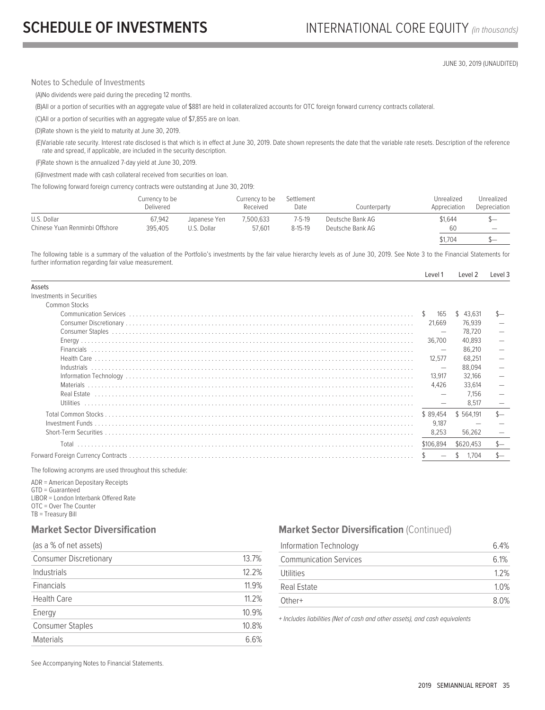Notes to Schedule of Investments

(A)No dividends were paid during the preceding 12 months.

(B)All or a portion of securities with an aggregate value of \$881 are held in collateralized accounts for OTC foreign forward currency contracts collateral.

(C)All or a portion of securities with an aggregate value of \$7,855 are on loan.

(D)Rate shown is the yield to maturity at June 30, 2019.

(E)Variable rate security. Interest rate disclosed is that which is in effect at June 30, 2019. Date shown represents the date that the variable rate resets. Description of the reference rate and spread, if applicable, are included in the security description.

(F)Rate shown is the annualized 7-day yield at June 30, 2019.

(G)Investment made with cash collateral received from securities on loan.

The following forward foreign currency contracts were outstanding at June 30, 2019:

|                                | Currency to be<br>Delivered |              | Currency to be<br>Received | Settlement<br>Date | Counterparty     | Unrealized<br>Appreciation | Unrealized<br>Depreciation |
|--------------------------------|-----------------------------|--------------|----------------------------|--------------------|------------------|----------------------------|----------------------------|
| U.S. Dollar                    | 67.942                      | Japanese Yen | 7,500,633                  | $7 - 5 - 19$       | Deutsche Bank AG | \$1,644                    | $S-$                       |
| Chinese Yuan Renminbi Offshore | 395.405                     | U.S. Dollar  | 57.601                     | $8 - 15 - 19$      | Deutsche Bank AG | 60                         | $\overline{\phantom{0}}$   |
|                                |                             |              |                            |                    |                  | \$1,704                    | $S-$                       |

The following table is a summary of the valuation of the Portfolio's investments by the fair value hierarchy levels as of June 30, 2019. See Note 3 to the Financial Statements for further information regarding fair value measurement.

|                                  | Level 1                  | Level 2   | Level <sub>3</sub> |
|----------------------------------|--------------------------|-----------|--------------------|
| Assets                           |                          |           |                    |
| <b>Investments in Securities</b> |                          |           |                    |
| <b>Common Stocks</b>             |                          |           |                    |
| <b>Communication Services</b>    | $\mathcal{L}$<br>165     | \$43,631  |                    |
|                                  | 21,669                   | 76,939    |                    |
|                                  | $\overline{\phantom{m}}$ | 78.720    |                    |
|                                  | 36.700                   | 40.893    |                    |
|                                  | $\qquad \qquad -$        | 86.210    |                    |
|                                  | 12.577                   | 68.251    |                    |
| Industrials                      | $\overline{\phantom{a}}$ | 88.094    |                    |
|                                  | 13.917                   | 32.166    |                    |
|                                  | 4.426                    | 33.614    |                    |
| Real Estate                      |                          | 7,156     |                    |
| Utilities                        |                          | 8,517     |                    |
|                                  | \$89.454                 | \$564.191 | $\uparrow$         |
|                                  | 9.187                    |           |                    |
|                                  | 8,253                    | 56,262    |                    |
|                                  | \$106,894                | \$620,453 | $s-$               |
|                                  |                          | 1.704     |                    |
|                                  |                          |           |                    |

The following acronyms are used throughout this schedule:

ADR = American Depositary Receipts GTD = Guaranteed LIBOR = London Interbank Offered Rate OTC = Over The Counter TB = Treasury Bill

#### **Market Sector Diversification**

(as a % of net assets)

| <b>Consumer Discretionary</b> | 13.7% |
|-------------------------------|-------|
| <b>Industrials</b>            | 12.2% |
| <b>Financials</b>             | 11.9% |
| <b>Health Care</b>            | 11.2% |
| Energy                        | 10.9% |
| <b>Consumer Staples</b>       | 10.8% |
| <b>Materials</b>              | 6 6%  |
|                               |       |

#### **Market Sector Diversification** (Continued)

| Information Technology        | 64%  |
|-------------------------------|------|
| <b>Communication Services</b> | 6.1% |
| Utilities                     | 12%  |
| Real Estate                   | 10%  |
| Other+                        | 8.0% |

+ Includes liabilities (Net of cash and other assets), and cash equivalents

See Accompanying Notes to Financial Statements.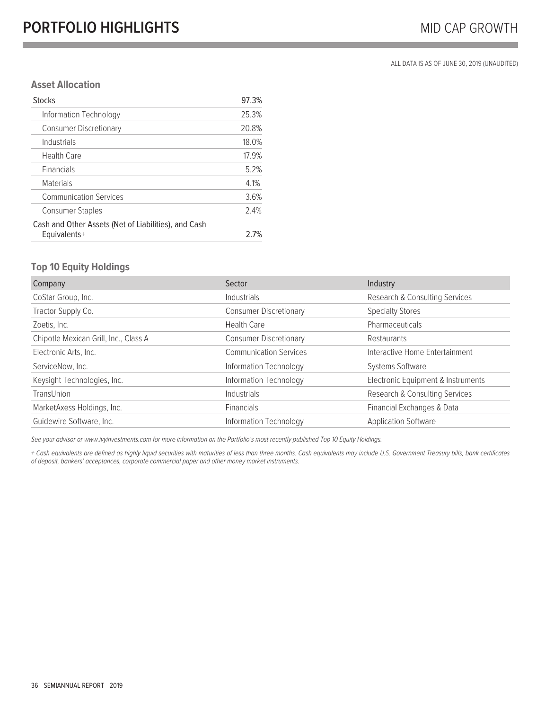#### **Asset Allocation**

| <b>Stocks</b>                                        | 97.3% |
|------------------------------------------------------|-------|
| Information Technology                               | 25.3% |
| <b>Consumer Discretionary</b>                        | 20.8% |
| Industrials                                          | 18.0% |
| <b>Health Care</b>                                   | 17.9% |
| <b>Financials</b>                                    | 5.2%  |
| <b>Materials</b>                                     | 4.1%  |
| <b>Communication Services</b>                        | 3.6%  |
| <b>Consumer Staples</b>                              | 2.4%  |
| Cash and Other Assets (Net of Liabilities), and Cash |       |
| Equivalents+                                         | 2.7%  |

#### **Top 10 Equity Holdings**

| Company                               | Sector                        | Industry                           |
|---------------------------------------|-------------------------------|------------------------------------|
| CoStar Group, Inc.                    | <b>Industrials</b>            | Research & Consulting Services     |
| Tractor Supply Co.                    | <b>Consumer Discretionary</b> | <b>Specialty Stores</b>            |
| Zoetis, Inc.                          | Health Care                   | <b>Pharmaceuticals</b>             |
| Chipotle Mexican Grill, Inc., Class A | <b>Consumer Discretionary</b> | Restaurants                        |
| Electronic Arts, Inc.                 | <b>Communication Services</b> | Interactive Home Entertainment     |
| ServiceNow, Inc.                      | Information Technology        | Systems Software                   |
| Keysight Technologies, Inc.           | Information Technology        | Electronic Equipment & Instruments |
| TransUnion                            | Industrials                   | Research & Consulting Services     |
| MarketAxess Holdings, Inc.            | <b>Financials</b>             | Financial Exchanges & Data         |
| Guidewire Software, Inc.              | Information Technology        | <b>Application Software</b>        |

See your advisor or www.ivyinvestments.com for more information on the Portfolio's most recently published Top 10 Equity Holdings.

+ Cash equivalents are defined as highly liquid securities with maturities of less than three months. Cash equivalents may include U.S. Government Treasury bills, bank certificates of deposit, bankers' acceptances, corporate commercial paper and other money market instruments.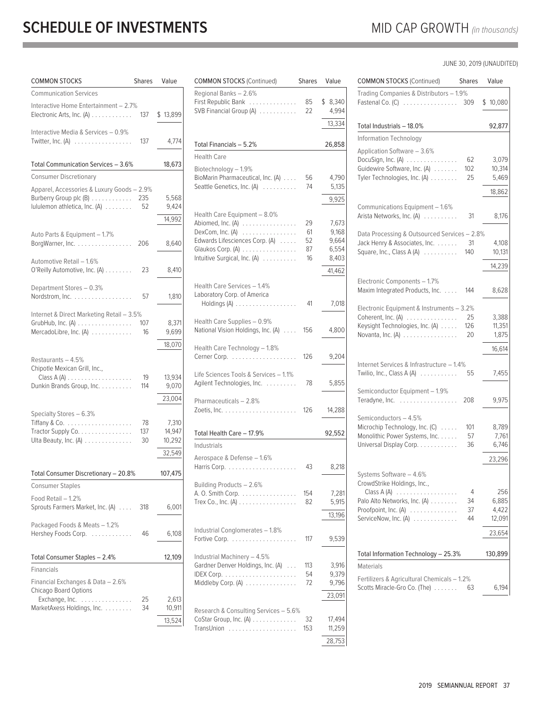# **SCHEDULE OF INVESTMENTS** MID CAP GROWTH (in thousands)

|  |  | JUNE 30, 2019 (UNAUDITED) |
|--|--|---------------------------|
|--|--|---------------------------|

٠

| <b>COMMON STOCKS</b>                                                                                  | <b>Shares</b>   | Value                               |
|-------------------------------------------------------------------------------------------------------|-----------------|-------------------------------------|
| <b>Communication Services</b>                                                                         |                 |                                     |
| Interactive Home Entertainment - 2.7%<br>Electronic Arts, Inc. $(A)$                                  | 137             | \$13,899                            |
| Interactive Media & Services - 0.9%<br>Twitter, Inc. (A) $\ldots \ldots \ldots \ldots \ldots$         | 137             | 4,774                               |
| Total Communication Services - 3.6%                                                                   |                 | 18,673                              |
| <b>Consumer Discretionary</b>                                                                         |                 |                                     |
| Apparel, Accessories & Luxury Goods - 2.9%<br>Burberry Group plc (B)<br>lululemon athletica, Inc. (A) | 235<br>52       | 5,568<br>9,424<br>14,992            |
| Auto Parts & Equipment - 1.7%<br>BorgWarner, Inc.                                                     | 206             | 8,640                               |
| Automotive Retail - 1.6%<br>O'Reilly Automotive, Inc. (A)                                             | 23              | 8,410                               |
| Department Stores - 0.3%<br>Nordstrom, Inc.                                                           | 57              | 1,810                               |
| Internet & Direct Marketing Retail - 3.5%<br>GrubHub, Inc. $(A)$<br>MercadoLibre, Inc. (A)            | 107<br>16       | 8,371<br>9,699<br>18,070            |
| Restaurants - 4.5%<br>Chipotle Mexican Grill, Inc.,<br>Dunkin Brands Group, Inc.                      | 19<br>114       | 13,934<br>9,070<br>23,004           |
| Specialty Stores - 6.3%<br>Tractor Supply Co.<br>Ulta Beauty, Inc. (A)                                | 78<br>137<br>30 | 7,310<br>14,947<br>10,292<br>32,549 |
| Total Consumer Discretionary - 20.8%                                                                  |                 | 107,475                             |
| <b>Consumer Staples</b>                                                                               |                 |                                     |
| Food Retail - 1.2%<br>Sprouts Farmers Market, Inc. (A)                                                | 318             | 6,001                               |
| Packaged Foods & Meats - 1.2%<br>Hershey Foods Corp.                                                  | 46              | 6,108                               |
| Total Consumer Staples – 2.4%                                                                         |                 | 12,109                              |
| <b>Financials</b><br>Financial Exchanges & Data - 2.6%                                                |                 |                                     |
| Chicago Board Options<br>Exchange, Inc.<br>$\ldots$ .<br>MarketAxess Holdings, Inc.                   | 25<br>34        | 2,613<br>10,911                     |
|                                                                                                       |                 | 13,524                              |

| <b>COMMON STOCKS (Continued)</b>                                                                                                                                 | <b>Shares</b>              | Value                                               |
|------------------------------------------------------------------------------------------------------------------------------------------------------------------|----------------------------|-----------------------------------------------------|
| Regional Banks - 2.6%<br>First Republic Bank<br>SVB Financial Group (A)                                                                                          | 85<br>22                   | \$<br>8,340<br>4,994                                |
|                                                                                                                                                                  |                            | 13,334                                              |
| Total Financials - 5.2%                                                                                                                                          |                            | 26,858                                              |
| <b>Health Care</b>                                                                                                                                               |                            |                                                     |
| Biotechnology - 1.9%<br>BioMarin Pharmaceutical, Inc. (A)<br>Seattle Genetics, Inc. (A)                                                                          | 56<br>74                   | 4,790<br>5,135<br>9,925                             |
| Health Care Equipment - 8.0%<br>Abiomed, Inc. $(A)$<br>DexCom, Inc. $(A)$<br>Edwards Lifesciences Corp. (A)<br>Glaukos Corp. (A)<br>Intuitive Surgical, Inc. (A) | 29<br>61<br>52<br>87<br>16 | 7,673<br>9,168<br>9,664<br>6,554<br>8,403<br>41,462 |
| Health Care Services - 1.4%<br>Laboratory Corp. of America<br>Holdings $(A)$                                                                                     | 41                         | 7,018                                               |
| Health Care Supplies - 0.9%<br>National Vision Holdings, Inc. (A)                                                                                                | 156                        | 4,800                                               |
| Health Care Technology - 1.8%<br>Cerner Corp.<br>$\mathbb{R}^2$ . The set                                                                                        | 126                        | 9,204                                               |
| Life Sciences Tools & Services - 1.1%<br>Agilent Technologies, Inc.                                                                                              | 78                         | 5,855                                               |
| Pharmaceuticals - 2.8%<br>Zoetis, Inc.                                                                                                                           | 126                        | 14,288                                              |
| Total Health Care - 17.9%                                                                                                                                        |                            | 92,552                                              |
| Industrials                                                                                                                                                      |                            |                                                     |
| Aerospace & Defense - 1.6%<br>Harris Corp.                                                                                                                       | 43                         | 8,218                                               |
| Building Products - 2.6%<br>A. O. Smith Corp.<br>Trex Co., Inc. (A) $\dots \dots \dots \dots \dots$                                                              | 154<br>82                  | 7,281<br>5,915<br>13,196                            |
| Industrial Conglomerates - 1.8%<br>Fortive Corp.<br>.                                                                                                            | 117                        | 9,539                                               |
| Industrial Machinery - 4.5%<br>Gardner Denver Holdings, Inc. (A)<br>Middleby Corp. (A)                                                                           | 113<br>54<br>72            | 3,916<br>9,379<br>9,796<br>23,091                   |
| Research & Consulting Services - 5.6%<br>CoStar Group, Inc. $(A)$<br>TransUnion                                                                                  | 32<br>153                  | 17,494<br>11,259<br>28,753                          |

| <b>COMMON STOCKS (Continued)</b>                                                                                                                                                             | <b>Shares</b>       | Value                              |
|----------------------------------------------------------------------------------------------------------------------------------------------------------------------------------------------|---------------------|------------------------------------|
| Trading Companies & Distributors - 1.9%<br>Fastenal Co. (C) $\ldots \ldots \ldots \ldots$                                                                                                    | 309                 | \$<br>10,080                       |
| Total Industrials - 18.0%                                                                                                                                                                    |                     | 92,877                             |
| Information Technology                                                                                                                                                                       |                     |                                    |
| Application Software - 3.6%<br>DocuSign, Inc. $(A)$<br>Guidewire Software, Inc. (A)<br>Tyler Technologies, Inc. (A)                                                                          | 62<br>102<br>25     | 3,079<br>10,314<br>5,469           |
|                                                                                                                                                                                              |                     | 18,862                             |
| Communications Equipment - 1.6%<br>Arista Networks, Inc. (A)                                                                                                                                 | 31                  | 8,176                              |
| Data Processing & Outsourced Services — 2.8%                                                                                                                                                 |                     |                                    |
| Jack Henry & Associates, Inc.<br>Square, Inc., Class A $(A)$                                                                                                                                 | 31<br>140           | 4,108<br>10,131                    |
|                                                                                                                                                                                              |                     | 14,239                             |
| Electronic Components - 1.7%<br>Maxim Integrated Products, Inc.                                                                                                                              | 144                 | 8,628                              |
| Electronic Equipment & Instruments - 3.2%<br>Coherent, Inc. (A)<br>Keysight Technologies, Inc. (A)<br>Novanta, Inc. $(A)$                                                                    | 25<br>126<br>20     | 3,388<br>11,351<br>1,875<br>16,614 |
| Internet Services & Infrastructure - 1.4%                                                                                                                                                    |                     |                                    |
| Twilio, Inc., Class A (A)                                                                                                                                                                    | 55                  | 7,455                              |
| Semiconductor Equipment - 1.9%<br>Teradyne, Inc.                                                                                                                                             | 208                 | 9,975                              |
| Semiconductors - 4.5%<br>Microchip Technology, Inc. (C)<br>Monolithic Power Systems, Inc.<br>Universal Display Corp.                                                                         | 101<br>57<br>36     | 8,789<br>7,761<br>6,746<br>23,296  |
| Systems Software - 4.6%<br>CrowdStrike Holdings, Inc.,<br>$Class A (A) \ldots \ldots \ldots \ldots \ldots$<br>Palo Alto Networks, Inc. (A)<br>Proofpoint, Inc. (A)<br>ServiceNow, Inc. $(A)$ | 4<br>34<br>37<br>44 | 256<br>6,885<br>4,422<br>12,091    |
|                                                                                                                                                                                              |                     | 23,654                             |
| Total Information Technology - 25.3%                                                                                                                                                         |                     | 130,899                            |
| Materials                                                                                                                                                                                    |                     |                                    |
| Fertilizers & Agricultural Chemicals - 1.2%<br>Scotts Miracle-Gro Co. (The)                                                                                                                  | 63                  | 6,19                               |
|                                                                                                                                                                                              |                     |                                    |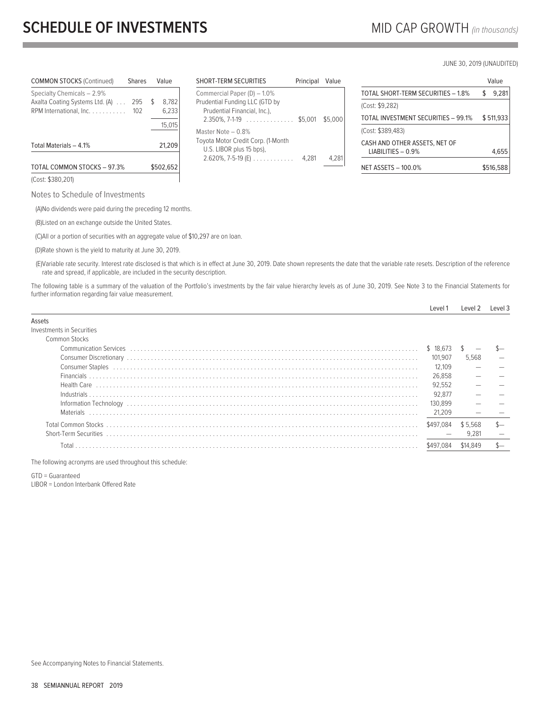# **SCHEDULE OF INVESTMENTS** MID CAP GROWTH (in thousands)

JUNE 30, 2019 (UNAUDITED)

| <b>COMMON STOCKS (Continued)</b>                                                         | <b>Shares</b> | Value                          |  |
|------------------------------------------------------------------------------------------|---------------|--------------------------------|--|
| Specialty Chemicals - 2.9%<br>Axalta Coating Systems Ltd. (A)<br>RPM International, Inc. | 295<br>102    | \$<br>8,782<br>6,233<br>15,015 |  |
| Total Materials - 4.1%                                                                   |               | 21.209                         |  |
| TOTAL COMMON STOCKS - 97.3%                                                              |               | \$502.652                      |  |

| <b>SHORT-TERM SECURITIES</b>                                                                                                    | Principal | Value |
|---------------------------------------------------------------------------------------------------------------------------------|-----------|-------|
| Commercial Paper (D) - 1.0%<br>Prudential Funding LLC (GTD by<br>Prudential Financial, Inc.),<br>2.350%, 7-1-19 \$5,001 \$5,000 |           |       |
| Master Note $-0.8\%$<br>Toyota Motor Credit Corp. (1-Month<br>U.S. LIBOR plus 15 bps),<br>$2.620\%$ , 7-5-19 (E)                | 4.281     |       |

|                                                       | Value       |
|-------------------------------------------------------|-------------|
| TOTAL SHORT-TERM SECURITIES - 1.8%                    | \$<br>9.281 |
| (Cost: \$9,282)                                       |             |
| TOTAL INVESTMENT SECURITIES - 99.1%                   | \$511,933   |
| (Cost: \$389,483)                                     |             |
| CASH AND OTHER ASSETS. NET OF<br>LIABILITIES $-0.9\%$ | 4,655       |
| <b>NET ASSETS - 100.0%</b>                            | \$516,588   |

(Cost: \$380,201)

Notes to Schedule of Investments

(A)No dividends were paid during the preceding 12 months.

(B)Listed on an exchange outside the United States.

(C)All or a portion of securities with an aggregate value of \$10,297 are on loan.

(D)Rate shown is the yield to maturity at June 30, 2019.

(E)Variable rate security. Interest rate disclosed is that which is in effect at June 30, 2019. Date shown represents the date that the variable rate resets. Description of the reference rate and spread, if applicable, are included in the security description.

The following table is a summary of the valuation of the Portfolio's investments by the fair value hierarchy levels as of June 30, 2019. See Note 3 to the Financial Statements for further information regarding fair value measurement.

|                                                                                                                                                                                                                                | Level 1   | Level 2  | Level 3 |
|--------------------------------------------------------------------------------------------------------------------------------------------------------------------------------------------------------------------------------|-----------|----------|---------|
| Assets                                                                                                                                                                                                                         |           |          |         |
| Investments in Securities                                                                                                                                                                                                      |           |          |         |
| Common Stocks                                                                                                                                                                                                                  |           |          |         |
| <b>Communication Services</b>                                                                                                                                                                                                  | \$18.673  |          |         |
|                                                                                                                                                                                                                                | 101.907   | 5.568    |         |
| Consumer Staples in the continuum control of the constraint of the consumer Staples in the consumer Staples in the constraint of the constraint of the constraint of the constraint of the constraint of the constraint of the | 12.109    |          |         |
|                                                                                                                                                                                                                                | 26.858    |          |         |
| Health Care                                                                                                                                                                                                                    | 92.552    |          |         |
|                                                                                                                                                                                                                                | 92.877    |          |         |
|                                                                                                                                                                                                                                | 130.899   |          |         |
|                                                                                                                                                                                                                                | 21,209    |          |         |
|                                                                                                                                                                                                                                | \$497.084 | \$5.568  |         |
|                                                                                                                                                                                                                                |           | 9.281    |         |
| Total                                                                                                                                                                                                                          |           | \$14.849 |         |
|                                                                                                                                                                                                                                |           |          |         |

The following acronyms are used throughout this schedule:

### GTD = Guaranteed

LIBOR = London Interbank Offered Rate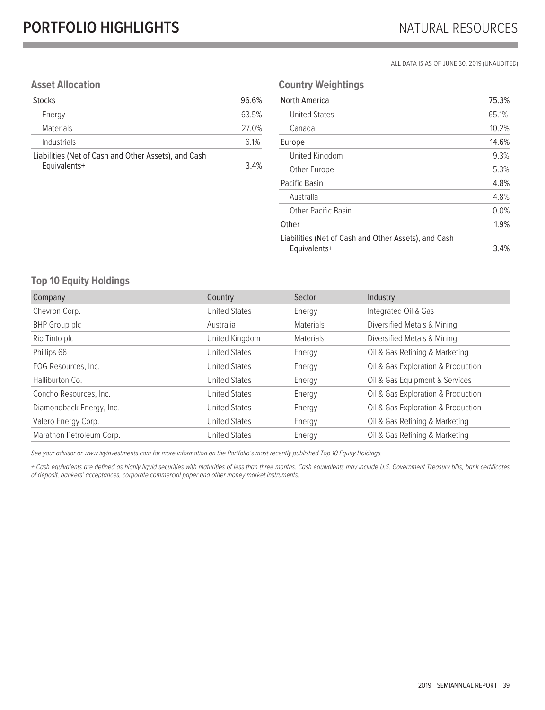#### ALL DATA IS AS OF JUNE 30, 2019 (UNAUDITED)

# **Asset Allocation**

| <b>Stocks</b>                                        | 96.6%   |
|------------------------------------------------------|---------|
| Energy                                               | 63.5%   |
| <b>Materials</b>                                     | 27.0%   |
| Industrials                                          | 6.1%    |
| Liabilities (Net of Cash and Other Assets), and Cash |         |
| Equivalents+                                         | $3.4\%$ |

# **Country Weightings**

| North America                                        | 75.3% |
|------------------------------------------------------|-------|
| <b>United States</b>                                 | 65.1% |
| Canada                                               | 10.2% |
| Europe                                               | 14.6% |
| United Kingdom                                       | 9.3%  |
| Other Europe                                         | 5.3%  |
| Pacific Basin                                        | 4.8%  |
| Australia                                            | 4.8%  |
| Other Pacific Basin                                  | 0.0%  |
| Other                                                | 1.9%  |
| Liabilities (Net of Cash and Other Assets), and Cash |       |
| Equivalents+                                         | 3.4%  |

# **Top 10 Equity Holdings**

| Company                  | Country              | Sector           | Industry                           |
|--------------------------|----------------------|------------------|------------------------------------|
| Chevron Corp.            | <b>United States</b> | Energy           | Integrated Oil & Gas               |
| BHP Group plc            | Australia            | Materials        | Diversified Metals & Mining        |
| Rio Tinto plc            | United Kingdom       | <b>Materials</b> | Diversified Metals & Mining        |
| Phillips 66              | <b>United States</b> | Energy           | Oil & Gas Refining & Marketing     |
| EOG Resources, Inc.      | United States        | Energy           | Oil & Gas Exploration & Production |
| Halliburton Co.          | <b>United States</b> | Energy           | Oil & Gas Equipment & Services     |
| Concho Resources, Inc.   | United States        | Energy           | Oil & Gas Exploration & Production |
| Diamondback Energy, Inc. | <b>United States</b> | Energy           | Oil & Gas Exploration & Production |
| Valero Energy Corp.      | United States        | Energy           | Oil & Gas Refining & Marketing     |
| Marathon Petroleum Corp. | <b>United States</b> | Energy           | Oil & Gas Refining & Marketing     |

See your advisor or www.ivyinvestments.com for more information on the Portfolio's most recently published Top 10 Equity Holdings.

+ Cash equivalents are defined as highly liquid securities with maturities of less than three months. Cash equivalents may include U.S. Government Treasury bills, bank certificates of deposit, bankers' acceptances, corporate commercial paper and other money market instruments.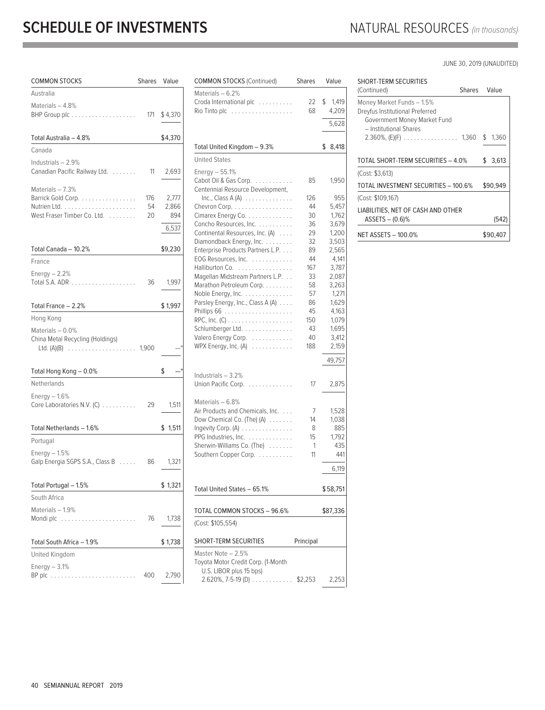# **SCHEDULE OF INVESTMENTS** NATURAL RESOURCES (in thousands)

|  |  | JUNE 30, 2019 (UNAUDITED) |
|--|--|---------------------------|
|--|--|---------------------------|

| <b>COMMON STOCKS</b>                                                                                                          | Shares Value    |                                | <b>COMMON STOCKS (Contil</b>                                                                                                                                             |
|-------------------------------------------------------------------------------------------------------------------------------|-----------------|--------------------------------|--------------------------------------------------------------------------------------------------------------------------------------------------------------------------|
| Australia                                                                                                                     |                 |                                | Materials $-6.2%$                                                                                                                                                        |
| Materials $-4.8%$<br>BHP Group plc $\dots\dots\dots\dots\dots\dots\dots$                                                      | 171             | \$4,370                        | Croda International plc.<br>Rio Tinto plc                                                                                                                                |
| Total Australia - 4.8%                                                                                                        |                 | \$4,370                        |                                                                                                                                                                          |
| Canada                                                                                                                        |                 |                                | Total United Kingdom - 9                                                                                                                                                 |
| Industrials - 2.9%                                                                                                            |                 |                                | <b>United States</b>                                                                                                                                                     |
| Canadian Pacific Railway Ltd.                                                                                                 | 11              | 2,693                          | Energy $-55.1%$                                                                                                                                                          |
| Materials $-7.3%$<br>Barrick Gold Corp.<br>West Fraser Timber Co. Ltd.                                                        | 176<br>54<br>20 | 2,777<br>2,866<br>894<br>6,537 | Cabot Oil & Gas Corp.<br>Centennial Resource Deve<br>Inc., Class A $(A)$<br>Chevron Corp.<br>Cimarex Energy Co.<br>Concho Resources, Inc. .<br>Continental Resources, In |
| Total Canada - 10.2%                                                                                                          |                 | \$9,230                        | Diamondback Energy, Inc.<br>Enterprise Products Partne                                                                                                                   |
| France                                                                                                                        |                 |                                | EOG Resources, Inc.                                                                                                                                                      |
| Energy $-2.2%$                                                                                                                | 36              | 1,997                          | Halliburton Co.<br>Magellan Midstream Partr<br>Marathon Petroleum Corp<br>Noble Energy, Inc.                                                                             |
| Total France - 2.2%                                                                                                           |                 | \$1,997                        | Parsley Energy, Inc., Class                                                                                                                                              |
| Hong Kong                                                                                                                     |                 |                                | Phillips 66<br>RPC, Inc. $(C)$                                                                                                                                           |
| Materials $-0.0%$<br>China Metal Recycling (Holdings)<br>Ltd. (A)(B) $\ldots \ldots \ldots \ldots \ldots \ldots \ldots$ 1,900 |                 |                                | Schlumberger Ltd.<br>Valero Energy Corp.<br>WPX Energy, Inc. $(A)$                                                                                                       |
| Total Hong Kong - 0.0%                                                                                                        |                 | \$                             |                                                                                                                                                                          |
| Netherlands                                                                                                                   |                 |                                | Industrials $-3.2%$<br>Union Pacific Corp.                                                                                                                               |
| Energy $-1.6%$<br>Core Laboratories N.V. (C)                                                                                  | 29              | 1,511                          | Materials $-6.8%$<br>Air Products and Chemica                                                                                                                            |
| Total Netherlands - 1.6%                                                                                                      |                 | \$ 1,511                       | Dow Chemical Co. (The) (A<br>Ingevity Corp. $(A)$                                                                                                                        |
| Portugal                                                                                                                      |                 |                                | PPG Industries, Inc.                                                                                                                                                     |
| Energy $-1.5%$<br>Galp Energia SGPS S.A., Class B                                                                             | 86              | 1,321                          | Sherwin-Williams Co. (The<br>Southern Copper Corp. .                                                                                                                     |
| Total Portugal - 1.5%                                                                                                         |                 | \$1,321                        | Total United States - 65.                                                                                                                                                |
| South Africa                                                                                                                  |                 |                                |                                                                                                                                                                          |
| Materials - 1.9%                                                                                                              |                 |                                | <b>TOTAL COMMON STOCKS</b>                                                                                                                                               |
| Mondi plc $\dots\dots\dots\dots\dots\dots\dots\dots\dots$                                                                     | 76              | 1,738                          | (Cost: \$105,554)                                                                                                                                                        |
| Total South Africa - 1.9%                                                                                                     |                 | \$1,738                        | SHORT-TERM SECURITIES                                                                                                                                                    |
| United Kingdom                                                                                                                |                 |                                | Master Note - 2.5%                                                                                                                                                       |
| Energy $-3.1%$                                                                                                                | 400             | 2,790                          | Toyota Motor Credit Corp.<br>U.S. LIBOR plus 15 bps)                                                                                                                     |

| <b>COMMON STOCKS (Continued)</b>                                             | <b>Shares</b> | Value       |
|------------------------------------------------------------------------------|---------------|-------------|
| Materials - 6.2%<br>Croda International plc                                  | 22            | 1,419<br>\$ |
| Rio Tinto plc $\ldots \ldots \ldots \ldots \ldots$                           | 68            | 4,209       |
|                                                                              |               | 5,628       |
| Total United Kingdom - 9.3%                                                  |               | \$<br>8,418 |
| <b>United States</b>                                                         |               |             |
| Energy $-55.1%$<br>Cabot Oil & Gas Corp.<br>Centennial Resource Development, | 85            | 1,950       |
| Inc., Class A $(A)$                                                          | 126           | 955         |
| Chevron Corp.                                                                | 44            | 5,457       |
| Cimarex Energy Co.                                                           | 30            | 1,762       |
| Concho Resources, Inc.                                                       | 36            | 3,679       |
| Continental Resources, Inc. (A)                                              | 29            | 1,200       |
| Diamondback Energy, Inc.                                                     | 32            | 3,503       |
| Enterprise Products Partners L.P.                                            | 89            | 2,565       |
| EOG Resources, Inc.                                                          | 44            | 4,141       |
| Halliburton Co.                                                              | 167           | 3,787       |
| Magellan Midstream Partners L.P.                                             | 33            | 2,087       |
| Marathon Petroleum Corp.                                                     | 58            | 3,263       |
| Noble Energy, Inc.                                                           | 57            | 1,271       |
| Parsley Energy, Inc., Class A (A)                                            | 86            | 1,629       |
|                                                                              | 45            | 4,163       |
|                                                                              | 150           | 1,079       |
| Schlumberger Ltd.                                                            | 43            | 1,695       |
| Valero Energy Corp.                                                          | 40            | 3,412       |
| WPX Energy, Inc. $(A)$                                                       | 188           | 2,159       |
|                                                                              |               |             |
|                                                                              |               | 49,757      |
| Industrials - 3.2%                                                           |               |             |
| Union Pacific Corp.<br>.                                                     | 17            | 2,875       |
| Materials - 6.8%                                                             |               |             |
| Air Products and Chemicals, Inc.                                             | 7             | 1,528       |
| Dow Chemical Co. (The) (A)                                                   | 14            | 1,038       |
| Ingevity Corp. $(A)$                                                         | 8             | 885         |
| PPG Industries, Inc.                                                         | 15            | 1,792       |
| Sherwin-Williams Co. (The)                                                   | 1             | 435         |
| Southern Copper Corp.                                                        | 11            | 441         |
|                                                                              |               | 6,119       |
|                                                                              |               |             |
| <b>Total United States -</b><br>$-65.1%$                                     |               | \$58,751    |
| TOTAL COMMON STOCKS - 96.6%                                                  |               | \$87,336    |
| (Cost: \$105,554)                                                            |               |             |
| SHORT-TERM SECURITIES                                                        | Principal     |             |
|                                                                              |               |             |
| Master Note - 2.5%<br>Toyota Motor Credit Corp. (1-Month                     |               |             |
| U.S. LIBOR plus 15 bps)                                                      |               |             |
| $2.620\%$ , 7-5-19 (D) $\ldots \ldots \ldots$ \$2,253                        |               | 2,253       |

| <b>SHORT-TERM SECURITIES</b><br>(Continued)                                                                            | Shares Value |             |
|------------------------------------------------------------------------------------------------------------------------|--------------|-------------|
| Money Market Funds - 1.5%<br>Dreyfus Institutional Preferred<br>Government Money Market Fund<br>- Institutional Shares |              |             |
| $2.360\%$ , (E)(F) $\ldots \ldots \ldots \ldots \ldots$ 1,360                                                          |              | \$1,360     |
| TOTAL SHORT-TERM SECURITIES - 4.0%                                                                                     |              | \$<br>3,613 |
| (Cost: \$3,613)                                                                                                        |              |             |
| TOTAL INVESTMENT SECURITIES - 100.6%                                                                                   |              | \$90,949    |
| (Cost: \$109,167)                                                                                                      |              |             |
| LIABILITIES, NET OF CASH AND OTHER<br>$ASSETS - (0.6)%$                                                                |              | (542        |
| <b>NET ASSETS - 100.0%</b>                                                                                             |              | \$90,407    |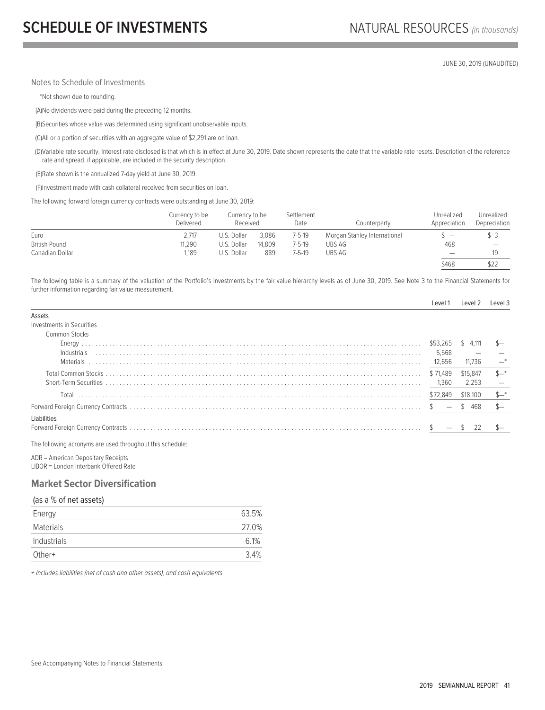JUNE 30, 2019 (UNAUDITED)

Notes to Schedule of Investments

\*Not shown due to rounding.

(A)No dividends were paid during the preceding 12 months.

(B)Securities whose value was determined using significant unobservable inputs.

(C)All or a portion of securities with an aggregate value of \$2,291 are on loan.

(D)Variable rate security. Interest rate disclosed is that which is in effect at June 30, 2019. Date shown represents the date that the variable rate resets. Description of the reference rate and spread, if applicable, are included in the security description.

(E)Rate shown is the annualized 7-day yield at June 30, 2019.

(F)Investment made with cash collateral received from securities on loan.

The following forward foreign currency contracts were outstanding at June 30, 2019:

|                 | Currency to be<br>Delivered | Currency to be<br>Received |        | Settlement<br>Date | Counterparty                 | Unrealized<br>Appreciation      | Unrealized<br>Depreciation |
|-----------------|-----------------------------|----------------------------|--------|--------------------|------------------------------|---------------------------------|----------------------------|
| Euro            | 2,717                       | U.S. Dollar                | 3.086  | 7-5-19             | Morgan Stanley International | $\hspace{0.1mm}-\hspace{0.1mm}$ | \$3                        |
| British Pound   | 11.290                      | U.S. Dollar                | 14.809 | 7-5-19             | UBS AG                       | 468                             | $\overline{\phantom{a}}$   |
| Canadian Dollar | 1.189                       | U.S. Dollar                | 889    | 7-5-19             | UBS AG                       | $\hspace{0.1mm}-\hspace{0.1mm}$ | 19                         |
|                 |                             |                            |        |                    |                              | \$468                           | \$22                       |

The following table is a summary of the valuation of the Portfolio's investments by the fair value hierarchy levels as of June 30, 2019. See Note 3 to the Financial Statements for further information regarding fair value measurement.

|                           | evel     |          | <b>PVAL</b> |
|---------------------------|----------|----------|-------------|
| Assets                    |          |          |             |
| Investments in Securities |          |          |             |
| Common Stocks             |          |          |             |
| Enerav                    | \$53,265 |          |             |
| <b>Industrials</b>        | 5.568    |          |             |
|                           | 12.656   | 11.736   |             |
|                           | \$71.489 | \$15.847 |             |
|                           | 1.360    | 2.253    |             |
| Total                     | \$72.849 | \$18.100 |             |
|                           |          | 468      |             |
| Liabilities               |          |          |             |
|                           |          |          |             |

The following acronyms are used throughout this schedule:

ADR = American Depositary Receipts LIBOR = London Interbank Offered Rate

### **Market Sector Diversification**

### (as a % of net assets)

|             | 63.5% |
|-------------|-------|
| Energy      |       |
| Materials   | 27.0% |
| Industrials | 61%   |
| Other+      | 34%   |

+ Includes liabilities (net of cash and other assets), and cash equivalents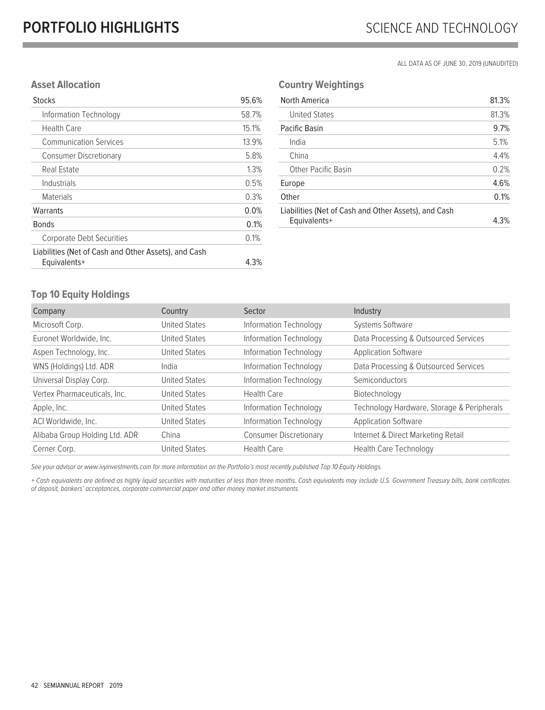ALL DATA AS OF JUNE 30, 2019 (UNAUDITED)

# **Asset Allocation**

| <b>Stocks</b>                                        | 95.6% |
|------------------------------------------------------|-------|
| Information Technology                               | 58.7% |
| Health Care                                          | 15.1% |
| <b>Communication Services</b>                        | 13.9% |
| Consumer Discretionary                               | 5.8%  |
| Real Estate                                          | 1.3%  |
| Industrials                                          | 0.5%  |
| <b>Materials</b>                                     | 0.3%  |
| Warrants                                             | 0.0%  |
| Bonds                                                | 0.1%  |
| Corporate Debt Securities                            | 0.1%  |
| Liabilities (Net of Cash and Other Assets), and Cash |       |
| Equivalents+                                         | 4.3%  |

# **Country Weightings**

| North America                                        | 81.3% |
|------------------------------------------------------|-------|
| <b>United States</b>                                 | 81.3% |
| Pacific Basin                                        | 9.7%  |
| India                                                | 5.1%  |
| China                                                | 4.4%  |
| Other Pacific Basin                                  | 0.2%  |
| Europe                                               | 4.6%  |
| Other                                                | 0.1%  |
| Liabilities (Net of Cash and Other Assets), and Cash |       |
| Equivalents+                                         | 4.3%  |

# **Top 10 Equity Holdings**

| Company                        | Country              | Sector                        | Industry                                   |
|--------------------------------|----------------------|-------------------------------|--------------------------------------------|
| Microsoft Corp.                | <b>United States</b> | Information Technology        | <b>Systems Software</b>                    |
| Euronet Worldwide, Inc.        | <b>United States</b> | Information Technology        | Data Processing & Outsourced Services      |
| Aspen Technology, Inc.         | United States        | Information Technology        | <b>Application Software</b>                |
| WNS (Holdings) Ltd. ADR        | India                | Information Technology        | Data Processing & Outsourced Services      |
| Universal Display Corp.        | United States        | Information Technology        | Semiconductors                             |
| Vertex Pharmaceuticals, Inc.   | <b>United States</b> | <b>Health Care</b>            | Biotechnology                              |
| Apple, Inc.                    | <b>United States</b> | Information Technology        | Technology Hardware, Storage & Peripherals |
| ACI Worldwide, Inc.            | <b>United States</b> | Information Technology        | <b>Application Software</b>                |
| Alibaba Group Holding Ltd. ADR | China                | <b>Consumer Discretionary</b> | Internet & Direct Marketing Retail         |
| Cerner Corp.                   | <b>United States</b> | <b>Health Care</b>            | <b>Health Care Technology</b>              |

See your advisor or www.ivyinvestments.com for more information on the Portfolio's most recently published Top 10 Equity Holdings.

+ Cash equivalents are defined as highly liquid securities with maturities of less than three months. Cash equivalents may include U.S. Government Treasury bills, bank certificates of deposit, bankers' acceptances, corporate commercial paper and other money market instruments.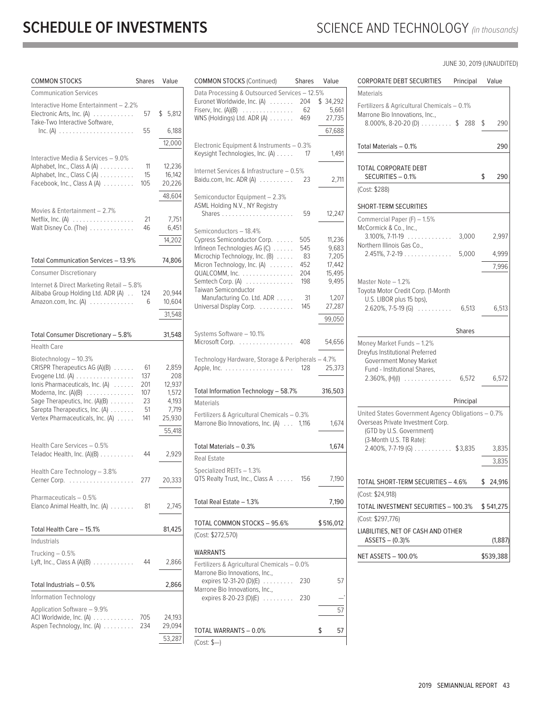# **SCHEDULE OF INVESTMENTS** SCIENCE AND TECHNOLOGY (in thousands)

### JUNE 30, 2019 (UNAUDITED)

| <b>COMMON STOCKS</b>                                                                                                                                                                                                                              | <b>Shares</b>                              | Value                                                                 |
|---------------------------------------------------------------------------------------------------------------------------------------------------------------------------------------------------------------------------------------------------|--------------------------------------------|-----------------------------------------------------------------------|
| <b>Communication Services</b>                                                                                                                                                                                                                     |                                            |                                                                       |
| Interactive Home Entertainment - 2.2%<br>Electronic Arts, Inc. $(A)$<br>Take-Two Interactive Software,                                                                                                                                            | 57                                         | \$<br>5,812                                                           |
| $Inc. (A) \n \n \n \n \n \n$                                                                                                                                                                                                                      | 55                                         | 6,188                                                                 |
|                                                                                                                                                                                                                                                   |                                            | 12,000                                                                |
| Interactive Media & Services - 9.0%<br>Alphabet, Inc., Class A (A)<br>Alphabet, Inc., Class C (A)<br>Facebook, Inc., Class A $(A)$                                                                                                                | 11<br>15<br>105                            | 12,236<br>16,142<br>20,226<br>48,604                                  |
| Movies & Entertainment - 2.7%<br>Netflix, Inc. $(A)$<br>Walt Disney Co. (The)                                                                                                                                                                     | 21<br>46                                   | 7,751<br>6,451<br>14,202                                              |
| Total Communication Services - 13.9%                                                                                                                                                                                                              |                                            | 74,806                                                                |
| <b>Consumer Discretionary</b>                                                                                                                                                                                                                     |                                            |                                                                       |
| Internet & Direct Marketing Retail - 5.8%<br>Alibaba Group Holding Ltd. ADR (A)<br>Amazon.com, Inc. $(A)$                                                                                                                                         | 124<br>6                                   | 20,944<br>10,604<br>31,548                                            |
| Total Consumer Discretionary - 5.8%                                                                                                                                                                                                               |                                            | 31,548                                                                |
| <b>Health Care</b>                                                                                                                                                                                                                                |                                            |                                                                       |
| Biotechnology - 10.3%<br>CRISPR Therapeutics AG (A)(B)<br>Evogene Ltd. $(A)$<br>Ionis Pharmaceuticals, Inc. (A)<br>Moderna, Inc. $(A)(B)$<br>Sage Therapeutics, Inc. (A)(B)<br>Sarepta Therapeutics, Inc. (A)<br>Vertex Pharmaceuticals, Inc. (A) | 61<br>137<br>201<br>107<br>23<br>51<br>141 | 2,859<br>208<br>12,937<br>1,572<br>4,193<br>7,719<br>25,930<br>55,418 |
| Health Care Services - 0.5%<br>Teladoc Health, Inc. (A)(B)                                                                                                                                                                                        | 44                                         | 2,929                                                                 |
| Health Care Technology - 3.8%<br>Cerner Corp.                                                                                                                                                                                                     | 277                                        | 20,333                                                                |
| Pharmaceuticals - 0.5%<br>Elanco Animal Health, Inc. (A) $\dots \dots$                                                                                                                                                                            | 81                                         | 2,745                                                                 |
| Total Health Care - 15.1%                                                                                                                                                                                                                         |                                            | 81,425                                                                |
| Industrials                                                                                                                                                                                                                                       |                                            |                                                                       |
| Trucking $-0.5%$<br>Lyft, Inc., Class A $(A)(B)$                                                                                                                                                                                                  | 44                                         | 2,866                                                                 |
| Total Industrials - 0.5%                                                                                                                                                                                                                          |                                            | 2,866                                                                 |
| Information Technology                                                                                                                                                                                                                            |                                            |                                                                       |
| Application Software - 9.9%                                                                                                                                                                                                                       |                                            |                                                                       |
| ACI Worldwide, Inc. $(A)$<br>Aspen Technology, Inc. $(A)$                                                                                                                                                                                         | 705<br>234                                 | 24,193<br>29,094                                                      |
|                                                                                                                                                                                                                                                   |                                            | 53,287                                                                |
|                                                                                                                                                                                                                                                   |                                            |                                                                       |

| <b>COMMON STOCKS (Continued)</b>                  | <b>Shares</b> | Value     |
|---------------------------------------------------|---------------|-----------|
| Data Processing & Outsourced Services - 12.5%     |               |           |
| Euronet Worldwide, Inc. (A)                       | 204           | \$34,292  |
| Fiserv, Inc. $(A)(B)$                             | 62            | 5,661     |
| WNS (Holdings) Ltd. ADR (A)                       | 469           | 27,735    |
|                                                   |               |           |
|                                                   |               | 67,688    |
| Electronic Equipment & Instruments - 0.3%         |               |           |
| Keysight Technologies, Inc. (A)                   | 17            | 1,491     |
|                                                   |               |           |
| Internet Services & Infrastructure - 0.5%         |               |           |
| Baidu.com, Inc. ADR $(A)$                         | 23            | 2,711     |
|                                                   |               |           |
| Semiconductor Equipment - 2.3%                    |               |           |
| ASML Holding N.V., NY Registry                    |               |           |
| Shares                                            | 59            | 12,247    |
|                                                   |               |           |
| Semiconductors - 18.4%                            |               |           |
| Cypress Semiconductor Corp.                       | 505           | 11,236    |
| Infineon Technologies AG (C)                      | 545           | 9,683     |
| Microchip Technology, Inc. (B)                    | 83            | 7,205     |
| Micron Technology, Inc. (A)                       | 452           | 17,442    |
| QUALCOMM, Inc.                                    | 204           | 15.495    |
| Semtech Corp. $(A)$                               | 198           | 9,495     |
| Taiwan Semiconductor                              |               |           |
| Manufacturing Co. Ltd. ADR                        | 31            | 1,207     |
| Universal Display Corp.                           | 145           | 27,287    |
|                                                   |               |           |
|                                                   |               | 99,050    |
|                                                   |               |           |
| Systems Software - 10.1%                          |               |           |
| Microsoft Corp.<br>.                              | 408           | 54,656    |
|                                                   |               |           |
| Technology Hardware, Storage & Peripherals - 4.7% |               |           |
|                                                   | 128           | 25,373    |
|                                                   |               |           |
| Total Information Technology - 58.7%              |               | 316,503   |
| Materials                                         |               |           |
| Fertilizers & Agricultural Chemicals - 0.3%       |               |           |
| Marrone Bio Innovations, Inc. (A)                 | 1,116         | 1,674     |
|                                                   |               |           |
|                                                   |               |           |
| Total Materials - 0.3%                            |               | 1,674     |
| <b>Real Estate</b>                                |               |           |
| Specialized REITs - 1.3%                          |               |           |
| QTS Realty Trust, Inc., Class A                   | 156           | 7,190     |
|                                                   |               |           |
|                                                   |               |           |
| Total Real Estate - 1.3%                          |               | 7,190     |
|                                                   |               |           |
| TOTAL COMMON STOCKS - 95.6%                       |               | \$516,012 |
|                                                   |               |           |
| (Cost: \$272,570)                                 |               |           |
| <b>WARRANTS</b>                                   |               |           |
|                                                   |               |           |
| Fertilizers & Agricultural Chemicals - 0.0%       |               |           |
| Marrone Bio Innovations, Inc.,                    |               |           |
| expires 12-31-20 (D)(E) $\ldots \ldots$           | 230           | 57        |
| Marrone Bio Innovations, Inc.,                    |               |           |
| expires 8-20-23 (D)(E)<br>a sa sa                 | 230           |           |
|                                                   |               | 57        |
|                                                   |               |           |
| TOTAL WARRANTS - 0.0%                             |               | \$<br>57  |
|                                                   |               |           |

(Cost: \$—)

| <b>CORPORATE DEBT SECURITIES</b>                                                                                                                | Principal     | Value        |
|-------------------------------------------------------------------------------------------------------------------------------------------------|---------------|--------------|
| <b>Materials</b>                                                                                                                                |               |              |
| Fertilizers & Agricultural Chemicals - 0.1%<br>Marrone Bio Innovations, Inc.,<br>$8.000\%$ , $8-20-20$ (D) $\ldots \ldots$                      | \$288         | \$<br>290    |
| Total Materials - 0.1%                                                                                                                          |               | 290          |
| TOTAL CORPORATE DEBT<br>SECURITIES - 0.1%                                                                                                       |               | \$<br>290    |
| (Cost: \$288)                                                                                                                                   |               |              |
| <b>SHORT-TERM SECURITIES</b>                                                                                                                    |               |              |
| Commercial Paper (F) - 1.5%                                                                                                                     |               |              |
| McCormick & Co., Inc.,<br>$3.100\%$ , $7-11-19$<br>Northern Illinois Gas Co.,                                                                   | 3,000         | 2,997        |
| $2.451\%$ , 7-2-19                                                                                                                              | 5,000         | 4,999        |
|                                                                                                                                                 |               | 7,996        |
| Master Note - 1.2%<br>Toyota Motor Credit Corp. (1-Month<br>U.S. LIBOR plus 15 bps),<br>$2.620\%$ , 7-5-19 (G) $\ldots$ .                       | 6,513         | 6,513        |
|                                                                                                                                                 | <b>Shares</b> |              |
| Money Market Funds - 1.2%<br>Dreyfus Institutional Preferred<br>Government Money Market<br>Fund - Institutional Shares,<br>$2.360\%$ , $(H)(I)$ | 6,572         | 6,572        |
|                                                                                                                                                 | Principal     |              |
| United States Government Agency Obligations - 0.7%                                                                                              |               |              |
| Overseas Private Investment Corp.<br>(GTD by U.S. Government)<br>(3-Month U.S. TB Rate):                                                        |               |              |
| $2.400\%$ , 7-7-19 (G) $\ldots \ldots \ldots$ \$3,835                                                                                           |               | 3,835        |
|                                                                                                                                                 |               | 3,835        |
| TOTAL SHORT-TERM SECURITIES - 4.6%                                                                                                              |               | \$<br>24,916 |
| (Cost: \$24,918)                                                                                                                                |               |              |
| TOTAL INVESTMENT SECURITIES - 100.3%                                                                                                            |               | \$541,275    |
| (Cost: \$297,776)                                                                                                                               |               |              |
| LIABILITIES, NET OF CASH AND OTHER<br>$ASSETS - (0.3)\%$                                                                                        |               | (1,887)      |
| <b>NET ASSETS - 100.0%</b>                                                                                                                      |               | \$539,388    |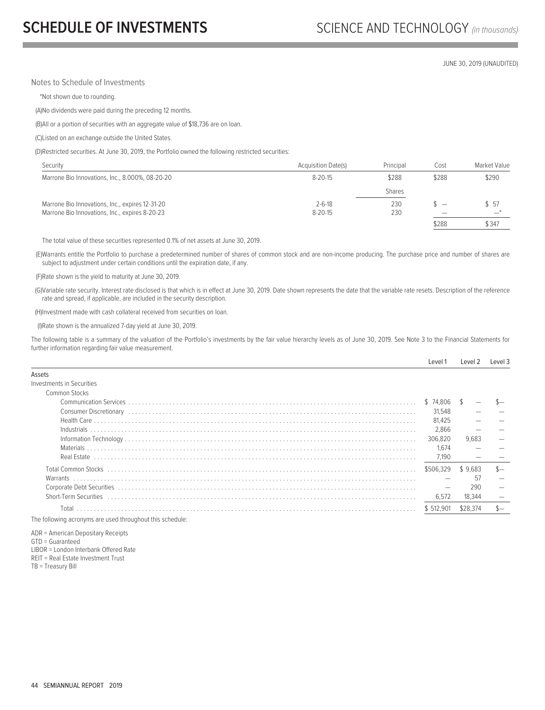JUNE 30, 2019 (UNAUDITED)

Notes to Schedule of Investments

\*Not shown due to rounding.

(A)No dividends were paid during the preceding 12 months.

(B)All or a portion of securities with an aggregate value of \$18,736 are on loan.

(C)Listed on an exchange outside the United States.

(D)Restricted securities. At June 30, 2019, the Portfolio owned the following restricted securities:

| Security                                        | <b>Acquisition Date(s)</b> | Principal     | Cost      | Market Value |
|-------------------------------------------------|----------------------------|---------------|-----------|--------------|
| Marrone Bio Innovations, Inc., 8.000%, 08-20-20 | $8 - 20 - 15$              | \$288         | \$288     | \$290        |
|                                                 |                            | <b>Shares</b> |           |              |
| Marrone Bio Innovations, Inc., expires 12-31-20 | $2 - 6 - 18$               | 230           | <b>11</b> | \$57         |
| Marrone Bio Innovations, Inc., expires 8-20-23  | $8 - 20 - 15$              | 230           |           | __           |
|                                                 |                            |               | \$288     | \$347        |

The total value of these securities represented 0.1% of net assets at June 30, 2019.

(E)Warrants entitle the Portfolio to purchase a predetermined number of shares of common stock and are non-income producing. The purchase price and number of shares are subject to adjustment under certain conditions until the expiration date, if any.

(F)Rate shown is the yield to maturity at June 30, 2019.

(G)Variable rate security. Interest rate disclosed is that which is in effect at June 30, 2019. Date shown represents the date that the variable rate resets. Description of the reference rate and spread, if applicable, are included in the security description.

(H)Investment made with cash collateral received from securities on loan.

(I)Rate shown is the annualized 7-day yield at June 30, 2019.

The following table is a summary of the valuation of the Portfolio's investments by the fair value hierarchy levels as of June 30, 2019. See Note 3 to the Financial Statements for further information regarding fair value measurement.

|                                                                                                                                                                                                                                | Level 1   | Level 2  | Level 3 |
|--------------------------------------------------------------------------------------------------------------------------------------------------------------------------------------------------------------------------------|-----------|----------|---------|
| Assets                                                                                                                                                                                                                         |           |          |         |
| Investments in Securities                                                                                                                                                                                                      |           |          |         |
| Common Stocks                                                                                                                                                                                                                  |           |          |         |
|                                                                                                                                                                                                                                | \$74.806  |          |         |
| Consumer Discretionary (1990) (1990) (1990) (1990) (1990) (1990) (1990) (1990) (1990) (1990) (1990) (1990) (1990) (1990) (1990) (1990) (1990) (1990) (1990) (1990) (1990) (1990) (1990) (1990) (1990) (1990) (1990) (1990) (19 | 31.548    |          |         |
|                                                                                                                                                                                                                                | 81.425    |          |         |
|                                                                                                                                                                                                                                | 2.866     |          |         |
|                                                                                                                                                                                                                                | 306.820   | 9.683    |         |
|                                                                                                                                                                                                                                | 1.674     |          |         |
|                                                                                                                                                                                                                                | 7.190     |          |         |
| Total Common Stocks (a) respectively and the control of the control of the common stocks (common Stocks (c) and the control of the control of the control of the control of the control of the control of the control of the c | \$506.329 | \$9.683  | $\sim$  |
|                                                                                                                                                                                                                                |           | 57       |         |
|                                                                                                                                                                                                                                |           | 290      |         |
| Short-Term Securities                                                                                                                                                                                                          | 6.572     | 18.344   |         |
| Total                                                                                                                                                                                                                          | \$512.901 | \$28.374 |         |
|                                                                                                                                                                                                                                |           |          |         |

The following acronyms are used throughout this schedule:

ADR = American Depositary Receipts GTD = Guaranteed LIBOR = London Interbank Offered Rate REIT = Real Estate Investment Trust TB = Treasury Bill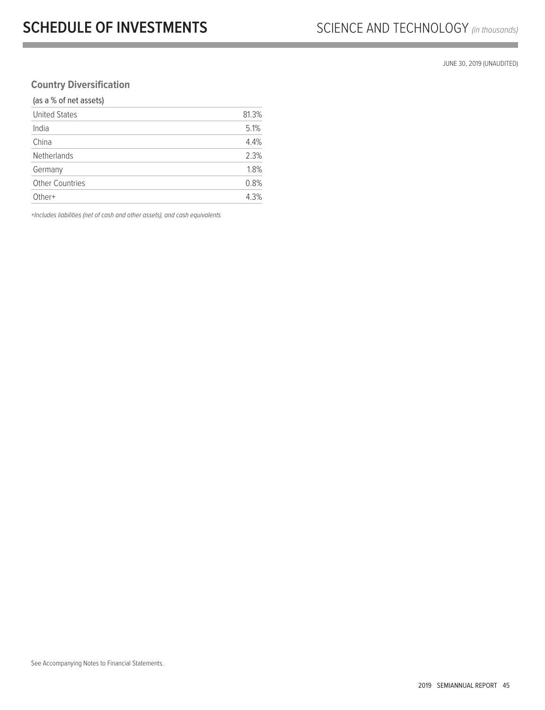JUNE 30, 2019 (UNAUDITED)

# **Country Diversification**

| (as a % of net assets) |       |
|------------------------|-------|
| <b>United States</b>   | 81.3% |
| India                  | 5.1%  |
| China                  | 4.4%  |
| <b>Netherlands</b>     | 2.3%  |
| Germany                | 1.8%  |
| <b>Other Countries</b> | 0.8%  |
| Other+                 | 43%   |

+Includes liabilities (net of cash and other assets), and cash equivalents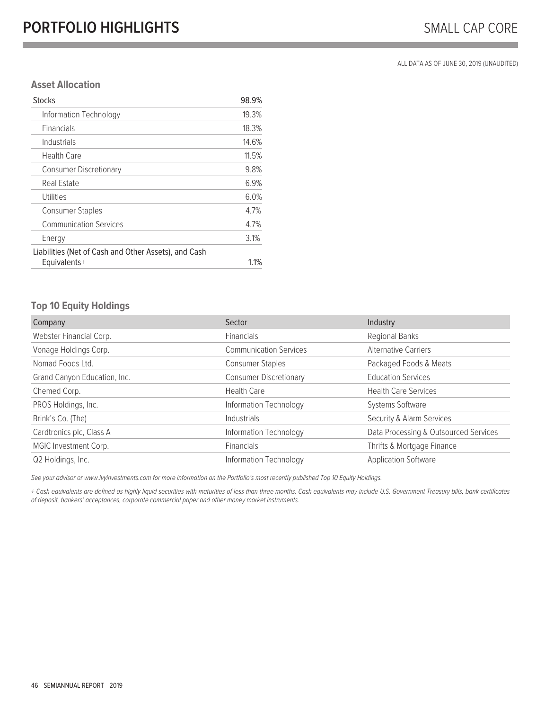ALL DATA AS OF JUNE 30, 2019 (UNAUDITED)

# **Asset Allocation**

| <b>Stocks</b>                                        | 98.9% |
|------------------------------------------------------|-------|
| Information Technology                               | 19.3% |
| <b>Financials</b>                                    | 18.3% |
| Industrials                                          | 14.6% |
| Health Care                                          | 11.5% |
| <b>Consumer Discretionary</b>                        | 9.8%  |
| Real Estate                                          | 6.9%  |
| Utilities                                            | 6.0%  |
| <b>Consumer Staples</b>                              | 4.7%  |
| <b>Communication Services</b>                        | 4.7%  |
| Energy                                               | 3.1%  |
| Liabilities (Net of Cash and Other Assets), and Cash |       |
| Equivalents+                                         | 1.1%  |

# **Top 10 Equity Holdings**

| Company                      | Sector                        | Industry                              |
|------------------------------|-------------------------------|---------------------------------------|
| Webster Financial Corp.      | <b>Financials</b>             | Regional Banks                        |
| Vonage Holdings Corp.        | <b>Communication Services</b> | <b>Alternative Carriers</b>           |
| Nomad Foods Ltd.             | <b>Consumer Staples</b>       | Packaged Foods & Meats                |
| Grand Canyon Education, Inc. | <b>Consumer Discretionary</b> | <b>Education Services</b>             |
| Chemed Corp.                 | <b>Health Care</b>            | <b>Health Care Services</b>           |
| PROS Holdings, Inc.          | Information Technology        | Systems Software                      |
| Brink's Co. (The)            | <b>Industrials</b>            | Security & Alarm Services             |
| Cardtronics plc, Class A     | Information Technology        | Data Processing & Outsourced Services |
| MGIC Investment Corp.        | <b>Financials</b>             | Thrifts & Mortgage Finance            |
| Q2 Holdings, Inc.            | Information Technology        | <b>Application Software</b>           |

See your advisor or www.ivyinvestments.com for more information on the Portfolio's most recently published Top 10 Equity Holdings.

+ Cash equivalents are defined as highly liquid securities with maturities of less than three months. Cash equivalents may include U.S. Government Treasury bills, bank certificates of deposit, bankers' acceptances, corporate commercial paper and other money market instruments.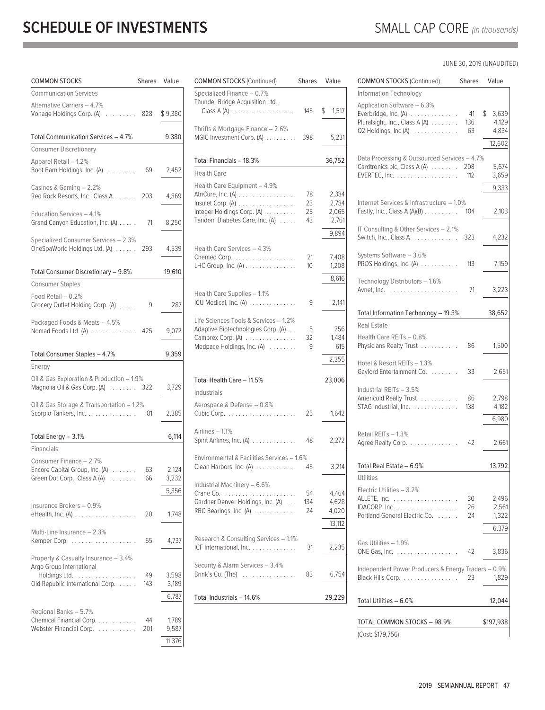# **SCHEDULE OF INVESTMENTS** SMALL CAP CORE (in thousands)

### JUNE 30, 2019 (UNAUDITED)

| <b>COMMON STOCKS</b>                                                                      | <b>Shares</b> | Value                    |
|-------------------------------------------------------------------------------------------|---------------|--------------------------|
| <b>Communication Services</b>                                                             |               |                          |
| Alternative Carriers - 4.7%<br>Vonage Holdings Corp. (A).<br>$\ldots$ .                   | 828           | \$9,380                  |
| Total Communication Services - 4.7%                                                       |               | 9,380                    |
| <b>Consumer Discretionary</b>                                                             |               |                          |
| Apparel Retail – 1.2%<br>Boot Barn Holdings, Inc. (A)                                     | -69           | 2,452                    |
| Casinos & Gaming - 2.2%<br>Red Rock Resorts, Inc., Class A                                | 203           | 4,369                    |
| Education Services - 4.1%<br>Grand Canyon Education, Inc. (A)                             | 71            | 8,250                    |
| Specialized Consumer Services - 2.3%<br>OneSpaWorld Holdings Ltd. (A)                     | 293           | 4,539                    |
| Total Consumer Discretionary - 9.8%                                                       |               | 19,610                   |
| <b>Consumer Staples</b>                                                                   |               |                          |
| Food Retail - 0.2%<br>Grocery Outlet Holding Corp. (A)                                    | 9             | 287                      |
| Packaged Foods & Meats - 4.5%<br>Nomad Foods Ltd. (A)                                     | 425           | 9,072                    |
| Total Consumer Staples - 4.7%                                                             |               | 9,359                    |
| Energy                                                                                    |               |                          |
| Oil & Gas Exploration & Production - 1.9%<br>Magnolia Oil & Gas Corp. (A)  322            |               | 3,729                    |
| Oil & Gas Storage & Transportation - 1.2%<br>Scorpio Tankers, Inc.                        | 81            | 2,385                    |
| Total Energy - 3.1%                                                                       |               | 6,114                    |
| <b>Financials</b>                                                                         |               |                          |
| Consumer Finance - 2.7%<br>Encore Capital Group, Inc. (A)<br>Green Dot Corp., Class A (A) | 63<br>66      | 2,124<br>3,232           |
|                                                                                           |               | 5,356                    |
| Insurance Brokers - 0.9%<br>eHealth, Inc. (A)                                             | 20            | 1,748                    |
| Multi-Line Insurance - 2.3%<br>Kemper Corp.                                               | 55            | 4,737                    |
| Property & Casualty Insurance - 3.4%                                                      |               |                          |
| Argo Group International                                                                  |               |                          |
| Holdings Ltd.<br>Old Republic International Corp.                                         | 49<br>143     | 3,598<br>3,189           |
|                                                                                           |               | 6,787                    |
| Regional Banks - 5.7%<br>Chemical Financial Corp.<br>Webster Financial Corp.              | 44<br>201     | 1,789<br>9,587<br>11,376 |

| <b>COMMON STOCKS (Continued)</b>                                                                                                          | <b>Shares</b>        | Value                             |
|-------------------------------------------------------------------------------------------------------------------------------------------|----------------------|-----------------------------------|
| Specialized Finance - 0.7%<br>Thunder Bridge Acquisition Ltd.,<br>$Class A (A) \ldots \ldots \ldots \ldots$                               | 145                  | \$<br>1,517                       |
| Thrifts & Mortgage Finance - 2.6%<br>MGIC Investment Corp. (A)                                                                            | 398                  | 5,231                             |
| Total Financials - 18.3%                                                                                                                  |                      | 36,752                            |
| <b>Health Care</b>                                                                                                                        |                      |                                   |
| Health Care Equipment - 4.9%<br>AtriCure, Inc. (A)<br>Insulet Corp. $(A)$<br>Integer Holdings Corp. (A)<br>Tandem Diabetes Care, Inc. (A) | 78<br>23<br>25<br>43 | 2,334<br>2,734<br>2,065<br>2,761  |
|                                                                                                                                           |                      | 9,894                             |
| Health Care Services - 4.3%<br>Chemed Corp.<br>LHC Group, Inc. $(A)$                                                                      | 21<br>10             | 7,408<br>1,208<br>8,616           |
| Health Care Supplies - 1.1%                                                                                                               |                      |                                   |
| ICU Medical, Inc. $(A)$                                                                                                                   | 9                    | 2,141                             |
| Life Sciences Tools & Services - 1.2%<br>Adaptive Biotechnologies Corp. (A)<br>Cambrex Corp. (A)<br>Medpace Holdings, Inc. (A)            | 5<br>32<br>9         | 256<br>1,484<br>615<br>2,355      |
| Total Health Care - 11.5%                                                                                                                 |                      | 23,006                            |
| Industrials                                                                                                                               |                      |                                   |
| Aerospace & Defense - 0.8%                                                                                                                | 25                   | 1,642                             |
| Airlines - 1.1%<br>Spirit Airlines, Inc. (A)                                                                                              | 48                   | 2,272                             |
| Environmental & Facilities Services - 1.6%<br>Clean Harbors, Inc. (A)                                                                     | 45                   | 3,214                             |
| Industrial Machinery - 6.6%<br>Gardner Denver Holdings, Inc. (A)<br>RBC Bearings, Inc. (A)                                                | 54<br>134<br>24      | 4,464<br>4,628<br>4,020<br>13,112 |
| Research & Consulting Services - 1.1%<br>ICF International, Inc.                                                                          | 31                   | 2,235                             |
| Security & Alarm Services - 3.4%<br>Brink's Co. (The)<br>.                                                                                | 83                   | 6,754                             |
| Total Industrials - 14.6%                                                                                                                 |                      | 29,229                            |

| <b>COMMON STOCKS (Continued)</b>                                                                                                         | <b>Shares</b>   | Value                         |
|------------------------------------------------------------------------------------------------------------------------------------------|-----------------|-------------------------------|
| Information Technology                                                                                                                   |                 |                               |
| Application Software - 6.3%<br>Everbridge, Inc. $(A)$<br>Pluralsight, Inc., Class A (A)<br>$Q2$ Holdings, Inc.(A) $\ldots \ldots \ldots$ | 41<br>136<br>63 | \$<br>3,639<br>4,129<br>4,834 |
|                                                                                                                                          |                 | 12,602                        |
| Data Processing & Outsourced Services - 4.7%<br>Cardtronics plc, Class A (A)<br>EVERTEC, Inc. $\dots\dots\dots\dots\dots\dots\dots$      | 208<br>112      | 5,674<br>3,659<br>9,333       |
| Internet Services & Infrastructure - 1.0%<br>Fastly, Inc., Class A $(A)(B)$                                                              | 104             | 2,103                         |
| IT Consulting & Other Services - 2.1%<br>Switch, Inc., Class A                                                                           | 323             | 4,232                         |
| Systems Software - 3.6%<br>PROS Holdings, Inc. $(A)$                                                                                     | 113             | 7,159                         |
| Technology Distributors - 1.6%<br>Avnet, Inc.<br>.                                                                                       | 71              | 3,223                         |
| Total Information Technology - 19.3%                                                                                                     |                 | 38,652                        |
| <b>Real Estate</b>                                                                                                                       |                 |                               |
| Health Care REITs - 0.8%<br>Physicians Realty Trust                                                                                      | 86              | 1,500                         |
| Hotel & Resort REITs - 1.3%<br>Gaylord Entertainment Co.                                                                                 | 33              | 2,651                         |
| Industrial REITs - 3.5%<br>Americold Realty Trust<br>STAG Industrial, Inc.                                                               | 86<br>138       | 2,798<br>4,182                |
|                                                                                                                                          |                 | 6,980                         |
| Retail REITs - 1.3%<br>Agree Realty Corp. .<br>.                                                                                         | 42              | 2,661                         |
| Total Real Estate - 6.9%                                                                                                                 |                 | 13,792                        |
| <b>Utilities</b>                                                                                                                         |                 |                               |
| Electric Utilities - 3.2%<br>$IDACORP, Inc. \ldots \ldots \ldots \ldots \ldots$<br>Portland General Electric Co.                         | 30<br>26<br>24  | 2,496<br>2,561<br>1,322       |
|                                                                                                                                          |                 | 6,379                         |
| Gas Utilities - 1.9%<br>ONE Gas. Inc. $\ldots$ , $\ldots$ , $\ldots$ , $\ldots$                                                          | 42              | 3,836                         |
| Independent Power Producers & Energy Traders - 0.9%<br>Black Hills Corp.                                                                 | 23              | 1,829                         |
| Total Utilities - 6.0%                                                                                                                   |                 | 12,044                        |
|                                                                                                                                          |                 |                               |
| TOTAL COMMON STOCKS - 98.9%                                                                                                              |                 | \$197,938                     |
| (Cost: \$179,756)                                                                                                                        |                 |                               |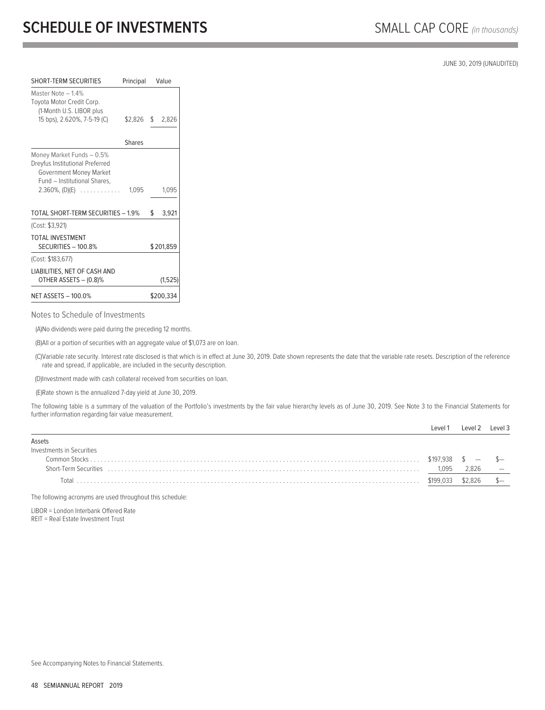JUNE 30, 2019 (UNAUDITED)

| <b>SHORT-TERM SECURITIES</b>                                                                                                                  | Principal     | Value       |
|-----------------------------------------------------------------------------------------------------------------------------------------------|---------------|-------------|
| Master Note - 1.4%<br>Toyota Motor Credit Corp.<br>(1-Month U.S. LIBOR plus<br>15 bps), 2.620%, 7-5-19 (C)                                    | \$2,826       | \$2,826     |
|                                                                                                                                               | <b>Shares</b> |             |
| Money Market Funds - 0.5%<br>Dreyfus Institutional Preferred<br>Government Money Market<br>Fund - Institutional Shares,<br>$2.360\%$ , (D)(E) | 1.095         | 1,095       |
| TOTAL SHORT-TERM SECURITIES - 1.9%                                                                                                            |               | \$<br>3,921 |
| (Cost: \$3,921)                                                                                                                               |               |             |
| <b>TOTAL INVESTMENT</b><br>SECURITIES - 100.8%                                                                                                |               | \$201,859   |
| (Cost: \$183,677)                                                                                                                             |               |             |
| LIABILITIES, NET OF CASH AND<br>OTHER ASSETS - (0.8)%                                                                                         |               | (1,525)     |
| <b>NET ASSETS - 100.0%</b>                                                                                                                    |               | \$200,334   |

Notes to Schedule of Investments

(A)No dividends were paid during the preceding 12 months.

(B)All or a portion of securities with an aggregate value of \$1,073 are on loan.

(C)Variable rate security. Interest rate disclosed is that which is in effect at June 30, 2019. Date shown represents the date that the variable rate resets. Description of the reference rate and spread, if applicable, are included in the security description.

(D)Investment made with cash collateral received from securities on loan.

(E)Rate shown is the annualized 7-day yield at June 30, 2019.

The following table is a summary of the valuation of the Portfolio's investments by the fair value hierarchy levels as of June 30, 2019. See Note 3 to the Financial Statements for further information regarding fair value measurement.

|                           | Level 1   | l evel 2 | Level 3 |
|---------------------------|-----------|----------|---------|
| Assets                    |           |          |         |
| Investments in Securities |           |          |         |
|                           | \$197.938 |          |         |
|                           | .095      | '.826    |         |
| Total                     |           |          |         |
|                           |           |          |         |

The following acronyms are used throughout this schedule:

LIBOR = London Interbank Offered Rate REIT = Real Estate Investment Trust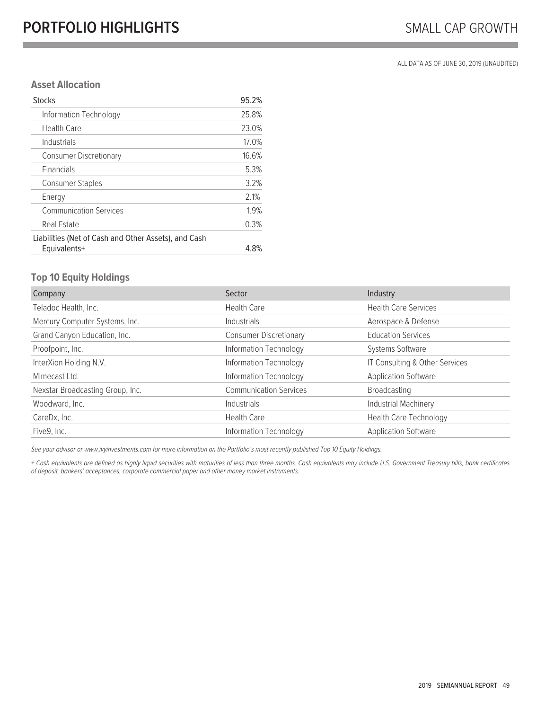ALL DATA AS OF JUNE 30, 2019 (UNAUDITED)

# **Asset Allocation**

| <b>Stocks</b>                                        | 95.2% |
|------------------------------------------------------|-------|
| Information Technology                               | 25.8% |
| <b>Health Care</b>                                   | 23.0% |
| Industrials                                          | 17.0% |
| <b>Consumer Discretionary</b>                        | 16.6% |
| <b>Financials</b>                                    | 5.3%  |
| <b>Consumer Staples</b>                              | 3.2%  |
| Energy                                               | 2.1%  |
| <b>Communication Services</b>                        | 1.9%  |
| Real Estate                                          | 0.3%  |
| Liabilities (Net of Cash and Other Assets), and Cash |       |
| Equivalents+                                         | 4.8%  |

# **Top 10 Equity Holdings**

| Company                          | Sector                        | Industry                       |
|----------------------------------|-------------------------------|--------------------------------|
| Teladoc Health, Inc.             | <b>Health Care</b>            | <b>Health Care Services</b>    |
| Mercury Computer Systems, Inc.   | <b>Industrials</b>            | Aerospace & Defense            |
| Grand Canyon Education, Inc.     | <b>Consumer Discretionary</b> | <b>Education Services</b>      |
| Proofpoint, Inc.                 | Information Technology        | Systems Software               |
| InterXion Holding N.V.           | Information Technology        | IT Consulting & Other Services |
| Mimecast Ltd.                    | Information Technology        | <b>Application Software</b>    |
| Nexstar Broadcasting Group, Inc. | <b>Communication Services</b> | <b>Broadcasting</b>            |
| Woodward, Inc.                   | <b>Industrials</b>            | Industrial Machinery           |
| CareDx, Inc.                     | <b>Health Care</b>            | <b>Health Care Technology</b>  |
| Five9, Inc.                      | Information Technology        | <b>Application Software</b>    |

See your advisor or www.ivyinvestments.com for more information on the Portfolio's most recently published Top 10 Equity Holdings.

+ Cash equivalents are defined as highly liquid securities with maturities of less than three months. Cash equivalents may include U.S. Government Treasury bills, bank certificates of deposit, bankers' acceptances, corporate commercial paper and other money market instruments.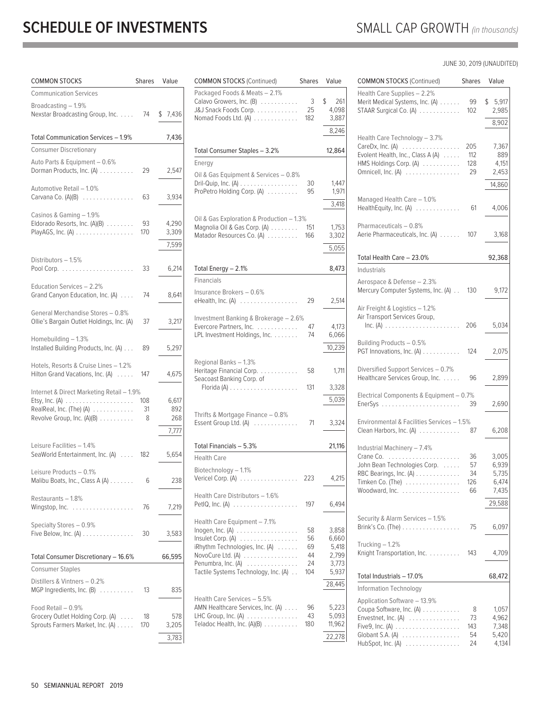# **SCHEDULE OF INVESTMENTS** SMALL CAP GROWTH (in thousands)

| JUNE 30, 2019 (UNAUDITED) |  |  |  |
|---------------------------|--|--|--|
|---------------------------|--|--|--|

| <b>COMMON STOCKS</b>                                                           | <b>Shares</b> | Value                   |
|--------------------------------------------------------------------------------|---------------|-------------------------|
| <b>Communication Services</b>                                                  |               |                         |
| Broadcasting - 1.9%<br>Nexstar Broadcasting Group, Inc.                        | 74            | \$<br>7,436             |
| Total Communication Services - 1.9%                                            |               | 7,436                   |
| <b>Consumer Discretionary</b>                                                  |               |                         |
| Auto Parts & Equipment - 0.6%<br>Dorman Products, Inc. (A)                     | 29            | 2,547                   |
| Automotive Retail - 1.0%<br>Carvana Co. (A)(B)                                 | 63            | 3,934                   |
| Casinos & Gaming - 1.9%<br>Eldorado Resorts, Inc. (A)(B)<br>PlayAGS, Inc. (A)  | 93<br>170     | 4,290<br>3,309<br>7,599 |
| Distributors - 1.5%                                                            | 33            | 6,214                   |
| Education Services - 2.2%<br>Grand Canyon Education, Inc. (A)                  | 74            | 8,641                   |
| General Merchandise Stores - 0.8%<br>Ollie's Bargain Outlet Holdings, Inc. (A) | 37            | 3,217                   |
| Homebuilding - 1.3%<br>Installed Building Products, Inc. (A)                   | 89            | 5,297                   |
| Hotels, Resorts & Cruise Lines - 1.2%<br>Hilton Grand Vacations, Inc. (A)      | 147           | 4,675                   |
| Internet & Direct Marketing Retail - 1.9%                                      | 108           | 6,617                   |
| RealReal, Inc. (The) $(A)$<br>Revolve Group, Inc. (A)(B)                       | 31<br>8       | 892<br>268              |
|                                                                                |               | 7,777                   |
| Leisure Facilities - 1.4%<br>SeaWorld Entertainment, Inc. (A)<br>$\sim$        | 182           | 5,654                   |
| Leisure Products - 0.1%<br>Malibu Boats, Inc., Class A (A)                     | 6             | 238                     |
| Restaurants - 1.8%<br>Wingstop, $Inc. \ldots$ .<br>.                           | 76            | 7,219                   |
| Specialty Stores - 0.9%<br>Five Below, Inc. (A)<br>.                           | 30            | 3,583                   |
| Total Consumer Discretionary - 16.6%                                           |               | 66,595                  |
| <b>Consumer Staples</b>                                                        |               |                         |
| Distillers & Vintners - 0.2%<br>MGP Ingredients, Inc. $(B)$                    | 13            | 835                     |
| Food Retail - 0.9%<br>Grocery Outlet Holding Corp. (A)                         | 18            | 578                     |
| Sprouts Farmers Market, Inc. (A)                                               | 170           | 3,205                   |
|                                                                                |               | 3,783                   |

| <b>COMMON STOCKS (Continued)</b>                                                                           | <b>Shares</b>  | Value                                |
|------------------------------------------------------------------------------------------------------------|----------------|--------------------------------------|
| Packaged Foods & Meats - 2.1%<br>Calavo Growers, Inc. (B)<br>J&J Snack Foods Corp.<br>Nomad Foods Ltd. (A) | 3<br>25<br>182 | \$<br>261<br>4,098<br>3,887<br>8,246 |
|                                                                                                            |                |                                      |
| Total Consumer Staples - 3.2%                                                                              |                | 12,864                               |
| Energy                                                                                                     |                |                                      |
| Oil & Gas Equipment & Services - 0.8%<br>Dril-Quip, Inc. $(A)$                                             | 30             | 1,447                                |
| ProPetro Holding Corp. (A)                                                                                 | 95             | 1,971                                |
|                                                                                                            |                | 3,418                                |
| Oil & Gas Exploration & Production - 1.3%                                                                  |                |                                      |
| Magnolia Oil & Gas Corp. (A)<br>Matador Resources Co. (A)                                                  | 151<br>166     | 1,753<br>3,302                       |
|                                                                                                            |                | 5,055                                |
|                                                                                                            |                |                                      |
| Total Energy - 2.1%                                                                                        |                | 8,473                                |
| Financials                                                                                                 |                |                                      |
| Insurance Brokers - 0.6%<br>$e$ Health, Inc. (A) $\ldots \ldots \ldots$                                    | 29             | 2,514                                |
|                                                                                                            |                |                                      |
| Investment Banking & Brokerage - 2.6%<br>Evercore Partners, Inc.                                           | 47             | 4,173                                |
| LPL Investment Holdings, Inc.                                                                              | 74             | 6,066                                |
|                                                                                                            |                | 10,239                               |
| Regional Banks - 1.3%                                                                                      |                |                                      |
| Heritage Financial Corp.<br>Seacoast Banking Corp. of                                                      | 58             | 1,711                                |
| Florida (A)                                                                                                | 131            | 3,328                                |
|                                                                                                            |                | 5,039                                |
| Thrifts & Mortgage Finance - 0.8%                                                                          |                |                                      |
| Essent Group Ltd. (A)                                                                                      | 71             | 3,324                                |
| Total Financials - 5.3%                                                                                    |                | 21,116                               |
| <b>Health Care</b>                                                                                         |                |                                      |
| Biotechnology - 1.1%                                                                                       |                |                                      |
| Vericel Corp. $(A)$                                                                                        | 223            | 4,215                                |
| Health Care Distributors - 1.6%                                                                            |                |                                      |
|                                                                                                            | 197            | 6,494                                |
| Health Care Equipment - 7.1%                                                                               |                |                                      |
| Inogen, Inc. $(A)$                                                                                         | 58<br>56       | 3,858<br>6,660                       |
| Insulet Corp. $(A)$<br>iRhythm Technologies, Inc. (A)                                                      | 69             | 5,418                                |
| NovoCure Ltd. $(A)$                                                                                        | 44             | 2,799                                |
| Penumbra, Inc. $(A)$                                                                                       | 24             | 3,773                                |
| Tactile Systems Technology, Inc. (A)                                                                       | 104            | 5,937                                |
|                                                                                                            |                | 28,445                               |
| Health Care Services - 5.5%                                                                                |                |                                      |
| AMN Healthcare Services, Inc. (A)                                                                          | 96             | 5,223                                |
| LHC Group, Inc. $(A)$                                                                                      | 43             | 5,093                                |
| Teladoc Health, Inc. (A)(B)                                                                                | 180            | 11,962                               |
|                                                                                                            |                | 22,278                               |

| <b>COMMON STOCKS (Continued)</b>                                                           | <b>Shares</b> | Value            |
|--------------------------------------------------------------------------------------------|---------------|------------------|
| Health Care Supplies - 2.2%<br>Merit Medical Systems, Inc. (A)<br>STAAR Surgical Co. $(A)$ | -99<br>102    | \$5,917<br>2,985 |
| Health Care Technology - 3.7%                                                              |               | 8,902            |
| CareDx, Inc. $(A)$                                                                         | 205           | 7,367            |
| Evolent Health, Inc., Class A (A)<br>HMS Holdings Corp. (A)                                | 112<br>128    | 889<br>4,151     |
| Omnicell, Inc. (A)                                                                         | 29            | 2,453            |
|                                                                                            |               | 14,860           |
| Managed Health Care - 1.0%                                                                 |               |                  |
| HealthEquity, Inc. (A)                                                                     | 61            | 4,006            |
| Pharmaceuticals - 0.8%                                                                     |               |                  |
| Aerie Pharmaceuticals, Inc. (A)                                                            | 107           | 3,168            |
| Total Health Care - 23.0%                                                                  |               | 92,368           |
| Industrials                                                                                |               |                  |
| Aerospace & Defense - 2.3%<br>Mercury Computer Systems, Inc. (A)                           | 130           | 9,172            |
| Air Freight & Logistics - 1.2%<br>Air Transport Services Group,<br>Inc. (A)                | 206           | 5.034            |
| Building Products - 0.5%<br>PGT Innovations, Inc. (A)                                      | 124           | 2,075            |
| Diversified Support Services - 0.7%<br>Healthcare Services Group, Inc.                     | 96            | 2,899            |
| Electrical Components & Equipment - 0.7%                                                   | 39            | 2,690            |
| Environmental & Facilities Services - 1.5%<br>Clean Harbors, Inc. (A)                      | 87            | 6,208            |
| Industrial Machinery - 7.4%                                                                |               |                  |
| Crane Co. $\ldots$<br>1.1.1.1.1                                                            | 36            | 3,005            |
| John Bean Technologies Corp.                                                               | 57            | 6,939            |
| RBC Bearings, Inc. (A)                                                                     | 34            | 5,735            |
| Timken Co. (The)<br>.<br>Woodward, Inc.<br>.                                               | 126<br>66     | 6,474<br>7,435   |
|                                                                                            |               | 29,588           |
| Security & Alarm Services - 1.5%                                                           |               |                  |
| Brink's Co. (The) $\dots \dots$<br>1.1.1.1                                                 | 75            | 6,097            |
| Trucking $-1.2%$                                                                           |               |                  |
| Knight Transportation, Inc.                                                                | 143           | 4,709            |
| Total Industrials - 17.0%                                                                  |               | 68,472           |
| Information Technology                                                                     |               |                  |
| Application Software - 13.9%                                                               |               |                  |
| Coupa Software, Inc. (A)                                                                   | 8             | 1,057            |
| Envestnet, Inc. (A)                                                                        | 73            | 4,962            |
| Five9, Inc. (A) $\ldots \ldots \ldots \ldots \ldots$                                       | 143           | 7,348            |
| Globant S.A. (A)<br>HubSpot, Inc. (A)                                                      | 54<br>24      | 5,420<br>4,134   |
|                                                                                            |               |                  |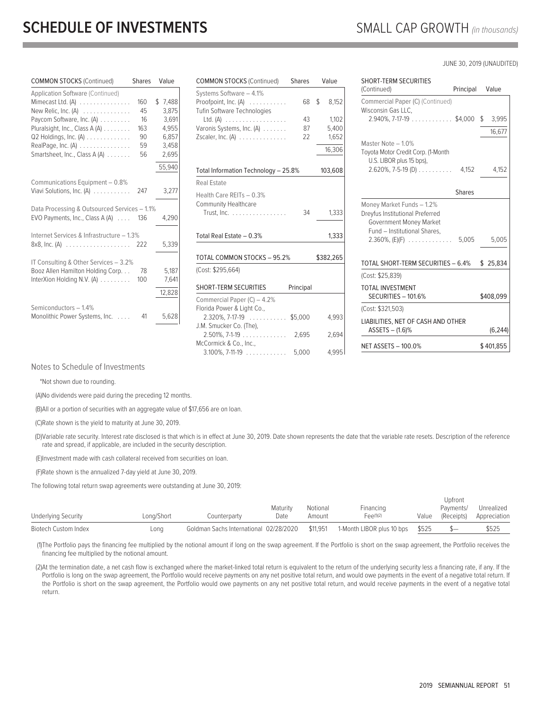# **SCHEDULE OF INVESTMENTS** SMALL CAP GROWTH (in thousands)

| <b>COMMON STOCKS (Continued)</b>                                                                                                                                                                                                    | <b>Shares</b>                            | Value                                                                   |
|-------------------------------------------------------------------------------------------------------------------------------------------------------------------------------------------------------------------------------------|------------------------------------------|-------------------------------------------------------------------------|
| Application Software (Continued)<br>Mimecast Ltd. (A)<br>New Relic, Inc. $(A)$<br>Paycom Software, Inc. (A)<br>Pluralsight, Inc., Class A (A)<br>$Q2$ Holdings, Inc. $(A)$<br>RealPage, Inc. $(A)$<br>Smartsheet, Inc., Class A (A) | 160<br>45<br>16<br>163<br>90<br>59<br>56 | \$7,488<br>3,875<br>3,691<br>4,955<br>6,857<br>3,458<br>2,695<br>55,940 |
| Communications Equipment - 0.8%<br>Viavi Solutions, Inc. (A)                                                                                                                                                                        | 247                                      | 3,277                                                                   |
| Data Processing & Outsourced Services - 1.1%<br>EVO Payments, Inc., Class A (A)                                                                                                                                                     | 136                                      | 4.290                                                                   |
| Internet Services & Infrastructure - 1.3%                                                                                                                                                                                           | 222                                      | 5,339                                                                   |
| IT Consulting & Other Services - 3.2%<br>Booz Allen Hamilton Holding Corp.<br>InterXion Holding N.V. (A) $\ldots \ldots$                                                                                                            | 78<br>100                                | 5,187<br>7,641<br>12,828                                                |
| Semiconductors - 1.4%<br>Monolithic Power Systems, Inc.                                                                                                                                                                             | 41                                       | 5,628                                                                   |

| <b>COMMON STOCKS (Continued)</b>                                                 | <b>Shares</b> | Value          |
|----------------------------------------------------------------------------------|---------------|----------------|
| Systems Software - 4.1%<br>Proofpoint, Inc. $(A)$<br>Tufin Software Technologies | 68            | 8,152<br>\$    |
| Ltd. (A)                                                                         | 43            | 1.102          |
| Varonis Systems, Inc. (A)<br>Zscaler, Inc. $(A)$                                 | 87<br>22      | 5,400<br>1,652 |
|                                                                                  |               | 16,306         |
| Total Information Technology - 25.8%                                             |               | 103,608        |
| Real Estate                                                                      |               |                |
| Health Care REITs - 0.3%<br><b>Community Healthcare</b>                          |               |                |
| Trust, Inc.                                                                      | 34            | 1,333          |
| Total Real Estate - 0.3%                                                         |               | 1,333          |
| TOTAL COMMON STOCKS - 95.2%                                                      |               | \$382,265      |
| (Cost: \$295,664)                                                                |               |                |
| <b>SHORT-TERM SECURITIES</b>                                                     | Principal     |                |
| Commercial Paper (C) - 4.2%                                                      |               |                |
| Florida Power & Light Co.,<br>$2.320\%$ , $7-17-19$                              | \$5,000       | 4,993          |
| J.M. Smucker Co. (The),<br>$2.501\%$ , 7-1-19                                    | 2,695         | 2,694          |
| McCormick & Co., Inc.,<br>$3.100\%$ , $7-11-19$                                  | 5,000         | 4.995          |

#### JUNE 30, 2019 (UNAUDITED)

| SHORT-TERM SECURITIES<br>(Continued)                                                                                                          | Principal     | Value     |
|-----------------------------------------------------------------------------------------------------------------------------------------------|---------------|-----------|
| Commercial Paper (C) (Continued)<br>Wisconsin Gas LLC,<br>$2.940\%$ , 7-17-19 \$4,000 \$                                                      |               | 3,995     |
|                                                                                                                                               |               | 16,677    |
| Master Note - 1.0%<br>Toyota Motor Credit Corp. (1-Month<br>U.S. LIBOR plus 15 bps),                                                          |               |           |
| $2.620\%$ , 7-5-19 (D)                                                                                                                        | 4,152         | 4,152     |
|                                                                                                                                               | <b>Shares</b> |           |
| Money Market Funds - 1.2%<br>Dreyfus Institutional Preferred<br>Government Money Market<br>Fund - Institutional Shares,<br>$2.360\%$ , (E)(F) | 5,005         | 5,005     |
| TOTAL SHORT-TERM SECURITIES - 6.4%                                                                                                            |               | \$25,834  |
| (Cost: \$25,839)                                                                                                                              |               |           |
| <b>TOTAL INVESTMENT</b><br>SECURITIES - 101.6%                                                                                                |               | \$408,099 |
| (Cost: \$321,503)                                                                                                                             |               |           |
| LIABILITIES, NET OF CASH AND OTHER<br>$ASSETS - (1.6)\%$                                                                                      |               | (6, 244)  |
| <b>NET ASSETS - 100.0%</b>                                                                                                                    |               | \$401,855 |

Notes to Schedule of Investments

\*Not shown due to rounding.

(A)No dividends were paid during the preceding 12 months.

(B)All or a portion of securities with an aggregate value of \$17,656 are on loan.

(C)Rate shown is the yield to maturity at June 30, 2019.

(D)Variable rate security. Interest rate disclosed is that which is in effect at June 30, 2019. Date shown represents the date that the variable rate resets. Description of the reference rate and spread, if applicable, are included in the security description.

(E)Investment made with cash collateral received from securities on loan.

(F)Rate shown is the annualized 7-day yield at June 30, 2019.

The following total return swap agreements were outstanding at June 30, 2019:

|                             |            |                                        |          |          |                                            | Upfront   |                               |
|-----------------------------|------------|----------------------------------------|----------|----------|--------------------------------------------|-----------|-------------------------------|
|                             |            |                                        | Maturity | Notional | Financing                                  | Payments/ | Unrealized                    |
| <b>Underlying Security</b>  | Long/Short | Counterparty                           | Date     | Amount   | $Fee^{(1)(2)}$                             |           | Value (Receipts) Appreciation |
| <b>Biotech Custom Index</b> | Long       | Goldman Sachs International 02/28/2020 |          |          | $$11,951$ 1-Month LIBOR plus 10 bps $$525$ |           | \$525                         |

(1)The Portfolio pays the financing fee multiplied by the notional amount if long on the swap agreement. If the Portfolio is short on the swap agreement, the Portfolio receives the financing fee multiplied by the notional amount.

(2)At the termination date, a net cash flow is exchanged where the market-linked total return is equivalent to the return of the underlying security less a financing rate, if any. If the Portfolio is long on the swap agreement, the Portfolio would receive payments on any net positive total return, and would owe payments in the event of a negative total return. If the Portfolio is short on the swap agreement, the Portfolio would owe payments on any net positive total return, and would receive payments in the event of a negative total return.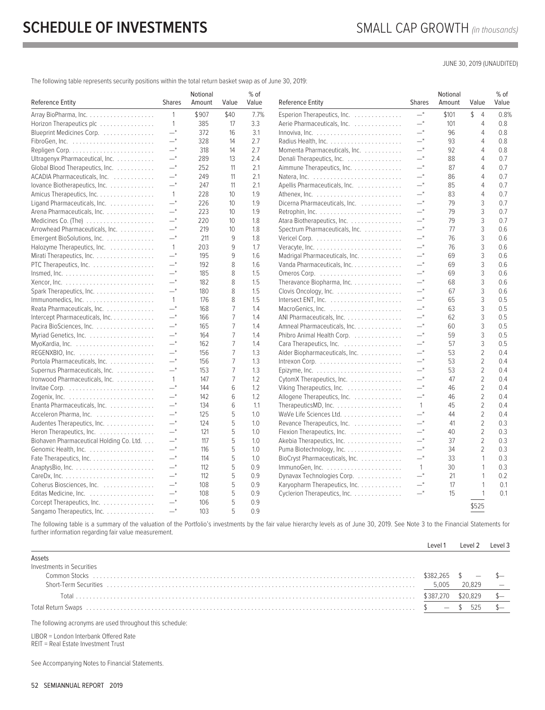#### JUNE 30, 2019 (UNAUDITED)

The following table represents security positions within the total return basket swap as of June 30, 2019:

| <b>Reference Entity</b>                                         | <b>Shares</b>         | Notional<br>Amount | Value          | $%$ of<br>Value | <b>Reference Entity</b>        | <b>Shares</b> | Notional<br>Amount | Value                | $%$ of<br>Value |
|-----------------------------------------------------------------|-----------------------|--------------------|----------------|-----------------|--------------------------------|---------------|--------------------|----------------------|-----------------|
|                                                                 | $\mathbf{1}$          | \$907              | \$40           | 7.7%            | Esperion Therapeutics, Inc.    | $-^\ast$      | \$101              | \$<br>$\overline{4}$ | 0.8%            |
| Horizon Therapeutics plc                                        | $\mathbf{1}$          | 385                | 17             | 3.3             | Aerie Pharmaceuticals, Inc.    | $-$ *         | 101                | $\overline{4}$       | 0.8             |
| Blueprint Medicines Corp.                                       | $-$ *                 | 372                | 16             | 3.1             |                                | $-^*$         | 96                 | $\overline{4}$       | 0.8             |
|                                                                 | $-$ *                 | 328                | 14             | 2.7             |                                | $-^*$         | 93                 | $\overline{4}$       | 0.8             |
|                                                                 | $-$ *                 | 318                | 14             | 2.7             | Momenta Pharmaceuticals, Inc.  | $-^*$         | 92                 | 4                    | 0.8             |
| Ultragenyx Pharmaceutical, Inc.                                 | $-$ *                 | 289                | 13             | 2.4             | Denali Therapeutics, Inc.      | $-^*$         | 88                 | 4                    | 0.7             |
| Global Blood Therapeutics, Inc.                                 | $-$ *                 | 252                | 11             | 2.1             | Aimmune Therapeutics, Inc.     | $-^*$         | 87                 | $\overline{4}$       | 0.7             |
| ACADIA Pharmaceuticals, Inc.                                    | $-^\ast$              | 249                | 11             | 2.1             | Natera, Inc.                   | $-$ *         | 86                 | 4                    | 0.7             |
| lovance Biotherapeutics, Inc.                                   | $-$ *                 | 247                | 11             | 2.1             | Apellis Pharmaceuticals, Inc.  | $-^*$         | 85                 | 4                    | 0.7             |
| Amicus Therapeutics, Inc.                                       | $\mathbf{1}$          | 228                | 10             | 1.9             |                                | $-$ *         | 83                 | $\overline{4}$       | 0.7             |
| Ligand Pharmaceuticals, Inc.                                    | $-$ *                 | 226                | 10             | 1.9             | Dicerna Pharmaceuticals, Inc.  | $-^*$         | 79                 | 3                    | 0.7             |
| Arena Pharmaceuticals, Inc.                                     | $-$ *                 | 223                | 10             | 1.9             |                                | $-^\ast$      | 79                 | $\mathfrak{Z}$       | 0.7             |
| Medicines Co. (The) $\ldots \ldots \ldots \ldots \ldots$        | $-$ *                 | 220                | 10             | 1.8             | Atara Biotherapeutics, Inc.    | $-$ *         | 79                 | 3                    | 0.7             |
| Arrowhead Pharmaceuticals, Inc.                                 | $-$ *                 | 219                | 10             | 1.8             | Spectrum Pharmaceuticals, Inc. | $-^*$         | 77                 | 3                    | 0.6             |
| Emergent BioSolutions, Inc.                                     | $-$ *                 | 211                | 9              | 1.8             |                                | $-^\ast$      | 76                 | 3                    | 0.6             |
|                                                                 |                       | 203                | 9              | 1.7             |                                | $-$ *         | 76                 | $\mathsf 3$          | 0.6             |
| Halozyme Therapeutics, Inc.                                     | $\mathbf{1}$<br>$-$ * |                    |                |                 |                                | $-^\ast$      |                    |                      |                 |
| Mirati Therapeutics, Inc.                                       | $-$ *                 | 195                | 9              | 1.6             | Madrigal Pharmaceuticals, Inc. |               | 69                 | $\mathsf 3$          | 0.6             |
| PTC Therapeutics, Inc.                                          |                       | 192                | 8              | 1.6             | Vanda Pharmaceuticals, Inc.    | $-^*$         | 69                 | 3                    | 0.6             |
| $Insmed, Inc. \ldots \ldots \ldots \ldots \ldots \ldots \ldots$ | $-$ *                 | 185                | 8              | 1.5             |                                | $-^*$         | 69                 | 3                    | 0.6             |
|                                                                 | $-$ *                 | 182                | 8              | 1.5             | Theravance Biopharma, Inc.     | $-^*$         | 68                 | 3                    | 0.6             |
| Spark Therapeutics, Inc.                                        | $-$ *                 | 180                | 8              | 1.5             |                                | $-$ *         | 67                 | 3                    | 0.6             |
|                                                                 | $\mathbf{1}$          | 176                | 8              | 1.5             |                                | $-^*$         | 65                 | 3                    | 0.5             |
| Reata Pharmaceuticals, Inc.                                     | $-$ *                 | 168                | $\overline{7}$ | 1.4             |                                | $-^*$         | 63                 | 3                    | 0.5             |
| Intercept Pharmaceuticals, Inc.                                 | $-^\ast$              | 166                | $\overline{7}$ | 1.4             | ANI Pharmaceuticals, Inc.      | $-$ *         | 62                 | 3                    | 0.5             |
| Pacira BioSciences, Inc.                                        | $-$ *                 | 165                | $\overline{7}$ | 1.4             | Amneal Pharmaceuticals, Inc.   | $-$ *         | 60                 | 3                    | 0.5             |
|                                                                 | $-$ *                 | 164                | $\overline{7}$ | 1.4             | Phibro Animal Health Corp.     | $-$ *         | 59                 | 3                    | 0.5             |
|                                                                 | $-$ *                 | 162                | $\overline{7}$ | 1.4             | Cara Therapeutics, Inc.        | $-$ *         | 57                 | $\mathsf 3$          | 0.5             |
|                                                                 | $-^\ast$              | 156                | $\overline{7}$ | 1.3             | Alder Biopharmaceuticals, Inc. | $-$ *         | 53                 | $\overline{2}$       | 0.4             |
| Portola Pharmaceuticals, Inc.                                   | $-^\ast$              | 156                | $\overline{7}$ | 1.3             |                                | $-$ *         | 53                 | $\overline{2}$       | 0.4             |
| Supernus Pharmaceuticals, Inc.                                  | $-^\ast$              | 153                | 7              | 1.3             |                                | $-^\ast$      | 53                 | $\overline{2}$       | 0.4             |
| Ironwood Pharmaceuticals, Inc.                                  | 1                     | 147                | 7              | 1.2             | CytomX Therapeutics, Inc.      | $-^*$         | 47                 | $\overline{2}$       | 0.4             |
|                                                                 | $-$ *                 | 144                | 6              | 1.2             | Viking Therapeutics, Inc.      | $-^*$         | 46                 | $\overline{2}$       | 0.4             |
|                                                                 | $-$ *                 | 142                | 6              | 1.2             | Allogene Therapeutics, Inc.    | $-^*$         | 46                 | $\overline{2}$       | 0.4             |
| Enanta Pharmaceuticals, Inc.                                    | $-$ *                 | 134                | 6              | 1.1             |                                | $\mathbf{1}$  | 45                 | $\overline{2}$       | 0.4             |
| Acceleron Pharma, Inc.                                          | $-$ *                 | 125                | 5              | 1.0             | WaVe Life Sciences Ltd.        | $-^*$         | 44                 | $\overline{2}$       | 0.4             |
| Audentes Therapeutics, Inc.                                     | $-$ *                 | 124                | 5              | 1.0             | Revance Therapeutics, Inc.     | $-$ *         | 41                 | $\overline{2}$       | 0.3             |
| Heron Therapeutics, Inc.                                        | $-$ *                 | 121                | 5              | 1.0             | Flexion Therapeutics, Inc.     | $-^*$         | 40                 | $\overline{2}$       | 0.3             |
| Biohaven Pharmaceutical Holding Co. Ltd.                        | $-^\ast$              | 117                | 5              | 1.0             | Akebia Therapeutics, Inc.      | $-$ *         | 37                 | $\overline{2}$       | 0.3             |
|                                                                 | $-$ *                 | 116                | 5              | 1.0             | Puma Biotechnology, Inc.       | $-$ *         | 34                 | $\overline{2}$       | 0.3             |
| Fate Therapeutics, Inc.                                         | $-$ *                 | 114                | 5              | 1.0             | BioCryst Pharmaceuticals, Inc. | $-$ *         | 33                 | 1                    | 0.3             |
|                                                                 | $-$ *                 | 112                | 5              | 0.9             | ImmunoGen, Inc.                | $\mathbf{1}$  | 30                 | 1                    | 0.3             |
|                                                                 | $-^*$                 | 112                | 5              | 0.9             | Dynavax Technologies Corp.     | $-^*$         | 21                 | 1                    | 0.2             |
| Coherus Biosciences, Inc.                                       | $-^\ast$              | 108                | 5              | 0.9             | Karyopharm Therapeutics, Inc.  | $-$ *         | 17                 | 1                    | 0.1             |
|                                                                 | $-$ *                 | 108                | 5              | 0.9             | Cyclerion Therapeutics, Inc.   | $-^*$         | 15                 | 1                    | 0.1             |
|                                                                 | $-$ *                 | 106                | 5              | 0.9             |                                |               |                    |                      |                 |
| Corcept Therapeutics, Inc.                                      | $-$ *                 | 103                | 5              | 0.9             |                                |               |                    | \$525                |                 |
| Sangamo Therapeutics, Inc.                                      |                       |                    |                |                 |                                |               |                    |                      |                 |

The following table is a summary of the valuation of the Portfolio's investments by the fair value hierarchy levels as of June 30, 2019. See Note 3 to the Financial Statements for further information regarding fair value measurement.

|                           | Level 1                  | Level 2  | $P$ evel 3 |
|---------------------------|--------------------------|----------|------------|
| Assets                    |                          |          |            |
| Investments in Securities |                          |          |            |
|                           | ;382.265                 |          |            |
|                           |                          | 20.829   |            |
| Total                     |                          | \$20.829 |            |
| Total Return Swaps        | $\overline{\phantom{a}}$ | 525      |            |

The following acronyms are used throughout this schedule:

LIBOR = London Interbank Offered Rate

REIT = Real Estate Investment Trust

See Accompanying Notes to Financial Statements.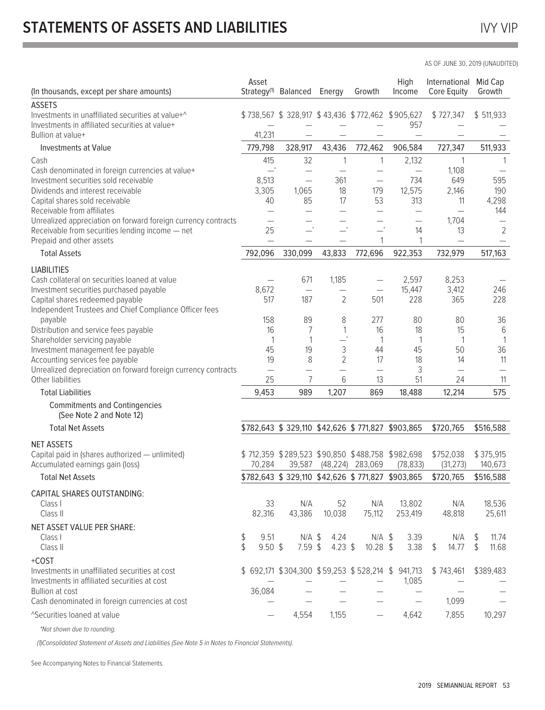# **STATEMENTS OF ASSETS AND LIABILITIES IVY VIP**

m.

| <b>ASSETS</b><br>\$738,567 \$328,917 \$43,436 \$772,462 \$905,627<br>\$727,347<br>Investments in unaffiliated securities at value+^<br>\$511,933<br>Investments in affiliated securities at value+<br>957<br>41,231<br>Bullion at value+<br>43,436<br>511,933<br>779,798<br>328,917<br>772,462<br>906,584<br>727,347<br>Investments at Value<br>1<br>415<br>32<br>1<br>2,132<br>$\mathbf{1}$<br>1<br>Cash<br>Cash denominated in foreign currencies at value+<br>1,108<br>Investment securities sold receivable<br>734<br>8,513<br>361<br>649<br>595<br>3,305<br>190<br>Dividends and interest receivable<br>1,065<br>18<br>179<br>12,575<br>2,146 |
|----------------------------------------------------------------------------------------------------------------------------------------------------------------------------------------------------------------------------------------------------------------------------------------------------------------------------------------------------------------------------------------------------------------------------------------------------------------------------------------------------------------------------------------------------------------------------------------------------------------------------------------------------|
|                                                                                                                                                                                                                                                                                                                                                                                                                                                                                                                                                                                                                                                    |
|                                                                                                                                                                                                                                                                                                                                                                                                                                                                                                                                                                                                                                                    |
|                                                                                                                                                                                                                                                                                                                                                                                                                                                                                                                                                                                                                                                    |
|                                                                                                                                                                                                                                                                                                                                                                                                                                                                                                                                                                                                                                                    |
|                                                                                                                                                                                                                                                                                                                                                                                                                                                                                                                                                                                                                                                    |
|                                                                                                                                                                                                                                                                                                                                                                                                                                                                                                                                                                                                                                                    |
| 40<br>85<br>17<br>53<br>313<br>11<br>4,298                                                                                                                                                                                                                                                                                                                                                                                                                                                                                                                                                                                                         |
| Capital shares sold receivable<br>Receivable from affiliates<br>144<br>$\overline{\phantom{0}}$<br>$\overline{\phantom{0}}$<br>$\overline{\phantom{0}}$                                                                                                                                                                                                                                                                                                                                                                                                                                                                                            |
| Unrealized appreciation on forward foreign currency contracts<br>1,704<br>$\overline{\phantom{0}}$<br>—<br>$\qquad \qquad \longleftarrow$                                                                                                                                                                                                                                                                                                                                                                                                                                                                                                          |
| $\overline{2}$<br>25<br>Receivable from securities lending income - net<br>13<br>14                                                                                                                                                                                                                                                                                                                                                                                                                                                                                                                                                                |
| Prepaid and other assets<br>1<br>$\overline{\phantom{0}}$<br>$\overline{\phantom{0}}$<br>$\overline{\phantom{0}}$                                                                                                                                                                                                                                                                                                                                                                                                                                                                                                                                  |
| 43,833<br><b>Total Assets</b><br>792,096<br>330,099<br>772,696<br>922,353<br>732,979<br>517,163                                                                                                                                                                                                                                                                                                                                                                                                                                                                                                                                                    |
|                                                                                                                                                                                                                                                                                                                                                                                                                                                                                                                                                                                                                                                    |
| <b>LIABILITIES</b>                                                                                                                                                                                                                                                                                                                                                                                                                                                                                                                                                                                                                                 |
| Cash collateral on securities loaned at value<br>671<br>1,185<br>2,597<br>8,253                                                                                                                                                                                                                                                                                                                                                                                                                                                                                                                                                                    |
| Investment securities purchased payable<br>8,672<br>15,447<br>3,412<br>246<br>$\overline{\phantom{m}}$<br>$\overline{\phantom{0}}$                                                                                                                                                                                                                                                                                                                                                                                                                                                                                                                 |
| $\overline{2}$<br>228<br>228<br>Capital shares redeemed payable<br>517<br>187<br>501<br>365<br>Independent Trustees and Chief Compliance Officer fees                                                                                                                                                                                                                                                                                                                                                                                                                                                                                              |
| payable<br>158<br>89<br>277<br>80<br>80<br>36<br>8                                                                                                                                                                                                                                                                                                                                                                                                                                                                                                                                                                                                 |
| 16<br>7<br>1<br>18<br>15<br>Distribution and service fees payable<br>16<br>6                                                                                                                                                                                                                                                                                                                                                                                                                                                                                                                                                                       |
| $\mathbf{1}$<br>$\mathbf{1}$<br>Shareholder servicing payable<br>$\mathbf{1}$<br>$\mathbf{1}$<br>$\mathbf{1}$<br>1                                                                                                                                                                                                                                                                                                                                                                                                                                                                                                                                 |
| $\sqrt{3}$<br>45<br>19<br>45<br>50<br>36<br>Investment management fee payable<br>44                                                                                                                                                                                                                                                                                                                                                                                                                                                                                                                                                                |
| $\overline{2}$<br>Accounting services fee payable<br>19<br>8<br>17<br>18<br>14<br>11                                                                                                                                                                                                                                                                                                                                                                                                                                                                                                                                                               |
| Unrealized depreciation on forward foreign currency contracts<br>3<br>—<br>$\overline{\phantom{0}}$<br>$\overline{\phantom{0}}$                                                                                                                                                                                                                                                                                                                                                                                                                                                                                                                    |
| Other liabilities<br>7<br>25<br>6<br>13<br>51<br>24<br>11                                                                                                                                                                                                                                                                                                                                                                                                                                                                                                                                                                                          |
| 9,453<br>989<br>1,207<br>18,488<br>12,214<br>575<br><b>Total Liabilities</b><br>869                                                                                                                                                                                                                                                                                                                                                                                                                                                                                                                                                                |
| <b>Commitments and Contingencies</b><br>(See Note 2 and Note 12)                                                                                                                                                                                                                                                                                                                                                                                                                                                                                                                                                                                   |
| \$782,643 \$329,110 \$42,626 \$771,827 \$903,865<br><b>Total Net Assets</b><br>\$720,765<br>\$516,588                                                                                                                                                                                                                                                                                                                                                                                                                                                                                                                                              |
|                                                                                                                                                                                                                                                                                                                                                                                                                                                                                                                                                                                                                                                    |
| <b>NET ASSETS</b>                                                                                                                                                                                                                                                                                                                                                                                                                                                                                                                                                                                                                                  |
| \$712,359 \$289,523 \$90,850 \$488,758 \$982,698<br>\$375,915<br>Capital paid in (shares authorized - unlimited)<br>\$752,038<br>Accumulated earnings gain (loss)<br>70,284<br>39,587<br>(48,224) 283,069<br>(78, 833)<br>(31, 273)<br>140,673                                                                                                                                                                                                                                                                                                                                                                                                     |
|                                                                                                                                                                                                                                                                                                                                                                                                                                                                                                                                                                                                                                                    |
| \$782,643 \$329,110 \$42,626 \$771,827 \$903,865<br>\$720,765<br>\$516,588<br><b>Total Net Assets</b>                                                                                                                                                                                                                                                                                                                                                                                                                                                                                                                                              |
| CAPITAL SHARES OUTSTANDING:                                                                                                                                                                                                                                                                                                                                                                                                                                                                                                                                                                                                                        |
| 33<br>52<br>N/A<br>N/A<br>13,802<br>N/A<br>18,536<br>Class I                                                                                                                                                                                                                                                                                                                                                                                                                                                                                                                                                                                       |
| 10,038<br>75,112<br>253,419<br>82,316<br>43,386<br>48,818<br>25,611<br>Class II                                                                                                                                                                                                                                                                                                                                                                                                                                                                                                                                                                    |
| NET ASSET VALUE PER SHARE:                                                                                                                                                                                                                                                                                                                                                                                                                                                                                                                                                                                                                         |
| \$<br>9.51<br>4.24<br>$N/A$ \$<br>3.39<br>\$<br>Class I<br>$N/A$ \$<br>N/A<br>11.74                                                                                                                                                                                                                                                                                                                                                                                                                                                                                                                                                                |
| \$<br>4.23 \$<br>\$<br>$9.50$ \$<br>$7.59$ \$<br>$10.28$ \$<br>3.38<br>\$<br>Class II<br>14.77<br>11.68                                                                                                                                                                                                                                                                                                                                                                                                                                                                                                                                            |
| +COST                                                                                                                                                                                                                                                                                                                                                                                                                                                                                                                                                                                                                                              |
| \$692,171 \$304,300 \$59,253 \$528,214 \$941,713<br>\$389,483<br>Investments in unaffiliated securities at cost<br>\$743,461                                                                                                                                                                                                                                                                                                                                                                                                                                                                                                                       |
| Investments in affiliated securities at cost<br>1,085                                                                                                                                                                                                                                                                                                                                                                                                                                                                                                                                                                                              |
| 36,084<br>Bullion at cost                                                                                                                                                                                                                                                                                                                                                                                                                                                                                                                                                                                                                          |
| Cash denominated in foreign currencies at cost<br>1,099                                                                                                                                                                                                                                                                                                                                                                                                                                                                                                                                                                                            |
| 4,554<br>1,155<br>^Securities loaned at value<br>4,642<br>7,855<br>10,297                                                                                                                                                                                                                                                                                                                                                                                                                                                                                                                                                                          |

\*Not shown due to rounding.

(1)Consolidated Statement of Assets and Liabilities (See Note 5 in Notes to Financial Statements).

See Accompanying Notes to Financial Statements.

AS OF JUNE 30, 2019 (UNAUDITED)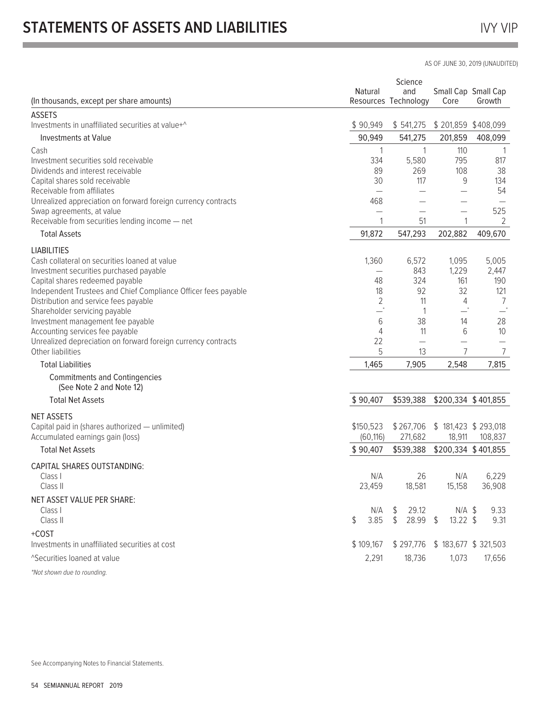# **STATEMENTS OF ASSETS AND LIABILITIES IVY VIP**

m.

#### AS OF JUNE 30, 2019 (UNAUDITED)

|                                                                     |                          | Science                  |                       |                |
|---------------------------------------------------------------------|--------------------------|--------------------------|-----------------------|----------------|
|                                                                     | <b>Natural</b>           | and                      | Small Cap Small Cap   |                |
| (In thousands, except per share amounts)                            |                          | Resources Technology     | Core                  | Growth         |
| <b>ASSETS</b><br>Investments in unaffiliated securities at value+^  | \$90,949                 | \$541,275                | \$201,859 \$408,099   |                |
|                                                                     |                          |                          |                       |                |
| Investments at Value                                                | 90,949                   | 541,275                  | 201,859               | 408,099        |
| Cash                                                                |                          |                          | 110                   | 1              |
| Investment securities sold receivable                               | 334                      | 5,580                    | 795                   | 817            |
| Dividends and interest receivable<br>Capital shares sold receivable | 89<br>30                 | 269<br>117               | 108<br>9              | 38<br>134      |
| Receivable from affiliates                                          | $\overline{\phantom{0}}$ | $\overline{\phantom{0}}$ |                       | 54             |
| Unrealized appreciation on forward foreign currency contracts       | 468                      | $\overline{\phantom{0}}$ |                       |                |
| Swap agreements, at value                                           | $\overline{\phantom{0}}$ | $\overline{\phantom{0}}$ |                       | 525            |
| Receivable from securities lending income - net                     | 1                        | 51                       | 1                     | 2              |
| <b>Total Assets</b>                                                 | 91,872                   | 547,293                  | 202,882               | 409,670        |
| <b>LIABILITIES</b>                                                  |                          |                          |                       |                |
| Cash collateral on securities loaned at value                       | 1,360                    | 6,572                    | 1,095                 | 5,005          |
| Investment securities purchased payable                             |                          | 843                      | 1,229                 | 2,447          |
| Capital shares redeemed payable                                     | 48                       | 324                      | 161                   | 190            |
| Independent Trustees and Chief Compliance Officer fees payable      | 18                       | 92                       | 32                    | 121            |
| Distribution and service fees payable                               | $\overline{2}$           | 11                       | 4                     | 7              |
| Shareholder servicing payable                                       |                          | 1                        | $-$ *                 | $-$            |
| Investment management fee payable                                   | 6                        | 38                       | 14                    | 28             |
| Accounting services fee payable                                     | 4                        | 11                       | 6                     | 10             |
| Unrealized depreciation on forward foreign currency contracts       | 22                       |                          |                       |                |
| Other liabilities                                                   | 5                        | 13                       | 7                     | $\overline{7}$ |
| <b>Total Liabilities</b>                                            | 1,465                    | 7,905                    | 2,548                 | 7,815          |
| <b>Commitments and Contingencies</b><br>(See Note 2 and Note 12)    |                          |                          |                       |                |
| <b>Total Net Assets</b>                                             | \$90,407                 | \$539,388                | \$200,334 \$401,855   |                |
| <b>NET ASSETS</b>                                                   |                          |                          |                       |                |
| Capital paid in (shares authorized - unlimited)                     | \$150,523                | \$267,706                | $$181,423$ $$293,018$ |                |
| Accumulated earnings gain (loss)                                    | (60, 116)                | 271,682                  | 18,911                | 108,837        |
| <b>Total Net Assets</b>                                             | \$90,407                 | \$539,388                | \$200,334 \$401,855   |                |
| CAPITAL SHARES OUTSTANDING:                                         |                          |                          |                       |                |
| Class I                                                             | N/A                      | 26                       | N/A                   | 6,229          |
| Class II                                                            | 23,459                   | 18,581                   | 15,158                | 36,908         |
| NET ASSET VALUE PER SHARE:                                          |                          |                          |                       |                |
| Class I                                                             | N/A                      | 29.12<br>\$              | $N/A$ \$              | 9.33           |
| Class II                                                            | \$<br>3.85               | \$<br>28.99              | $13.22$ \$<br>\$      | 9.31           |
| +COST                                                               |                          |                          |                       |                |
| Investments in unaffiliated securities at cost                      | \$109,167                | \$297,776                | $$183,677$ \$321,503  |                |
| ^Securities loaned at value                                         | 2,291                    | 18,736                   | 1,073                 | 17,656         |
| *Not shown due to rounding.                                         |                          |                          |                       |                |

See Accompanying Notes to Financial Statements.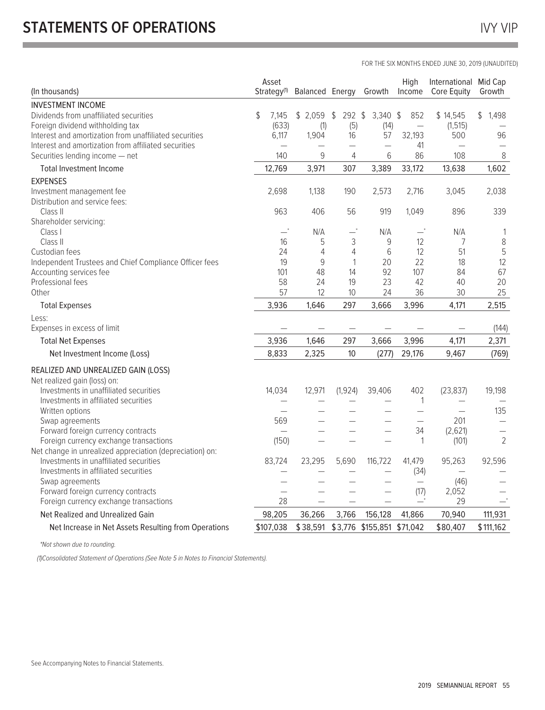| FOR THE SIX MONTHS ENDED JUNE 30, 2019 (UNAUDITED) |  |  |  |
|----------------------------------------------------|--|--|--|
|                                                    |  |  |  |

| (In thousands)                                                                                                                                                   | Asset<br>Strategy <sup>(1)</sup> | Balanced Energy         |                |                       | Growth                   | High<br>Income      | International Mid Cap<br>Core Equity |          | Growth                     |
|------------------------------------------------------------------------------------------------------------------------------------------------------------------|----------------------------------|-------------------------|----------------|-----------------------|--------------------------|---------------------|--------------------------------------|----------|----------------------------|
| <b>INVESTMENT INCOME</b><br>Dividends from unaffiliated securities<br>Foreign dividend withholding tax<br>Interest and amortization from unaffiliated securities | \$<br>7,145<br>(633)<br>6,117    | \$2,059<br>(1)<br>1,904 | $\updownarrow$ | $292$ \$<br>(5)<br>16 | 3,340<br>(14)<br>57      | \$<br>852<br>32,193 | \$14,545<br>(1, 515)<br>500          |          | \$<br>1,498<br>96          |
| Interest and amortization from affiliated securities<br>Securities lending income - net                                                                          | 140                              | 9                       |                | 4                     | 6                        | 41<br>86            | 108                                  |          | 8                          |
| <b>Total Investment Income</b>                                                                                                                                   | 12,769                           | 3,971                   |                | 307                   | 3,389                    | 33,172              | 13,638                               |          | 1,602                      |
| <b>EXPENSES</b>                                                                                                                                                  |                                  |                         |                |                       |                          |                     |                                      |          |                            |
| Investment management fee<br>Distribution and service fees:                                                                                                      | 2,698                            | 1,138                   |                | 190                   | 2,573                    | 2,716               | 3,045                                |          | 2,038                      |
| Class II<br>Shareholder servicing:                                                                                                                               | 963                              | 406                     |                | 56                    | 919                      | 1,049               | 896                                  |          | 339                        |
| Class I                                                                                                                                                          | $-$ *                            | N/A                     |                | $-$ *                 | N/A                      | $-$                 | N/A                                  |          | 1                          |
| Class II                                                                                                                                                         | 16                               | 5                       |                | 3                     | 9                        | 12                  |                                      | 7        | 8                          |
| Custodian fees                                                                                                                                                   | 24<br>19                         | 4<br>9                  |                | 4<br>$\mathbf{1}$     | 6<br>20                  | 12<br>22            |                                      | 51<br>18 | 5<br>12                    |
| Independent Trustees and Chief Compliance Officer fees<br>Accounting services fee                                                                                | 101                              | 48                      |                | 14                    | 92                       | 107                 |                                      | 84       | 67                         |
| Professional fees                                                                                                                                                | 58                               | 24                      |                | 19                    | 23                       | 42                  | 40                                   |          | 20                         |
| Other                                                                                                                                                            | 57                               | 12                      |                | 10                    | 24                       | 36                  | 30                                   |          | 25                         |
| <b>Total Expenses</b>                                                                                                                                            | 3,936                            | 1,646                   |                | 297                   | 3,666                    | 3,996               | 4,171                                |          | 2,515                      |
| Less:                                                                                                                                                            |                                  |                         |                |                       |                          |                     |                                      |          |                            |
| Expenses in excess of limit                                                                                                                                      |                                  |                         |                |                       | $\overline{\phantom{0}}$ |                     |                                      |          | (144)                      |
| <b>Total Net Expenses</b>                                                                                                                                        | 3,936                            | 1,646                   |                | 297                   | 3,666                    | 3,996               | 4,171                                |          | 2,371                      |
| Net Investment Income (Loss)                                                                                                                                     | 8,833                            | 2,325                   |                | 10                    | (277)                    | 29,176              | 9,467                                |          | (769)                      |
| REALIZED AND UNREALIZED GAIN (LOSS)                                                                                                                              |                                  |                         |                |                       |                          |                     |                                      |          |                            |
| Net realized gain (loss) on:                                                                                                                                     |                                  |                         |                |                       |                          |                     |                                      |          |                            |
| Investments in unaffiliated securities<br>Investments in affiliated securities                                                                                   | 14,034                           | 12,971                  |                | (1,924)               | 39,406                   | 402<br>1            | (23, 837)                            |          | 19,198                     |
| Written options                                                                                                                                                  |                                  |                         |                |                       |                          |                     |                                      |          | 135                        |
| Swap agreements                                                                                                                                                  | 569                              |                         |                |                       | $\overline{\phantom{0}}$ |                     | 201                                  |          | $\overline{\phantom{m}}$   |
| Forward foreign currency contracts                                                                                                                               |                                  |                         |                |                       |                          | 34                  | (2,621)                              |          |                            |
| Foreign currency exchange transactions                                                                                                                           | (150)                            |                         |                |                       |                          | 1                   | (101)                                |          | $\overline{2}$             |
| Net change in unrealized appreciation (depreciation) on:                                                                                                         |                                  |                         |                |                       |                          |                     |                                      |          |                            |
| Investments in unaffiliated securities                                                                                                                           | 83,724                           | 23,295                  |                | 5,690                 | 116,722                  | 41,479              | 95,263                               |          | 92,596                     |
| Investments in affiliated securities                                                                                                                             |                                  |                         |                |                       |                          | (34)                |                                      |          |                            |
| Swap agreements                                                                                                                                                  |                                  |                         |                |                       |                          |                     | (46)                                 |          |                            |
| Forward foreign currency contracts<br>Foreign currency exchange transactions                                                                                     | 28                               |                         |                |                       | $\overline{\phantom{0}}$ | (17)                | 2,052<br>29                          |          | $\overline{\phantom{0}}^*$ |
| Net Realized and Unrealized Gain                                                                                                                                 | 98,205                           | 36,266                  |                | 3,766                 | 156,128                  | 41,866              | 70,940                               |          | 111,931                    |
| Net Increase in Net Assets Resulting from Operations                                                                                                             | \$107,038                        | \$38,591                |                | \$3,776               |                          | \$155,851 \$71,042  | \$80,407                             |          | \$111,162                  |

\*Not shown due to rounding.

(1)Consolidated Statement of Operations (See Note 5 in Notes to Financial Statements).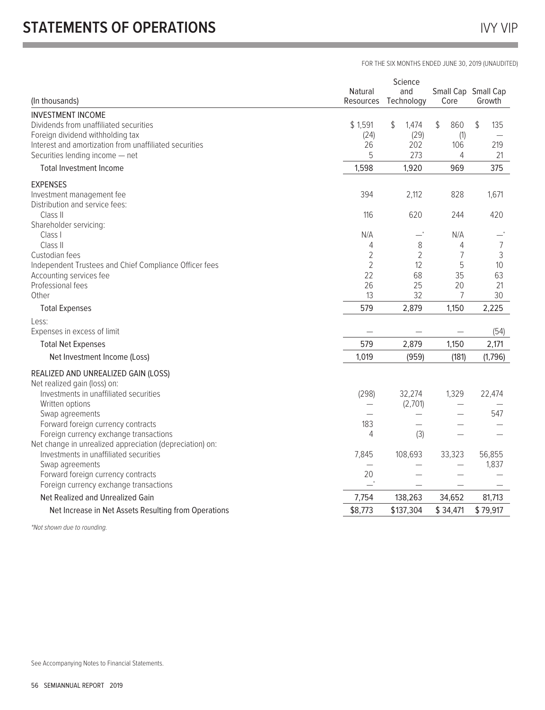m,

FOR THE SIX MONTHS ENDED JUNE 30, 2019 (UNAUDITED)

| Growth<br>(In thousands)<br>Technology<br>Core<br>Resources<br><b>INVESTMENT INCOME</b><br>\$<br>\$<br>\$<br>Dividends from unaffiliated securities<br>\$1,591<br>1,474<br>860<br>(29)<br>Foreign dividend withholding tax<br>(24)<br>(1)<br>Interest and amortization from unaffiliated securities<br>26<br>202<br>106<br>273<br>Securities lending income - net<br>5<br>4<br>1,598<br>1,920<br><b>Total Investment Income</b><br>969<br><b>EXPENSES</b><br>394<br>2,112<br>828<br>Investment management fee<br>Distribution and service fees:<br>Class II<br>116<br>620<br>244<br>Shareholder servicing:<br>$\overline{\phantom{0}}^*$<br>N/A<br>Class I<br>N/A<br>8<br>Class II<br>4<br>4<br>$\overline{2}$<br>$\overline{2}$<br>$\overline{7}$<br>Custodian fees<br>$\overline{2}$<br>5<br>12<br>Independent Trustees and Chief Compliance Officer fees<br>22<br>68<br>35<br>Accounting services fee<br>Professional fees<br>26<br>25<br>20<br>13<br>32<br>Other<br>7<br>579<br>2,879<br><b>Total Expenses</b><br>1,150<br>Less:<br>Expenses in excess of limit<br>579<br><b>Total Net Expenses</b><br>2,879<br>1,150<br>Net Investment Income (Loss)<br>1,019<br>(959)<br>(181)<br>REALIZED AND UNREALIZED GAIN (LOSS)<br>Net realized gain (loss) on:<br>Investments in unaffiliated securities<br>(298)<br>32,274<br>1,329<br>22,474<br>(2,701)<br>Written options<br>Swap agreements<br>$\qquad \qquad -$<br>Forward foreign currency contracts<br>183<br>Foreign currency exchange transactions<br>4<br>(3)<br>Net change in unrealized appreciation (depreciation) on:<br>Investments in unaffiliated securities<br>7,845<br>108,693<br>33,323<br>56,855<br>1,837<br>Swap agreements<br>ш.<br>$\overline{\phantom{0}}$<br>Forward foreign currency contracts<br>20<br>$\equiv^*$<br>Foreign currency exchange transactions<br>$\overline{\phantom{0}}$<br>$\overline{\phantom{0}}$<br>Net Realized and Unrealized Gain<br>7,754<br>138,263<br>34,652 | Natural | Science<br>and | Small Cap Small Cap |                |
|----------------------------------------------------------------------------------------------------------------------------------------------------------------------------------------------------------------------------------------------------------------------------------------------------------------------------------------------------------------------------------------------------------------------------------------------------------------------------------------------------------------------------------------------------------------------------------------------------------------------------------------------------------------------------------------------------------------------------------------------------------------------------------------------------------------------------------------------------------------------------------------------------------------------------------------------------------------------------------------------------------------------------------------------------------------------------------------------------------------------------------------------------------------------------------------------------------------------------------------------------------------------------------------------------------------------------------------------------------------------------------------------------------------------------------------------------------------------------------------------------------------------------------------------------------------------------------------------------------------------------------------------------------------------------------------------------------------------------------------------------------------------------------------------------------------------------------------------------------------------------------------------------------------------------------------------------------------|---------|----------------|---------------------|----------------|
|                                                                                                                                                                                                                                                                                                                                                                                                                                                                                                                                                                                                                                                                                                                                                                                                                                                                                                                                                                                                                                                                                                                                                                                                                                                                                                                                                                                                                                                                                                                                                                                                                                                                                                                                                                                                                                                                                                                                                                |         |                |                     |                |
|                                                                                                                                                                                                                                                                                                                                                                                                                                                                                                                                                                                                                                                                                                                                                                                                                                                                                                                                                                                                                                                                                                                                                                                                                                                                                                                                                                                                                                                                                                                                                                                                                                                                                                                                                                                                                                                                                                                                                                |         |                |                     |                |
|                                                                                                                                                                                                                                                                                                                                                                                                                                                                                                                                                                                                                                                                                                                                                                                                                                                                                                                                                                                                                                                                                                                                                                                                                                                                                                                                                                                                                                                                                                                                                                                                                                                                                                                                                                                                                                                                                                                                                                |         |                |                     | 135            |
|                                                                                                                                                                                                                                                                                                                                                                                                                                                                                                                                                                                                                                                                                                                                                                                                                                                                                                                                                                                                                                                                                                                                                                                                                                                                                                                                                                                                                                                                                                                                                                                                                                                                                                                                                                                                                                                                                                                                                                |         |                |                     |                |
|                                                                                                                                                                                                                                                                                                                                                                                                                                                                                                                                                                                                                                                                                                                                                                                                                                                                                                                                                                                                                                                                                                                                                                                                                                                                                                                                                                                                                                                                                                                                                                                                                                                                                                                                                                                                                                                                                                                                                                |         |                |                     | 219            |
|                                                                                                                                                                                                                                                                                                                                                                                                                                                                                                                                                                                                                                                                                                                                                                                                                                                                                                                                                                                                                                                                                                                                                                                                                                                                                                                                                                                                                                                                                                                                                                                                                                                                                                                                                                                                                                                                                                                                                                |         |                |                     | 21             |
|                                                                                                                                                                                                                                                                                                                                                                                                                                                                                                                                                                                                                                                                                                                                                                                                                                                                                                                                                                                                                                                                                                                                                                                                                                                                                                                                                                                                                                                                                                                                                                                                                                                                                                                                                                                                                                                                                                                                                                |         |                |                     | 375            |
|                                                                                                                                                                                                                                                                                                                                                                                                                                                                                                                                                                                                                                                                                                                                                                                                                                                                                                                                                                                                                                                                                                                                                                                                                                                                                                                                                                                                                                                                                                                                                                                                                                                                                                                                                                                                                                                                                                                                                                |         |                |                     |                |
|                                                                                                                                                                                                                                                                                                                                                                                                                                                                                                                                                                                                                                                                                                                                                                                                                                                                                                                                                                                                                                                                                                                                                                                                                                                                                                                                                                                                                                                                                                                                                                                                                                                                                                                                                                                                                                                                                                                                                                |         |                |                     | 1,671          |
|                                                                                                                                                                                                                                                                                                                                                                                                                                                                                                                                                                                                                                                                                                                                                                                                                                                                                                                                                                                                                                                                                                                                                                                                                                                                                                                                                                                                                                                                                                                                                                                                                                                                                                                                                                                                                                                                                                                                                                |         |                |                     |                |
|                                                                                                                                                                                                                                                                                                                                                                                                                                                                                                                                                                                                                                                                                                                                                                                                                                                                                                                                                                                                                                                                                                                                                                                                                                                                                                                                                                                                                                                                                                                                                                                                                                                                                                                                                                                                                                                                                                                                                                |         |                |                     | 420            |
|                                                                                                                                                                                                                                                                                                                                                                                                                                                                                                                                                                                                                                                                                                                                                                                                                                                                                                                                                                                                                                                                                                                                                                                                                                                                                                                                                                                                                                                                                                                                                                                                                                                                                                                                                                                                                                                                                                                                                                |         |                |                     |                |
|                                                                                                                                                                                                                                                                                                                                                                                                                                                                                                                                                                                                                                                                                                                                                                                                                                                                                                                                                                                                                                                                                                                                                                                                                                                                                                                                                                                                                                                                                                                                                                                                                                                                                                                                                                                                                                                                                                                                                                |         |                |                     | $\equiv$       |
|                                                                                                                                                                                                                                                                                                                                                                                                                                                                                                                                                                                                                                                                                                                                                                                                                                                                                                                                                                                                                                                                                                                                                                                                                                                                                                                                                                                                                                                                                                                                                                                                                                                                                                                                                                                                                                                                                                                                                                |         |                |                     | $\overline{7}$ |
|                                                                                                                                                                                                                                                                                                                                                                                                                                                                                                                                                                                                                                                                                                                                                                                                                                                                                                                                                                                                                                                                                                                                                                                                                                                                                                                                                                                                                                                                                                                                                                                                                                                                                                                                                                                                                                                                                                                                                                |         |                |                     | 3<br>10        |
|                                                                                                                                                                                                                                                                                                                                                                                                                                                                                                                                                                                                                                                                                                                                                                                                                                                                                                                                                                                                                                                                                                                                                                                                                                                                                                                                                                                                                                                                                                                                                                                                                                                                                                                                                                                                                                                                                                                                                                |         |                |                     | 63             |
|                                                                                                                                                                                                                                                                                                                                                                                                                                                                                                                                                                                                                                                                                                                                                                                                                                                                                                                                                                                                                                                                                                                                                                                                                                                                                                                                                                                                                                                                                                                                                                                                                                                                                                                                                                                                                                                                                                                                                                |         |                |                     | 21             |
|                                                                                                                                                                                                                                                                                                                                                                                                                                                                                                                                                                                                                                                                                                                                                                                                                                                                                                                                                                                                                                                                                                                                                                                                                                                                                                                                                                                                                                                                                                                                                                                                                                                                                                                                                                                                                                                                                                                                                                |         |                |                     | 30             |
|                                                                                                                                                                                                                                                                                                                                                                                                                                                                                                                                                                                                                                                                                                                                                                                                                                                                                                                                                                                                                                                                                                                                                                                                                                                                                                                                                                                                                                                                                                                                                                                                                                                                                                                                                                                                                                                                                                                                                                |         |                |                     | 2,225          |
|                                                                                                                                                                                                                                                                                                                                                                                                                                                                                                                                                                                                                                                                                                                                                                                                                                                                                                                                                                                                                                                                                                                                                                                                                                                                                                                                                                                                                                                                                                                                                                                                                                                                                                                                                                                                                                                                                                                                                                |         |                |                     |                |
|                                                                                                                                                                                                                                                                                                                                                                                                                                                                                                                                                                                                                                                                                                                                                                                                                                                                                                                                                                                                                                                                                                                                                                                                                                                                                                                                                                                                                                                                                                                                                                                                                                                                                                                                                                                                                                                                                                                                                                |         |                |                     | (54)           |
|                                                                                                                                                                                                                                                                                                                                                                                                                                                                                                                                                                                                                                                                                                                                                                                                                                                                                                                                                                                                                                                                                                                                                                                                                                                                                                                                                                                                                                                                                                                                                                                                                                                                                                                                                                                                                                                                                                                                                                |         |                |                     | 2,171          |
|                                                                                                                                                                                                                                                                                                                                                                                                                                                                                                                                                                                                                                                                                                                                                                                                                                                                                                                                                                                                                                                                                                                                                                                                                                                                                                                                                                                                                                                                                                                                                                                                                                                                                                                                                                                                                                                                                                                                                                |         |                |                     | (1,796)        |
|                                                                                                                                                                                                                                                                                                                                                                                                                                                                                                                                                                                                                                                                                                                                                                                                                                                                                                                                                                                                                                                                                                                                                                                                                                                                                                                                                                                                                                                                                                                                                                                                                                                                                                                                                                                                                                                                                                                                                                |         |                |                     |                |
|                                                                                                                                                                                                                                                                                                                                                                                                                                                                                                                                                                                                                                                                                                                                                                                                                                                                                                                                                                                                                                                                                                                                                                                                                                                                                                                                                                                                                                                                                                                                                                                                                                                                                                                                                                                                                                                                                                                                                                |         |                |                     |                |
|                                                                                                                                                                                                                                                                                                                                                                                                                                                                                                                                                                                                                                                                                                                                                                                                                                                                                                                                                                                                                                                                                                                                                                                                                                                                                                                                                                                                                                                                                                                                                                                                                                                                                                                                                                                                                                                                                                                                                                |         |                |                     |                |
|                                                                                                                                                                                                                                                                                                                                                                                                                                                                                                                                                                                                                                                                                                                                                                                                                                                                                                                                                                                                                                                                                                                                                                                                                                                                                                                                                                                                                                                                                                                                                                                                                                                                                                                                                                                                                                                                                                                                                                |         |                |                     |                |
|                                                                                                                                                                                                                                                                                                                                                                                                                                                                                                                                                                                                                                                                                                                                                                                                                                                                                                                                                                                                                                                                                                                                                                                                                                                                                                                                                                                                                                                                                                                                                                                                                                                                                                                                                                                                                                                                                                                                                                |         |                |                     | 547            |
|                                                                                                                                                                                                                                                                                                                                                                                                                                                                                                                                                                                                                                                                                                                                                                                                                                                                                                                                                                                                                                                                                                                                                                                                                                                                                                                                                                                                                                                                                                                                                                                                                                                                                                                                                                                                                                                                                                                                                                |         |                |                     |                |
|                                                                                                                                                                                                                                                                                                                                                                                                                                                                                                                                                                                                                                                                                                                                                                                                                                                                                                                                                                                                                                                                                                                                                                                                                                                                                                                                                                                                                                                                                                                                                                                                                                                                                                                                                                                                                                                                                                                                                                |         |                |                     |                |
|                                                                                                                                                                                                                                                                                                                                                                                                                                                                                                                                                                                                                                                                                                                                                                                                                                                                                                                                                                                                                                                                                                                                                                                                                                                                                                                                                                                                                                                                                                                                                                                                                                                                                                                                                                                                                                                                                                                                                                |         |                |                     |                |
|                                                                                                                                                                                                                                                                                                                                                                                                                                                                                                                                                                                                                                                                                                                                                                                                                                                                                                                                                                                                                                                                                                                                                                                                                                                                                                                                                                                                                                                                                                                                                                                                                                                                                                                                                                                                                                                                                                                                                                |         |                |                     |                |
|                                                                                                                                                                                                                                                                                                                                                                                                                                                                                                                                                                                                                                                                                                                                                                                                                                                                                                                                                                                                                                                                                                                                                                                                                                                                                                                                                                                                                                                                                                                                                                                                                                                                                                                                                                                                                                                                                                                                                                |         |                |                     |                |
|                                                                                                                                                                                                                                                                                                                                                                                                                                                                                                                                                                                                                                                                                                                                                                                                                                                                                                                                                                                                                                                                                                                                                                                                                                                                                                                                                                                                                                                                                                                                                                                                                                                                                                                                                                                                                                                                                                                                                                |         |                |                     |                |
|                                                                                                                                                                                                                                                                                                                                                                                                                                                                                                                                                                                                                                                                                                                                                                                                                                                                                                                                                                                                                                                                                                                                                                                                                                                                                                                                                                                                                                                                                                                                                                                                                                                                                                                                                                                                                                                                                                                                                                |         |                |                     | 81,713         |
| \$8,773<br>\$79,917<br>Net Increase in Net Assets Resulting from Operations<br>\$137,304<br>\$34,471                                                                                                                                                                                                                                                                                                                                                                                                                                                                                                                                                                                                                                                                                                                                                                                                                                                                                                                                                                                                                                                                                                                                                                                                                                                                                                                                                                                                                                                                                                                                                                                                                                                                                                                                                                                                                                                           |         |                |                     |                |

\*Not shown due to rounding.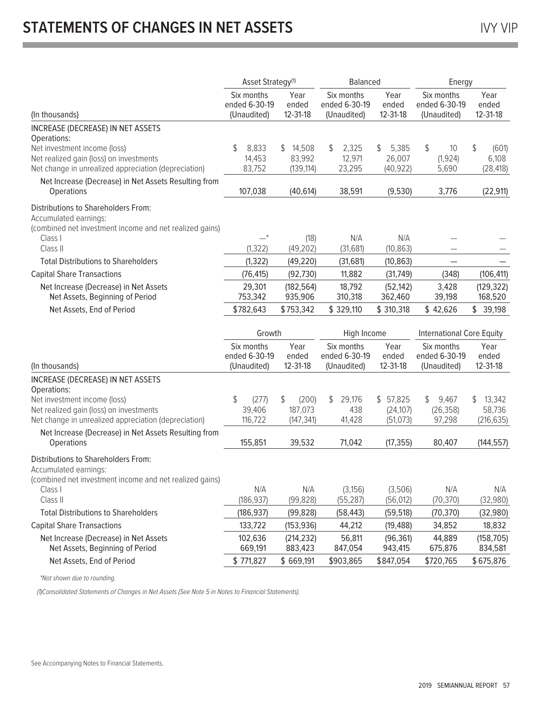|                                                                                                 | Asset Strategy <sup>(1)</sup>              |                           | <b>Balanced</b>                            |                           | Energy                                     |                           |  |
|-------------------------------------------------------------------------------------------------|--------------------------------------------|---------------------------|--------------------------------------------|---------------------------|--------------------------------------------|---------------------------|--|
| (In thousands)                                                                                  | Six months<br>ended 6-30-19<br>(Unaudited) | Year<br>ended<br>12-31-18 | Six months<br>ended 6-30-19<br>(Unaudited) | Year<br>ended<br>12-31-18 | Six months<br>ended 6-30-19<br>(Unaudited) | Year<br>ended<br>12-31-18 |  |
| INCREASE (DECREASE) IN NET ASSETS                                                               |                                            |                           |                                            |                           |                                            |                           |  |
| Operations:<br>Net investment income (loss)                                                     | 8,833<br>\$                                | 14,508<br>\$              | \$<br>2,325                                | 5,385<br>S                | \$<br>10                                   | \$<br>(601)               |  |
| Net realized gain (loss) on investments<br>Net change in unrealized appreciation (depreciation) | 14,453<br>83,752                           | 83,992<br>(139, 114)      | 12,971<br>23,295                           | 26,007<br>(40, 922)       | (1, 924)<br>5,690                          | 6,108<br>(28, 418)        |  |
| Net Increase (Decrease) in Net Assets Resulting from<br>Operations                              | 107,038                                    | (40, 614)                 | 38,591                                     | (9,530)                   | 3,776                                      | (22, 911)                 |  |
| Distributions to Shareholders From:                                                             |                                            |                           |                                            |                           |                                            |                           |  |
| Accumulated earnings:<br>(combined net investment income and net realized gains)                |                                            |                           |                                            |                           |                                            |                           |  |
| Class I<br>Class II                                                                             |                                            | (18)                      | N/A                                        | N/A                       |                                            |                           |  |
| <b>Total Distributions to Shareholders</b>                                                      | (1, 322)<br>(1, 322)                       | (49, 202)<br>(49, 220)    | (31, 681)<br>(31, 681)                     | (10, 863)<br>(10, 863)    |                                            |                           |  |
| <b>Capital Share Transactions</b>                                                               | (76, 415)                                  | (92, 730)                 | 11,882                                     | (31, 749)                 | (348)                                      | (106, 411)                |  |
| Net Increase (Decrease) in Net Assets<br>Net Assets, Beginning of Period                        | 29,301<br>753,342                          | (182, 564)<br>935,906     | 18,792<br>310,318                          | (52, 142)<br>362,460      | 3,428<br>39,198                            | (129, 322)<br>168,520     |  |
| Net Assets, End of Period                                                                       | \$782,643                                  | \$753,342                 | \$329,110                                  | \$310,318                 | \$42,626                                   | \$<br>39,198              |  |
|                                                                                                 |                                            |                           |                                            |                           |                                            |                           |  |
|                                                                                                 | Growth                                     |                           | High Income                                |                           | <b>International Core Equity</b>           |                           |  |
| (In thousands)                                                                                  | Six months<br>ended 6-30-19<br>(Unaudited) | Year<br>ended<br>12-31-18 | Six months<br>ended 6-30-19<br>(Unaudited) | Year<br>ended<br>12-31-18 | Six months<br>ended 6-30-19<br>(Unaudited) | Year<br>ended<br>12-31-18 |  |
| INCREASE (DECREASE) IN NET ASSETS                                                               |                                            |                           |                                            |                           |                                            |                           |  |
| Operations:                                                                                     |                                            |                           |                                            |                           |                                            |                           |  |
| Net investment income (loss)<br>Net realized gain (loss) on investments                         | \$<br>(277)<br>39,406                      | \$<br>(200)<br>187,073    | \$<br>29,176                               | 57,825<br>\$              | \$<br>9,467                                | 13,342<br>\$              |  |
| Net change in unrealized appreciation (depreciation)                                            |                                            |                           |                                            |                           |                                            |                           |  |
|                                                                                                 | 116,722                                    | (147, 341)                | 438<br>41,428                              | (24, 107)<br>(51, 073)    | (26, 358)<br>97,298                        | 58,736<br>(216, 635)      |  |
| Net Increase (Decrease) in Net Assets Resulting from<br>Operations                              | 155,851                                    | 39,532                    | 71,042                                     | (17, 355)                 | 80,407                                     | (144, 557)                |  |
| Distributions to Shareholders From:<br>Accumulated earnings:                                    |                                            |                           |                                            |                           |                                            |                           |  |
| (combined net investment income and net realized gains)<br>Class I<br>Class II                  | N/A<br>(186, 937)                          | N/A<br>(99, 828)          | (3, 156)<br>(55, 287)                      | (3,506)<br>(56, 012)      | N/A<br>(70, 370)                           | N/A<br>(32,980)           |  |
| <b>Total Distributions to Shareholders</b>                                                      | (186, 937)                                 | (99, 828)                 | (58, 443)                                  | (59, 518)                 | (70, 370)                                  | (32,980)                  |  |
| <b>Capital Share Transactions</b>                                                               | 133,722                                    | (153, 936)                | 44,212                                     | (19, 488)                 | 34,852                                     | 18,832                    |  |
| Net Increase (Decrease) in Net Assets<br>Net Assets, Beginning of Period                        | 102,636<br>669,191                         | (214, 232)<br>883,423     | 56,811<br>847,054                          | (96, 361)<br>943,415      | 44,889<br>675,876                          | (158, 705)<br>834,581     |  |

\*Not shown due to rounding.

(1)Consolidated Statements of Changes in Net Assets (See Note 5 in Notes to Financial Statements).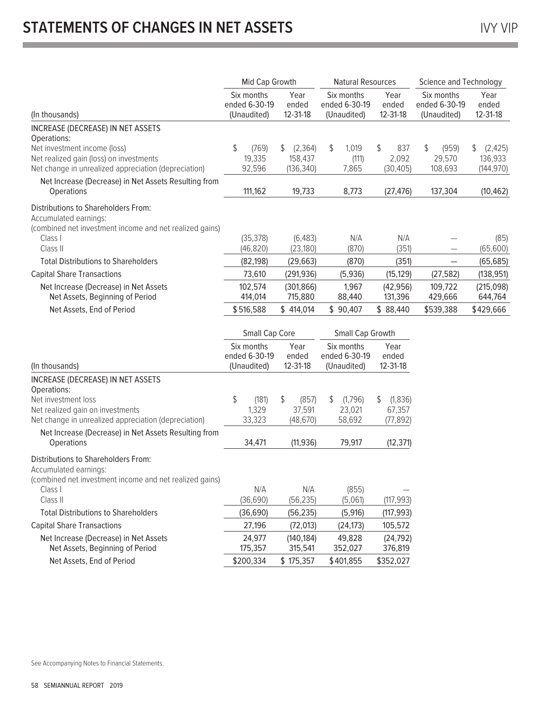|                                                                    | Mid Cap Growth                             |                           | <b>Natural Resources</b>                   |                           | Science and Technology                     |                                 |
|--------------------------------------------------------------------|--------------------------------------------|---------------------------|--------------------------------------------|---------------------------|--------------------------------------------|---------------------------------|
| (In thousands)                                                     | Six months<br>ended 6-30-19<br>(Unaudited) | Year<br>ended<br>12-31-18 | Six months<br>ended 6-30-19<br>(Unaudited) | Year<br>ended<br>12-31-18 | Six months<br>ended 6-30-19<br>(Unaudited) | Year<br>ended<br>$12 - 31 - 18$ |
| INCREASE (DECREASE) IN NET ASSETS                                  |                                            |                           |                                            |                           |                                            |                                 |
| Operations:                                                        |                                            |                           |                                            |                           |                                            |                                 |
| Net investment income (loss)                                       | \$<br>(769)                                | (2, 364)<br>\$            | 1,019<br>\$                                | \$<br>837                 | \$<br>(959)                                | (2, 425)<br>\$                  |
| Net realized gain (loss) on investments                            | 19,335                                     | 158,437                   | (111)                                      | 2,092                     | 29,570                                     | 136,933                         |
| Net change in unrealized appreciation (depreciation)               | 92,596                                     | (136, 340)                | 7,865                                      | (30, 405)                 | 108,693                                    | (144, 970)                      |
| Net Increase (Decrease) in Net Assets Resulting from<br>Operations | 111,162                                    | 19,733                    | 8,773                                      | (27, 476)                 | 137,304                                    | (10, 462)                       |
| Distributions to Shareholders From:                                |                                            |                           |                                            |                           |                                            |                                 |
| Accumulated earnings:                                              |                                            |                           |                                            |                           |                                            |                                 |
| (combined net investment income and net realized gains)            |                                            |                           |                                            |                           |                                            |                                 |
| Class I                                                            | (35, 378)                                  | (6, 483)                  | N/A                                        | N/A                       |                                            | (85)                            |
| Class II                                                           | (46, 820)                                  | (23, 180)                 | (870)                                      | (351)                     |                                            | (65, 600)                       |
| <b>Total Distributions to Shareholders</b>                         | (82, 198)                                  | (29, 663)                 | (870)                                      | (351)                     | —                                          | (65, 685)                       |
| <b>Capital Share Transactions</b>                                  | 73,610                                     | (291, 936)                | (5,936)                                    | (15, 129)                 | (27, 582)                                  | (138, 951)                      |
| Net Increase (Decrease) in Net Assets                              | 102,574                                    | (301, 866)                | 1,967                                      | (42, 956)                 | 109,722                                    | (215,098)                       |
| Net Assets, Beginning of Period                                    | 414,014                                    | 715,880                   | 88,440                                     | 131,396                   | 429,666                                    | 644,764                         |
| Net Assets, End of Period                                          | \$516,588                                  | \$414,014                 | \$90,407                                   | \$88,440                  | \$539,388                                  | \$429,666                       |
|                                                                    | Small Cap Core                             |                           | Small Cap Growth                           |                           |                                            |                                 |
| (In thousands)                                                     | Six months<br>ended 6-30-19<br>(Unaudited) | Year<br>ended<br>12-31-18 | Six months<br>ended 6-30-19<br>(Unaudited) | Year<br>ended<br>12-31-18 |                                            |                                 |
|                                                                    |                                            |                           |                                            |                           |                                            |                                 |
| INCREASE (DECREASE) IN NET ASSETS<br>Operations:                   |                                            |                           |                                            |                           |                                            |                                 |
| Net investment loss                                                | \$<br>(181)                                | \$<br>(857)               | (1,796)<br>\$                              | (1,836)<br>\$             |                                            |                                 |
| Net realized gain on investments                                   | 1,329                                      | 37,591                    | 23,021                                     | 67,357                    |                                            |                                 |
| Net change in unrealized appreciation (depreciation)               | 33,323                                     | (48, 670)                 | 58,692                                     | (77, 892)                 |                                            |                                 |
| Net Increase (Decrease) in Net Assets Resulting from               |                                            |                           |                                            |                           |                                            |                                 |
| Operations                                                         | 34,471                                     | (11, 936)                 | 79,917                                     | (12, 371)                 |                                            |                                 |
| Distributions to Shareholders From:                                |                                            |                           |                                            |                           |                                            |                                 |
| Accumulated earnings:                                              |                                            |                           |                                            |                           |                                            |                                 |
| (combined net investment income and net realized gains)            |                                            |                           |                                            |                           |                                            |                                 |
| Class I                                                            | N/A                                        | N/A                       | (855)                                      |                           |                                            |                                 |
| Class II                                                           | (36,690)                                   | (56, 235)                 | (5,061)                                    | (117, 993)                |                                            |                                 |
| <b>Total Distributions to Shareholders</b>                         | (36, 690)                                  | (56, 235)                 | (5, 916)                                   | (117, 993)                |                                            |                                 |
| <b>Capital Share Transactions</b>                                  | 27,196                                     | (72, 013)                 | (24, 173)                                  | 105,572                   |                                            |                                 |
| Net Increase (Decrease) in Net Assets                              | 24,977                                     | (140, 184)                | 49,828                                     | (24, 792)                 |                                            |                                 |
| Net Assets, Beginning of Period                                    | 175,357                                    | 315,541                   | 352,027                                    | 376,819                   |                                            |                                 |
| Net Assets, End of Period                                          | \$200,334                                  | \$175,357                 | \$401,855                                  | \$352,027                 |                                            |                                 |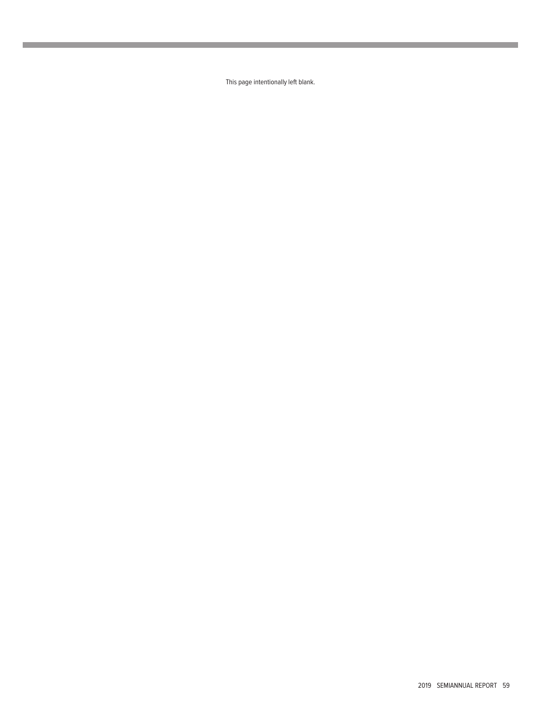This page intentionally left blank.

**Contract Contract Contract Contract** 

m,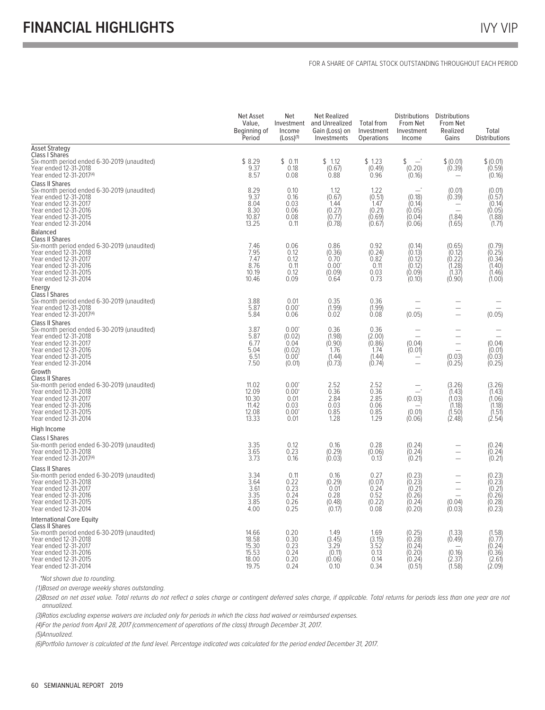#### FOR A SHARE OF CAPITAL STOCK OUTSTANDING THROUGHOUT EACH PERIOD

|                                                                                                                                                                                                                                         | <b>Net Asset</b><br>Value,<br>Beginning of<br>Period | <b>Net</b><br>Investment<br>Income<br>$(Loss)$ <sup>(1)</sup>              | <b>Net Realized</b><br>and Unrealized<br>Gain (Loss) on<br>Investments | <b>Total from</b><br>Investment<br>Operations            | Distributions Distributions<br>From Net<br>Investment<br>Income        | From Net<br>Realized<br>Gains                                | Total<br>Distributions                                                 |
|-----------------------------------------------------------------------------------------------------------------------------------------------------------------------------------------------------------------------------------------|------------------------------------------------------|----------------------------------------------------------------------------|------------------------------------------------------------------------|----------------------------------------------------------|------------------------------------------------------------------------|--------------------------------------------------------------|------------------------------------------------------------------------|
| <b>Asset Strategy</b>                                                                                                                                                                                                                   |                                                      |                                                                            |                                                                        |                                                          |                                                                        |                                                              |                                                                        |
| <b>Class I Shares</b><br>Six-month period ended 6-30-2019 (unaudited)<br>Year ended 12-31-2018<br>Year ended 12-31-2017⑷                                                                                                                | \$8.29<br>9.37<br>8.57                               | \$0.11<br>0.18<br>0.08                                                     | \$1.12<br>(0.67)<br>0.88                                               | \$1.23<br>(0.49)<br>0.96                                 | \$<br>$-$<br>(0.20)<br>(0.16)                                          | \$ (0.01)<br>(0.39)                                          | \$ (0.01)<br>(0.59)<br>(0.16)                                          |
| <b>Class II Shares</b><br>Six-month period ended 6-30-2019 (unaudited)<br>Year ended 12-31-2018<br>Year ended 12-31-2017<br>Year ended 12-31-2016<br>Year ended 12-31-2015<br>Year ended 12-31-2014                                     | 8.29<br>9.37<br>8.04<br>8.30<br>10.87<br>13.25       | 0.10<br>0.16<br>0.03<br>0.06<br>0.08<br>0.11                               | 1.12<br>(0.67)<br>1.44<br>(0.27)<br>(0.77)<br>(0.78)                   | 1.22<br>(0.51)<br>1.47<br>(0.21)<br>(0.69)<br>(0.67)     | (0.18)<br>(0.14)<br>(0.05)<br>(0.04)<br>(0.06)                         | (0.01)<br>(0.39)<br>(1.84)<br>(1.65)                         | (0.01)<br>(0.57)<br>(0.14)<br>(0.05)<br>(1.88)<br>(1.71)               |
| Balanced<br><b>Class II Shares</b><br>Six-month period ended 6-30-2019 (unaudited)<br>Year ended 12-31-2018<br>Year ended 12-31-2017<br>Year ended 12-31-2016<br>Year ended 12-31-2015<br>Year ended 12-31-2014                         | 7.46<br>7.95<br>7.47<br>8.76<br>10.19<br>10.46       | 0.06<br>0.12<br>0.12<br>0.11<br>0.12<br>0.09                               | 0.86<br>(0.36)<br>0.70<br>$0.00^{\circ}$<br>(0.09)<br>0.64             | 0.92<br>(0.24)<br>0.82<br>0.11<br>0.03<br>0.73           | (0.14)<br>(0.13)<br>(0.12)<br>(0.12)<br>(0.09)<br>(0.10)               | (0.65)<br>(0.12)<br>(0.22)<br>$(1.28)$<br>$(1.37)$<br>(0.90) | (0.79)<br>(0.25)<br>(0.34)<br>(1.40)<br>(1.46)<br>(1.00)               |
| Energy<br>Class I Shares<br>Six-month period ended 6-30-2019 (unaudited)<br>Year ended 12-31-2018<br>Year ended 12-31-2017(4)                                                                                                           | 3.88<br>5.87<br>5.84                                 | 0.01<br>$0.00^{\circ}$<br>0.06                                             | 0.35<br>$(1.99)$<br>$0.02$                                             | 0.36<br>(1.99)<br>0.08                                   | (0.05)                                                                 | $\overline{\phantom{0}}$                                     | (0.05)                                                                 |
| <b>Class II Shares</b><br>Six-month period ended 6-30-2019 (unaudited)<br>Year ended 12-31-2018<br>Year ended 12-31-2017<br>Year ended 12-31-2016<br>Year ended 12-31-2015<br>Year ended 12-31-2014                                     | 3.87<br>5.87<br>6.77<br>5.04<br>6.51<br>7.50         | $0.00^{\circ}$<br>(0.02)<br>0.04<br>(0.02)<br>$0.00^{\circ}$<br>(0.01)     | 0.36<br>(1.98)<br>(0.90)<br>1.76<br>(1.44)<br>(0.73)                   | 0.36<br>(2.00)<br>(0.86)<br>1.74<br>(1.44)<br>(0.74)     | (0.04)<br>(0.01)                                                       | $\overline{\phantom{0}}$<br>(0.03)<br>(0.25)                 | (0.04)<br>(0.01)<br>(0.03)<br>(0.25)                                   |
| Growth<br><b>Class II Shares</b><br>Six-month period ended 6-30-2019 (unaudited)<br>Year ended 12-31-2018<br>Year ended 12-31-2017<br>Year ended 12-31-2016<br>Year ended 12-31-2015<br>Year ended 12-31-2014                           | 11.02<br>12.09<br>10.30<br>11.42<br>12.08<br>13.33   | $0.00^{\circ}$<br>$0.00^{\circ}$<br>0.01<br>0.03<br>$0.00^{\circ}$<br>0.01 | 2.52<br>0.36<br>2.84<br>0.03<br>0.85<br>1.28                           | 2.52<br>0.36<br>2.85<br>0.06<br>0.85<br>1.29             | (0.03)<br>(0.01)<br>(0.06)                                             | (3.26)<br>(1.43)<br>(1.03)<br>(1.18)<br>(1.50)<br>(2.48)     | (3.26)<br>(1.43)<br>(1.06)<br>(1.18)<br>(1.51)<br>(2.54)               |
| High Income<br><b>Class I Shares</b><br>Six-month period ended 6-30-2019 (unaudited)<br>Year ended 12-31-2018                                                                                                                           | 3.35<br>3.65                                         | 0.12<br>0.23                                                               | 0.16<br>(0.29)                                                         | 0.28<br>(0.06)                                           | (0.24)<br>(0.24)                                                       |                                                              | (0.24)<br>(0.24)                                                       |
| Year ended 12-31-2017(4)<br><b>Class II Shares</b><br>Six-month period ended 6-30-2019 (unaudited)<br>Year ended 12-31-2018<br>Year ended 12-31-2017<br>Year ended 12-31-2016<br>Year ended 12-31-2015<br>Year ended 12-31-2014         | 3.73<br>3.34<br>3.64<br>3.61<br>3.35<br>3.85<br>4.00 | 0.16<br>0.11<br>0.22<br>0.23<br>0.24<br>0.26<br>0.25                       | (0.03)<br>0.16<br>(0.29)<br>0.01<br>0.28<br>(0.48)<br>(0.17)           | 0.13<br>0.27<br>(0.07)<br>0.24<br>0.52<br>(0.22)<br>0.08 | (0.21)<br>$(0.23)$<br>$(0.23)$<br>(0.21)<br>(0.26)<br>(0.24)<br>(0.20) | (0.04)<br>(0.03)                                             | (0.21)<br>$(0.23)$<br>$(0.23)$<br>(0.21)<br>(0.26)<br>(0.28)<br>(0.23) |
| <b>International Core Equity</b><br><b>Class II Shares</b><br>Six-month period ended 6-30-2019 (unaudited)<br>Year ended 12-31-2018<br>Year ended 12-31-2017<br>Year ended 12-31-2016<br>Year ended 12-31-2015<br>Year ended 12-31-2014 | 14.66<br>18.58<br>15.30<br>15.53<br>18.00<br>19.75   | 0.20<br>0.30<br>0.23<br>0.24<br>0.20<br>0.24                               | 1.49<br>(3.45)<br>3.29<br>(0.11)<br>(0.06)<br>0.10                     | 1.69<br>(3.15)<br>3.52<br>0.13<br>0.14<br>0.34           | (0.25)<br>(0.28)<br>(0.24)<br>(0.20)<br>(0.24)<br>(0.51)               | (1.33)<br>(0.49)<br>(0.16)<br>(2.37)<br>(1.58)               | (1.58)<br>(0.77)<br>(0.24)<br>(0.36)<br>(2.61)<br>(2.09)               |

\*Not shown due to rounding.

(1)Based on average weekly shares outstanding.

(2)Based on net asset value. Total returns do not reflect a sales charge or contingent deferred sales charge, if applicable. Total returns for periods less than one year are not annualized.

(3)Ratios excluding expense waivers are included only for periods in which the class had waived or reimbursed expenses.

(4)For the period from April 28, 2017 (commencement of operations of the class) through December 31, 2017.

(5)Annualized.

(6)Portfolio turnover is calculated at the fund level. Percentage indicated was calculated for the period ended December 31, 2017.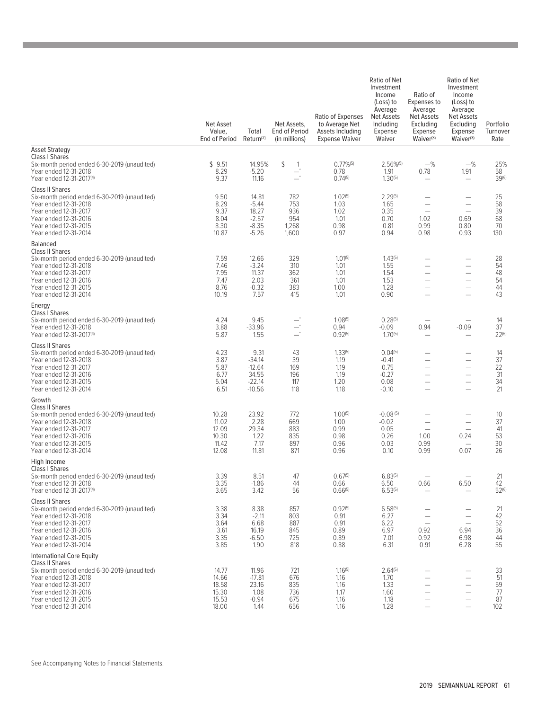|                                                                                                                                                                                                                                         | <b>Net Asset</b><br>Value,<br>End of Period        | Total<br>Return <sup>(2)</sup>                                | Net Assets,<br>End of Period<br>(in millions) | Ratio of Expenses<br>to Average Net<br>Assets Including<br><b>Expense Waiver</b> | Ratio of Net<br>Investment<br>Income<br>(Loss) to<br>Average<br><b>Net Assets</b><br>Including<br>Expense<br>Waiver | Ratio of<br>Expenses to<br>Average<br>Net Assets<br>Excluding<br>Expense<br>Waiver <sup>(3)</sup>                                        | Ratio of Net<br>Investment<br>Income<br>(Loss) to<br>Average<br><b>Net Assets</b><br>Excluding<br>Expense<br>Waiver <sup>(3)</sup> | Portfolio<br>Turnover<br>Rate     |
|-----------------------------------------------------------------------------------------------------------------------------------------------------------------------------------------------------------------------------------------|----------------------------------------------------|---------------------------------------------------------------|-----------------------------------------------|----------------------------------------------------------------------------------|---------------------------------------------------------------------------------------------------------------------|------------------------------------------------------------------------------------------------------------------------------------------|------------------------------------------------------------------------------------------------------------------------------------|-----------------------------------|
| Asset Strategy                                                                                                                                                                                                                          |                                                    |                                                               |                                               |                                                                                  |                                                                                                                     |                                                                                                                                          |                                                                                                                                    |                                   |
| <b>Class I Shares</b><br>Six-month period ended 6-30-2019 (unaudited)<br>Year ended 12-31-2018<br>Year ended 12-31-2017⑷                                                                                                                | \$<br>9.51<br>8.29<br>9.37                         | 14.95%<br>$-5.20$<br>11.16                                    | \$<br>-1                                      | $0.77\%$ <sup>(5)</sup><br>0.78<br>$0.74^{(5)}$                                  | 2.56%(5)<br>1.91<br>$1.30^{(5)}$                                                                                    | $-\%$<br>0.78                                                                                                                            | $-\%$<br>1.91<br>$\qquad \qquad -$                                                                                                 | 25%<br>58<br>39(6)                |
| <b>Class II Shares</b><br>Six-month period ended 6-30-2019 (unaudited)<br>Year ended 12-31-2018<br>Year ended 12-31-2017<br>Year ended 12-31-2016<br>Year ended 12-31-2015<br>Year ended 12-31-2014                                     | 9.50<br>8.29<br>9.37<br>8.04<br>8.30<br>10.87      | 14.81<br>$-5.44$<br>18.27<br>$-2.57$<br>$-8.35$<br>$-5.26$    | 782<br>753<br>936<br>954<br>1,268<br>1,600    | 1.02(5)<br>1.03<br>1.02<br>1.01<br>0.98<br>0.97                                  | 2.29(5)<br>1.65<br>0.35<br>0.70<br>0.81<br>0.94                                                                     | $\overline{\phantom{0}}$<br>$\overline{\phantom{0}}$<br>$\overline{\phantom{0}}$<br>1.02<br>0.99<br>0.98                                 | $\overbrace{\phantom{12322111}}$<br>0.69<br>0.80<br>0.93                                                                           | 25<br>58<br>39<br>68<br>70<br>130 |
| Balanced<br><b>Class II Shares</b><br>Six-month period ended 6-30-2019 (unaudited)<br>Year ended 12-31-2018<br>Year ended 12-31-2017<br>Year ended 12-31-2016<br>Year ended 12-31-2015<br>Year ended 12-31-2014                         | 7.59<br>7.46<br>7.95<br>7.47<br>8.76<br>10.19      | 12.66<br>$-3.24$<br>11.37<br>2.03<br>$-0.32$<br>7.57          | 329<br>310<br>362<br>361<br>383<br>415        | $1.01^{(5)}$<br>1.01<br>1.01<br>1.01<br>1.00<br>1.01                             | $1.43^{(5)}$<br>1.55<br>1.54<br>1.53<br>1.28<br>0.90                                                                | $\overline{\phantom{0}}$<br>$\overline{\phantom{0}}$<br>$\overline{\phantom{0}}$<br>$\overline{\phantom{0}}$<br>$\overline{\phantom{0}}$ | $\overline{\phantom{0}}$<br>$\equiv$                                                                                               | 28<br>54<br>48<br>54<br>44<br>43  |
| Energy<br><b>Class I Shares</b><br>Six-month period ended 6-30-2019 (unaudited)<br>Year ended 12-31-2018<br>Year ended 12-31-2017(4)                                                                                                    | 4.24<br>3.88<br>5.87                               | 9.45<br>$-33.96$<br>1.55                                      | $-$ *<br>$-$ *<br>$\equiv^*$                  | 1.08(5)<br>0.94<br>0.92(5)                                                       | 0.28(5)<br>$-0.09$<br>$1.70^{(5)}$                                                                                  | 0.94                                                                                                                                     | $-0.09$                                                                                                                            | 14<br>37<br>22(6)                 |
| <b>Class II Shares</b><br>Six-month period ended 6-30-2019 (unaudited)<br>Year ended 12-31-2018<br>Year ended 12-31-2017<br>Year ended 12-31-2016<br>Year ended 12-31-2015<br>Year ended 12-31-2014                                     | 4.23<br>3.87<br>5.87<br>6.77<br>5.04<br>6.51       | 9.31<br>$-34.14$<br>$-12.64$<br>34.55<br>$-22.14$<br>$-10.56$ | 43<br>39<br>169<br>196<br>117<br>118          | $1.33^{(5)}$<br>1.19<br>1.19<br>1.19<br>1.20<br>1.18                             | $0.04^{(5)}$<br>$-0.41$<br>0.75<br>$-0.27$<br>0.08<br>$-0.10$                                                       | -<br>$\overline{\phantom{0}}$<br>$\overline{\phantom{0}}$<br>$\overline{\phantom{0}}$<br>$\overline{\phantom{0}}$                        | $\overline{\phantom{m}}$<br>$\overline{\phantom{m}}$                                                                               | 14<br>37<br>22<br>31<br>34<br>21  |
| Growth<br><b>Class II Shares</b><br>Six-month period ended 6-30-2019 (unaudited)<br>Year ended 12-31-2018<br>Year ended 12-31-2017<br>Year ended 12-31-2016<br>Year ended 12-31-2015<br>Year ended 12-31-2014                           | 10.28<br>11.02<br>12.09<br>10.30<br>11.42<br>12.08 | 23.92<br>2.28<br>29.34<br>1.22<br>7.17<br>11.81               | 772<br>669<br>883<br>835<br>897<br>871        | 1.00(5)<br>1.00<br>0.99<br>0.98<br>0.96<br>0.96                                  | $-0.08(5)$<br>$-0.02$<br>0.05<br>0.26<br>0.03<br>0.10                                                               | $\overline{\phantom{0}}$<br>1.00<br>0.99<br>0.99                                                                                         | $\overline{\phantom{m}}$<br>0.24<br>0.07                                                                                           | 10<br>37<br>41<br>53<br>30<br>26  |
| High Income<br><b>Class I Shares</b><br>Six-month period ended 6-30-2019 (unaudited)<br>Year ended 12-31-2018<br>Year ended 12-31-2017(4)                                                                                               | 3.39<br>3.35<br>3.65                               | 8.51<br>$-1.86$<br>3.42                                       | 47<br>44<br>56                                | 0.67(5)<br>0.66<br>0.66(5)                                                       | 6.83(5)<br>6.50<br>6.53(5)                                                                                          | 0.66                                                                                                                                     | 6.50                                                                                                                               | 21<br>42<br>52(6)                 |
| <b>Class II Shares</b><br>Six-month period ended 6-30-2019 (unaudited)<br>Year ended 12-31-2018<br>Year ended 12-31-2017<br>Year ended 12-31-2016<br>Year ended 12-31-2015<br>Year ended 12-31-2014                                     | 3.38<br>3.34<br>3.64<br>3.61<br>3.35<br>3.85       | 8.38<br>$-2.11$<br>6.68<br>16.19<br>$-6.50$<br>1.90           | 857<br>803<br>887<br>845<br>725<br>818        | 0.92(5)<br>0.91<br>0.91<br>0.89<br>0.89<br>0.88                                  | 6.58(5)<br>6.27<br>6.22<br>6.97<br>7.01<br>6.31                                                                     | $\overline{\phantom{0}}$<br>$\overline{\phantom{0}}$<br>0.92<br>0.92<br>0.91                                                             | $\overbrace{\phantom{12322111}}$<br>$\equiv$<br>6.94<br>6.98<br>6.28                                                               | 21<br>42<br>52<br>36<br>44<br>55  |
| <b>International Core Equity</b><br><b>Class II Shares</b><br>Six-month period ended 6-30-2019 (unaudited)<br>Year ended 12-31-2018<br>Year ended 12-31-2017<br>Year ended 12-31-2016<br>Year ended 12-31-2015<br>Year ended 12-31-2014 | 14.77<br>14.66<br>18.58<br>15.30<br>15.53<br>18.00 | 11.96<br>$-17.81$<br>23.16<br>1.08<br>$-0.94$<br>1.44         | 721<br>676<br>835<br>736<br>675<br>656        | 1.16(5)<br>1.16<br>1.16<br>1.17<br>1.16<br>1.16                                  | 2.64(5)<br>1.70<br>1.33<br>1.60<br>1.18<br>1.28                                                                     | $\overline{\phantom{0}}$<br>$\overline{\phantom{0}}$<br>$\overline{\phantom{0}}$                                                         | $\overbrace{\phantom{12322111}}$<br>$\qquad \qquad -$                                                                              | 33<br>51<br>59<br>77<br>87<br>102 |

П

and the state of the state of the

m.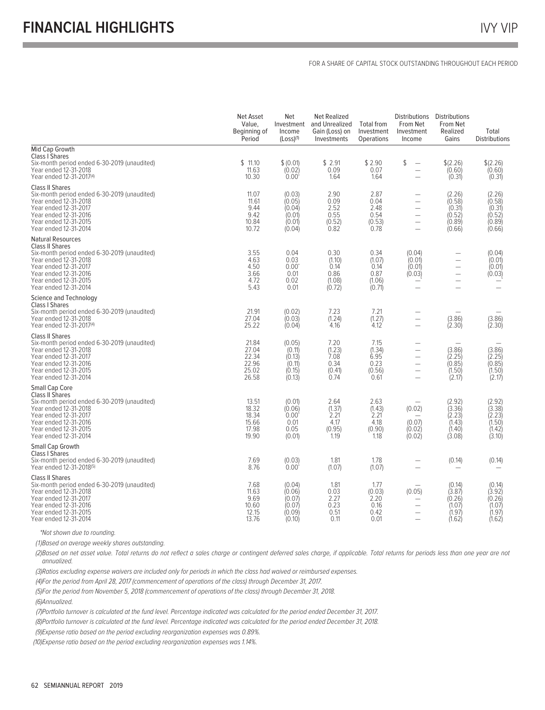#### FOR A SHARE OF CAPITAL STOCK OUTSTANDING THROUGHOUT EACH PERIOD

|                                                                                                                                                                                                                          | Net Asset<br>Value,<br>Beginning of<br>Period      | Net<br>Investment<br>Income<br>$(Loss)^{(1)}$            | <b>Net Realized</b><br>and Unrealized<br>Gain (Loss) on<br>Investments | <b>Total from</b><br>Investment<br>Operations      | <b>Distributions</b><br>From Net<br>Investment<br>Income                                                     | Distributions<br>From Net<br>Realized<br>Gains                                                                        | Total<br>Distributions                                   |
|--------------------------------------------------------------------------------------------------------------------------------------------------------------------------------------------------------------------------|----------------------------------------------------|----------------------------------------------------------|------------------------------------------------------------------------|----------------------------------------------------|--------------------------------------------------------------------------------------------------------------|-----------------------------------------------------------------------------------------------------------------------|----------------------------------------------------------|
| Mid Cap Growth<br><b>Class I Shares</b><br>Six-month period ended 6-30-2019 (unaudited)<br>Year ended 12-31-2018<br>Year ended 12-31-2017 <sup>(4)</sup>                                                                 | \$11.10<br>11.63<br>10.30                          | \$ (0.01)<br>(0.02)<br>$0.00^{1}$                        | \$2.91<br>0.09<br>1.64                                                 | \$2.90<br>0.07<br>1.64                             | \$<br>$\overline{\phantom{0}}$<br>$\overline{\phantom{0}}$                                                   | \$(2.26)<br>(0.60)<br>(0.31)                                                                                          | \$(2.26)<br>(0.60)<br>(0.31)                             |
| <b>Class II Shares</b><br>Six-month period ended 6-30-2019 (unaudited)<br>Year ended 12-31-2018<br>Year ended 12-31-2017<br>Year ended 12-31-2016<br>Year ended 12-31-2015<br>Year ended 12-31-2014                      | 11.07<br>11.61<br>9.44<br>9.42<br>10.84<br>10.72   | (0.03)<br>(0.05)<br>(0.04)<br>(0.01)<br>(0.01)<br>(0.04) | 2.90<br>0.09<br>2.52<br>0.55<br>(0.52)<br>0.82                         | 2.87<br>0.04<br>2.48<br>0.54<br>(0.53)<br>0.78     | $\overline{\phantom{0}}$<br>$\overline{\phantom{0}}$<br>$\overline{\phantom{0}}$<br>$\overline{\phantom{0}}$ | (2.26)<br>(0.58)<br>(0.31)<br>(0.52)<br>(0.89)<br>(0.66)                                                              | (2.26)<br>(0.58)<br>(0.31)<br>(0.52)<br>(0.89)<br>(0.66) |
| <b>Natural Resources</b><br>Class II Shares<br>Six-month period ended 6-30-2019 (unaudited)<br>Year ended 12-31-2018<br>Year ended 12-31-2017<br>Year ended 12-31-2016<br>Year ended 12-31-2015<br>Year ended 12-31-2014 | 3.55<br>4.63<br>4.50<br>3.66<br>4.72<br>5.43       | 0.04<br>0.03<br>0.00<br>0.01<br>0.02<br>0.01             | 0.30<br>(1.10)<br>0.14<br>0.86<br>(1.08)<br>(0.72)                     | 0.34<br>(1.07)<br>0.14<br>0.87<br>(1.06)<br>(0.71) | (0.04)<br>(0.01)<br>(0.01)<br>(0.03)                                                                         | $\overbrace{\phantom{123221111}}$<br>$\overline{\phantom{0}}$<br>$\overline{\phantom{0}}$<br>$\overline{\phantom{a}}$ | (0.04)<br>(0.01)<br>(0.01)<br>(0.03)                     |
| Science and Technology<br><b>Class I Shares</b><br>Six-month period ended 6-30-2019 (unaudited)<br>Year ended 12-31-2018<br>Year ended 12-31-2017 <sup>(4)</sup>                                                         | 21.91<br>27.04<br>25.22                            | (0.02)<br>(0.03)<br>(0.04)                               | 7.23<br>(1.24)<br>4.16                                                 | 7.21<br>(1.27)<br>4.12                             |                                                                                                              | (3.86)<br>(2.30)                                                                                                      | (3.86)<br>(2.30)                                         |
| <b>Class II Shares</b><br>Six-month period ended 6-30-2019 (unaudited)<br>Year ended 12-31-2018<br>Year ended 12-31-2017<br>Year ended 12-31-2016<br>Year ended 12-31-2015<br>Year ended 12-31-2014                      | 21.84<br>27.04<br>22.34<br>22.96<br>25.02<br>26.58 | (0.05)<br>(0.11)<br>(0.13)<br>(0.11)<br>(0.15)<br>(0.13) | 7.20<br>(1.23)<br>7.08<br>0.34<br>(0.41)<br>0.74                       | 7.15<br>(1.34)<br>6.95<br>0.23<br>(0.56)<br>0.61   | $\overline{\phantom{0}}$<br>$\overline{\phantom{0}}$<br>$\overline{\phantom{0}}$<br>$\overline{\phantom{0}}$ | (3.86)<br>(2.25)<br>(0.85)<br>(1.50)<br>(2.17)                                                                        | (3.86)<br>(2.25)<br>(0.85)<br>(1.50)<br>(2.17)           |
| Small Cap Core<br><b>Class II Shares</b><br>Six-month period ended 6-30-2019 (unaudited)<br>Year ended 12-31-2018<br>Year ended 12-31-2017<br>Year ended 12-31-2016<br>Year ended 12-31-2015<br>Year ended 12-31-2014    | 13.51<br>18.32<br>18.34<br>15.66<br>17.98<br>19.90 | (0.01)<br>(0.06)<br>0.00<br>0.01<br>0.05<br>(0.01)       | 2.64<br>(1.37)<br>2.21<br>4.17<br>(0.95)<br>1.19                       | 2.63<br>(1.43)<br>2.21<br>4.18<br>(0.90)<br>1.18   | (0.02)<br>(0.07)<br>(0.02)<br>(0.02)                                                                         | (2.92)<br>(3.36)<br>(2.23)<br>(1.43)<br>(1.40)<br>(3.08)                                                              | (2.92)<br>(3.38)<br>(2.23)<br>(1.50)<br>(1.42)<br>(3.10) |
| Small Cap Growth<br><b>Class I Shares</b><br>Six-month period ended 6-30-2019 (unaudited)<br>Year ended 12-31-2018 <sup>(5)</sup>                                                                                        | 7.69<br>8.76                                       | (0.03)<br>$0.00*$                                        | 1.81<br>(1.07)                                                         | 1.78<br>(1.07)                                     | $\overline{\phantom{0}}$                                                                                     | (0.14)                                                                                                                | (0.14)                                                   |
| <b>Class II Shares</b><br>Six-month period ended 6-30-2019 (unaudited)<br>Year ended 12-31-2018<br>Year ended 12-31-2017<br>Year ended 12-31-2016<br>Year ended 12-31-2015<br>Year ended 12-31-2014                      | 7.68<br>11.63<br>9.69<br>10.60<br>12.15<br>13.76   | (0.04)<br>(0.06)<br>(0.07)<br>(0.07)<br>(0.09)<br>(0.10) | 1.81<br>0.03<br>2.27<br>0.23<br>0.51<br>0.11                           | 1.77<br>(0.03)<br>2.20<br>0.16<br>0.42<br>0.01     | (0.05)<br>$\overline{\phantom{0}}$                                                                           | (0.14)<br>(3.87)<br>(0.26)<br>(1.07)<br>(1.97)<br>(1.62)                                                              | (0.14)<br>(3.92)<br>(0.26)<br>(1.07)<br>(1.97)<br>(1.62) |

\*Not shown due to rounding.

(1)Based on average weekly shares outstanding.

(2)Based on net asset value. Total returns do not reflect a sales charge or contingent deferred sales charge, if applicable. Total returns for periods less than one year are not annualized.

(3)Ratios excluding expense waivers are included only for periods in which the class had waived or reimbursed expenses.

(4)For the period from April 28, 2017 (commencement of operations of the class) through December 31, 2017.

(5)For the period from November 5, 2018 (commencement of operations of the class) through December 31, 2018.

(6)Annualized.

(7)Portfolio turnover is calculated at the fund level. Percentage indicated was calculated for the period ended December 31, 2017. (8)Portfolio turnover is calculated at the fund level. Percentage indicated was calculated for the period ended December 31, 2018. (9)Expense ratio based on the period excluding reorganization expenses was 0.89%.

(10)Expense ratio based on the period excluding reorganization expenses was 1.14%.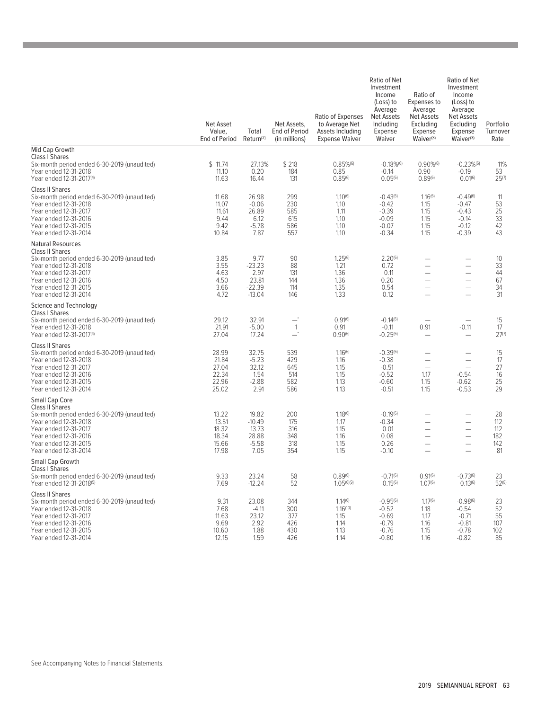|                                                                                                                                                                                                                                 | <b>Net Asset</b><br>Value,<br>End of Period        | Total<br>Return(2)                                        | Net Assets,<br>End of Period<br>(in millions) | Ratio of Expenses<br>to Average Net<br>Assets Including<br><b>Expense Waiver</b> | Ratio of Net<br>Investment<br>Income<br>(Loss) to<br>Average<br><b>Net Assets</b><br>Including<br>Expense<br>Waiver | Ratio of<br>Expenses to<br>Average<br><b>Net Assets</b><br>Excluding<br>Expense<br>$W$ aiver $(3)$ | Ratio of Net<br>Investment<br>Income<br>(Loss) to<br>Average<br><b>Net Assets</b><br>Excluding<br>Expense<br>$W$ aiver $(3)$ | Portfolio<br>Turnover<br>Rate        |
|---------------------------------------------------------------------------------------------------------------------------------------------------------------------------------------------------------------------------------|----------------------------------------------------|-----------------------------------------------------------|-----------------------------------------------|----------------------------------------------------------------------------------|---------------------------------------------------------------------------------------------------------------------|----------------------------------------------------------------------------------------------------|------------------------------------------------------------------------------------------------------------------------------|--------------------------------------|
| Mid Cap Growth<br><b>Class   Shares</b><br>Six-month period ended 6-30-2019 (unaudited)<br>Year ended 12-31-2018<br>Year ended 12-31-2017 <sup>(4)</sup>                                                                        | \$11.74<br>11.10<br>11.63                          | 27.13%<br>0.20<br>16.44                                   | \$218<br>184<br>131                           | $0.85\%$ <sup>(6)</sup><br>0.85<br>0.85(6)                                       | $-0.18\%$ <sup>(6)</sup><br>$-0.14$<br>$0.05^{(6)}$                                                                 | $0.90\%$ <sup>(6)</sup><br>0.90<br>0.89(6)                                                         | $-0.23%$ <sup>(6)</sup><br>$-0.19$<br>$0.01^{(6)}$                                                                           | 11%<br>53<br>25(7)                   |
| <b>Class II Shares</b><br>Six-month period ended 6-30-2019 (unaudited)<br>Year ended 12-31-2018<br>Year ended 12-31-2017<br>Year ended 12-31-2016<br>Year ended 12-31-2015<br>Year ended 12-31-2014                             | 11.68<br>11.07<br>11.61<br>9.44<br>9.42<br>10.84   | 26.98<br>$-0.06$<br>26.89<br>6.12<br>$-5.78$<br>7.87      | 299<br>230<br>585<br>615<br>586<br>557        | 1.10(6)<br>1.10<br>1.11<br>1.10<br>1.10<br>1.10                                  | $-0.43(6)$<br>$-0.42$<br>$-0.39$<br>$-0.09$<br>$-0.07$<br>$-0.34$                                                   | 1.16(6)<br>1.15<br>1.15<br>1.15<br>1.15<br>1.15                                                    | $-0.49(6)$<br>$-0.47$<br>$-0.43$<br>$-0.14$<br>$-0.12$<br>$-0.39$                                                            | 11<br>53<br>25<br>33<br>42<br>43     |
| <b>Natural Resources</b><br><b>Class II Shares</b><br>Six-month period ended 6-30-2019 (unaudited)<br>Year ended 12-31-2018<br>Year ended 12-31-2017<br>Year ended 12-31-2016<br>Year ended 12-31-2015<br>Year ended 12-31-2014 | 3.85<br>3.55<br>4.63<br>4.50<br>3.66<br>4.72       | 9.77<br>$-23.23$<br>2.97<br>23.81<br>$-22.39$<br>$-13.04$ | 90<br>88<br>131<br>144<br>114<br>146          | $1.25^{(6)}$<br>1.21<br>1.36<br>1.36<br>1.35<br>1.33                             | $2.20^{(6)}$<br>0.72<br>0.11<br>0.20<br>0.54<br>0.12                                                                | $\overline{\phantom{0}}$<br>$\overline{\phantom{0}}$<br>$\overline{\phantom{0}}$                   | $\overline{\phantom{0}}$<br>$\overline{\phantom{0}}$                                                                         | 10<br>33<br>44<br>67<br>34<br>31     |
| Science and Technology<br>Class I Shares<br>Six-month period ended 6-30-2019 (unaudited)<br>Year ended 12-31-2018<br>Year ended 12-31-2017(4)                                                                                   | 29.12<br>21.91<br>27.04                            | 32.91<br>$-5.00$<br>17.24                                 | $\equiv$<br>$\overline{1}$<br>$-$             | 0.91(6)<br>0.91<br>0.90(6)                                                       | $-0.14(6)$<br>$-0.11$<br>$-0.25(6)$                                                                                 | 0.91                                                                                               | $\overline{\phantom{0}}$<br>$-0.11$<br>$\overline{\phantom{0}}$                                                              | 15<br>17<br>27(7)                    |
| <b>Class II Shares</b><br>Six-month period ended 6-30-2019 (unaudited)<br>Year ended 12-31-2018<br>Year ended 12-31-2017<br>Year ended 12-31-2016<br>Year ended 12-31-2015<br>Year ended 12-31-2014                             | 28.99<br>21.84<br>27.04<br>22.34<br>22.96<br>25.02 | 32.75<br>$-5.23$<br>32.12<br>1.54<br>$-2.88$<br>2.91      | 539<br>429<br>645<br>514<br>582<br>586        | $1.16^{(6)}$<br>1.16<br>1.15<br>1.15<br>1.13<br>1.13                             | $-0.39^{(6)}$<br>$-0.38$<br>$-0.51$<br>$-0.52$<br>$-0.60$<br>$-0.51$                                                | $\overline{\phantom{0}}$<br>$\overline{\phantom{0}}$<br>1.17<br>1.15<br>1.15                       | $-0.54$<br>$-0.62$<br>$-0.53$                                                                                                | 15<br>17<br>27<br>16<br>25<br>29     |
| <b>Small Cap Core</b><br>Class II Shares<br>Six-month period ended 6-30-2019 (unaudited)<br>Year ended 12-31-2018<br>Year ended 12-31-2017<br>Year ended 12-31-2016<br>Year ended 12-31-2015<br>Year ended 12-31-2014           | 13.22<br>13.51<br>18.32<br>18.34<br>15.66<br>17.98 | 19.82<br>$-10.49$<br>13.73<br>28.88<br>$-5.58$<br>7.05    | 200<br>175<br>316<br>348<br>318<br>354        | 1.18(6)<br>1.17<br>1.15<br>1.16<br>1.15<br>1.15                                  | $-0.19(6)$<br>$-0.34$<br>0.01<br>0.08<br>0.26<br>$-0.10$                                                            | $\overline{\phantom{0}}$<br>$\overline{\phantom{0}}$<br>$\overline{\phantom{0}}$<br>$\sim$         | $\overline{\phantom{0}}$<br>$\overline{\phantom{0}}$                                                                         | 28<br>112<br>112<br>182<br>142<br>81 |
| Small Cap Growth<br><b>Class I Shares</b><br>Six-month period ended 6-30-2019 (unaudited)<br>Year ended 12-31-2018(5)                                                                                                           | 9.33<br>7.69                                       | 23.24<br>$-12.24$                                         | 58<br>52                                      | 0.89(6)<br>1.05(6)(9)                                                            | $-0.71(6)$<br>0.15(6)                                                                                               | 0.91(6)<br>1.07(6)                                                                                 | $-0.73(6)$<br>0.13(6)                                                                                                        | 23<br>52(8)                          |
| <b>Class II Shares</b><br>Six-month period ended 6-30-2019 (unaudited)<br>Year ended 12-31-2018<br>Year ended 12-31-2017<br>Year ended 12-31-2016<br>Year ended 12-31-2015<br>Year ended 12-31-2014                             | 9.31<br>7.68<br>11.63<br>9.69<br>10.60<br>12.15    | 23.08<br>$-4.11$<br>23.12<br>2.92<br>1.88<br>1.59         | 344<br>300<br>377<br>426<br>430<br>426        | 1.14(6)<br>1.16(10)<br>1.15<br>1.14<br>1.13<br>1.14                              | $-0.95(6)$<br>$-0.52$<br>$-0.69$<br>$-0.79$<br>$-0.76$<br>$-0.80$                                                   | 1.17(6)<br>1.18<br>1.17<br>1.16<br>1.15<br>1.16                                                    | $-0.98(6)$<br>$-0.54$<br>$-0.71$<br>$-0.81$<br>$-0.78$<br>$-0.82$                                                            | 23<br>52<br>55<br>107<br>102<br>85   |

and the control of the control of the

۰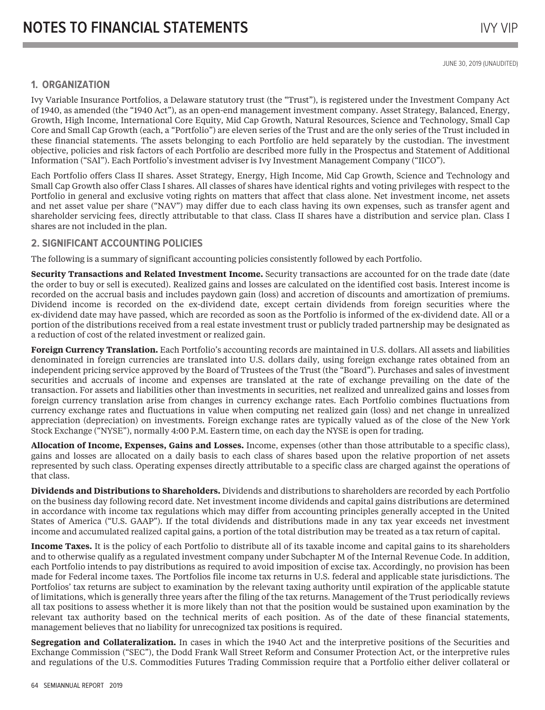### **1. ORGANIZATION**

Ivy Variable Insurance Portfolios, a Delaware statutory trust (the "Trust"), is registered under the Investment Company Act of 1940, as amended (the "1940 Act"), as an open-end management investment company. Asset Strategy, Balanced, Energy, Growth, High Income, International Core Equity, Mid Cap Growth, Natural Resources, Science and Technology, Small Cap Core and Small Cap Growth (each, a "Portfolio") are eleven series of the Trust and are the only series of the Trust included in these financial statements. The assets belonging to each Portfolio are held separately by the custodian. The investment objective, policies and risk factors of each Portfolio are described more fully in the Prospectus and Statement of Additional Information ("SAI"). Each Portfolio's investment adviser is Ivy Investment Management Company ("IICO").

Each Portfolio offers Class II shares. Asset Strategy, Energy, High Income, Mid Cap Growth, Science and Technology and Small Cap Growth also offer Class I shares. All classes of shares have identical rights and voting privileges with respect to the Portfolio in general and exclusive voting rights on matters that affect that class alone. Net investment income, net assets and net asset value per share ("NAV") may differ due to each class having its own expenses, such as transfer agent and shareholder servicing fees, directly attributable to that class. Class II shares have a distribution and service plan. Class I shares are not included in the plan.

### **2. SIGNIFICANT ACCOUNTING POLICIES**

The following is a summary of significant accounting policies consistently followed by each Portfolio.

**Security Transactions and Related Investment Income.** Security transactions are accounted for on the trade date (date the order to buy or sell is executed). Realized gains and losses are calculated on the identified cost basis. Interest income is recorded on the accrual basis and includes paydown gain (loss) and accretion of discounts and amortization of premiums. Dividend income is recorded on the ex-dividend date, except certain dividends from foreign securities where the ex-dividend date may have passed, which are recorded as soon as the Portfolio is informed of the ex-dividend date. All or a portion of the distributions received from a real estate investment trust or publicly traded partnership may be designated as a reduction of cost of the related investment or realized gain.

**Foreign Currency Translation.** Each Portfolio's accounting records are maintained in U.S. dollars. All assets and liabilities denominated in foreign currencies are translated into U.S. dollars daily, using foreign exchange rates obtained from an independent pricing service approved by the Board of Trustees of the Trust (the "Board"). Purchases and sales of investment securities and accruals of income and expenses are translated at the rate of exchange prevailing on the date of the transaction. For assets and liabilities other than investments in securities, net realized and unrealized gains and losses from foreign currency translation arise from changes in currency exchange rates. Each Portfolio combines fluctuations from currency exchange rates and fluctuations in value when computing net realized gain (loss) and net change in unrealized appreciation (depreciation) on investments. Foreign exchange rates are typically valued as of the close of the New York Stock Exchange ("NYSE"), normally 4:00 P.M. Eastern time, on each day the NYSE is open for trading.

**Allocation of Income, Expenses, Gains and Losses.** Income, expenses (other than those attributable to a specific class), gains and losses are allocated on a daily basis to each class of shares based upon the relative proportion of net assets represented by such class. Operating expenses directly attributable to a specific class are charged against the operations of that class.

**Dividends and Distributions to Shareholders.** Dividends and distributions to shareholders are recorded by each Portfolio on the business day following record date. Net investment income dividends and capital gains distributions are determined in accordance with income tax regulations which may differ from accounting principles generally accepted in the United States of America ("U.S. GAAP"). If the total dividends and distributions made in any tax year exceeds net investment income and accumulated realized capital gains, a portion of the total distribution may be treated as a tax return of capital.

**Income Taxes.** It is the policy of each Portfolio to distribute all of its taxable income and capital gains to its shareholders and to otherwise qualify as a regulated investment company under Subchapter M of the Internal Revenue Code. In addition, each Portfolio intends to pay distributions as required to avoid imposition of excise tax. Accordingly, no provision has been made for Federal income taxes. The Portfolios file income tax returns in U.S. federal and applicable state jurisdictions. The Portfolios' tax returns are subject to examination by the relevant taxing authority until expiration of the applicable statute of limitations, which is generally three years after the filing of the tax returns. Management of the Trust periodically reviews all tax positions to assess whether it is more likely than not that the position would be sustained upon examination by the relevant tax authority based on the technical merits of each position. As of the date of these financial statements, management believes that no liability for unrecognized tax positions is required.

**Segregation and Collateralization.** In cases in which the 1940 Act and the interpretive positions of the Securities and Exchange Commission ("SEC"), the Dodd Frank Wall Street Reform and Consumer Protection Act, or the interpretive rules and regulations of the U.S. Commodities Futures Trading Commission require that a Portfolio either deliver collateral or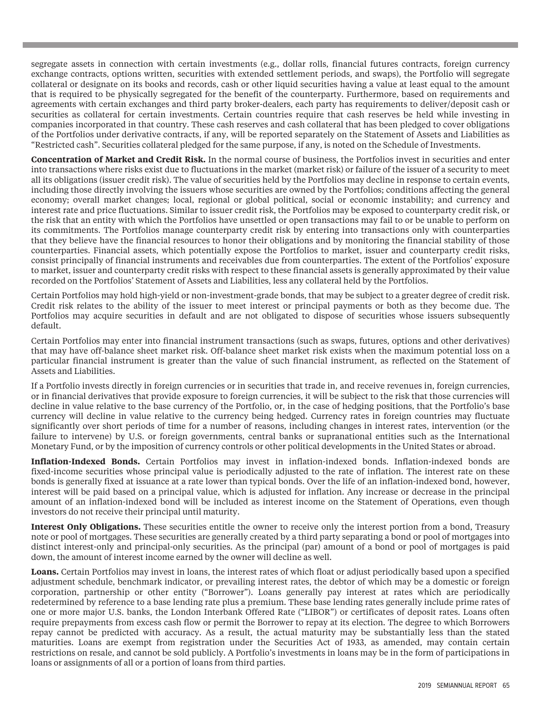segregate assets in connection with certain investments (e.g., dollar rolls, financial futures contracts, foreign currency exchange contracts, options written, securities with extended settlement periods, and swaps), the Portfolio will segregate collateral or designate on its books and records, cash or other liquid securities having a value at least equal to the amount that is required to be physically segregated for the benefit of the counterparty. Furthermore, based on requirements and agreements with certain exchanges and third party broker-dealers, each party has requirements to deliver/deposit cash or securities as collateral for certain investments. Certain countries require that cash reserves be held while investing in companies incorporated in that country. These cash reserves and cash collateral that has been pledged to cover obligations of the Portfolios under derivative contracts, if any, will be reported separately on the Statement of Assets and Liabilities as "Restricted cash". Securities collateral pledged for the same purpose, if any, is noted on the Schedule of Investments.

**Concentration of Market and Credit Risk.** In the normal course of business, the Portfolios invest in securities and enter into transactions where risks exist due to fluctuations in the market (market risk) or failure of the issuer of a security to meet all its obligations (issuer credit risk). The value of securities held by the Portfolios may decline in response to certain events, including those directly involving the issuers whose securities are owned by the Portfolios; conditions affecting the general economy; overall market changes; local, regional or global political, social or economic instability; and currency and interest rate and price fluctuations. Similar to issuer credit risk, the Portfolios may be exposed to counterparty credit risk, or the risk that an entity with which the Portfolios have unsettled or open transactions may fail to or be unable to perform on its commitments. The Portfolios manage counterparty credit risk by entering into transactions only with counterparties that they believe have the financial resources to honor their obligations and by monitoring the financial stability of those counterparties. Financial assets, which potentially expose the Portfolios to market, issuer and counterparty credit risks, consist principally of financial instruments and receivables due from counterparties. The extent of the Portfolios' exposure to market, issuer and counterparty credit risks with respect to these financial assets is generally approximated by their value recorded on the Portfolios' Statement of Assets and Liabilities, less any collateral held by the Portfolios.

Certain Portfolios may hold high-yield or non-investment-grade bonds, that may be subject to a greater degree of credit risk. Credit risk relates to the ability of the issuer to meet interest or principal payments or both as they become due. The Portfolios may acquire securities in default and are not obligated to dispose of securities whose issuers subsequently default.

Certain Portfolios may enter into financial instrument transactions (such as swaps, futures, options and other derivatives) that may have off-balance sheet market risk. Off-balance sheet market risk exists when the maximum potential loss on a particular financial instrument is greater than the value of such financial instrument, as reflected on the Statement of Assets and Liabilities.

If a Portfolio invests directly in foreign currencies or in securities that trade in, and receive revenues in, foreign currencies, or in financial derivatives that provide exposure to foreign currencies, it will be subject to the risk that those currencies will decline in value relative to the base currency of the Portfolio, or, in the case of hedging positions, that the Portfolio's base currency will decline in value relative to the currency being hedged. Currency rates in foreign countries may fluctuate significantly over short periods of time for a number of reasons, including changes in interest rates, intervention (or the failure to intervene) by U.S. or foreign governments, central banks or supranational entities such as the International Monetary Fund, or by the imposition of currency controls or other political developments in the United States or abroad.

**Inflation-Indexed Bonds.** Certain Portfolios may invest in inflation-indexed bonds. Inflation-indexed bonds are fixed-income securities whose principal value is periodically adjusted to the rate of inflation. The interest rate on these bonds is generally fixed at issuance at a rate lower than typical bonds. Over the life of an inflation-indexed bond, however, interest will be paid based on a principal value, which is adjusted for inflation. Any increase or decrease in the principal amount of an inflation-indexed bond will be included as interest income on the Statement of Operations, even though investors do not receive their principal until maturity.

**Interest Only Obligations.** These securities entitle the owner to receive only the interest portion from a bond, Treasury note or pool of mortgages. These securities are generally created by a third party separating a bond or pool of mortgages into distinct interest-only and principal-only securities. As the principal (par) amount of a bond or pool of mortgages is paid down, the amount of interest income earned by the owner will decline as well.

**Loans.** Certain Portfolios may invest in loans, the interest rates of which float or adjust periodically based upon a specified adjustment schedule, benchmark indicator, or prevailing interest rates, the debtor of which may be a domestic or foreign corporation, partnership or other entity ("Borrower"). Loans generally pay interest at rates which are periodically redetermined by reference to a base lending rate plus a premium. These base lending rates generally include prime rates of one or more major U.S. banks, the London Interbank Offered Rate ("LIBOR") or certificates of deposit rates. Loans often require prepayments from excess cash flow or permit the Borrower to repay at its election. The degree to which Borrowers repay cannot be predicted with accuracy. As a result, the actual maturity may be substantially less than the stated maturities. Loans are exempt from registration under the Securities Act of 1933, as amended, may contain certain restrictions on resale, and cannot be sold publicly. A Portfolio's investments in loans may be in the form of participations in loans or assignments of all or a portion of loans from third parties.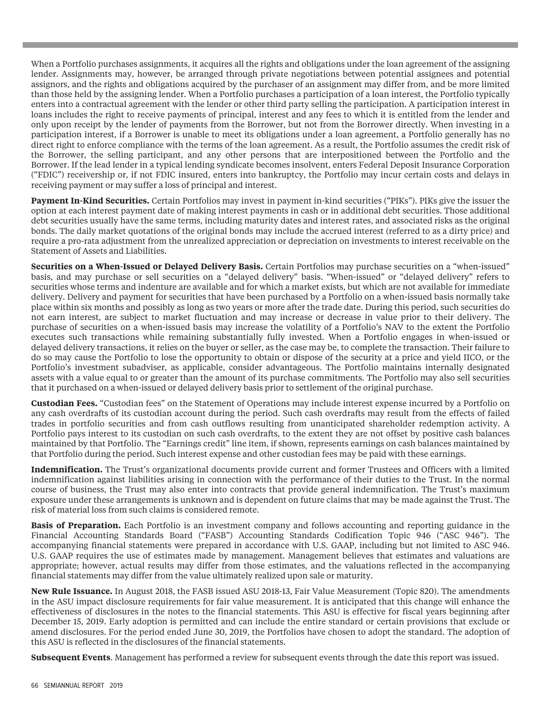When a Portfolio purchases assignments, it acquires all the rights and obligations under the loan agreement of the assigning lender. Assignments may, however, be arranged through private negotiations between potential assignees and potential assignors, and the rights and obligations acquired by the purchaser of an assignment may differ from, and be more limited than those held by the assigning lender. When a Portfolio purchases a participation of a loan interest, the Portfolio typically enters into a contractual agreement with the lender or other third party selling the participation. A participation interest in loans includes the right to receive payments of principal, interest and any fees to which it is entitled from the lender and only upon receipt by the lender of payments from the Borrower, but not from the Borrower directly. When investing in a participation interest, if a Borrower is unable to meet its obligations under a loan agreement, a Portfolio generally has no direct right to enforce compliance with the terms of the loan agreement. As a result, the Portfolio assumes the credit risk of the Borrower, the selling participant, and any other persons that are interpositioned between the Portfolio and the Borrower. If the lead lender in a typical lending syndicate becomes insolvent, enters Federal Deposit Insurance Corporation ("FDIC") receivership or, if not FDIC insured, enters into bankruptcy, the Portfolio may incur certain costs and delays in receiving payment or may suffer a loss of principal and interest.

**Payment In-Kind Securities.** Certain Portfolios may invest in payment in-kind securities ("PIKs"). PIKs give the issuer the option at each interest payment date of making interest payments in cash or in additional debt securities. Those additional debt securities usually have the same terms, including maturity dates and interest rates, and associated risks as the original bonds. The daily market quotations of the original bonds may include the accrued interest (referred to as a dirty price) and require a pro-rata adjustment from the unrealized appreciation or depreciation on investments to interest receivable on the Statement of Assets and Liabilities.

**Securities on a When-Issued or Delayed Delivery Basis.** Certain Portfolios may purchase securities on a "when-issued" basis, and may purchase or sell securities on a "delayed delivery" basis. "When-issued" or "delayed delivery" refers to securities whose terms and indenture are available and for which a market exists, but which are not available for immediate delivery. Delivery and payment for securities that have been purchased by a Portfolio on a when-issued basis normally take place within six months and possibly as long as two years or more after the trade date. During this period, such securities do not earn interest, are subject to market fluctuation and may increase or decrease in value prior to their delivery. The purchase of securities on a when-issued basis may increase the volatility of a Portfolio's NAV to the extent the Portfolio executes such transactions while remaining substantially fully invested. When a Portfolio engages in when-issued or delayed delivery transactions, it relies on the buyer or seller, as the case may be, to complete the transaction. Their failure to do so may cause the Portfolio to lose the opportunity to obtain or dispose of the security at a price and yield IICO, or the Portfolio's investment subadviser, as applicable, consider advantageous. The Portfolio maintains internally designated assets with a value equal to or greater than the amount of its purchase commitments. The Portfolio may also sell securities that it purchased on a when-issued or delayed delivery basis prior to settlement of the original purchase.

**Custodian Fees.** "Custodian fees" on the Statement of Operations may include interest expense incurred by a Portfolio on any cash overdrafts of its custodian account during the period. Such cash overdrafts may result from the effects of failed trades in portfolio securities and from cash outflows resulting from unanticipated shareholder redemption activity. A Portfolio pays interest to its custodian on such cash overdrafts, to the extent they are not offset by positive cash balances maintained by that Portfolio. The "Earnings credit" line item, if shown, represents earnings on cash balances maintained by that Portfolio during the period. Such interest expense and other custodian fees may be paid with these earnings.

**Indemnification.** The Trust's organizational documents provide current and former Trustees and Officers with a limited indemnification against liabilities arising in connection with the performance of their duties to the Trust. In the normal course of business, the Trust may also enter into contracts that provide general indemnification. The Trust's maximum exposure under these arrangements is unknown and is dependent on future claims that may be made against the Trust. The risk of material loss from such claims is considered remote.

**Basis of Preparation.** Each Portfolio is an investment company and follows accounting and reporting guidance in the Financial Accounting Standards Board ("FASB") Accounting Standards Codification Topic 946 ("ASC 946"). The accompanying financial statements were prepared in accordance with U.S. GAAP, including but not limited to ASC 946. U.S. GAAP requires the use of estimates made by management. Management believes that estimates and valuations are appropriate; however, actual results may differ from those estimates, and the valuations reflected in the accompanying financial statements may differ from the value ultimately realized upon sale or maturity.

**New Rule Issuance.** In August 2018, the FASB issued ASU 2018-13, Fair Value Measurement (Topic 820). The amendments in the ASU impact disclosure requirements for fair value measurement. It is anticipated that this change will enhance the effectiveness of disclosures in the notes to the financial statements. This ASU is effective for fiscal years beginning after December 15, 2019. Early adoption is permitted and can include the entire standard or certain provisions that exclude or amend disclosures. For the period ended June 30, 2019, the Portfolios have chosen to adopt the standard. The adoption of this ASU is reflected in the disclosures of the financial statements.

**Subsequent Events**. Management has performed a review for subsequent events through the date this report was issued.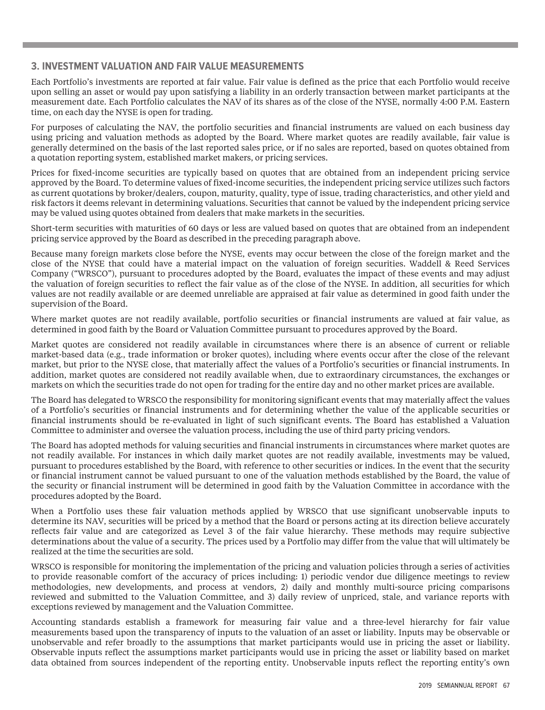### **3. INVESTMENT VALUATION AND FAIR VALUE MEASUREMENTS**

Each Portfolio's investments are reported at fair value. Fair value is defined as the price that each Portfolio would receive upon selling an asset or would pay upon satisfying a liability in an orderly transaction between market participants at the measurement date. Each Portfolio calculates the NAV of its shares as of the close of the NYSE, normally 4:00 P.M. Eastern time, on each day the NYSE is open for trading.

For purposes of calculating the NAV, the portfolio securities and financial instruments are valued on each business day using pricing and valuation methods as adopted by the Board. Where market quotes are readily available, fair value is generally determined on the basis of the last reported sales price, or if no sales are reported, based on quotes obtained from a quotation reporting system, established market makers, or pricing services.

Prices for fixed-income securities are typically based on quotes that are obtained from an independent pricing service approved by the Board. To determine values of fixed-income securities, the independent pricing service utilizes such factors as current quotations by broker/dealers, coupon, maturity, quality, type of issue, trading characteristics, and other yield and risk factors it deems relevant in determining valuations. Securities that cannot be valued by the independent pricing service may be valued using quotes obtained from dealers that make markets in the securities.

Short-term securities with maturities of 60 days or less are valued based on quotes that are obtained from an independent pricing service approved by the Board as described in the preceding paragraph above.

Because many foreign markets close before the NYSE, events may occur between the close of the foreign market and the close of the NYSE that could have a material impact on the valuation of foreign securities. Waddell & Reed Services Company ("WRSCO"), pursuant to procedures adopted by the Board, evaluates the impact of these events and may adjust the valuation of foreign securities to reflect the fair value as of the close of the NYSE. In addition, all securities for which values are not readily available or are deemed unreliable are appraised at fair value as determined in good faith under the supervision of the Board.

Where market quotes are not readily available, portfolio securities or financial instruments are valued at fair value, as determined in good faith by the Board or Valuation Committee pursuant to procedures approved by the Board.

Market quotes are considered not readily available in circumstances where there is an absence of current or reliable market-based data (e.g., trade information or broker quotes), including where events occur after the close of the relevant market, but prior to the NYSE close, that materially affect the values of a Portfolio's securities or financial instruments. In addition, market quotes are considered not readily available when, due to extraordinary circumstances, the exchanges or markets on which the securities trade do not open for trading for the entire day and no other market prices are available.

The Board has delegated to WRSCO the responsibility for monitoring significant events that may materially affect the values of a Portfolio's securities or financial instruments and for determining whether the value of the applicable securities or financial instruments should be re-evaluated in light of such significant events. The Board has established a Valuation Committee to administer and oversee the valuation process, including the use of third party pricing vendors.

The Board has adopted methods for valuing securities and financial instruments in circumstances where market quotes are not readily available. For instances in which daily market quotes are not readily available, investments may be valued, pursuant to procedures established by the Board, with reference to other securities or indices. In the event that the security or financial instrument cannot be valued pursuant to one of the valuation methods established by the Board, the value of the security or financial instrument will be determined in good faith by the Valuation Committee in accordance with the procedures adopted by the Board.

When a Portfolio uses these fair valuation methods applied by WRSCO that use significant unobservable inputs to determine its NAV, securities will be priced by a method that the Board or persons acting at its direction believe accurately reflects fair value and are categorized as Level 3 of the fair value hierarchy. These methods may require subjective determinations about the value of a security. The prices used by a Portfolio may differ from the value that will ultimately be realized at the time the securities are sold.

WRSCO is responsible for monitoring the implementation of the pricing and valuation policies through a series of activities to provide reasonable comfort of the accuracy of prices including: 1) periodic vendor due diligence meetings to review methodologies, new developments, and process at vendors, 2) daily and monthly multi-source pricing comparisons reviewed and submitted to the Valuation Committee, and 3) daily review of unpriced, stale, and variance reports with exceptions reviewed by management and the Valuation Committee.

Accounting standards establish a framework for measuring fair value and a three-level hierarchy for fair value measurements based upon the transparency of inputs to the valuation of an asset or liability. Inputs may be observable or unobservable and refer broadly to the assumptions that market participants would use in pricing the asset or liability. Observable inputs reflect the assumptions market participants would use in pricing the asset or liability based on market data obtained from sources independent of the reporting entity. Unobservable inputs reflect the reporting entity's own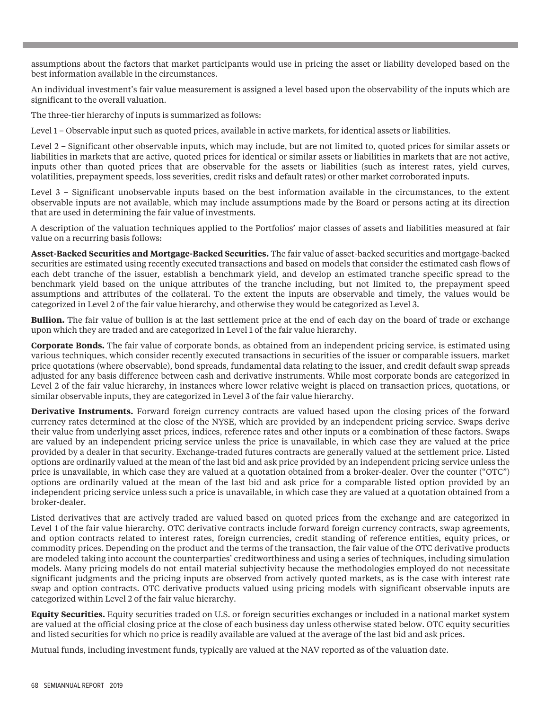assumptions about the factors that market participants would use in pricing the asset or liability developed based on the best information available in the circumstances.

An individual investment's fair value measurement is assigned a level based upon the observability of the inputs which are significant to the overall valuation.

The three-tier hierarchy of inputs is summarized as follows:

Level 1 – Observable input such as quoted prices, available in active markets, for identical assets or liabilities.

Level 2 – Significant other observable inputs, which may include, but are not limited to, quoted prices for similar assets or liabilities in markets that are active, quoted prices for identical or similar assets or liabilities in markets that are not active, inputs other than quoted prices that are observable for the assets or liabilities (such as interest rates, yield curves, volatilities, prepayment speeds, loss severities, credit risks and default rates) or other market corroborated inputs.

Level 3 – Significant unobservable inputs based on the best information available in the circumstances, to the extent observable inputs are not available, which may include assumptions made by the Board or persons acting at its direction that are used in determining the fair value of investments.

A description of the valuation techniques applied to the Portfolios' major classes of assets and liabilities measured at fair value on a recurring basis follows:

**Asset-Backed Securities and Mortgage-Backed Securities.** The fair value of asset-backed securities and mortgage-backed securities are estimated using recently executed transactions and based on models that consider the estimated cash flows of each debt tranche of the issuer, establish a benchmark yield, and develop an estimated tranche specific spread to the benchmark yield based on the unique attributes of the tranche including, but not limited to, the prepayment speed assumptions and attributes of the collateral. To the extent the inputs are observable and timely, the values would be categorized in Level 2 of the fair value hierarchy, and otherwise they would be categorized as Level 3.

**Bullion.** The fair value of bullion is at the last settlement price at the end of each day on the board of trade or exchange upon which they are traded and are categorized in Level 1 of the fair value hierarchy.

**Corporate Bonds.** The fair value of corporate bonds, as obtained from an independent pricing service, is estimated using various techniques, which consider recently executed transactions in securities of the issuer or comparable issuers, market price quotations (where observable), bond spreads, fundamental data relating to the issuer, and credit default swap spreads adjusted for any basis difference between cash and derivative instruments. While most corporate bonds are categorized in Level 2 of the fair value hierarchy, in instances where lower relative weight is placed on transaction prices, quotations, or similar observable inputs, they are categorized in Level 3 of the fair value hierarchy.

**Derivative Instruments.** Forward foreign currency contracts are valued based upon the closing prices of the forward currency rates determined at the close of the NYSE, which are provided by an independent pricing service. Swaps derive their value from underlying asset prices, indices, reference rates and other inputs or a combination of these factors. Swaps are valued by an independent pricing service unless the price is unavailable, in which case they are valued at the price provided by a dealer in that security. Exchange-traded futures contracts are generally valued at the settlement price. Listed options are ordinarily valued at the mean of the last bid and ask price provided by an independent pricing service unless the price is unavailable, in which case they are valued at a quotation obtained from a broker-dealer. Over the counter ("OTC") options are ordinarily valued at the mean of the last bid and ask price for a comparable listed option provided by an independent pricing service unless such a price is unavailable, in which case they are valued at a quotation obtained from a broker-dealer.

Listed derivatives that are actively traded are valued based on quoted prices from the exchange and are categorized in Level 1 of the fair value hierarchy. OTC derivative contracts include forward foreign currency contracts, swap agreements, and option contracts related to interest rates, foreign currencies, credit standing of reference entities, equity prices, or commodity prices. Depending on the product and the terms of the transaction, the fair value of the OTC derivative products are modeled taking into account the counterparties' creditworthiness and using a series of techniques, including simulation models. Many pricing models do not entail material subjectivity because the methodologies employed do not necessitate significant judgments and the pricing inputs are observed from actively quoted markets, as is the case with interest rate swap and option contracts. OTC derivative products valued using pricing models with significant observable inputs are categorized within Level 2 of the fair value hierarchy.

**Equity Securities.** Equity securities traded on U.S. or foreign securities exchanges or included in a national market system are valued at the official closing price at the close of each business day unless otherwise stated below. OTC equity securities and listed securities for which no price is readily available are valued at the average of the last bid and ask prices.

Mutual funds, including investment funds, typically are valued at the NAV reported as of the valuation date.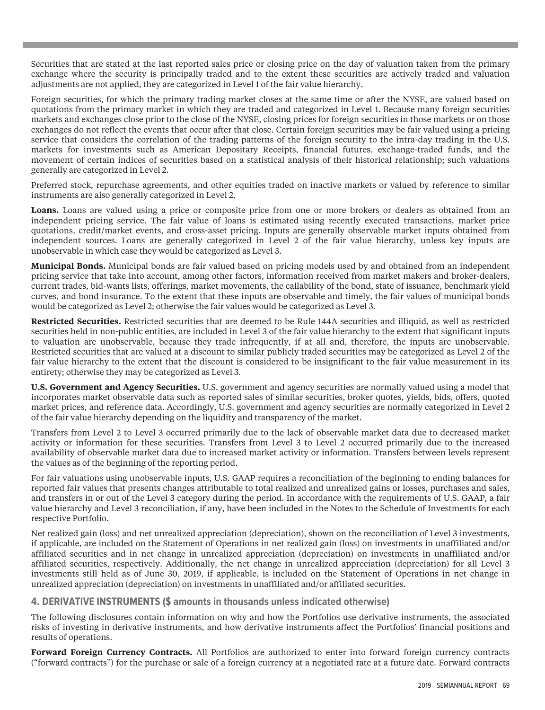Securities that are stated at the last reported sales price or closing price on the day of valuation taken from the primary exchange where the security is principally traded and to the extent these securities are actively traded and valuation adjustments are not applied, they are categorized in Level 1 of the fair value hierarchy.

Foreign securities, for which the primary trading market closes at the same time or after the NYSE, are valued based on quotations from the primary market in which they are traded and categorized in Level 1. Because many foreign securities markets and exchanges close prior to the close of the NYSE, closing prices for foreign securities in those markets or on those exchanges do not reflect the events that occur after that close. Certain foreign securities may be fair valued using a pricing service that considers the correlation of the trading patterns of the foreign security to the intra-day trading in the U.S. markets for investments such as American Depositary Receipts, financial futures, exchange-traded funds, and the movement of certain indices of securities based on a statistical analysis of their historical relationship; such valuations generally are categorized in Level 2.

Preferred stock, repurchase agreements, and other equities traded on inactive markets or valued by reference to similar instruments are also generally categorized in Level 2.

**Loans.** Loans are valued using a price or composite price from one or more brokers or dealers as obtained from an independent pricing service. The fair value of loans is estimated using recently executed transactions, market price quotations, credit/market events, and cross-asset pricing. Inputs are generally observable market inputs obtained from independent sources. Loans are generally categorized in Level 2 of the fair value hierarchy, unless key inputs are unobservable in which case they would be categorized as Level 3.

**Municipal Bonds.** Municipal bonds are fair valued based on pricing models used by and obtained from an independent pricing service that take into account, among other factors, information received from market makers and broker-dealers, current trades, bid-wants lists, offerings, market movements, the callability of the bond, state of issuance, benchmark yield curves, and bond insurance. To the extent that these inputs are observable and timely, the fair values of municipal bonds would be categorized as Level 2; otherwise the fair values would be categorized as Level 3.

**Restricted Securities.** Restricted securities that are deemed to be Rule 144A securities and illiquid, as well as restricted securities held in non-public entities, are included in Level 3 of the fair value hierarchy to the extent that significant inputs to valuation are unobservable, because they trade infrequently, if at all and, therefore, the inputs are unobservable. Restricted securities that are valued at a discount to similar publicly traded securities may be categorized as Level 2 of the fair value hierarchy to the extent that the discount is considered to be insignificant to the fair value measurement in its entirety; otherwise they may be categorized as Level 3.

**U.S. Government and Agency Securities.** U.S. government and agency securities are normally valued using a model that incorporates market observable data such as reported sales of similar securities, broker quotes, yields, bids, offers, quoted market prices, and reference data. Accordingly, U.S. government and agency securities are normally categorized in Level 2 of the fair value hierarchy depending on the liquidity and transparency of the market.

Transfers from Level 2 to Level 3 occurred primarily due to the lack of observable market data due to decreased market activity or information for these securities. Transfers from Level 3 to Level 2 occurred primarily due to the increased availability of observable market data due to increased market activity or information. Transfers between levels represent the values as of the beginning of the reporting period.

For fair valuations using unobservable inputs, U.S. GAAP requires a reconciliation of the beginning to ending balances for reported fair values that presents changes attributable to total realized and unrealized gains or losses, purchases and sales, and transfers in or out of the Level 3 category during the period. In accordance with the requirements of U.S. GAAP, a fair value hierarchy and Level 3 reconciliation, if any, have been included in the Notes to the Schedule of Investments for each respective Portfolio.

Net realized gain (loss) and net unrealized appreciation (depreciation), shown on the reconciliation of Level 3 investments, if applicable, are included on the Statement of Operations in net realized gain (loss) on investments in unaffiliated and/or affiliated securities and in net change in unrealized appreciation (depreciation) on investments in unaffiliated and/or affiliated securities, respectively. Additionally, the net change in unrealized appreciation (depreciation) for all Level 3 investments still held as of June 30, 2019, if applicable, is included on the Statement of Operations in net change in unrealized appreciation (depreciation) on investments in unaffiliated and/or affiliated securities.

**4. DERIVATIVE INSTRUMENTS (\$ amounts in thousands unless indicated otherwise)**

The following disclosures contain information on why and how the Portfolios use derivative instruments, the associated risks of investing in derivative instruments, and how derivative instruments affect the Portfolios' financial positions and results of operations.

**Forward Foreign Currency Contracts.** All Portfolios are authorized to enter into forward foreign currency contracts ("forward contracts") for the purchase or sale of a foreign currency at a negotiated rate at a future date. Forward contracts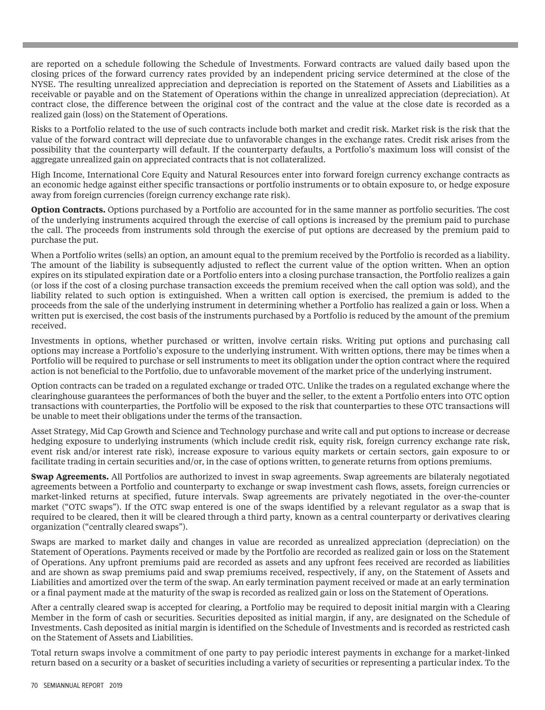are reported on a schedule following the Schedule of Investments. Forward contracts are valued daily based upon the closing prices of the forward currency rates provided by an independent pricing service determined at the close of the NYSE. The resulting unrealized appreciation and depreciation is reported on the Statement of Assets and Liabilities as a receivable or payable and on the Statement of Operations within the change in unrealized appreciation (depreciation). At contract close, the difference between the original cost of the contract and the value at the close date is recorded as a realized gain (loss) on the Statement of Operations.

Risks to a Portfolio related to the use of such contracts include both market and credit risk. Market risk is the risk that the value of the forward contract will depreciate due to unfavorable changes in the exchange rates. Credit risk arises from the possibility that the counterparty will default. If the counterparty defaults, a Portfolio's maximum loss will consist of the aggregate unrealized gain on appreciated contracts that is not collateralized.

High Income, International Core Equity and Natural Resources enter into forward foreign currency exchange contracts as an economic hedge against either specific transactions or portfolio instruments or to obtain exposure to, or hedge exposure away from foreign currencies (foreign currency exchange rate risk).

**Option Contracts.** Options purchased by a Portfolio are accounted for in the same manner as portfolio securities. The cost of the underlying instruments acquired through the exercise of call options is increased by the premium paid to purchase the call. The proceeds from instruments sold through the exercise of put options are decreased by the premium paid to purchase the put.

When a Portfolio writes (sells) an option, an amount equal to the premium received by the Portfolio is recorded as a liability. The amount of the liability is subsequently adjusted to reflect the current value of the option written. When an option expires on its stipulated expiration date or a Portfolio enters into a closing purchase transaction, the Portfolio realizes a gain (or loss if the cost of a closing purchase transaction exceeds the premium received when the call option was sold), and the liability related to such option is extinguished. When a written call option is exercised, the premium is added to the proceeds from the sale of the underlying instrument in determining whether a Portfolio has realized a gain or loss. When a written put is exercised, the cost basis of the instruments purchased by a Portfolio is reduced by the amount of the premium received.

Investments in options, whether purchased or written, involve certain risks. Writing put options and purchasing call options may increase a Portfolio's exposure to the underlying instrument. With written options, there may be times when a Portfolio will be required to purchase or sell instruments to meet its obligation under the option contract where the required action is not beneficial to the Portfolio, due to unfavorable movement of the market price of the underlying instrument.

Option contracts can be traded on a regulated exchange or traded OTC. Unlike the trades on a regulated exchange where the clearinghouse guarantees the performances of both the buyer and the seller, to the extent a Portfolio enters into OTC option transactions with counterparties, the Portfolio will be exposed to the risk that counterparties to these OTC transactions will be unable to meet their obligations under the terms of the transaction.

Asset Strategy, Mid Cap Growth and Science and Technology purchase and write call and put options to increase or decrease hedging exposure to underlying instruments (which include credit risk, equity risk, foreign currency exchange rate risk, event risk and/or interest rate risk), increase exposure to various equity markets or certain sectors, gain exposure to or facilitate trading in certain securities and/or, in the case of options written, to generate returns from options premiums.

**Swap Agreements.** All Portfolios are authorized to invest in swap agreements. Swap agreements are bilateraly negotiated agreements between a Portfolio and counterparty to exchange or swap investment cash flows, assets, foreign currencies or market-linked returns at specified, future intervals. Swap agreements are privately negotiated in the over-the-counter market ("OTC swaps"). If the OTC swap entered is one of the swaps identified by a relevant regulator as a swap that is required to be cleared, then it will be cleared through a third party, known as a central counterparty or derivatives clearing organization ("centrally cleared swaps").

Swaps are marked to market daily and changes in value are recorded as unrealized appreciation (depreciation) on the Statement of Operations. Payments received or made by the Portfolio are recorded as realized gain or loss on the Statement of Operations. Any upfront premiums paid are recorded as assets and any upfront fees received are recorded as liabilities and are shown as swap premiums paid and swap premiums received, respectively, if any, on the Statement of Assets and Liabilities and amortized over the term of the swap. An early termination payment received or made at an early termination or a final payment made at the maturity of the swap is recorded as realized gain or loss on the Statement of Operations.

After a centrally cleared swap is accepted for clearing, a Portfolio may be required to deposit initial margin with a Clearing Member in the form of cash or securities. Securities deposited as initial margin, if any, are designated on the Schedule of Investments. Cash deposited as initial margin is identified on the Schedule of Investments and is recorded as restricted cash on the Statement of Assets and Liabilities.

Total return swaps involve a commitment of one party to pay periodic interest payments in exchange for a market-linked return based on a security or a basket of securities including a variety of securities or representing a particular index. To the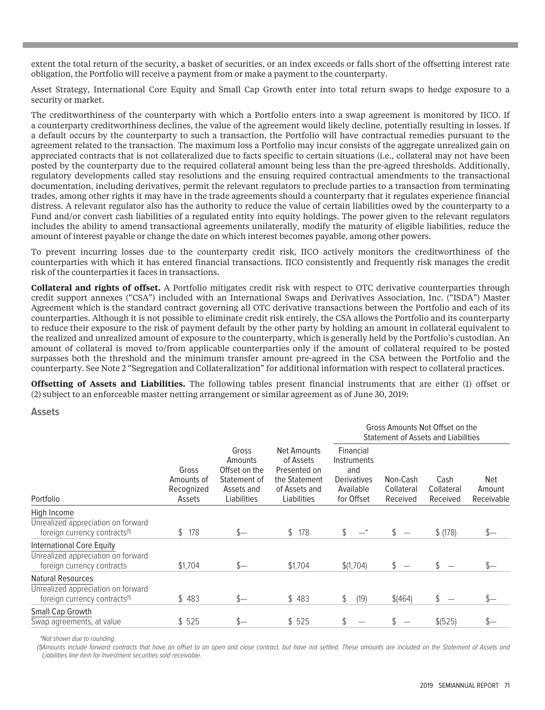extent the total return of the security, a basket of securities, or an index exceeds or falls short of the offsetting interest rate obligation, the Portfolio will receive a payment from or make a payment to the counterparty.

Asset Strategy, International Core Equity and Small Cap Growth enter into total return swaps to hedge exposure to a security or market.

The creditworthiness of the counterparty with which a Portfolio enters into a swap agreement is monitored by IICO. If a counterparty creditworthiness declines, the value of the agreement would likely decline, potentially resulting in losses. If a default occurs by the counterparty to such a transaction, the Portfolio will have contractual remedies pursuant to the agreement related to the transaction. The maximum loss a Portfolio may incur consists of the aggregate unrealized gain on appreciated contracts that is not collateralized due to facts specific to certain situations (i.e., collateral may not have been posted by the counterparty due to the required collateral amount being less than the pre-agreed thresholds. Additionally, regulatory developments called stay resolutions and the ensuing required contractual amendments to the transactional documentation, including derivatives, permit the relevant regulators to preclude parties to a transaction from terminating trades, among other rights it may have in the trade agreements should a counterparty that it regulates experience financial distress. A relevant regulator also has the authority to reduce the value of certain liabilities owed by the counterparty to a Fund and/or convert cash liabilities of a regulated entity into equity holdings. The power given to the relevant regulators includes the ability to amend transactional agreements unilaterally, modify the maturity of eligible liabilities, reduce the amount of interest payable or change the date on which interest becomes payable, among other powers.

To prevent incurring losses due to the counterparty credit risk, IICO actively monitors the creditworthiness of the counterparties with which it has entered financial transactions. IICO consistently and frequently risk manages the credit risk of the counterparties it faces in transactions.

**Collateral and rights of offset.** A Portfolio mitigates credit risk with respect to OTC derivative counterparties through credit support annexes ("CSA") included with an International Swaps and Derivatives Association, Inc. ("ISDA") Master Agreement which is the standard contract governing all OTC derivative transactions between the Portfolio and each of its counterparties. Although it is not possible to eliminate credit risk entirely, the CSA allows the Portfolio and its counterparty to reduce their exposure to the risk of payment default by the other party by holding an amount in collateral equivalent to the realized and unrealized amount of exposure to the counterparty, which is generally held by the Portfolio's custodian. An amount of collateral is moved to/from applicable counterparties only if the amount of collateral required to be posted surpasses both the threshold and the minimum transfer amount pre-agreed in the CSA between the Portfolio and the counterparty. See Note 2 "Segregation and Collateralization" for additional information with respect to collateral practices.

**Offsetting of Assets and Liabilities.** The following tables present financial instruments that are either (1) offset or (2) subject to an enforceable master netting arrangement or similar agreement as of June 30, 2019:

### **Assets**

|                                                                                                             |                                             |                                                                                |                                                                                           | Gross Amounts Not Offset on the<br><b>Statement of Assets and Liabilities</b>    |                                    |                                |                                    |  |  |  |
|-------------------------------------------------------------------------------------------------------------|---------------------------------------------|--------------------------------------------------------------------------------|-------------------------------------------------------------------------------------------|----------------------------------------------------------------------------------|------------------------------------|--------------------------------|------------------------------------|--|--|--|
| Portfolio                                                                                                   | Gross<br>Amounts of<br>Recognized<br>Assets | Gross<br>Amounts<br>Offset on the<br>Statement of<br>Assets and<br>Liabilities | Net Amounts<br>of Assets<br>Presented on<br>the Statement<br>of Assets and<br>Liabilities | Financial<br>Instruments<br>and<br><b>Derivatives</b><br>Available<br>for Offset | Non-Cash<br>Collateral<br>Received | Cash<br>Collateral<br>Received | <b>Net</b><br>Amount<br>Receivable |  |  |  |
| High Income                                                                                                 |                                             |                                                                                |                                                                                           |                                                                                  |                                    |                                |                                    |  |  |  |
| Unrealized appreciation on forward<br>foreign currency contracts <sup>(1)</sup>                             | 178<br>\$                                   | $s-$                                                                           | \$<br>178                                                                                 | \$                                                                               | \$                                 | \$ (178)                       |                                    |  |  |  |
| <b>International Core Equity</b><br>Unrealized appreciation on forward<br>foreign currency contracts        | \$1,704                                     | $s-$                                                                           | \$1,704                                                                                   | \$(1,704)                                                                        | \$                                 |                                |                                    |  |  |  |
| <b>Natural Resources</b><br>Unrealized appreciation on forward<br>foreign currency contracts <sup>(1)</sup> | \$483                                       | $s-$                                                                           | \$483                                                                                     | \$<br>(19)                                                                       | \$(464)                            | \$                             |                                    |  |  |  |
| <b>Small Cap Growth</b><br>Swap agreements, at value                                                        | \$525                                       | \$—                                                                            | \$525                                                                                     |                                                                                  |                                    | \$ (525)                       |                                    |  |  |  |

\*Not shown due to rounding.

(1)Amounts include forward contracts that have an offset to an open and close contract, but have not settled. These amounts are included on the Statement of Assets and Liabilities line item for Investment securities sold receivable.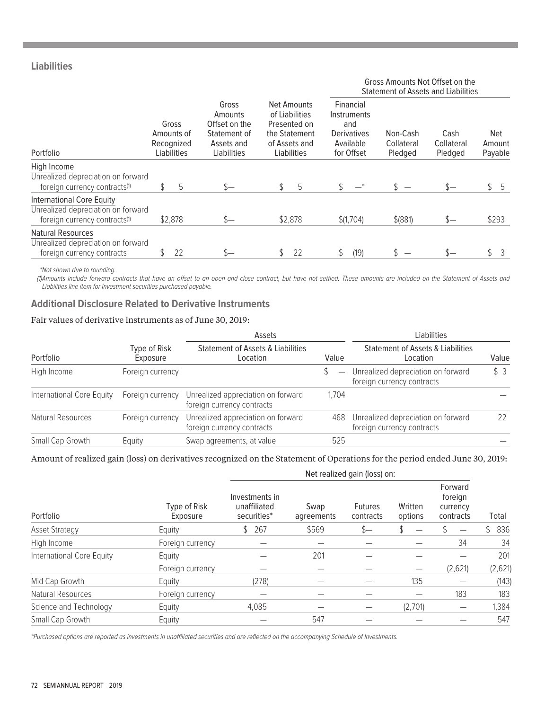## **Liabilities**

### Gross Amounts Not Offset on the Statement of Assets and Liabilities

|                                                                                                                     |                                                  |                                                                                |                                                                                                |                                                                                  | Statement of Assets and Liabilities |                               |                                 |
|---------------------------------------------------------------------------------------------------------------------|--------------------------------------------------|--------------------------------------------------------------------------------|------------------------------------------------------------------------------------------------|----------------------------------------------------------------------------------|-------------------------------------|-------------------------------|---------------------------------|
| Portfolio                                                                                                           | Gross<br>Amounts of<br>Recognized<br>Liabilities | Gross<br>Amounts<br>Offset on the<br>Statement of<br>Assets and<br>Liabilities | Net Amounts<br>of Liabilities<br>Presented on<br>the Statement<br>of Assets and<br>Liabilities | Financial<br>Instruments<br>and<br><b>Derivatives</b><br>Available<br>for Offset | Non-Cash<br>Collateral<br>Pledged   | Cash<br>Collateral<br>Pledged | <b>Net</b><br>Amount<br>Payable |
| High Income<br>Unrealized depreciation on forward<br>foreign currency contracts <sup>(1)</sup>                      | 5<br>\$                                          | $\frac{1}{2}$                                                                  | 5                                                                                              | \$                                                                               |                                     | $S-$                          | \$<br>-5                        |
| <b>International Core Equity</b><br>Unrealized depreciation on forward<br>foreign currency contracts <sup>(1)</sup> | \$2,878                                          | $\frac{1}{2}$                                                                  | \$2,878                                                                                        | \$(1,704)                                                                        | \$ (881)                            | \$—                           | \$293                           |
| <b>Natural Resources</b><br>Unrealized depreciation on forward<br>foreign currency contracts                        | 22<br>\$                                         |                                                                                | 22                                                                                             | \$<br>(19)                                                                       |                                     |                               | \$<br>-3                        |

\*Not shown due to rounding.

(1)Amounts include forward contracts that have an offset to an open and close contract, but have not settled. These amounts are included on the Statement of Assets and Liabilities line item for Investment securities purchased payable.

# **Additional Disclosure Related to Derivative Instruments**

### Fair values of derivative instruments as of June 30, 2019:

|                           |                          | Assets                                                           | Liabilities |                                                                  |       |  |
|---------------------------|--------------------------|------------------------------------------------------------------|-------------|------------------------------------------------------------------|-------|--|
| Portfolio                 | Type of Risk<br>Exposure | <b>Statement of Assets &amp; Liabilities</b><br>Location         |             | <b>Statement of Assets &amp; Liabilities</b><br>Location         | Value |  |
| High Income               | Foreign currency         |                                                                  | —           | Unrealized depreciation on forward<br>foreign currency contracts | \$3   |  |
| International Core Equity | Foreign currency         | Unrealized appreciation on forward<br>foreign currency contracts | 1.704       |                                                                  |       |  |
| Natural Resources         | Foreign currency         | Unrealized appreciation on forward<br>foreign currency contracts | 468         | Unrealized depreciation on forward<br>foreign currency contracts | 22    |  |
| Small Cap Growth          | Equity                   | Swap agreements, at value                                        | 525         |                                                                  |       |  |

### Amount of realized gain (loss) on derivatives recognized on the Statement of Operations for the period ended June 30, 2019:

| Portfolio                 | Type of Risk<br>Exposure | Net realized gain (loss) on:                  |                    |                             |                    |                                             |         |
|---------------------------|--------------------------|-----------------------------------------------|--------------------|-----------------------------|--------------------|---------------------------------------------|---------|
|                           |                          | Investments in<br>unaffiliated<br>securities* | Swap<br>agreements | <b>Futures</b><br>contracts | Written<br>options | Forward<br>foreign<br>currency<br>contracts | Total   |
| <b>Asset Strategy</b>     | Equity                   | 267<br>\$                                     | \$569              | $S-$                        |                    |                                             | 836     |
| High Income               | Foreign currency         |                                               |                    |                             |                    | 34                                          | 34      |
| International Core Equity | Equity                   |                                               | 201                |                             |                    |                                             | 201     |
|                           | Foreign currency         |                                               |                    |                             |                    | (2,621)                                     | (2,621) |
| Mid Cap Growth            | Equity                   | (278)                                         |                    |                             | 135                |                                             | (143)   |
| Natural Resources         | Foreign currency         |                                               |                    |                             |                    | 183                                         | 183     |
| Science and Technology    | Equity                   | 4,085                                         |                    |                             | (2,701)            |                                             | 1,384   |
| Small Cap Growth          | Equity                   |                                               | 547                |                             |                    |                                             | 547     |

\*Purchased options are reported as investments in unaffiliated securities and are reflected on the accompanying Schedule of Investments.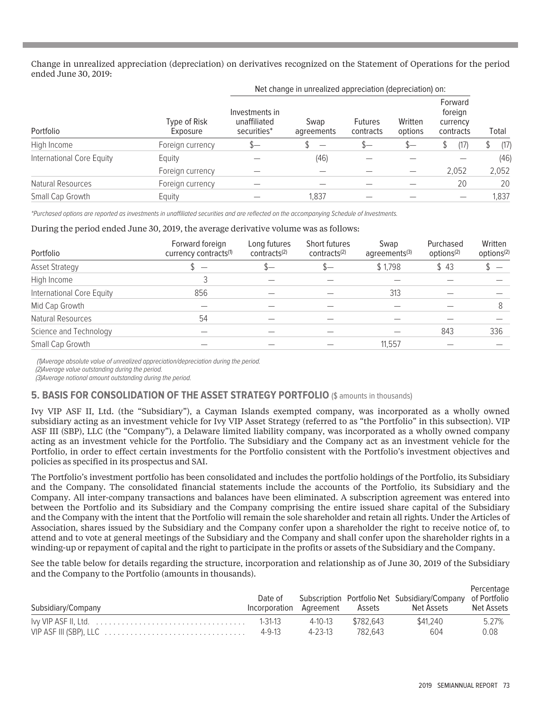Change in unrealized appreciation (depreciation) on derivatives recognized on the Statement of Operations for the period ended June 30, 2019:

| Portfolio                 |                          |                                               | Net change in unrealized appreciation (depreciation) on: |                             |                    |                                             |       |
|---------------------------|--------------------------|-----------------------------------------------|----------------------------------------------------------|-----------------------------|--------------------|---------------------------------------------|-------|
|                           | Type of Risk<br>Exposure | Investments in<br>unaffiliated<br>securities* | Swap<br>agreements                                       | <b>Futures</b><br>contracts | Written<br>options | Forward<br>foreign<br>currency<br>contracts | Total |
| High Income               | Foreign currency         |                                               |                                                          | S—                          |                    | (17)                                        | (17)  |
| International Core Equity | Equity                   |                                               | (46)                                                     |                             |                    |                                             | (46)  |
|                           | Foreign currency         |                                               |                                                          |                             |                    | 2,052                                       | 2,052 |
| Natural Resources         | Foreign currency         |                                               |                                                          |                             |                    | 20                                          | 20    |
| Small Cap Growth          | Equity                   |                                               | 1,837                                                    |                             |                    |                                             | 1,837 |

\*Purchased options are reported as investments in unaffiliated securities and are reflected on the accompanying Schedule of Investments.

#### During the period ended June 30, 2019, the average derivative volume was as follows:

| Portfolio                 | Forward foreign<br>currency contracts <sup>(1)</sup> | Long futures<br>contracts <sup>(2)</sup> | Short futures<br>contracts <sup>(2)</sup> | Swap<br>agreements <sup>(3)</sup> | Purchased<br>options <sup>(2)</sup> | Written<br>options <sup>(2)</sup> |
|---------------------------|------------------------------------------------------|------------------------------------------|-------------------------------------------|-----------------------------------|-------------------------------------|-----------------------------------|
| <b>Asset Strategy</b>     |                                                      |                                          | <u>ъ—</u>                                 | \$1,798                           | \$43                                |                                   |
| High Income               |                                                      |                                          |                                           |                                   |                                     |                                   |
| International Core Equity | 856                                                  |                                          |                                           | 313                               |                                     |                                   |
| Mid Cap Growth            |                                                      |                                          |                                           |                                   |                                     | 8                                 |
| Natural Resources         | 54                                                   |                                          |                                           |                                   |                                     |                                   |
| Science and Technology    |                                                      |                                          |                                           |                                   | 843                                 | 336                               |
| Small Cap Growth          |                                                      |                                          |                                           | 11,557                            |                                     |                                   |

(1)Average absolute value of unrealized appreciation/depreciation during the period.

(2)Average value outstanding during the period.

(3)Average notional amount outstanding during the period.

## **5. BASIS FOR CONSOLIDATION OF THE ASSET STRATEGY PORTFOLIO** (\$ amounts in thousands)

Ivy VIP ASF II, Ltd. (the "Subsidiary"), a Cayman Islands exempted company, was incorporated as a wholly owned subsidiary acting as an investment vehicle for Ivy VIP Asset Strategy (referred to as "the Portfolio" in this subsection). VIP ASF III (SBP), LLC (the "Company"), a Delaware limited liability company, was incorporated as a wholly owned company acting as an investment vehicle for the Portfolio. The Subsidiary and the Company act as an investment vehicle for the Portfolio, in order to effect certain investments for the Portfolio consistent with the Portfolio's investment objectives and policies as specified in its prospectus and SAI.

The Portfolio's investment portfolio has been consolidated and includes the portfolio holdings of the Portfolio, its Subsidiary and the Company. The consolidated financial statements include the accounts of the Portfolio, its Subsidiary and the Company. All inter-company transactions and balances have been eliminated. A subscription agreement was entered into between the Portfolio and its Subsidiary and the Company comprising the entire issued share capital of the Subsidiary and the Company with the intent that the Portfolio will remain the sole shareholder and retain all rights. Under the Articles of Association, shares issued by the Subsidiary and the Company confer upon a shareholder the right to receive notice of, to attend and to vote at general meetings of the Subsidiary and the Company and shall confer upon the shareholder rights in a winding-up or repayment of capital and the right to participate in the profits or assets of the Subsidiary and the Company.

See the table below for details regarding the structure, incorporation and relationship as of June 30, 2019 of the Subsidiary and the Company to the Portfolio (amounts in thousands).

| Subsidiary/Company | Date of<br>Incorporation Agreement Assets |         |           | Subscription Portfolio Net Subsidiary/Company of Portfolio<br>Net Assets | Percentage<br>Net Assets |
|--------------------|-------------------------------------------|---------|-----------|--------------------------------------------------------------------------|--------------------------|
|                    | 4-9-13                                    | 4-10-13 | \$782.643 | \$41.240                                                                 | 5.27%                    |
|                    |                                           | 4-23-13 | 782 643   | 604                                                                      | 0.08                     |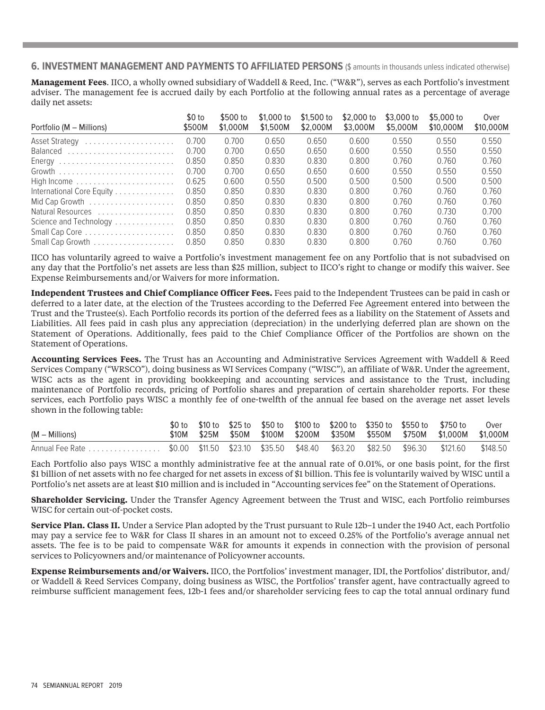### **6. INVESTMENT MANAGEMENT AND PAYMENTS TO AFFILIATED PERSONS** (\$ amounts in thousands unless indicated otherwise)

**Management Fees**. IICO, a wholly owned subsidiary of Waddell & Reed, Inc. ("W&R"), serves as each Portfolio's investment adviser. The management fee is accrued daily by each Portfolio at the following annual rates as a percentage of average daily net assets:

| Portfolio (M – Millions)                                       | \$0 to<br>\$500M | \$500 to<br>\$1,000M | \$1,000 to<br>\$1,500M | \$1.500 to<br>\$2,000M | \$2,000 to<br>\$3,000M | \$3,000 to<br>\$5,000M | \$5.000 to<br>\$10,000M | Over<br>\$10,000M |
|----------------------------------------------------------------|------------------|----------------------|------------------------|------------------------|------------------------|------------------------|-------------------------|-------------------|
| Asset Strategy                                                 | 0.700            | 0.700                | 0.650                  | 0.650                  | 0.600                  | 0.550                  | 0.550                   | 0.550             |
| Balanced                                                       | 0.700            | 0.700                | 0.650                  | 0.650                  | 0.600                  | 0.550                  | 0.550                   | 0.550             |
| Energy                                                         | 0.850            | 0.850                | 0.830                  | 0.830                  | 0.800                  | 0.760                  | 0.760                   | 0.760             |
|                                                                | 0.700            | 0.700                | 0.650                  | 0.650                  | 0.600                  | 0.550                  | 0.550                   | 0.550             |
| High Income $\ldots \ldots \ldots \ldots \ldots \ldots \ldots$ | 0.625            | 0.600                | 0.550                  | 0.500                  | 0.500                  | 0.500                  | 0.500                   | 0.500             |
| International Core Equity                                      | 0.850            | 0.850                | 0.830                  | 0.830                  | 0.800                  | 0.760                  | 0.760                   | 0.760             |
| Mid Cap Growth                                                 | 0.850            | 0.850                | 0.830                  | 0.830                  | 0.800                  | 0.760                  | 0.760                   | 0.760             |
| Natural Resources                                              | 0.850            | 0.850                | 0.830                  | 0.830                  | 0.800                  | 0.760                  | 0.730                   | 0.700             |
| Science and Technology                                         | 0.850            | 0.850                | 0.830                  | 0.830                  | 0.800                  | 0.760                  | 0.760                   | 0.760             |
| Small Cap Core                                                 | 0.850            | 0.850                | 0.830                  | 0.830                  | 0.800                  | 0.760                  | 0.760                   | 0.760             |
|                                                                | 0.850            | 0.850                | 0.830                  | 0.830                  | 0.800                  | 0.760                  | 0.760                   | 0.760             |

IICO has voluntarily agreed to waive a Portfolio's investment management fee on any Portfolio that is not subadvised on any day that the Portfolio's net assets are less than \$25 million, subject to IICO's right to change or modify this waiver. See Expense Reimbursements and/or Waivers for more information.

**Independent Trustees and Chief Compliance Officer Fees.** Fees paid to the Independent Trustees can be paid in cash or deferred to a later date, at the election of the Trustees according to the Deferred Fee Agreement entered into between the Trust and the Trustee(s). Each Portfolio records its portion of the deferred fees as a liability on the Statement of Assets and Liabilities. All fees paid in cash plus any appreciation (depreciation) in the underlying deferred plan are shown on the Statement of Operations. Additionally, fees paid to the Chief Compliance Officer of the Portfolios are shown on the Statement of Operations.

**Accounting Services Fees.** The Trust has an Accounting and Administrative Services Agreement with Waddell & Reed Services Company ("WRSCO"), doing business as WI Services Company ("WISC"), an affiliate of W&R. Under the agreement, WISC acts as the agent in providing bookkeeping and accounting services and assistance to the Trust, including maintenance of Portfolio records, pricing of Portfolio shares and preparation of certain shareholder reports. For these services, each Portfolio pays WISC a monthly fee of one-twelfth of the annual fee based on the average net asset levels shown in the following table:

| (M – Millions)                                                                                   |  |  |  |  | \$0 to \$10 to \$25 to \$50 to \$100 to \$200 to \$350 to \$550 to \$750 to<br>\$10M \$25M \$50M \$100M \$200M \$350M \$550M \$750M \$1,000M \$1,000M | . Over |
|--------------------------------------------------------------------------------------------------|--|--|--|--|-------------------------------------------------------------------------------------------------------------------------------------------------------|--------|
| Annual Fee Rate \$0.00 \$11.50 \$23.10 \$35.50 \$48.40 \$63.20 \$63.20 \$96.30 \$121.60 \$148.50 |  |  |  |  |                                                                                                                                                       |        |

Each Portfolio also pays WISC a monthly administrative fee at the annual rate of 0.01%, or one basis point, for the first \$1 billion of net assets with no fee charged for net assets in excess of \$1 billion. This fee is voluntarily waived by WISC until a Portfolio's net assets are at least \$10 million and is included in "Accounting services fee" on the Statement of Operations.

**Shareholder Servicing.** Under the Transfer Agency Agreement between the Trust and WISC, each Portfolio reimburses WISC for certain out-of-pocket costs.

**Service Plan. Class II.** Under a Service Plan adopted by the Trust pursuant to Rule 12b–1 under the 1940 Act, each Portfolio may pay a service fee to W&R for Class II shares in an amount not to exceed 0.25% of the Portfolio's average annual net assets. The fee is to be paid to compensate W&R for amounts it expends in connection with the provision of personal services to Policyowners and/or maintenance of Policyowner accounts.

**Expense Reimbursements and/or Waivers.** IICO, the Portfolios' investment manager, IDI, the Portfolios' distributor, and/ or Waddell & Reed Services Company, doing business as WISC, the Portfolios' transfer agent, have contractually agreed to reimburse sufficient management fees, 12b-1 fees and/or shareholder servicing fees to cap the total annual ordinary fund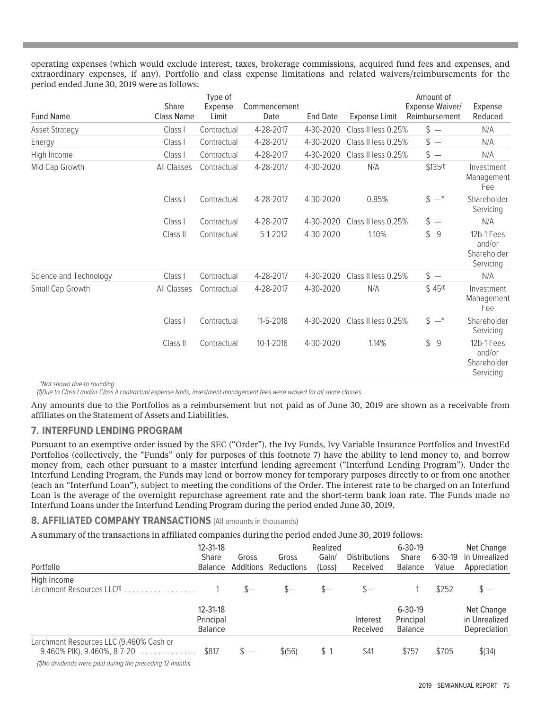operating expenses (which would exclude interest, taxes, brokerage commissions, acquired fund fees and expenses, and extraordinary expenses, if any). Portfolio and class expense limitations and related waivers/reimbursements for the period ended June 30, 2019 were as follows:

| <b>Fund Name</b>       | Share<br>Class Name | Type of<br>Expense<br>Limit | Commencement<br>Date | <b>End Date</b> | Expense Limit       | Amount of<br>Expense Waiver/<br>Reimbursement | Expense<br>Reduced                               |
|------------------------|---------------------|-----------------------------|----------------------|-----------------|---------------------|-----------------------------------------------|--------------------------------------------------|
| <b>Asset Strategy</b>  | Class I             | Contractual                 | 4-28-2017            | 4-30-2020       | Class II less 0.25% | $$ -$                                         | N/A                                              |
| Energy                 | Class I             | Contractual                 | 4-28-2017            | 4-30-2020       | Class II less 0.25% | $$-$                                          | N/A                                              |
| High Income            | Class I             | Contractual                 | 4-28-2017            | 4-30-2020       | Class II less 0.25% | $$ -$                                         | N/A                                              |
| Mid Cap Growth         | All Classes         | Contractual                 | 4-28-2017            | 4-30-2020       | N/A                 | \$135(1)                                      | Investment<br>Management<br>Fee                  |
|                        | Class I             | Contractual                 | 4-28-2017            | 4-30-2020       | 0.85%               | $$ -^*$                                       | Shareholder<br>Servicing                         |
|                        | Class I             | Contractual                 | 4-28-2017            | 4-30-2020       | Class II less 0.25% | $$-$                                          | N/A                                              |
|                        | Class II            | Contractual                 | $5 - 1 - 2012$       | 4-30-2020       | 1.10%               | \$<br>9                                       | 12b-1 Fees<br>and/or<br>Shareholder<br>Servicing |
| Science and Technology | Class I             | Contractual                 | 4-28-2017            | 4-30-2020       | Class II less 0.25% | $$ -$                                         | N/A                                              |
| Small Cap Growth       | All Classes         | Contractual                 | 4-28-2017            | 4-30-2020       | N/A                 | $$45^{(1)}$$                                  | Investment<br>Management<br>Fee                  |
|                        | Class I             | Contractual                 | 11-5-2018            | 4-30-2020       | Class II less 0.25% | $$ -^*$                                       | Shareholder<br>Servicing                         |
|                        | Class II            | Contractual                 | 10-1-2016            | 4-30-2020       | 1.14%               | \$<br>9                                       | 12b-1 Fees<br>and/or<br>Shareholder<br>Servicing |

\*Not shown due to rounding.

(1)Due to Class I and/or Class II contractual expense limits, investment management fees were waived for all share classes.

Any amounts due to the Portfolios as a reimbursement but not paid as of June 30, 2019 are shown as a receivable from affiliates on the Statement of Assets and Liabilities.

## **7. INTERFUND LENDING PROGRAM**

Pursuant to an exemptive order issued by the SEC ("Order"), the Ivy Funds, Ivy Variable Insurance Portfolios and InvestEd Portfolios (collectively, the "Funds" only for purposes of this footnote 7) have the ability to lend money to, and borrow money from, each other pursuant to a master interfund lending agreement ("Interfund Lending Program"). Under the Interfund Lending Program, the Funds may lend or borrow money for temporary purposes directly to or from one another (each an "Interfund Loan"), subject to meeting the conditions of the Order. The interest rate to be charged on an Interfund Loan is the average of the overnight repurchase agreement rate and the short-term bank loan rate. The Funds made no Interfund Loans under the Interfund Lending Program during the period ended June 30, 2019.

## **8. AFFILIATED COMPANY TRANSACTIONS** (All amounts in thousands)

A summary of the transactions in affiliated companies during the period ended June 30, 2019 follows:

| Portfolio                                                                                                                                     | 12-31-18<br>Share<br><b>Balance</b>     | Gross | Gross<br>Additions Reductions | Realized<br>Gain/<br>(Loss) | <b>Distributions</b><br>Received | $6 - 30 - 19$<br>Share<br><b>Balance</b>     | $6 - 30 - 19$<br>Value | Net Change<br>in Unrealized<br>Appreciation |
|-----------------------------------------------------------------------------------------------------------------------------------------------|-----------------------------------------|-------|-------------------------------|-----------------------------|----------------------------------|----------------------------------------------|------------------------|---------------------------------------------|
| High Income<br>Larchmont Resources LLC <sup>(1)</sup>                                                                                         |                                         | $S-$  | $S-$                          |                             |                                  |                                              | \$252                  |                                             |
|                                                                                                                                               | 12-31-18<br>Principal<br><b>Balance</b> |       |                               |                             | Interest<br>Received             | $6 - 30 - 19$<br>Principal<br><b>Balance</b> |                        | Net Change<br>in Unrealized<br>Depreciation |
| Larchmont Resources LLC (9.460% Cash or<br>$9.460\%$ PIK), $9.460\%$ , $8-7-20$<br>(1) No dividends were paid during the preceding 12 months. | \$817                                   | $S -$ | \$ (56)                       | \$1                         | \$41                             | \$757                                        | \$705                  | $$$ (34)                                    |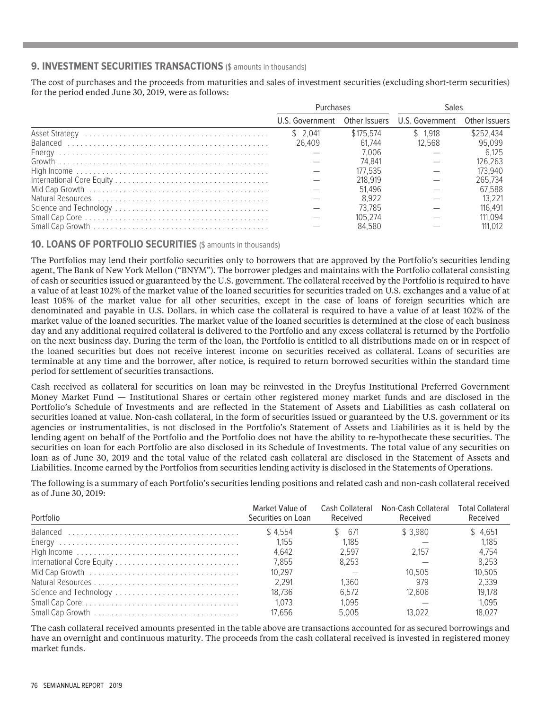## **9. INVESTMENT SECURITIES TRANSACTIONS** (\$ amounts in thousands)

The cost of purchases and the proceeds from maturities and sales of investment securities (excluding short-term securities) for the period ended June 30, 2019, were as follows:

|        | Purchases | Sales     |                                                             |           |
|--------|-----------|-----------|-------------------------------------------------------------|-----------|
|        |           |           | U.S. Government Other Issuers U.S. Government Other Issuers |           |
|        | \$2.041   | \$175.574 | \$1.918                                                     | \$252,434 |
|        | 26.409    | 61.744    | 12.568                                                      | 95.099    |
| Enerav |           | 7.006     |                                                             | 6.125     |
|        |           | 74.841    |                                                             | 126.263   |
|        |           | 177.535   |                                                             | 173.940   |
|        |           | 218.919   |                                                             | 265.734   |
|        |           | 51.496    |                                                             | 67.588    |
|        |           | 8.922     |                                                             | 13.221    |
|        |           | 73.785    |                                                             | 116.491   |
|        |           | 105.274   |                                                             | 111.094   |
|        |           | 84.580    |                                                             | 111.012   |

#### **10. LOANS OF PORTFOLIO SECURITIES** (\$ amounts in thousands)

The Portfolios may lend their portfolio securities only to borrowers that are approved by the Portfolio's securities lending agent, The Bank of New York Mellon ("BNYM"). The borrower pledges and maintains with the Portfolio collateral consisting of cash or securities issued or guaranteed by the U.S. government. The collateral received by the Portfolio is required to have a value of at least 102% of the market value of the loaned securities for securities traded on U.S. exchanges and a value of at least 105% of the market value for all other securities, except in the case of loans of foreign securities which are denominated and payable in U.S. Dollars, in which case the collateral is required to have a value of at least 102% of the market value of the loaned securities. The market value of the loaned securities is determined at the close of each business day and any additional required collateral is delivered to the Portfolio and any excess collateral is returned by the Portfolio on the next business day. During the term of the loan, the Portfolio is entitled to all distributions made on or in respect of the loaned securities but does not receive interest income on securities received as collateral. Loans of securities are terminable at any time and the borrower, after notice, is required to return borrowed securities within the standard time period for settlement of securities transactions.

Cash received as collateral for securities on loan may be reinvested in the Dreyfus Institutional Preferred Government Money Market Fund — Institutional Shares or certain other registered money market funds and are disclosed in the Portfolio's Schedule of Investments and are reflected in the Statement of Assets and Liabilities as cash collateral on securities loaned at value. Non-cash collateral, in the form of securities issued or guaranteed by the U.S. government or its agencies or instrumentalities, is not disclosed in the Portfolio's Statement of Assets and Liabilities as it is held by the lending agent on behalf of the Portfolio and the Portfolio does not have the ability to re-hypothecate these securities. The securities on loan for each Portfolio are also disclosed in its Schedule of Investments. The total value of any securities on loan as of June 30, 2019 and the total value of the related cash collateral are disclosed in the Statement of Assets and Liabilities. Income earned by the Portfolios from securities lending activity is disclosed in the Statements of Operations.

The following is a summary of each Portfolio's securities lending positions and related cash and non-cash collateral received as of June 30, 2019:

| Portfolio              | Market Value of<br>Securities on Loan | Received | Cash Collateral Non-Cash Collateral<br>Received | <b>Total Collateral</b><br>Received |
|------------------------|---------------------------------------|----------|-------------------------------------------------|-------------------------------------|
|                        | \$4.554                               | \$ 671   | \$3.980                                         | \$4.651                             |
|                        | 1.155                                 | 1.185    |                                                 | 1.185                               |
|                        | 4.642                                 | 2.597    | 2.157                                           | 4.754                               |
|                        | 7.855                                 | 8.253    |                                                 | 8,253                               |
|                        | 10.297                                |          | 10.505                                          | 10.505                              |
|                        | 2.291                                 | 1.360    | 979                                             | 2,339                               |
| Science and Technology | 18.736                                | 6.572    | 12.606                                          | 19.178                              |
|                        | 1.073                                 | 1.095    |                                                 | 1.095                               |
|                        | 17.656                                | 5.005    | 13 022                                          | 18.027                              |

The cash collateral received amounts presented in the table above are transactions accounted for as secured borrowings and have an overnight and continuous maturity. The proceeds from the cash collateral received is invested in registered money market funds.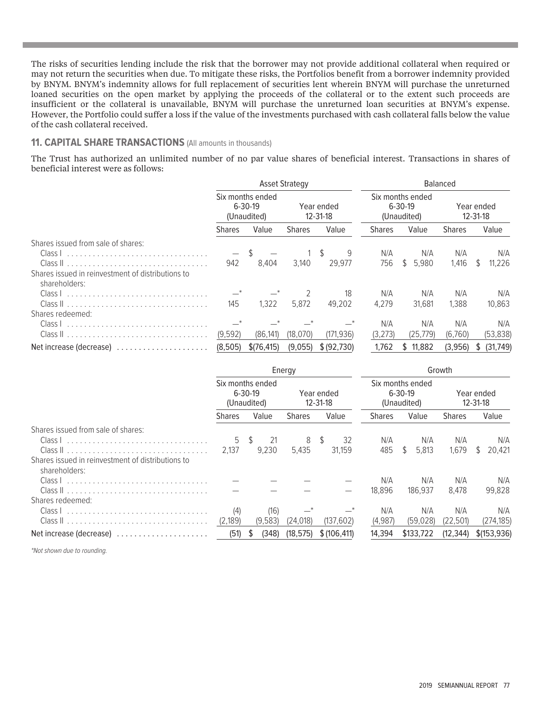The risks of securities lending include the risk that the borrower may not provide additional collateral when required or may not return the securities when due. To mitigate these risks, the Portfolios benefit from a borrower indemnity provided by BNYM. BNYM's indemnity allows for full replacement of securities lent wherein BNYM will purchase the unreturned loaned securities on the open market by applying the proceeds of the collateral or to the extent such proceeds are insufficient or the collateral is unavailable, BNYM will purchase the unreturned loan securities at BNYM's expense. However, the Portfolio could suffer a loss if the value of the investments purchased with cash collateral falls below the value of the cash collateral received.

#### **11. CAPITAL SHARE TRANSACTIONS** (All amounts in thousands)

The Trust has authorized an unlimited number of no par value shares of beneficial interest. Transactions in shares of beneficial interest were as follows:

|                                                                                                          |                                                  |                           | <b>Asset Strategy</b> |                                              | <b>Balanced</b>            |                                                  |                              |                                       |  |  |
|----------------------------------------------------------------------------------------------------------|--------------------------------------------------|---------------------------|-----------------------|----------------------------------------------|----------------------------|--------------------------------------------------|------------------------------|---------------------------------------|--|--|
|                                                                                                          | Six months ended<br>$6 - 30 - 19$<br>(Unaudited) |                           |                       | Year ended<br>$12 - 31 - 18$                 |                            | Six months ended<br>$6 - 30 - 19$<br>(Unaudited) | Year ended<br>12-31-18       |                                       |  |  |
|                                                                                                          | Value<br><b>Shares</b>                           |                           | <b>Shares</b>         | Value                                        | <b>Shares</b>              | Value                                            | <b>Shares</b>                | Value                                 |  |  |
| Shares issued from sale of shares:<br>Shares issued in reinvestment of distributions to<br>shareholders: | 942<br>145                                       | 8.404<br>1.322            | 3.140<br>5.872        | <sup>\$</sup><br>9<br>29.977<br>18<br>49.202 | N/A<br>756<br>N/A<br>4.279 | N/A<br>$\mathbb{S}^-$<br>5.980<br>N/A<br>31.681  | N/A<br>1.416<br>N/A<br>1.388 | N/A<br>11,226<br>\$.<br>N/A<br>10,863 |  |  |
| Shares redeemed:<br>Net increase (decrease)                                                              | (9,592)<br>(8,505)                               | (86, 141)<br>\$ (76, 415) | (18,070)<br>(9,055)   | (171, 936)<br>\$ (92,730)                    | N/A<br>(3,273)<br>1,762    | N/A<br>(25,779)<br>\$11,882                      | N/A<br>(6,760)<br>(3,956)    | N/A<br>(53,838)<br>(31,749)<br>S      |  |  |

|                                                                    |               |                                                  |         | Energy                       |               |              | Growth                                           |       |           |                        |       |              |
|--------------------------------------------------------------------|---------------|--------------------------------------------------|---------|------------------------------|---------------|--------------|--------------------------------------------------|-------|-----------|------------------------|-------|--------------|
|                                                                    |               | Six months ended<br>$6 - 30 - 19$<br>(Unaudited) |         | Year ended<br>$12 - 31 - 18$ |               |              | Six months ended<br>$6 - 30 - 19$<br>(Unaudited) |       |           | Year ended<br>12-31-18 |       |              |
|                                                                    | <b>Shares</b> |                                                  | Value   | <b>Shares</b>                |               | Value        | <b>Shares</b>                                    | Value |           | <b>Shares</b>          | Value |              |
| Shares issued from sale of shares:                                 |               |                                                  |         |                              |               |              |                                                  |       |           |                        |       |              |
| Class L                                                            | 5             |                                                  |         | 8                            | <sup>\$</sup> | 32           | N/A                                              |       | N/A       | N/A                    |       | N/A          |
|                                                                    | 2.137         |                                                  | 9.230   | 5.435                        |               | 31.159       | 485                                              | \$.   | 5.813     | 1.679                  |       | 20,421       |
| Shares issued in reinvestment of distributions to<br>shareholders: |               |                                                  |         |                              |               |              |                                                  |       |           |                        |       |              |
| Class L                                                            |               |                                                  |         |                              |               |              | N/A                                              |       | N/A       | N/A                    |       | N/A          |
|                                                                    |               |                                                  |         |                              |               |              | 18,896                                           |       | 186.937   | 8,478                  |       | 99.828       |
| Shares redeemed:                                                   |               |                                                  |         |                              |               |              |                                                  |       |           |                        |       |              |
| Class L                                                            | (4)           |                                                  | (16)    |                              |               |              | N/A                                              |       | N/A       | N/A                    |       | N/A          |
|                                                                    | (2,189)       |                                                  | (9.583) | (24.018)                     |               | (137, 602)   | (4,987)                                          |       | (59.028)  | (22,501)               |       | (274, 185)   |
| Net increase (decrease)                                            | (51)          |                                                  | (348)   | (18, 575)                    |               | \$(106, 411) | 14,394                                           |       | \$133.722 | (12, 344)              |       | \$(153, 936) |

\*Not shown due to rounding.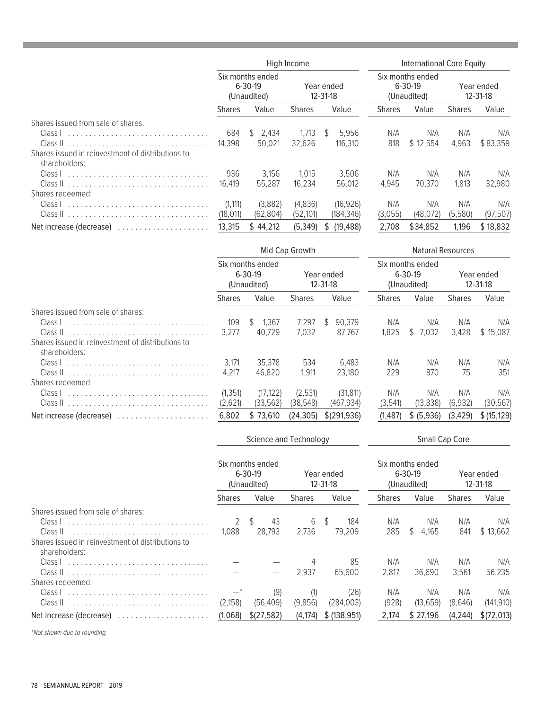|                                                                    |                                                  |           | High Income            |                 |         | International Core Equity                        |         |                        |  |  |
|--------------------------------------------------------------------|--------------------------------------------------|-----------|------------------------|-----------------|---------|--------------------------------------------------|---------|------------------------|--|--|
|                                                                    | Six months ended<br>$6 - 30 - 19$<br>(Unaudited) |           | Year ended<br>12-31-18 |                 |         | Six months ended<br>$6 - 30 - 19$<br>(Unaudited) |         | Year ended<br>12-31-18 |  |  |
|                                                                    | <b>Shares</b>                                    | Value     | <b>Shares</b>          | Value           |         | Value<br><b>Shares</b>                           |         | Value                  |  |  |
| Shares issued from sale of shares:                                 |                                                  |           |                        |                 |         |                                                  |         |                        |  |  |
|                                                                    | 684                                              | \$2,434   | 1.713                  | 5.956<br>\$.    | N/A     | N/A                                              | N/A     | N/A                    |  |  |
| $Class II$                                                         | 14.398                                           | 50.021    | 32.626                 | 116,310         | 818     | \$12.554                                         | 4,963   | \$83,359               |  |  |
| Shares issued in reinvestment of distributions to<br>shareholders: |                                                  |           |                        |                 |         |                                                  |         |                        |  |  |
|                                                                    | 936                                              | 3.156     | 1.015                  | 3.506           | N/A     | N/A                                              | N/A     | N/A                    |  |  |
|                                                                    | 16.419                                           | 55.287    | 16.234                 | 56.012          | 4.945   | 70.370                                           | 1.813   | 32,980                 |  |  |
| Shares redeemed:                                                   |                                                  |           |                        |                 |         |                                                  |         |                        |  |  |
|                                                                    | (1, 111)                                         | (3,882)   | (4,836)                | (16, 926)       | N/A     | N/A                                              | N/A     | N/A                    |  |  |
|                                                                    | (18, 011)                                        | (62, 804) | (52, 101)              | (184, 346)      | (3,055) | (48,072)                                         | (5,580) | (97, 507)              |  |  |
| Net increase (decrease)                                            | 13.315                                           | \$44.212  | (5, 349)               | (19, 488)<br>\$ | 2.708   | \$34.852                                         | 1.196   | \$18,832               |  |  |

|                                                                    | Mid Cap Growth                             |             |                        |              | <b>Natural Resources</b>                         |            |                        |              |
|--------------------------------------------------------------------|--------------------------------------------|-------------|------------------------|--------------|--------------------------------------------------|------------|------------------------|--------------|
|                                                                    | Six months ended<br>6-30-19<br>(Unaudited) |             | Year ended<br>12-31-18 |              | Six months ended<br>$6 - 30 - 19$<br>(Unaudited) |            | Year ended<br>12-31-18 |              |
|                                                                    | <b>Shares</b>                              | Value       | <b>Shares</b>          | Value        | <b>Shares</b>                                    | Value      | <b>Shares</b>          | Value        |
| Shares issued from sale of shares:                                 |                                            |             |                        |              |                                                  |            |                        |              |
| Class L                                                            | 109                                        | 1,367<br>S. | 7.297                  | 90,379<br>S. | N/A                                              | N/A        | N/A                    | N/A          |
|                                                                    | 3.277                                      | 40.729      | 7.032                  | 87.767       | 1.825                                            | \$7.032    | 3,428                  | \$15,087     |
| Shares issued in reinvestment of distributions to<br>shareholders: |                                            |             |                        |              |                                                  |            |                        |              |
|                                                                    | 3.171                                      | 35,378      | 534                    | 6.483        | N/A                                              | N/A        | N/A                    | N/A          |
|                                                                    | 4.217                                      | 46.820      | 1,911                  | 23.180       | 229                                              | 870        | 75                     | 351          |
| Shares redeemed:                                                   |                                            |             |                        |              |                                                  |            |                        |              |
| Class L                                                            | (1, 351)                                   | (17, 122)   | (2,531)                | (31, 811)    | N/A                                              | N/A        | N/A                    | N/A          |
|                                                                    | (2,621)                                    | (33,562)    | (38,548)               | (467, 934)   | (3,541)                                          | (13, 838)  | (6,932)                | (30, 567)    |
| Net increase (decrease)                                            | 6,802                                      | \$73,610    | (24, 305)              | \$(291, 936) | (1, 487)                                         | \$ (5,936) | (3, 429)               | \$ (15, 129) |

|                                                                                                                     |                        | Science and Technology                           |                     |                               |                            | Small Cap Core                                   |                            |                                  |
|---------------------------------------------------------------------------------------------------------------------|------------------------|--------------------------------------------------|---------------------|-------------------------------|----------------------------|--------------------------------------------------|----------------------------|----------------------------------|
|                                                                                                                     |                        | Six months ended<br>$6 - 30 - 19$<br>(Unaudited) |                     | Year ended<br>$12 - 31 - 18$  |                            | Six months ended<br>$6 - 30 - 19$<br>(Unaudited) |                            | Year ended<br>$12 - 31 - 18$     |
|                                                                                                                     | <b>Shares</b>          | Value                                            | <b>Shares</b>       | Value                         | <b>Shares</b>              | Value                                            | <b>Shares</b>              | Value                            |
| Shares issued from sale of shares:<br>Class L<br>Shares issued in reinvestment of distributions to<br>shareholders: | $\mathcal{P}$<br>1,088 | \$<br>43<br>28.793                               | 6<br>2.736<br>2,937 | 184<br>79,209<br>85<br>65.600 | N/A<br>285<br>N/A<br>2.817 | N/A<br>\$<br>4,165<br>N/A<br>36.690              | N/A<br>841<br>N/A<br>3.561 | N/A<br>\$13,662<br>N/A<br>56,235 |
| Shares redeemed:<br>Class L                                                                                         | (2, 158)               | (9)<br>(56, 409)                                 | (1)<br>(9,856)      | (26)<br>(284,003)             | N/A<br>(928)               | N/A<br>(13, 659)                                 | N/A<br>(8,646)             | N/A<br>(141, 910)                |
| Net increase (decrease)                                                                                             | (1,068)                | \$(27,582)                                       | (4, 174)            | $$$ (138,951)                 | 2,174                      | \$27,196                                         | (4, 244)                   | \$ (72, 013)                     |

\*Not shown due to rounding.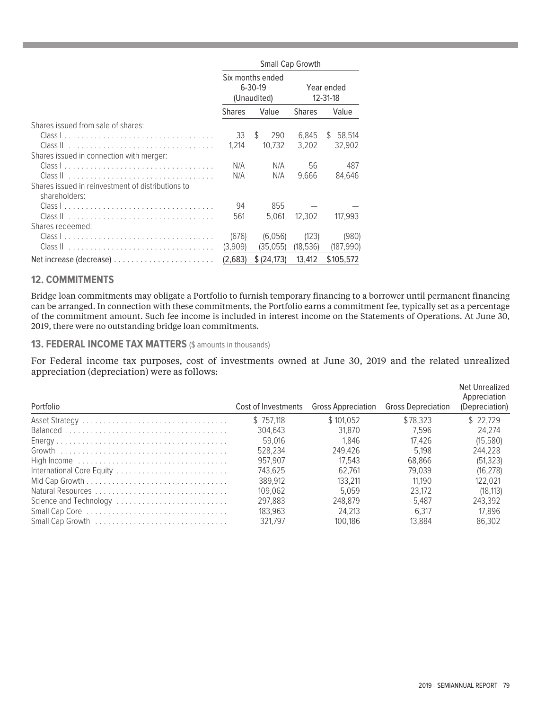|                                                                    | Small Cap Growth |                                                  |                        |            |  |
|--------------------------------------------------------------------|------------------|--------------------------------------------------|------------------------|------------|--|
|                                                                    |                  | Six months ended<br>$6 - 30 - 19$<br>(Unaudited) | Year ended<br>12-31-18 |            |  |
|                                                                    | <b>Shares</b>    | Value                                            | <b>Shares</b>          | Value      |  |
| Shares issued from sale of shares:                                 |                  |                                                  |                        |            |  |
|                                                                    | 33               | <sup>\$</sup><br>290                             | 6,845                  | \$58,514   |  |
|                                                                    | 1.214            | 10.732                                           | 3.202                  | 32,902     |  |
| Shares issued in connection with merger:                           |                  |                                                  |                        |            |  |
|                                                                    | N/A              | N/A                                              | 56                     | 487        |  |
| Class II                                                           | N/A              | N/A                                              | 9,666                  | 84,646     |  |
| Shares issued in reinvestment of distributions to<br>shareholders: |                  |                                                  |                        |            |  |
|                                                                    | 94               | 855                                              |                        |            |  |
|                                                                    | 561              | 5,061                                            | 12,302                 | 117,993    |  |
| Shares redeemed:                                                   |                  |                                                  |                        |            |  |
|                                                                    | (676)            | (6,056)                                          | (123)                  | (980)      |  |
|                                                                    | (3,909)          | (35,055)                                         | (18,536)               | (187, 990) |  |
|                                                                    | (2,683)          | \$ (24, 173)                                     | 13.412                 | \$105.572  |  |

## **12. COMMITMENTS**

Bridge loan commitments may obligate a Portfolio to furnish temporary financing to a borrower until permanent financing can be arranged. In connection with these commitments, the Portfolio earns a commitment fee, typically set as a percentage of the commitment amount. Such fee income is included in interest income on the Statements of Operations. At June 30, 2019, there were no outstanding bridge loan commitments.

## **13. FEDERAL INCOME TAX MATTERS** (\$ amounts in thousands)

For Federal income tax purposes, cost of investments owned at June 30, 2019 and the related unrealized appreciation (depreciation) were as follows:

| Portfolio              | Cost of Investments | <b>Gross Appreciation</b> | <b>Gross Depreciation</b> | Net Unrealized<br>Appreciation<br>(Depreciation) |
|------------------------|---------------------|---------------------------|---------------------------|--------------------------------------------------|
|                        | \$757.118           | \$101.052                 | \$78,323                  | \$22.729                                         |
|                        |                     |                           |                           |                                                  |
|                        | 304.643             | 31.870                    | 7.596                     | 24.274                                           |
|                        | 59.016              | 1.846                     | 17.426                    | (15,580)                                         |
|                        | 528.234             | 249.426                   | 5.198                     | 244.228                                          |
|                        | 957.907             | 17.543                    | 68.866                    | (51, 323)                                        |
|                        | 743.625             | 62.761                    | 79.039                    | (16, 278)                                        |
|                        | 389.912             | 133.211                   | 11.190                    | 122.021                                          |
|                        | 109.062             | 5.059                     | 23.172                    | (18, 113)                                        |
| Science and Technology | 297.883             | 248.879                   | 5.487                     | 243.392                                          |
|                        | 183.963             | 24.213                    | 6.317                     | 17.896                                           |
|                        | 321.797             | 100.186                   | 13.884                    | 86.302                                           |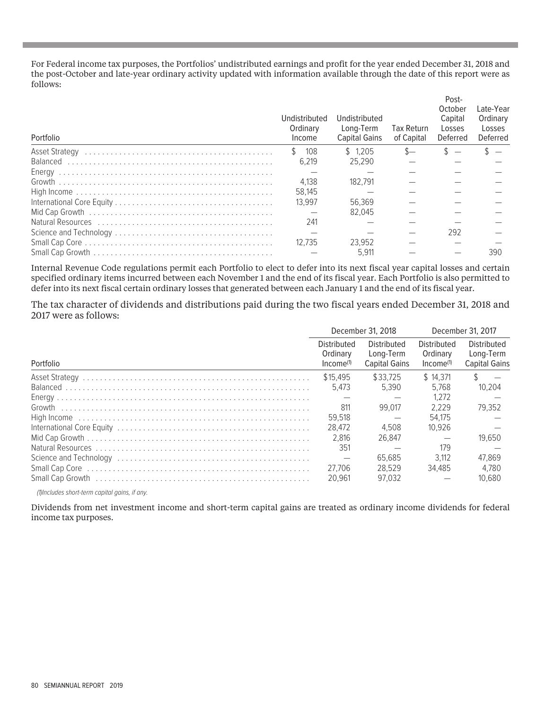For Federal income tax purposes, the Portfolios' undistributed earnings and profit for the year ended December 31, 2018 and the post-October and late-year ordinary activity updated with information available through the date of this report were as follows:

|           |               |                      |            | Post-    |           |
|-----------|---------------|----------------------|------------|----------|-----------|
|           |               |                      |            | October  | Late-Year |
|           | Undistributed | Undistributed        |            | Capital  | Ordinary  |
|           | Ordinary      | Long-Term            | Tax Return | Losses   | Losses    |
| Portfolio | Income        | <b>Capital Gains</b> | of Capital | Deferred | Deferred  |
|           | 108           | \$1,205              |            |          |           |
| Balanced  | 6.219         | 25.290               |            |          |           |
|           |               |                      |            |          |           |
|           | 4.138         | 182.791              |            |          |           |
|           | 58.145        |                      |            |          |           |
|           | 13.997        | 56.369               |            |          |           |
|           |               | 82.045               |            |          |           |
|           | 241           |                      |            |          |           |
|           |               |                      |            | 292      |           |
|           | 12.735        | 23.952               |            |          |           |
|           |               | 5.911                |            |          | 390       |

Internal Revenue Code regulations permit each Portfolio to elect to defer into its next fiscal year capital losses and certain specified ordinary items incurred between each November 1 and the end of its fiscal year. Each Portfolio is also permitted to defer into its next fiscal certain ordinary losses that generated between each January 1 and the end of its fiscal year.

The tax character of dividends and distributions paid during the two fiscal years ended December 31, 2018 and 2017 were as follows:

|           |                                                  | December 31, 2018                                | December 31, 2017                                |                                                  |  |
|-----------|--------------------------------------------------|--------------------------------------------------|--------------------------------------------------|--------------------------------------------------|--|
| Portfolio | Distributed<br>Ordinary<br>Income <sup>(1)</sup> | Distributed<br>Long-Term<br><b>Capital Gains</b> | Distributed<br>Ordinary<br>Income <sup>(1)</sup> | Distributed<br>Long-Term<br><b>Capital Gains</b> |  |
|           | \$15.495                                         | \$33.725                                         | \$14.371                                         |                                                  |  |
|           | 5.473                                            | 5.390                                            | 5.768                                            | 10.204                                           |  |
|           |                                                  |                                                  | 1.272                                            |                                                  |  |
|           | 811                                              | 99.017                                           | 2.229                                            | 79.352                                           |  |
|           | 59.518                                           |                                                  | 54.175                                           |                                                  |  |
|           | 28.472                                           | 4.508                                            | 10.926                                           |                                                  |  |
|           | 2.816                                            | 26.847                                           |                                                  | 19.650                                           |  |
|           | 351                                              |                                                  | 179                                              |                                                  |  |
|           |                                                  | 65.685                                           | 3.112                                            | 47.869                                           |  |
|           | 27.706                                           | 28.529                                           | 34.485                                           | 4.780                                            |  |
|           | 20.961                                           | 97.032                                           |                                                  | 10.680                                           |  |

(1)Includes short-term capital gains, if any.

Dividends from net investment income and short-term capital gains are treated as ordinary income dividends for federal income tax purposes.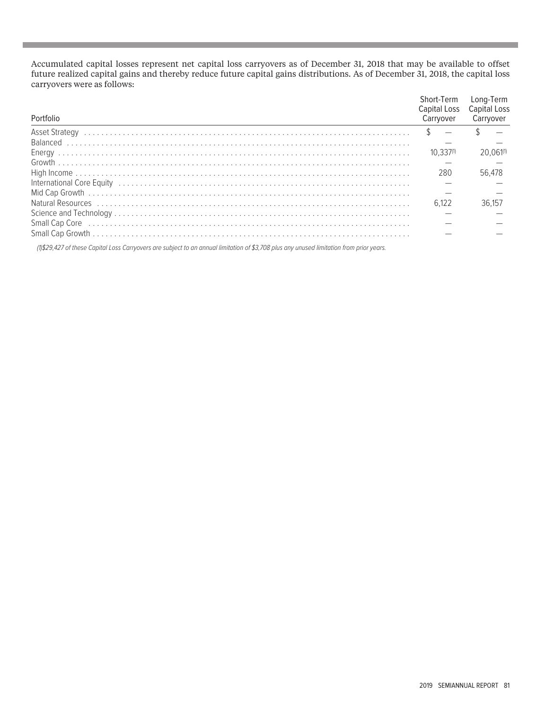Accumulated capital losses represent net capital loss carryovers as of December 31, 2018 that may be available to offset future realized capital gains and thereby reduce future capital gains distributions. As of December 31, 2018, the capital loss carryovers were as follows:

| Portfolio                                                                                                                                                                                                                      | Short-Term<br>Capital Loss Capital Loss<br>Carrvover | Long-Term<br>Carrvover |           |
|--------------------------------------------------------------------------------------------------------------------------------------------------------------------------------------------------------------------------------|------------------------------------------------------|------------------------|-----------|
|                                                                                                                                                                                                                                |                                                      |                        |           |
|                                                                                                                                                                                                                                |                                                      |                        |           |
|                                                                                                                                                                                                                                | $10.337^{(1)}$                                       |                        | 20.061(1) |
|                                                                                                                                                                                                                                |                                                      |                        |           |
|                                                                                                                                                                                                                                | 280                                                  |                        | 56.478    |
| International Core Equity (and according to the control of the control of the control of the control of the control of the control of the control of the control of the control of the control of the control of the control o |                                                      |                        |           |
|                                                                                                                                                                                                                                |                                                      |                        |           |
|                                                                                                                                                                                                                                | 6.122                                                |                        | 36.157    |
|                                                                                                                                                                                                                                |                                                      |                        |           |
|                                                                                                                                                                                                                                |                                                      |                        |           |
|                                                                                                                                                                                                                                |                                                      |                        |           |

(1)\$29,427 of these Capital Loss Carryovers are subject to an annual limitation of \$3,708 plus any unused limitation from prior years.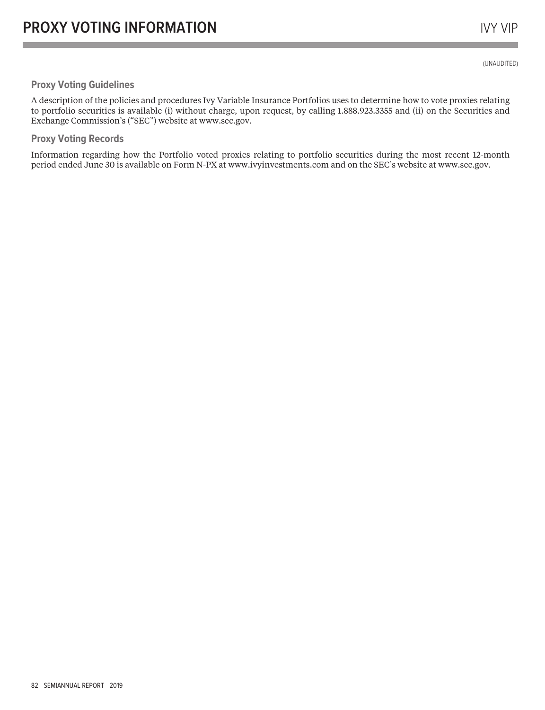## **Proxy Voting Guidelines**

A description of the policies and procedures Ivy Variable Insurance Portfolios uses to determine how to vote proxies relating to portfolio securities is available (i) without charge, upon request, by calling 1.888.923.3355 and (ii) on the Securities and Exchange Commission's ("SEC") website at www.sec.gov.

## **Proxy Voting Records**

Information regarding how the Portfolio voted proxies relating to portfolio securities during the most recent 12-month period ended June 30 is available on Form N-PX at www.ivyinvestments.com and on the SEC's website at www.sec.gov.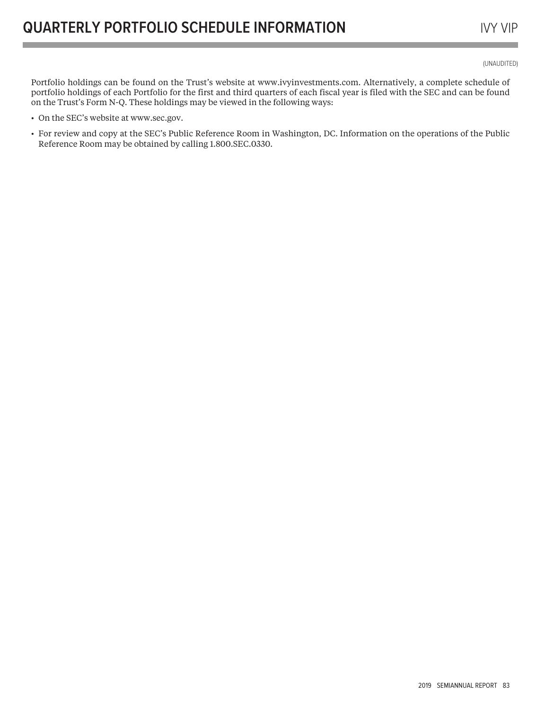#### (UNAUDITED)

Portfolio holdings can be found on the Trust's website at www.ivyinvestments.com. Alternatively, a complete schedule of portfolio holdings of each Portfolio for the first and third quarters of each fiscal year is filed with the SEC and can be found on the Trust's Form N-Q. These holdings may be viewed in the following ways:

- On the SEC's website at www.sec.gov.
- For review and copy at the SEC's Public Reference Room in Washington, DC. Information on the operations of the Public Reference Room may be obtained by calling 1.800.SEC.0330.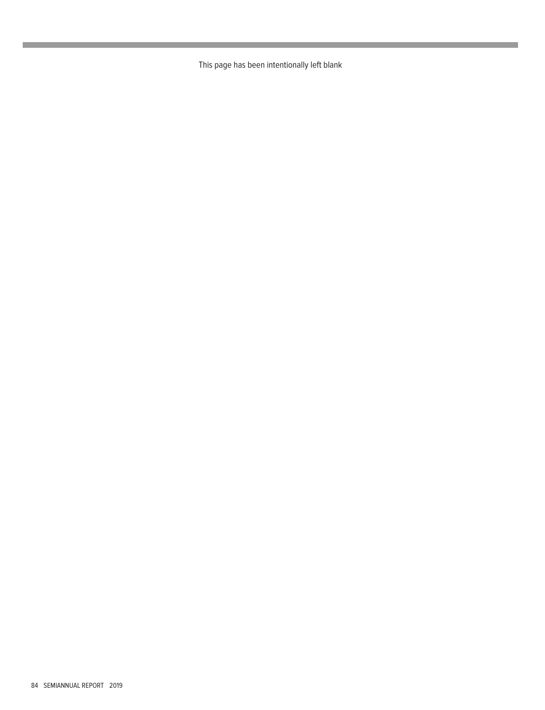This page has been intentionally left blank

and the state of the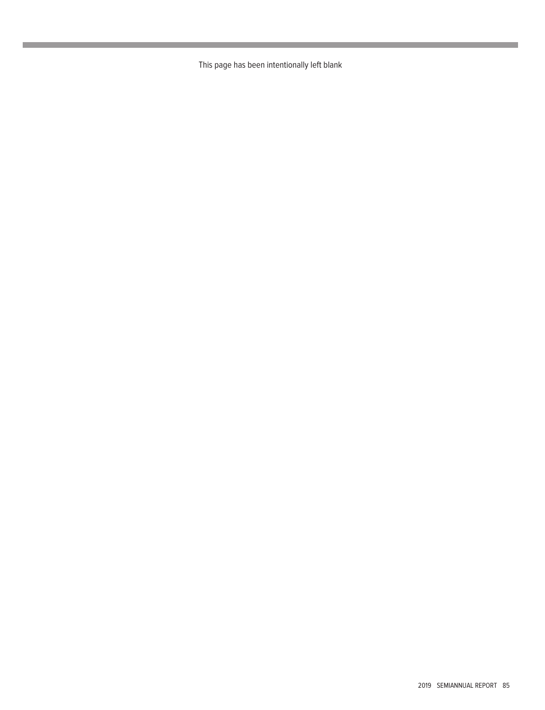This page has been intentionally left blank

and the state of the

۳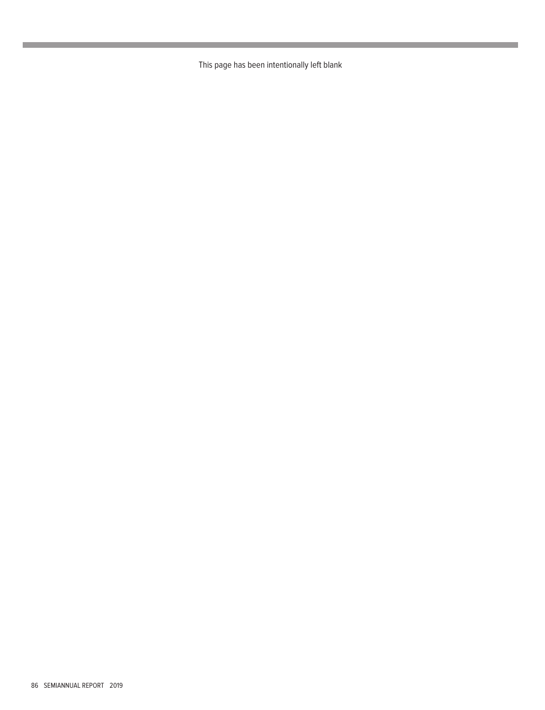This page has been intentionally left blank

and the state of the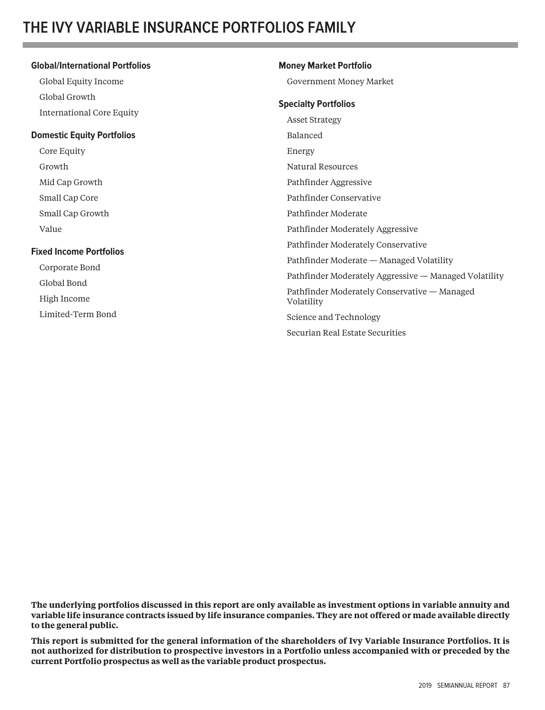# **THE IVY VARIABLE INSURANCE PORTFOLIOS FAMILY**

| <b>Global/International Portfolios</b> | <b>Money Market Portfolio</b>                              |
|----------------------------------------|------------------------------------------------------------|
| Global Equity Income                   | Government Money Market                                    |
| Global Growth                          | <b>Specialty Portfolios</b>                                |
| <b>International Core Equity</b>       | <b>Asset Strategy</b>                                      |
| <b>Domestic Equity Portfolios</b>      | Balanced                                                   |
| Core Equity                            | Energy                                                     |
| Growth                                 | <b>Natural Resources</b>                                   |
| Mid Cap Growth                         | Pathfinder Aggressive                                      |
| Small Cap Core                         | Pathfinder Conservative                                    |
| Small Cap Growth                       | Pathfinder Moderate                                        |
| Value                                  | Pathfinder Moderately Aggressive                           |
| <b>Fixed Income Portfolios</b>         | Pathfinder Moderately Conservative                         |
| Corporate Bond                         | Pathfinder Moderate - Managed Volatility                   |
| Global Bond                            | Pathfinder Moderately Aggressive - Managed Volatility      |
| High Income<br>Limited-Term Bond       | Pathfinder Moderately Conservative - Managed<br>Volatility |
|                                        | Science and Technology                                     |
|                                        | Securian Real Estate Securities                            |
|                                        |                                                            |

**The underlying portfolios discussed in this report are only available as investment options in variable annuity and variable life insurance contracts issued by life insurance companies. They are not offered or made available directly to the general public.**

**This report is submitted for the general information of the shareholders of Ivy Variable Insurance Portfolios. It is not authorized for distribution to prospective investors in a Portfolio unless accompanied with or preceded by the current Portfolio prospectus as well as the variable product prospectus.**